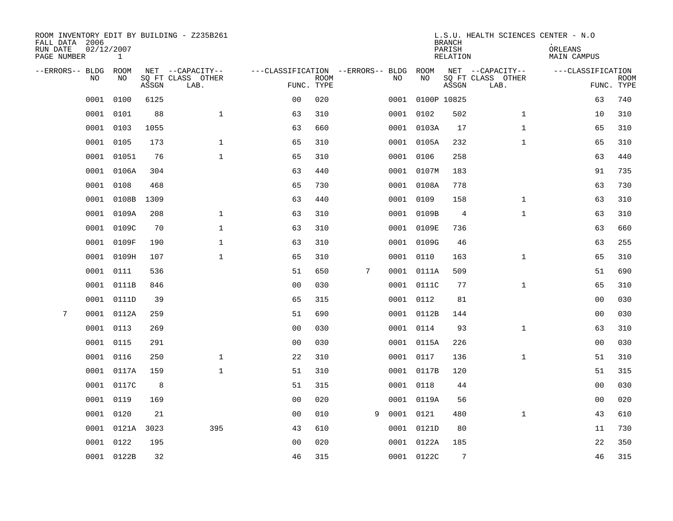| ROOM INVENTORY EDIT BY BUILDING - Z235B261<br>FALL DATA 2006<br>RUN DATE<br>PAGE NUMBER | 02/12/2007<br>$\mathbf{1}$ |       |                                               |                                                      |             |   |    |                  | <b>BRANCH</b><br>PARISH<br><b>RELATION</b> | L.S.U. HEALTH SCIENCES CENTER - N.O           | ORLEANS<br><b>MAIN CAMPUS</b> |                           |
|-----------------------------------------------------------------------------------------|----------------------------|-------|-----------------------------------------------|------------------------------------------------------|-------------|---|----|------------------|--------------------------------------------|-----------------------------------------------|-------------------------------|---------------------------|
| --ERRORS-- BLDG ROOM<br>NO                                                              | NO                         | ASSGN | NET --CAPACITY--<br>SQ FT CLASS OTHER<br>LAB. | ---CLASSIFICATION --ERRORS-- BLDG ROOM<br>FUNC. TYPE | <b>ROOM</b> |   | NO | NO               | ASSGN                                      | NET --CAPACITY--<br>SQ FT CLASS OTHER<br>LAB. | ---CLASSIFICATION             | <b>ROOM</b><br>FUNC. TYPE |
| 0001                                                                                    | 0100                       | 6125  |                                               | 0 <sub>0</sub>                                       | 020         |   |    | 0001 0100P 10825 |                                            |                                               | 63                            | 740                       |
| 0001                                                                                    | 0101                       | 88    | $\mathbf{1}$                                  | 63                                                   | 310         |   |    | 0001 0102        | 502                                        | $\mathbf{1}$                                  | 10                            | 310                       |
| 0001                                                                                    | 0103                       | 1055  |                                               | 63                                                   | 660         |   |    | 0001 0103A       | 17                                         | $\mathbf{1}$                                  | 65                            | 310                       |
| 0001                                                                                    | 0105                       | 173   | $\mathbf 1$                                   | 65                                                   | 310         |   |    | 0001 0105A       | 232                                        | $\mathbf{1}$                                  | 65                            | 310                       |
| 0001                                                                                    | 01051                      | 76    | $\mathbf{1}$                                  | 65                                                   | 310         |   |    | 0001 0106        | 258                                        |                                               | 63                            | 440                       |
| 0001                                                                                    | 0106A                      | 304   |                                               | 63                                                   | 440         |   |    | 0001 0107M       | 183                                        |                                               | 91                            | 735                       |
| 0001                                                                                    | 0108                       | 468   |                                               | 65                                                   | 730         |   |    | 0001 0108A       | 778                                        |                                               | 63                            | 730                       |
| 0001                                                                                    | 0108B 1309                 |       |                                               | 63                                                   | 440         |   |    | 0001 0109        | 158                                        | $\mathbf{1}$                                  | 63                            | 310                       |
| 0001                                                                                    | 0109A                      | 208   | $\mathbf{1}$                                  | 63                                                   | 310         |   |    | 0001 0109B       | $\overline{4}$                             | $\mathbf{1}$                                  | 63                            | 310                       |
| 0001                                                                                    | 0109C                      | 70    | $\mathbf{1}$                                  | 63                                                   | 310         |   |    | 0001 0109E       | 736                                        |                                               | 63                            | 660                       |
| 0001                                                                                    | 0109F                      | 190   | $\mathbf{1}$                                  | 63                                                   | 310         |   |    | 0001 0109G       | 46                                         |                                               | 63                            | 255                       |
| 0001                                                                                    | 0109H                      | 107   | $\mathbf{1}$                                  | 65                                                   | 310         |   |    | 0001 0110        | 163                                        | $\mathbf{1}$                                  | 65                            | 310                       |
| 0001                                                                                    | 0111                       | 536   |                                               | 51                                                   | 650         | 7 |    | 0001 0111A       | 509                                        |                                               | 51                            | 690                       |
| 0001                                                                                    | 0111B                      | 846   |                                               | 0 <sub>0</sub>                                       | 030         |   |    | 0001 0111C       | 77                                         | $\mathbf{1}$                                  | 65                            | 310                       |
| 0001                                                                                    | 0111D                      | 39    |                                               | 65                                                   | 315         |   |    | 0001 0112        | 81                                         |                                               | 00                            | 030                       |
| 7<br>0001                                                                               | 0112A                      | 259   |                                               | 51                                                   | 690         |   |    | 0001 0112B       | 144                                        |                                               | 0 <sub>0</sub>                | 030                       |
| 0001                                                                                    | 0113                       | 269   |                                               | 0 <sub>0</sub>                                       | 030         |   |    | 0001 0114        | 93                                         | $\mathbf{1}$                                  | 63                            | 310                       |
| 0001                                                                                    | 0115                       | 291   |                                               | 0 <sub>0</sub>                                       | 030         |   |    | 0001 0115A       | 226                                        |                                               | 0 <sub>0</sub>                | 030                       |
| 0001                                                                                    | 0116                       | 250   | $\mathbf{1}$                                  | 22                                                   | 310         |   |    | 0001 0117        | 136                                        | $\mathbf{1}$                                  | 51                            | 310                       |
| 0001                                                                                    | 0117A                      | 159   | $\mathbf 1$                                   | 51                                                   | 310         |   |    | 0001 0117B       | 120                                        |                                               | 51                            | 315                       |
| 0001                                                                                    | 0117C                      | 8     |                                               | 51                                                   | 315         |   |    | 0001 0118        | 44                                         |                                               | 00                            | 030                       |
| 0001                                                                                    | 0119                       | 169   |                                               | 0 <sub>0</sub>                                       | 020         |   |    | 0001 0119A       | 56                                         |                                               | 00                            | 020                       |
| 0001                                                                                    | 0120                       | 21    |                                               | 0 <sub>0</sub>                                       | 010         | 9 |    | 0001 0121        | 480                                        | $\mathbf{1}$                                  | 43                            | 610                       |
| 0001                                                                                    | 0121A                      | 3023  | 395                                           | 43                                                   | 610         |   |    | 0001 0121D       | 80                                         |                                               | 11                            | 730                       |
| 0001                                                                                    | 0122                       | 195   |                                               | 0 <sub>0</sub>                                       | 020         |   |    | 0001 0122A       | 185                                        |                                               | 22                            | 350                       |
|                                                                                         | 0001 0122B                 | 32    |                                               | 46                                                   | 315         |   |    | 0001 0122C       | 7                                          |                                               | 46                            | 315                       |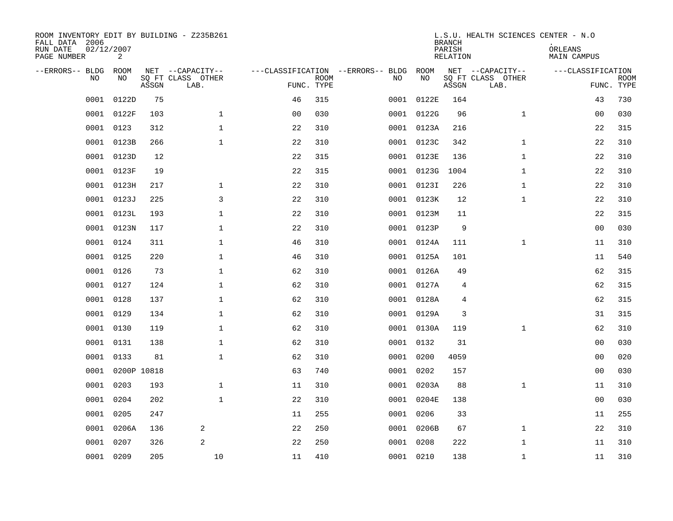| ROOM INVENTORY EDIT BY BUILDING - Z235B261<br>FALL DATA 2006<br>RUN DATE<br>PAGE NUMBER | 02/12/2007<br>2 |       |                                               |                |             |                                              |            | <b>BRANCH</b><br>PARISH<br><b>RELATION</b> | L.S.U. HEALTH SCIENCES CENTER - N.O           | ORLEANS<br><b>MAIN CAMPUS</b> |                           |
|-----------------------------------------------------------------------------------------|-----------------|-------|-----------------------------------------------|----------------|-------------|----------------------------------------------|------------|--------------------------------------------|-----------------------------------------------|-------------------------------|---------------------------|
| --ERRORS-- BLDG ROOM<br>NO                                                              | NO              | ASSGN | NET --CAPACITY--<br>SQ FT CLASS OTHER<br>LAB. | FUNC. TYPE     | <b>ROOM</b> | ---CLASSIFICATION --ERRORS-- BLDG ROOM<br>NO | NO         | ASSGN                                      | NET --CAPACITY--<br>SQ FT CLASS OTHER<br>LAB. | ---CLASSIFICATION             | <b>ROOM</b><br>FUNC. TYPE |
| 0001                                                                                    | 0122D           | 75    |                                               | 46             | 315         |                                              | 0001 0122E | 164                                        |                                               | 43                            | 730                       |
| 0001                                                                                    | 0122F           | 103   | $\mathbf 1$                                   | 0 <sub>0</sub> | 030         |                                              | 0001 0122G | 96                                         | $\mathbf{1}$                                  | 00                            | 030                       |
| 0001                                                                                    | 0123            | 312   | $\mathbf 1$                                   | 22             | 310         |                                              | 0001 0123A | 216                                        |                                               | 22                            | 315                       |
| 0001                                                                                    | 0123B           | 266   | $\mathbf 1$                                   | 22             | 310         |                                              | 0001 0123C | 342                                        | $\mathbf{1}$                                  | 22                            | 310                       |
| 0001                                                                                    | 0123D           | 12    |                                               | 22             | 315         |                                              | 0001 0123E | 136                                        | $\mathbf{1}$                                  | 22                            | 310                       |
| 0001                                                                                    | 0123F           | 19    |                                               | 22             | 315         |                                              | 0001 0123G | 1004                                       | $\mathbf{1}$                                  | 22                            | 310                       |
| 0001                                                                                    | 0123H           | 217   | $\mathbf{1}$                                  | 22             | 310         |                                              | 0001 0123I | 226                                        | $\mathbf{1}$                                  | 22                            | 310                       |
| 0001                                                                                    | 0123J           | 225   | 3                                             | 22             | 310         |                                              | 0001 0123K | 12                                         | $\mathbf{1}$                                  | 22                            | 310                       |
| 0001                                                                                    | 0123L           | 193   | $\mathbf 1$                                   | 22             | 310         |                                              | 0001 0123M | 11                                         |                                               | 22                            | 315                       |
| 0001                                                                                    | 0123N           | 117   | $\mathbf 1$                                   | 22             | 310         |                                              | 0001 0123P | 9                                          |                                               | 0 <sub>0</sub>                | 030                       |
| 0001                                                                                    | 0124            | 311   | $\mathbf 1$                                   | 46             | 310         |                                              | 0001 0124A | 111                                        | $\mathbf{1}$                                  | 11                            | 310                       |
|                                                                                         | 0001 0125       | 220   | $\mathbf{1}$                                  | 46             | 310         |                                              | 0001 0125A | 101                                        |                                               | 11                            | 540                       |
| 0001                                                                                    | 0126            | 73    | $\mathbf 1$                                   | 62             | 310         |                                              | 0001 0126A | 49                                         |                                               | 62                            | 315                       |
| 0001                                                                                    | 0127            | 124   | $\mathbf 1$                                   | 62             | 310         |                                              | 0001 0127A | 4                                          |                                               | 62                            | 315                       |
| 0001                                                                                    | 0128            | 137   | $\mathbf 1$                                   | 62             | 310         |                                              | 0001 0128A | 4                                          |                                               | 62                            | 315                       |
| 0001                                                                                    | 0129            | 134   | $\mathbf 1$                                   | 62             | 310         |                                              | 0001 0129A | 3                                          |                                               | 31                            | 315                       |
| 0001                                                                                    | 0130            | 119   | $\mathbf 1$                                   | 62             | 310         |                                              | 0001 0130A | 119                                        | $\mathbf{1}$                                  | 62                            | 310                       |
| 0001                                                                                    | 0131            | 138   | $\mathbf{1}$                                  | 62             | 310         |                                              | 0001 0132  | 31                                         |                                               | 0 <sub>0</sub>                | 030                       |
| 0001                                                                                    | 0133            | 81    | $\mathbf{1}$                                  | 62             | 310         |                                              | 0001 0200  | 4059                                       |                                               | 0 <sub>0</sub>                | 020                       |
| 0001                                                                                    | 0200P 10818     |       |                                               | 63             | 740         |                                              | 0001 0202  | 157                                        |                                               | 00                            | 030                       |
| 0001                                                                                    | 0203            | 193   | $\mathbf 1$                                   | 11             | 310         |                                              | 0001 0203A | 88                                         | $\mathbf{1}$                                  | 11                            | 310                       |
| 0001                                                                                    | 0204            | 202   | $\mathbf{1}$                                  | 22             | 310         |                                              | 0001 0204E | 138                                        |                                               | 00                            | 030                       |
| 0001                                                                                    | 0205            | 247   |                                               | 11             | 255         |                                              | 0001 0206  | 33                                         |                                               | 11                            | 255                       |
| 0001                                                                                    | 0206A           | 136   | 2                                             | 22             | 250         |                                              | 0001 0206B | 67                                         | $\mathbf{1}$                                  | 22                            | 310                       |
| 0001                                                                                    | 0207            | 326   | 2                                             | 22             | 250         | 0001                                         | 0208       | 222                                        | $\mathbf{1}$                                  | 11                            | 310                       |
|                                                                                         | 0001 0209       | 205   | 10                                            | 11             | 410         |                                              | 0001 0210  | 138                                        | $\mathbf{1}$                                  | 11                            | 310                       |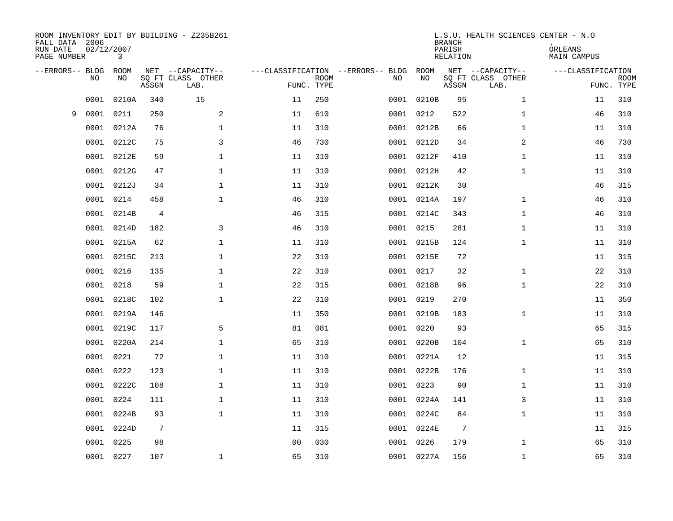| FALL DATA 2006<br>RUN DATE<br>PAGE NUMBER |           | 02/12/2007<br>3 |       | ROOM INVENTORY EDIT BY BUILDING - Z235B261    |                                                 |             |      |            | <b>BRANCH</b><br>PARISH<br>RELATION | L.S.U. HEALTH SCIENCES CENTER - N.O           | ORLEANS<br>MAIN CAMPUS |                           |
|-------------------------------------------|-----------|-----------------|-------|-----------------------------------------------|-------------------------------------------------|-------------|------|------------|-------------------------------------|-----------------------------------------------|------------------------|---------------------------|
| --ERRORS-- BLDG                           | <b>NO</b> | ROOM<br>NO.     | ASSGN | NET --CAPACITY--<br>SQ FT CLASS OTHER<br>LAB. | ---CLASSIFICATION --ERRORS-- BLDG<br>FUNC. TYPE | <b>ROOM</b> | NO   | ROOM<br>NO | ASSGN                               | NET --CAPACITY--<br>SQ FT CLASS OTHER<br>LAB. | ---CLASSIFICATION      | <b>ROOM</b><br>FUNC. TYPE |
|                                           | 0001      | 0210A           | 340   | 15                                            | 11                                              | 250         | 0001 | 0210B      | 95                                  | $\mathbf{1}$                                  | 11                     | 310                       |
| 9                                         | 0001      | 0211            | 250   | $\mathbf{2}$                                  | 11                                              | 610         |      | 0001 0212  | 522                                 | $\mathbf{1}$                                  | 46                     | 310                       |
|                                           | 0001      | 0212A           | 76    | $\mathbf 1$                                   | 11                                              | 310         |      | 0001 0212B | 66                                  | $\mathbf{1}$                                  | 11                     | 310                       |
|                                           | 0001      | 0212C           | 75    | 3                                             | 46                                              | 730         |      | 0001 0212D | 34                                  | $\overline{2}$                                | 46                     | 730                       |
|                                           | 0001      | 0212E           | 59    | $\mathbf 1$                                   | 11                                              | 310         |      | 0001 0212F | 410                                 | $\mathbf{1}$                                  | 11                     | 310                       |
|                                           | 0001      | 0212G           | 47    | $\mathbf 1$                                   | 11                                              | 310         |      | 0001 0212H | 42                                  | $\mathbf{1}$                                  | 11                     | 310                       |
|                                           | 0001      | 0212J           | 34    | $\mathbf 1$                                   | 11                                              | 310         |      | 0001 0212K | 30                                  |                                               | 46                     | 315                       |
|                                           | 0001      | 0214            | 458   | $\mathbf{1}$                                  | 46                                              | 310         |      | 0001 0214A | 197                                 | $\mathbf{1}$                                  | 46                     | 310                       |
|                                           | 0001      | 0214B           | 4     |                                               | 46                                              | 315         |      | 0001 0214C | 343                                 | $\mathbf{1}$                                  | 46                     | 310                       |
|                                           | 0001      | 0214D           | 182   | 3                                             | 46                                              | 310         |      | 0001 0215  | 281                                 | $\mathbf{1}$                                  | 11                     | 310                       |
|                                           | 0001      | 0215A           | 62    | $\mathbf 1$                                   | 11                                              | 310         |      | 0001 0215B | 124                                 | $\mathbf{1}$                                  | 11                     | 310                       |
|                                           | 0001      | 0215C           | 213   | $\mathbf{1}$                                  | 22                                              | 310         |      | 0001 0215E | 72                                  |                                               | 11                     | 315                       |
|                                           | 0001      | 0216            | 135   | $\mathbf 1$                                   | 22                                              | 310         |      | 0001 0217  | 32                                  | $\mathbf{1}$                                  | 22                     | 310                       |
|                                           | 0001      | 0218            | 59    | $\mathbf{1}$                                  | 22                                              | 315         |      | 0001 0218B | 96                                  | $\mathbf{1}$                                  | 22                     | 310                       |
|                                           | 0001      | 0218C           | 102   | $\mathbf{1}$                                  | 22                                              | 310         |      | 0001 0219  | 270                                 |                                               | 11                     | 350                       |
|                                           | 0001      | 0219A           | 146   |                                               | 11                                              | 350         |      | 0001 0219B | 183                                 | $\mathbf{1}$                                  | 11                     | 310                       |
|                                           | 0001      | 0219C           | 117   | 5                                             | 81                                              | 081         |      | 0001 0220  | 93                                  |                                               | 65                     | 315                       |
|                                           | 0001      | 0220A           | 214   | $\mathbf 1$                                   | 65                                              | 310         |      | 0001 0220B | 104                                 | $\mathbf{1}$                                  | 65                     | 310                       |
|                                           | 0001      | 0221            | 72    | 1                                             | 11                                              | 310         |      | 0001 0221A | 12                                  |                                               | 11                     | 315                       |
|                                           | 0001      | 0222            | 123   | 1                                             | 11                                              | 310         |      | 0001 0222B | 176                                 | $\mathbf{1}$                                  | 11                     | 310                       |
|                                           | 0001      | 0222C           | 108   | $\mathbf 1$                                   | 11                                              | 310         |      | 0001 0223  | 90                                  | $\mathbf{1}$                                  | 11                     | 310                       |
|                                           | 0001      | 0224            | 111   | $\mathbf 1$                                   | 11                                              | 310         |      | 0001 0224A | 141                                 | 3                                             | 11                     | 310                       |
|                                           | 0001      | 0224B           | 93    | $\mathbf{1}$                                  | 11                                              | 310         |      | 0001 0224C | 84                                  | $\mathbf{1}$                                  | 11                     | 310                       |
|                                           | 0001      | 0224D           | 7     |                                               | 11                                              | 315         |      | 0001 0224E | $7\phantom{.0}$                     |                                               | 11                     | 315                       |
|                                           | 0001      | 0225            | 98    |                                               | 0 <sub>0</sub>                                  | 030         | 0001 | 0226       | 179                                 | $\mathbf{1}$                                  | 65                     | 310                       |
|                                           |           | 0001 0227       | 107   | $\mathbf 1$                                   | 65                                              | 310         |      | 0001 0227A | 156                                 | $\mathbf{1}$                                  | 65                     | 310                       |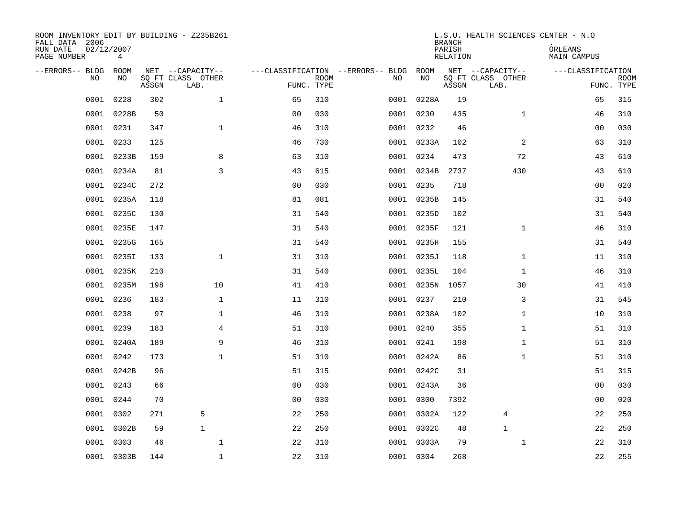| ROOM INVENTORY EDIT BY BUILDING - Z235B261<br>FALL DATA 2006<br>RUN DATE<br>PAGE NUMBER | 02/12/2007<br>4 |       |                                               |                |             |                                          |            | <b>BRANCH</b><br>PARISH<br>RELATION | L.S.U. HEALTH SCIENCES CENTER - N.O           | ORLEANS<br>MAIN CAMPUS |                           |
|-----------------------------------------------------------------------------------------|-----------------|-------|-----------------------------------------------|----------------|-------------|------------------------------------------|------------|-------------------------------------|-----------------------------------------------|------------------------|---------------------------|
| --ERRORS-- BLDG<br>N <sub>O</sub>                                                       | ROOM<br>NO.     | ASSGN | NET --CAPACITY--<br>SO FT CLASS OTHER<br>LAB. | FUNC. TYPE     | <b>ROOM</b> | ---CLASSIFICATION --ERRORS-- BLDG<br>NO. | ROOM<br>NO | ASSGN                               | NET --CAPACITY--<br>SQ FT CLASS OTHER<br>LAB. | ---CLASSIFICATION      | <b>ROOM</b><br>FUNC. TYPE |
| 0001                                                                                    | 0228            | 302   | $\mathbf{1}$                                  | 65             | 310         |                                          | 0001 0228A | 19                                  |                                               | 65                     | 315                       |
| 0001                                                                                    | 0228B           | 50    |                                               | 0 <sub>0</sub> | 030         |                                          | 0001 0230  | 435                                 | $\mathbf{1}$                                  | 46                     | 310                       |
| 0001                                                                                    | 0231            | 347   | $\mathbf{1}$                                  | 46             | 310         |                                          | 0001 0232  | 46                                  |                                               | 0 <sub>0</sub>         | 030                       |
| 0001                                                                                    | 0233            | 125   |                                               | 46             | 730         |                                          | 0001 0233A | 102                                 | $\overline{a}$                                | 63                     | 310                       |
| 0001                                                                                    | 0233B           | 159   | 8                                             | 63             | 310         |                                          | 0001 0234  | 473                                 | 72                                            | 43                     | 610                       |
| 0001                                                                                    | 0234A           | 81    | 3                                             | 43             | 615         |                                          | 0001 0234B | 2737                                | 430                                           | 43                     | 610                       |
| 0001                                                                                    | 0234C           | 272   |                                               | 0 <sub>0</sub> | 030         |                                          | 0001 0235  | 718                                 |                                               | 0 <sub>0</sub>         | 020                       |
| 0001                                                                                    | 0235A           | 118   |                                               | 81             | 081         |                                          | 0001 0235B | 145                                 |                                               | 31                     | 540                       |
| 0001                                                                                    | 0235C           | 130   |                                               | 31             | 540         |                                          | 0001 0235D | 102                                 |                                               | 31                     | 540                       |
| 0001                                                                                    | 0235E           | 147   |                                               | 31             | 540         |                                          | 0001 0235F | 121                                 | $\mathbf{1}$                                  | 46                     | 310                       |
| 0001                                                                                    | 0235G           | 165   |                                               | 31             | 540         |                                          | 0001 0235H | 155                                 |                                               | 31                     | 540                       |
| 0001                                                                                    | 0235I           | 133   | $\mathbf{1}$                                  | 31             | 310         |                                          | 0001 0235J | 118                                 | $\mathbf{1}$                                  | 11                     | 310                       |
| 0001                                                                                    | 0235K           | 210   |                                               | 31             | 540         |                                          | 0001 0235L | 104                                 | $\mathbf{1}$                                  | 46                     | 310                       |
| 0001                                                                                    | 0235M           | 198   | 10                                            | 41             | 410         |                                          | 0001 0235N | 1057                                | 30                                            | 41                     | 410                       |
| 0001                                                                                    | 0236            | 183   | $\mathbf{1}$                                  | 11             | 310         |                                          | 0001 0237  | 210                                 | 3                                             | 31                     | 545                       |
| 0001                                                                                    | 0238            | 97    | $\mathbf 1$                                   | 46             | 310         |                                          | 0001 0238A | 102                                 | $\mathbf{1}$                                  | 10                     | 310                       |
| 0001                                                                                    | 0239            | 183   | 4                                             | 51             | 310         | 0001                                     | 0240       | 355                                 | $\mathbf{1}$                                  | 51                     | 310                       |
| 0001                                                                                    | 0240A           | 189   | 9                                             | 46             | 310         |                                          | 0001 0241  | 198                                 | $\mathbf{1}$                                  | 51                     | 310                       |
| 0001                                                                                    | 0242            | 173   | $\mathbf{1}$                                  | 51             | 310         |                                          | 0001 0242A | 86                                  | $\mathbf{1}$                                  | 51                     | 310                       |
| 0001                                                                                    | 0242B           | 96    |                                               | 51             | 315         |                                          | 0001 0242C | 31                                  |                                               | 51                     | 315                       |
| 0001                                                                                    | 0243            | 66    |                                               | 0 <sub>0</sub> | 030         |                                          | 0001 0243A | 36                                  |                                               | 00                     | 030                       |
| 0001                                                                                    | 0244            | 70    |                                               | 0 <sub>0</sub> | 030         |                                          | 0001 0300  | 7392                                |                                               | 00                     | 020                       |
| 0001                                                                                    | 0302            | 271   | 5                                             | 22             | 250         |                                          | 0001 0302A | 122                                 | 4                                             | 22                     | 250                       |
| 0001                                                                                    | 0302B           | 59    | $\mathbf{1}$                                  | 22             | 250         |                                          | 0001 0302C | 48                                  | $\mathbf{1}$                                  | 22                     | 250                       |
| 0001                                                                                    | 0303            | 46    | $\mathbf 1$                                   | 22             | 310         |                                          | 0001 0303A | 79                                  | $\mathbf{1}$                                  | 22                     | 310                       |
|                                                                                         | 0001 0303B      | 144   | $\mathbf{1}$                                  | 22             | 310         |                                          | 0001 0304  | 268                                 |                                               | 22                     | 255                       |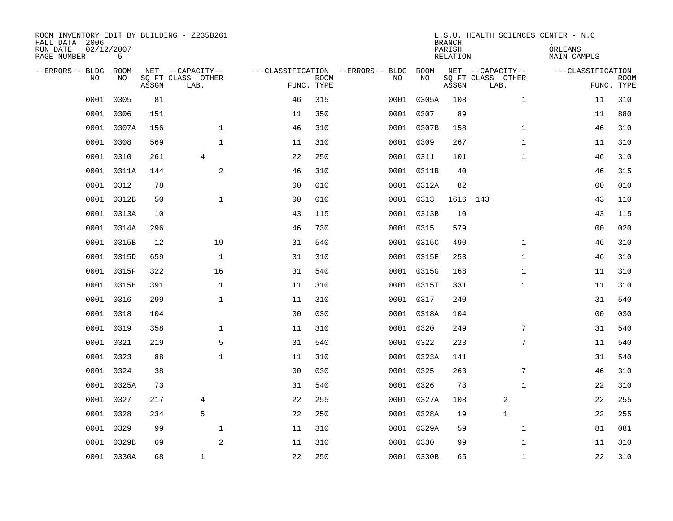| ROOM INVENTORY EDIT BY BUILDING - Z235B261<br>FALL DATA 2006<br>RUN DATE<br>PAGE NUMBER | 02/12/2007<br>5 |       |                                               |                |             |                                         |            | <b>BRANCH</b><br>PARISH<br><b>RELATION</b> | L.S.U. HEALTH SCIENCES CENTER - N.O           | ORLEANS<br><b>MAIN CAMPUS</b> |                           |
|-----------------------------------------------------------------------------------------|-----------------|-------|-----------------------------------------------|----------------|-------------|-----------------------------------------|------------|--------------------------------------------|-----------------------------------------------|-------------------------------|---------------------------|
| --ERRORS-- BLDG ROOM<br>NO                                                              | NO              | ASSGN | NET --CAPACITY--<br>SQ FT CLASS OTHER<br>LAB. | FUNC. TYPE     | <b>ROOM</b> | ---CLASSIFICATION --ERRORS-- BLDG<br>NO | ROOM<br>NO | ASSGN                                      | NET --CAPACITY--<br>SQ FT CLASS OTHER<br>LAB. | ---CLASSIFICATION             | <b>ROOM</b><br>FUNC. TYPE |
| 0001                                                                                    | 0305            | 81    |                                               | 46             | 315         | 0001                                    | 0305A      | 108                                        | $\mathbf{1}$                                  | 11                            | 310                       |
| 0001                                                                                    | 0306            | 151   |                                               | 11             | 350         |                                         | 0001 0307  | 89                                         |                                               | 11                            | 880                       |
| 0001                                                                                    | 0307A           | 156   | $\mathbf 1$                                   | 46             | 310         |                                         | 0001 0307B | 158                                        | $\mathbf{1}$                                  | 46                            | 310                       |
| 0001                                                                                    | 0308            | 569   | $\mathbf 1$                                   | 11             | 310         |                                         | 0001 0309  | 267                                        | $\mathbf{1}$                                  | 11                            | 310                       |
| 0001                                                                                    | 0310            | 261   | 4                                             | 22             | 250         |                                         | 0001 0311  | 101                                        | $\mathbf{1}$                                  | 46                            | 310                       |
| 0001                                                                                    | 0311A           | 144   | $\mathbf{2}$                                  | 46             | 310         |                                         | 0001 0311B | 40                                         |                                               | 46                            | 315                       |
| 0001                                                                                    | 0312            | 78    |                                               | 0 <sub>0</sub> | 010         |                                         | 0001 0312A | 82                                         |                                               | 0 <sub>0</sub>                | 010                       |
| 0001                                                                                    | 0312B           | 50    | $\mathbf{1}$                                  | 0 <sub>0</sub> | 010         |                                         | 0001 0313  |                                            | 1616 143                                      | 43                            | 110                       |
| 0001                                                                                    | 0313A           | 10    |                                               | 43             | 115         |                                         | 0001 0313B | 10                                         |                                               | 43                            | 115                       |
| 0001                                                                                    | 0314A           | 296   |                                               | 46             | 730         |                                         | 0001 0315  | 579                                        |                                               | 0 <sub>0</sub>                | 020                       |
| 0001                                                                                    | 0315B           | 12    | 19                                            | 31             | 540         |                                         | 0001 0315C | 490                                        | $\mathbf{1}$                                  | 46                            | 310                       |
| 0001                                                                                    | 0315D           | 659   | $\mathbf{1}$                                  | 31             | 310         |                                         | 0001 0315E | 253                                        | $\mathbf{1}$                                  | 46                            | 310                       |
| 0001                                                                                    | 0315F           | 322   | 16                                            | 31             | 540         |                                         | 0001 0315G | 168                                        | $\mathbf{1}$                                  | 11                            | 310                       |
| 0001                                                                                    | 0315H           | 391   | $\mathbf{1}$                                  | 11             | 310         |                                         | 0001 0315I | 331                                        | $\mathbf{1}$                                  | 11                            | 310                       |
| 0001                                                                                    | 0316            | 299   | $\mathbf{1}$                                  | 11             | 310         |                                         | 0001 0317  | 240                                        |                                               | 31                            | 540                       |
| 0001                                                                                    | 0318            | 104   |                                               | 00             | 030         |                                         | 0001 0318A | 104                                        |                                               | 00                            | 030                       |
| 0001                                                                                    | 0319            | 358   | $\mathbf 1$                                   | 11             | 310         |                                         | 0001 0320  | 249                                        | $7\phantom{.0}$                               | 31                            | 540                       |
| 0001                                                                                    | 0321            | 219   | 5                                             | 31             | 540         |                                         | 0001 0322  | 223                                        | 7                                             | 11                            | 540                       |
|                                                                                         | 0001 0323       | 88    | $\mathbf{1}$                                  | 11             | 310         |                                         | 0001 0323A | 141                                        |                                               | 31                            | 540                       |
| 0001                                                                                    | 0324            | 38    |                                               | 0 <sub>0</sub> | 030         |                                         | 0001 0325  | 263                                        | 7                                             | 46                            | 310                       |
|                                                                                         | 0001 0325A      | 73    |                                               | 31             | 540         |                                         | 0001 0326  | 73                                         | $\mathbf{1}$                                  | 22                            | 310                       |
| 0001                                                                                    | 0327            | 217   | 4                                             | 22             | 255         |                                         | 0001 0327A | 108                                        | 2                                             | 22                            | 255                       |
| 0001                                                                                    | 0328            | 234   | 5                                             | 22             | 250         |                                         | 0001 0328A | 19                                         | $\mathbf{1}$                                  | 22                            | 255                       |
| 0001                                                                                    | 0329            | 99    | $\mathbf 1$                                   | 11             | 310         |                                         | 0001 0329A | 59                                         | $\mathbf{1}$                                  | 81                            | 081                       |
| 0001                                                                                    | 0329B           | 69    | 2                                             | 11             | 310         |                                         | 0001 0330  | 99                                         | $\mathbf{1}$                                  | 11                            | 310                       |
|                                                                                         | 0001 0330A      | 68    | $\mathbf{1}$                                  | 22             | 250         |                                         | 0001 0330B | 65                                         | $\mathbf{1}$                                  | 22                            | 310                       |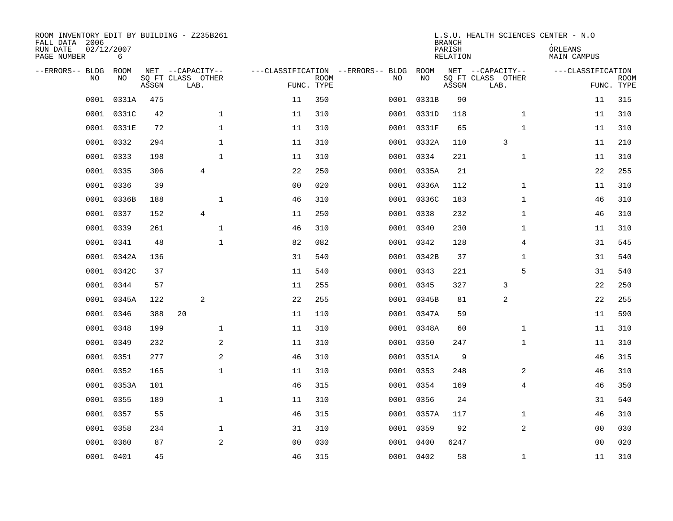| ROOM INVENTORY EDIT BY BUILDING - Z235B261<br>FALL DATA 2006<br>RUN DATE<br>PAGE NUMBER | 02/12/2007<br>6 |       |                                               |                |                           |                                         |            | <b>BRANCH</b><br>PARISH<br><b>RELATION</b> | L.S.U. HEALTH SCIENCES CENTER - N.O           | ORLEANS<br>MAIN CAMPUS |                           |
|-----------------------------------------------------------------------------------------|-----------------|-------|-----------------------------------------------|----------------|---------------------------|-----------------------------------------|------------|--------------------------------------------|-----------------------------------------------|------------------------|---------------------------|
| --ERRORS-- BLDG<br>NO                                                                   | ROOM<br>NO      | ASSGN | NET --CAPACITY--<br>SQ FT CLASS OTHER<br>LAB. |                | <b>ROOM</b><br>FUNC. TYPE | ---CLASSIFICATION --ERRORS-- BLDG<br>NO | ROOM<br>NO | ASSGN                                      | NET --CAPACITY--<br>SQ FT CLASS OTHER<br>LAB. | ---CLASSIFICATION      | <b>ROOM</b><br>FUNC. TYPE |
| 0001                                                                                    | 0331A           | 475   |                                               | 11             | 350                       | 0001                                    | 0331B      | 90                                         |                                               | 11                     | 315                       |
| 0001                                                                                    | 0331C           | 42    | $\mathbf 1$                                   | 11             | 310                       |                                         | 0001 0331D | 118                                        | $\mathbf{1}$                                  | 11                     | 310                       |
| 0001                                                                                    | 0331E           | 72    | $\mathbf 1$                                   | 11             | 310                       |                                         | 0001 0331F | 65                                         | $\mathbf{1}$                                  | 11                     | 310                       |
| 0001                                                                                    | 0332            | 294   | $\mathbf 1$                                   | 11             | 310                       |                                         | 0001 0332A | 110                                        | 3                                             | 11                     | 210                       |
| 0001                                                                                    | 0333            | 198   | $\mathbf{1}$                                  | 11             | 310                       |                                         | 0001 0334  | 221                                        | $\mathbf{1}$                                  | 11                     | 310                       |
| 0001                                                                                    | 0335            | 306   | 4                                             | 22             | 250                       |                                         | 0001 0335A | 21                                         |                                               | 22                     | 255                       |
| 0001                                                                                    | 0336            | 39    |                                               | 0 <sub>0</sub> | 020                       |                                         | 0001 0336A | 112                                        | $\mathbf{1}$                                  | 11                     | 310                       |
| 0001                                                                                    | 0336B           | 188   | $\mathbf 1$                                   | 46             | 310                       |                                         | 0001 0336C | 183                                        | $\mathbf{1}$                                  | 46                     | 310                       |
| 0001                                                                                    | 0337            | 152   | $\overline{4}$                                | 11             | 250                       |                                         | 0001 0338  | 232                                        | $\mathbf{1}$                                  | 46                     | 310                       |
| 0001                                                                                    | 0339            | 261   | $\mathbf{1}$                                  | 46             | 310                       |                                         | 0001 0340  | 230                                        | $\mathbf{1}$                                  | 11                     | 310                       |
| 0001                                                                                    | 0341            | 48    | $\mathbf 1$                                   | 82             | 082                       |                                         | 0001 0342  | 128                                        | 4                                             | 31                     | 545                       |
| 0001                                                                                    | 0342A           | 136   |                                               | 31             | 540                       |                                         | 0001 0342B | 37                                         | $\mathbf{1}$                                  | 31                     | 540                       |
| 0001                                                                                    | 0342C           | 37    |                                               | 11             | 540                       |                                         | 0001 0343  | 221                                        | 5                                             | 31                     | 540                       |
| 0001                                                                                    | 0344            | 57    |                                               | 11             | 255                       |                                         | 0001 0345  | 327                                        | 3                                             | 22                     | 250                       |
| 0001                                                                                    | 0345A           | 122   | 2                                             | 22             | 255                       |                                         | 0001 0345B | 81                                         | 2                                             | 22                     | 255                       |
| 0001                                                                                    | 0346            | 388   | 20                                            | 11             | 110                       |                                         | 0001 0347A | 59                                         |                                               | 11                     | 590                       |
| 0001                                                                                    | 0348            | 199   | $\mathbf{1}$                                  | 11             | 310                       |                                         | 0001 0348A | 60                                         | $\mathbf{1}$                                  | 11                     | 310                       |
| 0001                                                                                    | 0349            | 232   | $\overline{a}$                                | 11             | 310                       |                                         | 0001 0350  | 247                                        | $\mathbf{1}$                                  | 11                     | 310                       |
| 0001                                                                                    | 0351            | 277   | 2                                             | 46             | 310                       |                                         | 0001 0351A | 9                                          |                                               | 46                     | 315                       |
| 0001                                                                                    | 0352            | 165   | $\mathbf 1$                                   | 11             | 310                       |                                         | 0001 0353  | 248                                        | 2                                             | 46                     | 310                       |
| 0001                                                                                    | 0353A           | 101   |                                               | 46             | 315                       |                                         | 0001 0354  | 169                                        | 4                                             | 46                     | 350                       |
| 0001                                                                                    | 0355            | 189   | $\mathbf{1}$                                  | 11             | 310                       |                                         | 0001 0356  | 24                                         |                                               | 31                     | 540                       |
| 0001                                                                                    | 0357            | 55    |                                               | 46             | 315                       |                                         | 0001 0357A | 117                                        | $\mathbf{1}$                                  | 46                     | 310                       |
| 0001                                                                                    | 0358            | 234   | $\mathbf 1$                                   | 31             | 310                       |                                         | 0001 0359  | 92                                         | $\overline{a}$                                | 00                     | 030                       |
| 0001                                                                                    | 0360            | 87    | 2                                             | 0 <sub>0</sub> | 030                       | 0001                                    | 0400       | 6247                                       |                                               | 00                     | 020                       |
|                                                                                         | 0001 0401       | 45    |                                               | 46             | 315                       |                                         | 0001 0402  | 58                                         | $\mathbf{1}$                                  | 11                     | 310                       |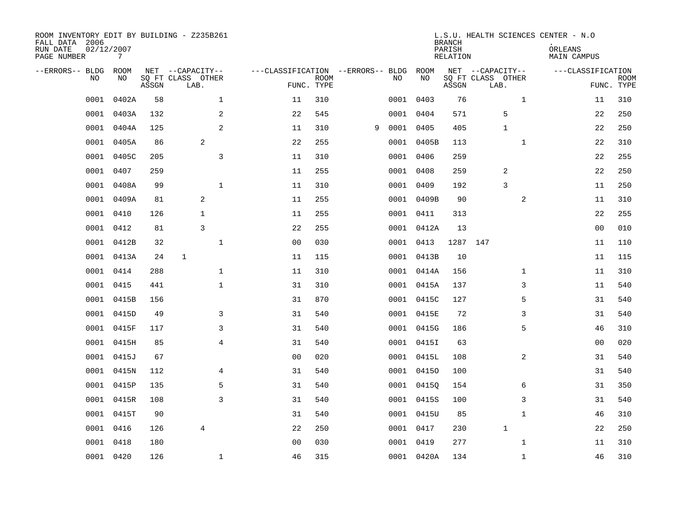| ROOM INVENTORY EDIT BY BUILDING - Z235B261<br>FALL DATA 2006<br>RUN DATE<br>PAGE NUMBER | 02/12/2007<br>$7\overline{ }$ |       |                           |                                   |                           |   |      |            | <b>BRANCH</b><br>PARISH<br>RELATION | L.S.U. HEALTH SCIENCES CENTER - N.O | ORLEANS<br>MAIN CAMPUS |                           |
|-----------------------------------------------------------------------------------------|-------------------------------|-------|---------------------------|-----------------------------------|---------------------------|---|------|------------|-------------------------------------|-------------------------------------|------------------------|---------------------------|
| --ERRORS-- BLDG                                                                         | ROOM                          |       | NET --CAPACITY--          | ---CLASSIFICATION --ERRORS-- BLDG |                           |   |      | ROOM       |                                     | NET --CAPACITY--                    | ---CLASSIFICATION      |                           |
| N <sub>O</sub>                                                                          | NO.                           | ASSGN | SO FT CLASS OTHER<br>LAB. |                                   | <b>ROOM</b><br>FUNC. TYPE |   | NO.  | NO         | ASSGN                               | SQ FT CLASS OTHER<br>LAB.           |                        | <b>ROOM</b><br>FUNC. TYPE |
| 0001                                                                                    | 0402A                         | 58    | $\mathbf 1$               | 11                                | 310                       |   |      | 0001 0403  | 76                                  | $\mathbf{1}$                        | 11                     | 310                       |
| 0001                                                                                    | 0403A                         | 132   | 2                         | 22                                | 545                       |   |      | 0001 0404  | 571                                 | 5                                   | 22                     | 250                       |
| 0001                                                                                    | 0404A                         | 125   | 2                         | 11                                | 310                       | 9 |      | 0001 0405  | 405                                 | $\mathbf{1}$                        | 22                     | 250                       |
| 0001                                                                                    | 0405A                         | 86    | 2                         | 22                                | 255                       |   |      | 0001 0405B | 113                                 | $\mathbf{1}$                        | 22                     | 310                       |
| 0001                                                                                    | 0405C                         | 205   | 3                         | 11                                | 310                       |   |      | 0001 0406  | 259                                 |                                     | 22                     | 255                       |
| 0001                                                                                    | 0407                          | 259   |                           | 11                                | 255                       |   |      | 0001 0408  | 259                                 | 2                                   | 22                     | 250                       |
| 0001                                                                                    | 0408A                         | 99    | $\mathbf 1$               | 11                                | 310                       |   |      | 0001 0409  | 192                                 | $\overline{3}$                      | 11                     | 250                       |
| 0001                                                                                    | 0409A                         | 81    | 2                         | 11                                | 255                       |   |      | 0001 0409B | 90                                  | 2                                   | 11                     | 310                       |
| 0001                                                                                    | 0410                          | 126   | $\mathbf{1}$              | 11                                | 255                       |   |      | 0001 0411  | 313                                 |                                     | 22                     | 255                       |
| 0001                                                                                    | 0412                          | 81    | 3                         | 22                                | 255                       |   |      | 0001 0412A | 13                                  |                                     | 0 <sub>0</sub>         | 010                       |
| 0001                                                                                    | 0412B                         | 32    | $\mathbf{1}$              | 0 <sub>0</sub>                    | 030                       |   |      | 0001 0413  |                                     | 1287 147                            | 11                     | 110                       |
| 0001                                                                                    | 0413A                         | 24    | $\mathbf{1}$              | 11                                | 115                       |   |      | 0001 0413B | 10                                  |                                     | 11                     | 115                       |
| 0001                                                                                    | 0414                          | 288   | $\mathbf{1}$              | 11                                | 310                       |   |      | 0001 0414A | 156                                 | $\mathbf{1}$                        | 11                     | 310                       |
| 0001                                                                                    | 0415                          | 441   | $\mathbf{1}$              | 31                                | 310                       |   |      | 0001 0415A | 137                                 | 3                                   | 11                     | 540                       |
| 0001                                                                                    | 0415B                         | 156   |                           | 31                                | 870                       |   |      | 0001 0415C | 127                                 | 5                                   | 31                     | 540                       |
| 0001                                                                                    | 0415D                         | 49    | 3                         | 31                                | 540                       |   |      | 0001 0415E | 72                                  | 3                                   | 31                     | 540                       |
| 0001                                                                                    | 0415F                         | 117   | 3                         | 31                                | 540                       |   | 0001 | 0415G      | 186                                 | 5                                   | 46                     | 310                       |
| 0001                                                                                    | 0415H                         | 85    | $\overline{4}$            | 31                                | 540                       |   |      | 0001 04151 | 63                                  |                                     | 00                     | 020                       |
| 0001                                                                                    | 0415J                         | 67    |                           | 0 <sub>0</sub>                    | 020                       |   |      | 0001 0415L | 108                                 | 2                                   | 31                     | 540                       |
| 0001                                                                                    | 0415N                         | 112   | $\overline{4}$            | 31                                | 540                       |   |      | 0001 04150 | 100                                 |                                     | 31                     | 540                       |
| 0001                                                                                    | 0415P                         | 135   | 5                         | 31                                | 540                       |   |      | 0001 0415Q | 154                                 | 6                                   | 31                     | 350                       |
| 0001                                                                                    | 0415R                         | 108   | 3                         | 31                                | 540                       |   |      | 0001 0415S | 100                                 | 3                                   | 31                     | 540                       |
| 0001                                                                                    | 0415T                         | 90    |                           | 31                                | 540                       |   |      | 0001 0415U | 85                                  | $\mathbf{1}$                        | 46                     | 310                       |
| 0001                                                                                    | 0416                          | 126   | 4                         | 22                                | 250                       |   |      | 0001 0417  | 230                                 | $\mathbf 1$                         | 22                     | 250                       |
| 0001                                                                                    | 0418                          | 180   |                           | 0 <sub>0</sub>                    | 030                       |   |      | 0001 0419  | 277                                 | $\mathbf{1}$                        | 11                     | 310                       |
|                                                                                         | 0001 0420                     | 126   | $\mathbf{1}$              | 46                                | 315                       |   |      | 0001 0420A | 134                                 | $\mathbf{1}$                        | 46                     | 310                       |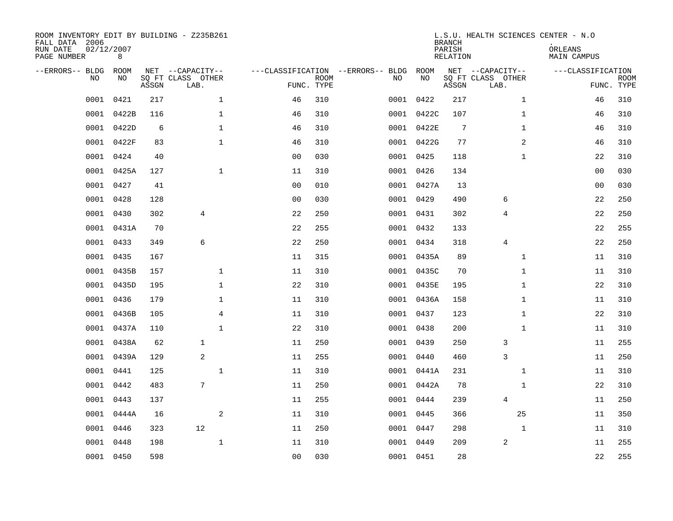| ROOM INVENTORY EDIT BY BUILDING - Z235B261<br>FALL DATA 2006<br>RUN DATE<br>PAGE NUMBER | 02/12/2007<br>8 |       |                                               |                |                           |                                         |            | <b>BRANCH</b><br>PARISH<br><b>RELATION</b> | L.S.U. HEALTH SCIENCES CENTER - N.O           | ORLEANS<br><b>MAIN CAMPUS</b> |                           |
|-----------------------------------------------------------------------------------------|-----------------|-------|-----------------------------------------------|----------------|---------------------------|-----------------------------------------|------------|--------------------------------------------|-----------------------------------------------|-------------------------------|---------------------------|
| --ERRORS-- BLDG ROOM<br>NO                                                              | NO              | ASSGN | NET --CAPACITY--<br>SQ FT CLASS OTHER<br>LAB. |                | <b>ROOM</b><br>FUNC. TYPE | ---CLASSIFICATION --ERRORS-- BLDG<br>NO | ROOM<br>NO | ASSGN                                      | NET --CAPACITY--<br>SQ FT CLASS OTHER<br>LAB. | ---CLASSIFICATION             | <b>ROOM</b><br>FUNC. TYPE |
| 0001                                                                                    | 0421            | 217   | $\mathbf 1$                                   | 46             | 310                       |                                         | 0001 0422  | 217                                        | $\mathbf{1}$                                  | 46                            | 310                       |
| 0001                                                                                    | 0422B           | 116   | $\mathbf 1$                                   | 46             | 310                       |                                         | 0001 0422C | 107                                        | $\mathbf{1}$                                  | 46                            | 310                       |
| 0001                                                                                    | 0422D           | 6     | $\mathbf 1$                                   | 46             | 310                       |                                         | 0001 0422E | 7                                          | $\mathbf{1}$                                  | 46                            | 310                       |
| 0001                                                                                    | 0422F           | 83    | $\mathbf 1$                                   | 46             | 310                       |                                         | 0001 0422G | 77                                         | 2                                             | 46                            | 310                       |
| 0001                                                                                    | 0424            | 40    |                                               | 00             | 030                       |                                         | 0001 0425  | 118                                        | $\mathbf{1}$                                  | 22                            | 310                       |
| 0001                                                                                    | 0425A           | 127   | $\mathbf{1}$                                  | 11             | 310                       |                                         | 0001 0426  | 134                                        |                                               | 0 <sub>0</sub>                | 030                       |
| 0001                                                                                    | 0427            | 41    |                                               | 0 <sub>0</sub> | 010                       |                                         | 0001 0427A | 13                                         |                                               | 0 <sub>0</sub>                | 030                       |
| 0001                                                                                    | 0428            | 128   |                                               | 0 <sub>0</sub> | 030                       |                                         | 0001 0429  | 490                                        | 6                                             | 22                            | 250                       |
| 0001                                                                                    | 0430            | 302   | $\overline{4}$                                | 22             | 250                       |                                         | 0001 0431  | 302                                        | $\overline{4}$                                | 22                            | 250                       |
|                                                                                         | 0001 0431A      | 70    |                                               | 22             | 255                       |                                         | 0001 0432  | 133                                        |                                               | 22                            | 255                       |
| 0001                                                                                    | 0433            | 349   | 6                                             | 22             | 250                       |                                         | 0001 0434  | 318                                        | 4                                             | 22                            | 250                       |
|                                                                                         | 0001 0435       | 167   |                                               | 11             | 315                       |                                         | 0001 0435A | 89                                         | $\mathbf{1}$                                  | 11                            | 310                       |
| 0001                                                                                    | 0435B           | 157   | $\mathbf{1}$                                  | 11             | 310                       |                                         | 0001 0435C | 70                                         | $\mathbf{1}$                                  | 11                            | 310                       |
| 0001                                                                                    | 0435D           | 195   | $\mathbf 1$                                   | 22             | 310                       |                                         | 0001 0435E | 195                                        | $\mathbf{1}$                                  | 22                            | 310                       |
| 0001                                                                                    | 0436            | 179   | $\mathbf{1}$                                  | 11             | 310                       |                                         | 0001 0436A | 158                                        | $\mathbf{1}$                                  | 11                            | 310                       |
| 0001                                                                                    | 0436B           | 105   | 4                                             | 11             | 310                       |                                         | 0001 0437  | 123                                        | $\mathbf{1}$                                  | 22                            | 310                       |
| 0001                                                                                    | 0437A           | 110   | $\mathbf{1}$                                  | 22             | 310                       |                                         | 0001 0438  | 200                                        | $\mathbf{1}$                                  | 11                            | 310                       |
| 0001                                                                                    | 0438A           | 62    | $\mathbf{1}$                                  | 11             | 250                       |                                         | 0001 0439  | 250                                        | 3                                             | 11                            | 255                       |
|                                                                                         | 0001 0439A      | 129   | 2                                             | 11             | 255                       |                                         | 0001 0440  | 460                                        | 3                                             | 11                            | 250                       |
| 0001                                                                                    | 0441            | 125   | $\mathbf 1$                                   | 11             | 310                       |                                         | 0001 0441A | 231                                        | $\mathbf{1}$                                  | 11                            | 310                       |
| 0001                                                                                    | 0442            | 483   | 7                                             | 11             | 250                       |                                         | 0001 0442A | 78                                         | $\mathbf{1}$                                  | 22                            | 310                       |
| 0001                                                                                    | 0443            | 137   |                                               | 11             | 255                       |                                         | 0001 0444  | 239                                        | $\overline{4}$                                | 11                            | 250                       |
| 0001                                                                                    | 0444A           | 16    | 2                                             | 11             | 310                       |                                         | 0001 0445  | 366                                        | 25                                            | 11                            | 350                       |
| 0001                                                                                    | 0446            | 323   | 12                                            | 11             | 250                       |                                         | 0001 0447  | 298                                        | $\mathbf{1}$                                  | 11                            | 310                       |
| 0001                                                                                    | 0448            | 198   | $\mathbf{1}$                                  | 11             | 310                       |                                         | 0001 0449  | 209                                        | $\overline{c}$                                | 11                            | 255                       |
|                                                                                         | 0001 0450       | 598   |                                               | 00             | 030                       |                                         | 0001 0451  | 28                                         |                                               | 22                            | 255                       |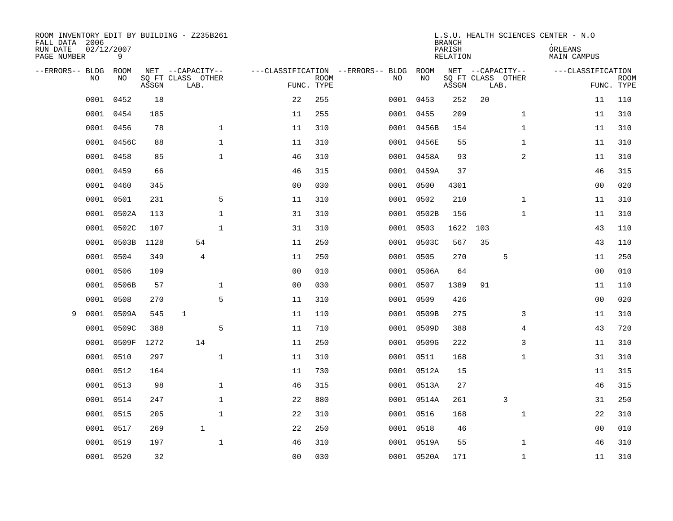| ROOM INVENTORY EDIT BY BUILDING - Z235B261<br>FALL DATA 2006 |            |       |       |                           |                |                |                           |                                   |           |            | <b>BRANCH</b>      |     |                           | L.S.U. HEALTH SCIENCES CENTER - N.O |                |                           |
|--------------------------------------------------------------|------------|-------|-------|---------------------------|----------------|----------------|---------------------------|-----------------------------------|-----------|------------|--------------------|-----|---------------------------|-------------------------------------|----------------|---------------------------|
| RUN DATE<br>PAGE NUMBER                                      | 02/12/2007 | 9     |       |                           |                |                |                           |                                   |           |            | PARISH<br>RELATION |     |                           | ORLEANS<br>MAIN CAMPUS              |                |                           |
| --ERRORS-- BLDG ROOM                                         |            |       |       | NET --CAPACITY--          |                |                |                           | ---CLASSIFICATION --ERRORS-- BLDG |           | ROOM       |                    |     | NET --CAPACITY--          | ---CLASSIFICATION                   |                |                           |
|                                                              | NO         | NO    | ASSGN | SQ FT CLASS OTHER<br>LAB. |                |                | <b>ROOM</b><br>FUNC. TYPE |                                   | NO.       | NO         | ASSGN              |     | SQ FT CLASS OTHER<br>LAB. |                                     |                | <b>ROOM</b><br>FUNC. TYPE |
|                                                              | 0001       | 0452  | 18    |                           |                | 22             | 255                       |                                   |           | 0001 0453  | 252                | 20  |                           |                                     | 11             | 110                       |
|                                                              | 0001       | 0454  | 185   |                           |                | 11             | 255                       |                                   | 0001 0455 |            | 209                |     | $\mathbf{1}$              |                                     | 11             | 310                       |
|                                                              | 0001       | 0456  | 78    |                           | $\mathbf 1$    | 11             | 310                       |                                   |           | 0001 0456B | 154                |     | $\mathbf{1}$              |                                     | 11             | 310                       |
|                                                              | 0001       | 0456C | 88    |                           | $\mathbf 1$    | 11             | 310                       |                                   |           | 0001 0456E | 55                 |     | $\mathbf{1}$              |                                     | 11             | 310                       |
|                                                              | 0001       | 0458  | 85    |                           | $\mathbf{1}$   | 46             | 310                       |                                   |           | 0001 0458A | 93                 |     | 2                         |                                     | 11             | 310                       |
|                                                              | 0001       | 0459  | 66    |                           |                | 46             | 315                       |                                   |           | 0001 0459A | 37                 |     |                           |                                     | 46             | 315                       |
|                                                              | 0001       | 0460  | 345   |                           |                | 0 <sub>0</sub> | 030                       |                                   | 0001 0500 |            | 4301               |     |                           |                                     | 00             | 020                       |
|                                                              | 0001       | 0501  | 231   |                           | 5              | 11             | 310                       |                                   |           | 0001 0502  | 210                |     | $\mathbf{1}$              |                                     | 11             | 310                       |
|                                                              | 0001       | 0502A | 113   |                           | $\mathbf{1}$   | 31             | 310                       |                                   |           | 0001 0502B | 156                |     | $\mathbf{1}$              |                                     | 11             | 310                       |
|                                                              | 0001       | 0502C | 107   |                           | $\mathbf{1}$   | 31             | 310                       |                                   | 0001 0503 |            | 1622               | 103 |                           |                                     | 43             | 110                       |
|                                                              | 0001       | 0503B | 1128  |                           | 54             | 11             | 250                       |                                   |           | 0001 0503C | 567                | 35  |                           |                                     | 43             | 110                       |
|                                                              | 0001       | 0504  | 349   |                           | $\overline{4}$ | 11             | 250                       |                                   | 0001 0505 |            | 270                |     | 5                         |                                     | 11             | 250                       |
|                                                              | 0001       | 0506  | 109   |                           |                | 0 <sub>0</sub> | 010                       |                                   | 0001      | 0506A      | 64                 |     |                           |                                     | 0 <sub>0</sub> | 010                       |
|                                                              | 0001       | 0506B | 57    |                           | $\mathbf 1$    | 0 <sub>0</sub> | 030                       |                                   | 0001 0507 |            | 1389               | 91  |                           |                                     | 11             | 110                       |
|                                                              | 0001       | 0508  | 270   |                           | 5              | 11             | 310                       |                                   | 0001      | 0509       | 426                |     |                           |                                     | 0 <sub>0</sub> | 020                       |
| 9                                                            | 0001       | 0509A | 545   | $\mathbf{1}$              |                | 11             | 110                       |                                   |           | 0001 0509B | 275                |     | 3                         |                                     | 11             | 310                       |
|                                                              | 0001       | 0509C | 388   |                           | 5              | 11             | 710                       |                                   | 0001      | 0509D      | 388                |     | 4                         |                                     | 43             | 720                       |
|                                                              | 0001       | 0509F | 1272  |                           | 14             | 11             | 250                       |                                   |           | 0001 0509G | 222                |     | 3                         |                                     | 11             | 310                       |
|                                                              | 0001       | 0510  | 297   |                           | $\mathbf{1}$   | 11             | 310                       |                                   | 0001 0511 |            | 168                |     | $\mathbf{1}$              |                                     | 31             | 310                       |
|                                                              | 0001       | 0512  | 164   |                           |                | 11             | 730                       |                                   |           | 0001 0512A | 15                 |     |                           |                                     | 11             | 315                       |
|                                                              | 0001       | 0513  | 98    |                           | $\mathbf{1}$   | 46             | 315                       |                                   |           | 0001 0513A | 27                 |     |                           |                                     | 46             | 315                       |
|                                                              | 0001       | 0514  | 247   |                           | $\mathbf 1$    | 22             | 880                       |                                   |           | 0001 0514A | 261                |     | 3                         |                                     | 31             | 250                       |
|                                                              | 0001       | 0515  | 205   |                           | $\mathbf 1$    | 22             | 310                       |                                   | 0001 0516 |            | 168                |     | $\mathbf{1}$              |                                     | 22             | 310                       |
|                                                              | 0001       | 0517  | 269   |                           | $\mathbf{1}$   | 22             | 250                       |                                   | 0001 0518 |            | 46                 |     |                           |                                     | 00             | 010                       |
|                                                              | 0001       | 0519  | 197   |                           | $\mathbf{1}$   | 46             | 310                       |                                   |           | 0001 0519A | 55                 |     | $\mathbf{1}$              |                                     | 46             | 310                       |
|                                                              | 0001 0520  |       | 32    |                           |                | 0 <sub>0</sub> | 030                       |                                   |           | 0001 0520A | 171                |     | $\mathbf{1}$              |                                     | 11             | 310                       |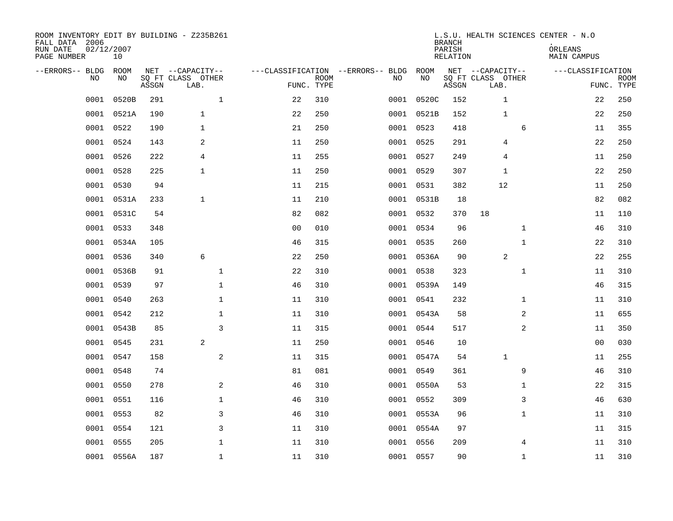| ROOM INVENTORY EDIT BY BUILDING - Z235B261<br>FALL DATA 2006<br>RUN DATE<br>PAGE NUMBER | 02/12/2007<br>10 |       |       |                                               |              |                                   |                           |           |            | <b>BRANCH</b><br>PARISH<br><b>RELATION</b> | L.S.U. HEALTH SCIENCES CENTER - N.O           | ORLEANS<br>MAIN CAMPUS |                           |
|-----------------------------------------------------------------------------------------|------------------|-------|-------|-----------------------------------------------|--------------|-----------------------------------|---------------------------|-----------|------------|--------------------------------------------|-----------------------------------------------|------------------------|---------------------------|
| --ERRORS-- BLDG                                                                         | ROOM<br>NO<br>NO |       | ASSGN | NET --CAPACITY--<br>SQ FT CLASS OTHER<br>LAB. |              | ---CLASSIFICATION --ERRORS-- BLDG | <b>ROOM</b><br>FUNC. TYPE | NO        | ROOM<br>NO | ASSGN                                      | NET --CAPACITY--<br>SQ FT CLASS OTHER<br>LAB. | ---CLASSIFICATION      | <b>ROOM</b><br>FUNC. TYPE |
|                                                                                         | 0001             | 0520B | 291   |                                               | $\mathbf{1}$ | 22                                | 310                       | 0001      | 0520C      | 152                                        | $\mathbf{1}$                                  | 22                     | 250                       |
|                                                                                         | 0001<br>0521A    |       | 190   | $\mathbf{1}$                                  |              | 22                                | 250                       |           | 0001 0521B | 152                                        | 1                                             | 22                     | 250                       |
|                                                                                         | 0001<br>0522     |       | 190   | $\mathbf{1}$                                  |              | 21                                | 250                       | 0001 0523 |            | 418                                        | 6                                             | 11                     | 355                       |
|                                                                                         | 0524<br>0001     |       | 143   | 2                                             |              | 11                                | 250                       |           | 0001 0525  | 291                                        | 4                                             | 22                     | 250                       |
|                                                                                         | 0001<br>0526     |       | 222   | 4                                             |              | 11                                | 255                       |           | 0001 0527  | 249                                        | 4                                             | 11                     | 250                       |
|                                                                                         | 0001<br>0528     |       | 225   | $\mathbf{1}$                                  |              | 11                                | 250                       |           | 0001 0529  | 307                                        | 1                                             | 22                     | 250                       |
|                                                                                         | 0001<br>0530     |       | 94    |                                               |              | 11                                | 215                       | 0001 0531 |            | 382                                        | 12                                            | 11                     | 250                       |
|                                                                                         | 0001<br>0531A    |       | 233   | $\mathbf{1}$                                  |              | 11                                | 210                       |           | 0001 0531B | 18                                         |                                               | 82                     | 082                       |
|                                                                                         | 0001<br>0531C    |       | 54    |                                               |              | 82                                | 082                       |           | 0001 0532  | 370                                        | 18                                            | 11                     | 110                       |
|                                                                                         | 0001<br>0533     |       | 348   |                                               |              | 0 <sub>0</sub>                    | 010                       |           | 0001 0534  | 96                                         | $\mathbf{1}$                                  | 46                     | 310                       |
|                                                                                         | 0001<br>0534A    |       | 105   |                                               |              | 46                                | 315                       | 0001 0535 |            | 260                                        | $\mathbf{1}$                                  | 22                     | 310                       |
|                                                                                         | 0536<br>0001     |       | 340   | 6                                             |              | 22                                | 250                       |           | 0001 0536A | 90                                         | 2                                             | 22                     | 255                       |
|                                                                                         | 0001             | 0536B | 91    |                                               | $\mathbf{1}$ | 22                                | 310                       |           | 0001 0538  | 323                                        | $\mathbf{1}$                                  | 11                     | 310                       |
|                                                                                         | 0001<br>0539     |       | 97    |                                               | $\mathbf{1}$ | 46                                | 310                       |           | 0001 0539A | 149                                        |                                               | 46                     | 315                       |
|                                                                                         | 0001<br>0540     |       | 263   |                                               | $\mathbf 1$  | 11                                | 310                       | 0001 0541 |            | 232                                        | $\mathbf{1}$                                  | 11                     | 310                       |
|                                                                                         | 0001<br>0542     |       | 212   |                                               | $\mathbf 1$  | 11                                | 310                       |           | 0001 0543A | 58                                         | 2                                             | 11                     | 655                       |
|                                                                                         | 0001<br>0543B    |       | 85    |                                               | 3            | 11                                | 315                       |           | 0001 0544  | 517                                        | 2                                             | 11                     | 350                       |
|                                                                                         | 0001<br>0545     |       | 231   | 2                                             |              | 11                                | 250                       |           | 0001 0546  | 10                                         |                                               | 0 <sub>0</sub>         | 030                       |
|                                                                                         | 0001<br>0547     |       | 158   |                                               | 2            | 11                                | 315                       |           | 0001 0547A | 54                                         | $\mathbf{1}$                                  | 11                     | 255                       |
|                                                                                         | 0001<br>0548     |       | 74    |                                               |              | 81                                | 081                       |           | 0001 0549  | 361                                        | 9                                             | 46                     | 310                       |
|                                                                                         | 0001<br>0550     |       | 278   |                                               | 2            | 46                                | 310                       |           | 0001 0550A | 53                                         | $\mathbf{1}$                                  | 22                     | 315                       |
|                                                                                         | 0001<br>0551     |       | 116   |                                               | $\mathbf 1$  | 46                                | 310                       | 0001 0552 |            | 309                                        | 3                                             | 46                     | 630                       |
|                                                                                         | 0001<br>0553     |       | 82    |                                               | 3            | 46                                | 310                       |           | 0001 0553A | 96                                         | $\mathbf{1}$                                  | 11                     | 310                       |
|                                                                                         | 0001<br>0554     |       | 121   |                                               | 3            | 11                                | 310                       |           | 0001 0554A | 97                                         |                                               | 11                     | 315                       |
|                                                                                         | 0555<br>0001     |       | 205   |                                               | $\mathbf 1$  | 11                                | 310                       |           | 0001 0556  | 209                                        | 4                                             | 11                     | 310                       |
|                                                                                         | 0001 0556A       |       | 187   |                                               | $\mathbf{1}$ | 11                                | 310                       | 0001 0557 |            | 90                                         | $\mathbf{1}$                                  | 11                     | 310                       |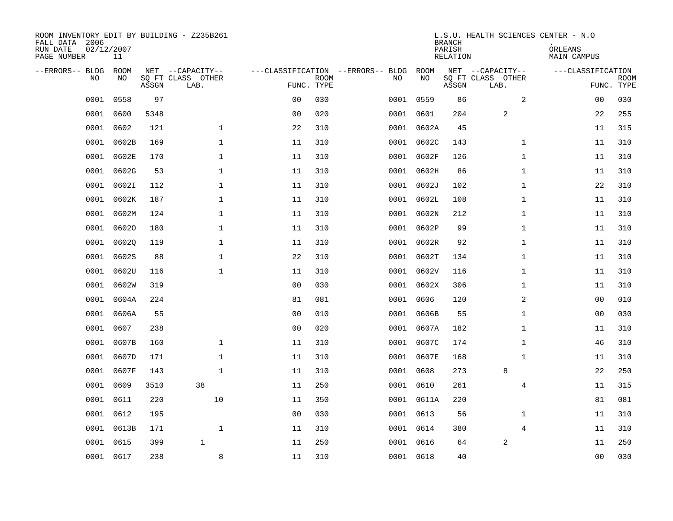| ROOM INVENTORY EDIT BY BUILDING - Z235B261<br>FALL DATA 2006<br>RUN DATE<br>PAGE NUMBER | 02/12/2007<br>11 |       |                                               |                |             |                                         |            | <b>BRANCH</b><br>PARISH<br><b>RELATION</b> | L.S.U. HEALTH SCIENCES CENTER - N.O           | ORLEANS<br>MAIN CAMPUS |                           |
|-----------------------------------------------------------------------------------------|------------------|-------|-----------------------------------------------|----------------|-------------|-----------------------------------------|------------|--------------------------------------------|-----------------------------------------------|------------------------|---------------------------|
| --ERRORS-- BLDG<br>NO                                                                   | ROOM<br>NO       | ASSGN | NET --CAPACITY--<br>SQ FT CLASS OTHER<br>LAB. | FUNC. TYPE     | <b>ROOM</b> | ---CLASSIFICATION --ERRORS-- BLDG<br>NO | ROOM<br>NO | ASSGN                                      | NET --CAPACITY--<br>SQ FT CLASS OTHER<br>LAB. | ---CLASSIFICATION      | <b>ROOM</b><br>FUNC. TYPE |
| 0001                                                                                    | 0558             | 97    |                                               | 0 <sub>0</sub> | 030         |                                         | 0001 0559  | 86                                         | 2                                             | 0 <sub>0</sub>         | 030                       |
| 0001                                                                                    | 0600             | 5348  |                                               | 0 <sub>0</sub> | 020         |                                         | 0001 0601  | 204                                        | 2                                             | 22                     | 255                       |
| 0001                                                                                    | 0602             | 121   | $\mathbf 1$                                   | 22             | 310         |                                         | 0001 0602A | 45                                         |                                               | 11                     | 315                       |
| 0001                                                                                    | 0602B            | 169   | $\mathbf 1$                                   | 11             | 310         | 0001                                    | 0602C      | 143                                        | $\mathbf{1}$                                  | 11                     | 310                       |
| 0001                                                                                    | 0602E            | 170   | $\mathbf{1}$                                  | 11             | 310         |                                         | 0001 0602F | 126                                        | $\mathbf{1}$                                  | 11                     | 310                       |
| 0001                                                                                    | 0602G            | 53    | $\mathbf 1$                                   | 11             | 310         |                                         | 0001 0602H | 86                                         | $\mathbf{1}$                                  | 11                     | 310                       |
| 0001                                                                                    | 0602I            | 112   | $\mathbf{1}$                                  | 11             | 310         |                                         | 0001 0602J | 102                                        | $\mathbf{1}$                                  | 22                     | 310                       |
| 0001                                                                                    | 0602K            | 187   | $\mathbf{1}$                                  | 11             | 310         |                                         | 0001 0602L | 108                                        | $\mathbf{1}$                                  | 11                     | 310                       |
| 0001                                                                                    | 0602M            | 124   | $\mathbf{1}$                                  | 11             | 310         |                                         | 0001 0602N | 212                                        | $\mathbf{1}$                                  | 11                     | 310                       |
| 0001                                                                                    | 06020            | 180   | $\mathbf{1}$                                  | 11             | 310         |                                         | 0001 0602P | 99                                         | $\mathbf{1}$                                  | 11                     | 310                       |
| 0001                                                                                    | 06020            | 119   | $\mathbf 1$                                   | 11             | 310         |                                         | 0001 0602R | 92                                         | $\mathbf{1}$                                  | 11                     | 310                       |
| 0001                                                                                    | 0602S            | 88    | $\mathbf 1$                                   | 22             | 310         |                                         | 0001 0602T | 134                                        | $\mathbf{1}$                                  | 11                     | 310                       |
| 0001                                                                                    | 0602U            | 116   | $\mathbf 1$                                   | 11             | 310         | 0001                                    | 0602V      | 116                                        | $\mathbf{1}$                                  | 11                     | 310                       |
| 0001                                                                                    | 0602W            | 319   |                                               | 0 <sub>0</sub> | 030         |                                         | 0001 0602X | 306                                        | $\mathbf{1}$                                  | 11                     | 310                       |
| 0001                                                                                    | 0604A            | 224   |                                               | 81             | 081         | 0001                                    | 0606       | 120                                        | 2                                             | 0 <sub>0</sub>         | 010                       |
| 0001                                                                                    | 0606A            | 55    |                                               | 00             | 010         | 0001                                    | 0606B      | 55                                         | $\mathbf{1}$                                  | 00                     | 030                       |
| 0001                                                                                    | 0607             | 238   |                                               | 0 <sub>0</sub> | 020         | 0001                                    | 0607A      | 182                                        | $\mathbf{1}$                                  | 11                     | 310                       |
| 0001                                                                                    | 0607B            | 160   | $\mathbf 1$                                   | 11             | 310         | 0001                                    | 0607C      | 174                                        | $\mathbf{1}$                                  | 46                     | 310                       |
| 0001                                                                                    | 0607D            | 171   | $\mathbf 1$                                   | 11             | 310         |                                         | 0001 0607E | 168                                        | $\mathbf{1}$                                  | 11                     | 310                       |
| 0001                                                                                    | 0607F            | 143   | $\mathbf{1}$                                  | 11             | 310         |                                         | 0001 0608  | 273                                        | 8                                             | 22                     | 250                       |
| 0001                                                                                    | 0609             | 3510  | 38                                            | 11             | 250         |                                         | 0001 0610  | 261                                        | $\overline{4}$                                | 11                     | 315                       |
| 0001                                                                                    | 0611             | 220   | 10                                            | 11             | 350         |                                         | 0001 0611A | 220                                        |                                               | 81                     | 081                       |
| 0001                                                                                    | 0612             | 195   |                                               | 0 <sub>0</sub> | 030         |                                         | 0001 0613  | 56                                         | $\mathbf{1}$                                  | 11                     | 310                       |
| 0001                                                                                    | 0613B            | 171   | $\mathbf 1$                                   | 11             | 310         |                                         | 0001 0614  | 380                                        | $\overline{4}$                                | 11                     | 310                       |
| 0001                                                                                    | 0615             | 399   | $\mathbf{1}$                                  | 11             | 250         |                                         | 0001 0616  | 64                                         | 2                                             | 11                     | 250                       |
|                                                                                         | 0001 0617        | 238   | 8                                             | 11             | 310         |                                         | 0001 0618  | 40                                         |                                               | 00                     | 030                       |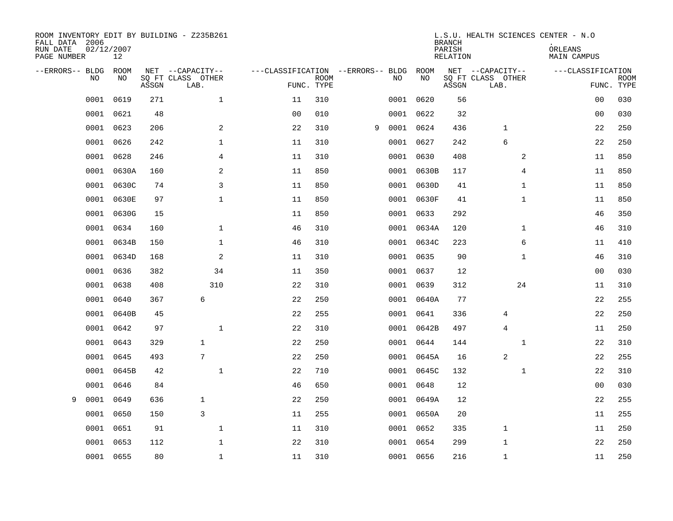| ROOM INVENTORY EDIT BY BUILDING - Z235B261<br>FALL DATA 2006<br>RUN DATE<br>PAGE NUMBER | 02/12/2007<br>12 <sup>°</sup> |       |                                               |                                                 |             |   |      |            | <b>BRANCH</b><br>PARISH<br><b>RELATION</b> | L.S.U. HEALTH SCIENCES CENTER - N.O           | ORLEANS<br>MAIN CAMPUS |                           |
|-----------------------------------------------------------------------------------------|-------------------------------|-------|-----------------------------------------------|-------------------------------------------------|-------------|---|------|------------|--------------------------------------------|-----------------------------------------------|------------------------|---------------------------|
| --ERRORS-- BLDG<br>NO                                                                   | ROOM<br>NO                    | ASSGN | NET --CAPACITY--<br>SQ FT CLASS OTHER<br>LAB. | ---CLASSIFICATION --ERRORS-- BLDG<br>FUNC. TYPE | <b>ROOM</b> |   | NO   | ROOM<br>NO | ASSGN                                      | NET --CAPACITY--<br>SQ FT CLASS OTHER<br>LAB. | ---CLASSIFICATION      | <b>ROOM</b><br>FUNC. TYPE |
| 0001                                                                                    | 0619                          | 271   | $\mathbf 1$                                   | 11                                              | 310         |   |      | 0001 0620  | 56                                         |                                               | 0 <sub>0</sub>         | 030                       |
| 0001                                                                                    | 0621                          | 48    |                                               | 0 <sub>0</sub>                                  | 010         |   |      | 0001 0622  | 32                                         |                                               | 00                     | 030                       |
| 0001                                                                                    | 0623                          | 206   | 2                                             | 22                                              | 310         | 9 |      | 0001 0624  | 436                                        | $\mathbf 1$                                   | 22                     | 250                       |
| 0001                                                                                    | 0626                          | 242   | $\mathbf 1$                                   | 11                                              | 310         |   |      | 0001 0627  | 242                                        | 6                                             | 22                     | 250                       |
| 0001                                                                                    | 0628                          | 246   | $\overline{4}$                                | 11                                              | 310         |   |      | 0001 0630  | 408                                        | 2                                             | 11                     | 850                       |
| 0001                                                                                    | 0630A                         | 160   | 2                                             | 11                                              | 850         |   |      | 0001 0630B | 117                                        | 4                                             | 11                     | 850                       |
| 0001                                                                                    | 0630C                         | 74    | 3                                             | 11                                              | 850         |   |      | 0001 0630D | 41                                         | $\mathbf{1}$                                  | 11                     | 850                       |
| 0001                                                                                    | 0630E                         | 97    | $\mathbf{1}$                                  | 11                                              | 850         |   |      | 0001 0630F | 41                                         | $\mathbf{1}$                                  | 11                     | 850                       |
| 0001                                                                                    | 0630G                         | 15    |                                               | 11                                              | 850         |   |      | 0001 0633  | 292                                        |                                               | 46                     | 350                       |
| 0001                                                                                    | 0634                          | 160   | $\mathbf{1}$                                  | 46                                              | 310         |   |      | 0001 0634A | 120                                        | $\mathbf{1}$                                  | 46                     | 310                       |
| 0001                                                                                    | 0634B                         | 150   | $\mathbf 1$                                   | 46                                              | 310         |   |      | 0001 0634C | 223                                        | 6                                             | 11                     | 410                       |
| 0001                                                                                    | 0634D                         | 168   | 2                                             | 11                                              | 310         |   |      | 0001 0635  | 90                                         | $\mathbf{1}$                                  | 46                     | 310                       |
| 0001                                                                                    | 0636                          | 382   | 34                                            | 11                                              | 350         |   |      | 0001 0637  | 12                                         |                                               | 0 <sub>0</sub>         | 030                       |
| 0001                                                                                    | 0638                          | 408   | 310                                           | 22                                              | 310         |   |      | 0001 0639  | 312                                        | 24                                            | 11                     | 310                       |
| 0001                                                                                    | 0640                          | 367   | 6                                             | 22                                              | 250         |   |      | 0001 0640A | 77                                         |                                               | 22                     | 255                       |
| 0001                                                                                    | 0640B                         | 45    |                                               | 22                                              | 255         |   |      | 0001 0641  | 336                                        | 4                                             | 22                     | 250                       |
| 0001                                                                                    | 0642                          | 97    | $\mathbf{1}$                                  | 22                                              | 310         |   | 0001 | 0642B      | 497                                        | 4                                             | 11                     | 250                       |
| 0001                                                                                    | 0643                          | 329   | $\mathbf{1}$                                  | 22                                              | 250         |   |      | 0001 0644  | 144                                        | $\mathbf{1}$                                  | 22                     | 310                       |
| 0001                                                                                    | 0645                          | 493   | 7                                             | 22                                              | 250         |   |      | 0001 0645A | 16                                         | $\overline{a}$                                | 22                     | 255                       |
| 0001                                                                                    | 0645B                         | 42    | $\mathbf{1}$                                  | 22                                              | 710         |   |      | 0001 0645C | 132                                        | $\mathbf{1}$                                  | 22                     | 310                       |
| 0001                                                                                    | 0646                          | 84    |                                               | 46                                              | 650         |   |      | 0001 0648  | 12                                         |                                               | 0 <sub>0</sub>         | 030                       |
| 0001<br>9                                                                               | 0649                          | 636   | $\mathbf{1}$                                  | 22                                              | 250         |   |      | 0001 0649A | 12                                         |                                               | 22                     | 255                       |
| 0001                                                                                    | 0650                          | 150   | 3                                             | 11                                              | 255         |   |      | 0001 0650A | 20                                         |                                               | 11                     | 255                       |
| 0001                                                                                    | 0651                          | 91    | $\mathbf 1$                                   | 11                                              | 310         |   |      | 0001 0652  | 335                                        | $\mathbf 1$                                   | 11                     | 250                       |
| 0001                                                                                    | 0653                          | 112   | $\mathbf{1}$                                  | 22                                              | 310         |   |      | 0001 0654  | 299                                        | $\mathbf{1}$                                  | 22                     | 250                       |
|                                                                                         | 0001 0655                     | 80    | $\mathbf 1$                                   | 11                                              | 310         |   |      | 0001 0656  | 216                                        | 1                                             | 11                     | 250                       |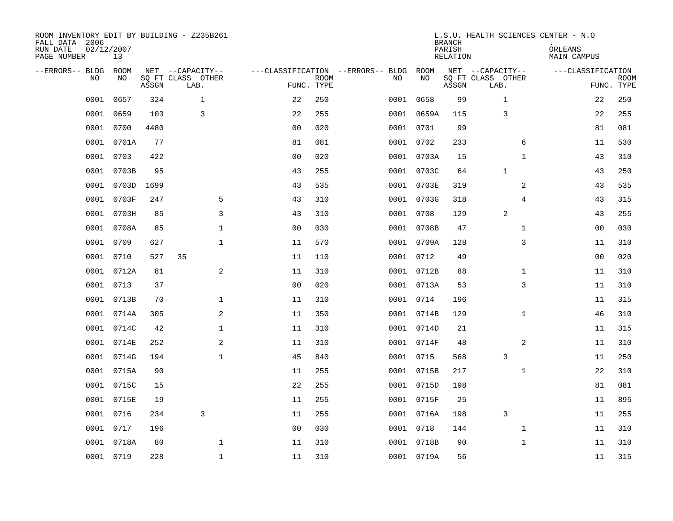| ROOM INVENTORY EDIT BY BUILDING - Z235B261<br>FALL DATA 2006<br>RUN DATE<br>PAGE NUMBER | 02/12/2007<br>13 |       |                                               |                |                           |                                         |            | <b>BRANCH</b><br>PARISH<br><b>RELATION</b> | L.S.U. HEALTH SCIENCES CENTER - N.O           | ORLEANS<br><b>MAIN CAMPUS</b> |                           |
|-----------------------------------------------------------------------------------------|------------------|-------|-----------------------------------------------|----------------|---------------------------|-----------------------------------------|------------|--------------------------------------------|-----------------------------------------------|-------------------------------|---------------------------|
| --ERRORS-- BLDG<br>NO                                                                   | ROOM<br>NO       | ASSGN | NET --CAPACITY--<br>SQ FT CLASS OTHER<br>LAB. |                | <b>ROOM</b><br>FUNC. TYPE | ---CLASSIFICATION --ERRORS-- BLDG<br>NO | ROOM<br>NO | ASSGN                                      | NET --CAPACITY--<br>SQ FT CLASS OTHER<br>LAB. | ---CLASSIFICATION             | <b>ROOM</b><br>FUNC. TYPE |
| 0001                                                                                    | 0657             | 324   | $\mathbf{1}$                                  | 22             | 250                       |                                         | 0001 0658  | 99                                         | $\mathbf 1$                                   | 22                            | 250                       |
| 0001                                                                                    | 0659             | 103   | 3                                             | 22             | 255                       |                                         | 0001 0659A | 115                                        | 3                                             | 22                            | 255                       |
| 0001                                                                                    | 0700             | 4480  |                                               | 0 <sub>0</sub> | 020                       |                                         | 0001 0701  | 99                                         |                                               | 81                            | 081                       |
| 0001                                                                                    | 0701A            | 77    |                                               | 81             | 081                       |                                         | 0001 0702  | 233                                        | 6                                             | 11                            | 530                       |
| 0001                                                                                    | 0703             | 422   |                                               | 0 <sub>0</sub> | 020                       |                                         | 0001 0703A | 15                                         | $\mathbf{1}$                                  | 43                            | 310                       |
| 0001                                                                                    | 0703B            | 95    |                                               | 43             | 255                       |                                         | 0001 0703C | 64                                         | $\mathbf{1}$                                  | 43                            | 250                       |
| 0001                                                                                    | 0703D            | 1699  |                                               | 43             | 535                       |                                         | 0001 0703E | 319                                        | $\overline{a}$                                | 43                            | 535                       |
| 0001                                                                                    | 0703F            | 247   | 5                                             | 43             | 310                       |                                         | 0001 0703G | 318                                        | $\overline{4}$                                | 43                            | 315                       |
| 0001                                                                                    | 0703H            | 85    | 3                                             | 43             | 310                       |                                         | 0001 0708  | 129                                        | 2                                             | 43                            | 255                       |
| 0001                                                                                    | 0708A            | 85    | $\mathbf 1$                                   | 0 <sub>0</sub> | 030                       |                                         | 0001 0708B | 47                                         | $\mathbf{1}$                                  | 00                            | 030                       |
| 0001                                                                                    | 0709             | 627   | $\mathbf{1}$                                  | 11             | 570                       |                                         | 0001 0709A | 128                                        | 3                                             | 11                            | 310                       |
| 0001                                                                                    | 0710             | 527   | 35                                            | 11             | 110                       |                                         | 0001 0712  | 49                                         |                                               | 0 <sub>0</sub>                | 020                       |
| 0001                                                                                    | 0712A            | 81    | $\mathbf{2}$                                  | 11             | 310                       |                                         | 0001 0712B | 88                                         | $\mathbf{1}$                                  | 11                            | 310                       |
| 0001                                                                                    | 0713             | 37    |                                               | 0 <sub>0</sub> | 020                       |                                         | 0001 0713A | 53                                         | 3                                             | 11                            | 310                       |
| 0001                                                                                    | 0713B            | 70    | $\mathbf 1$                                   | 11             | 310                       |                                         | 0001 0714  | 196                                        |                                               | 11                            | 315                       |
| 0001                                                                                    | 0714A            | 305   | 2                                             | 11             | 350                       |                                         | 0001 0714B | 129                                        | $\mathbf{1}$                                  | 46                            | 310                       |
| 0001                                                                                    | 0714C            | 42    | $\mathbf 1$                                   | 11             | 310                       |                                         | 0001 0714D | 21                                         |                                               | 11                            | 315                       |
| 0001                                                                                    | 0714E            | 252   | 2                                             | 11             | 310                       |                                         | 0001 0714F | 48                                         | 2                                             | 11                            | 310                       |
| 0001                                                                                    | 0714G            | 194   | $\mathbf{1}$                                  | 45             | 840                       |                                         | 0001 0715  | 568                                        | $\overline{3}$                                | 11                            | 250                       |
| 0001                                                                                    | 0715A            | 90    |                                               | 11             | 255                       |                                         | 0001 0715B | 217                                        | $\mathbf{1}$                                  | 22                            | 310                       |
| 0001                                                                                    | 0715C            | 15    |                                               | 22             | 255                       |                                         | 0001 0715D | 198                                        |                                               | 81                            | 081                       |
| 0001                                                                                    | 0715E            | 19    |                                               | 11             | 255                       |                                         | 0001 0715F | 25                                         |                                               | 11                            | 895                       |
| 0001                                                                                    | 0716             | 234   | 3                                             | 11             | 255                       |                                         | 0001 0716A | 198                                        | 3                                             | 11                            | 255                       |
| 0001                                                                                    | 0717             | 196   |                                               | 0 <sub>0</sub> | 030                       |                                         | 0001 0718  | 144                                        | $\mathbf{1}$                                  | 11                            | 310                       |
| 0001                                                                                    | 0718A            | 80    | $\mathbf 1$                                   | 11             | 310                       |                                         | 0001 0718B | 90                                         | $\mathbf{1}$                                  | 11                            | 310                       |
|                                                                                         | 0001 0719        | 228   | $\mathbf{1}$                                  | 11             | 310                       |                                         | 0001 0719A | 56                                         |                                               | 11                            | 315                       |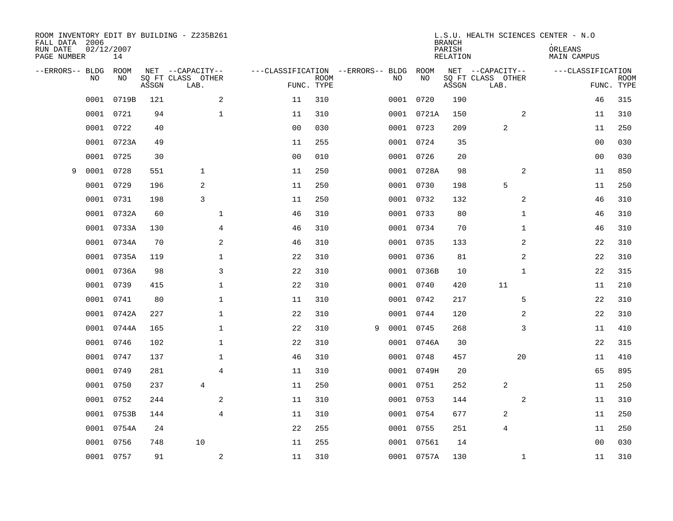| ROOM INVENTORY EDIT BY BUILDING - Z235B261<br>FALL DATA 2006<br>RUN DATE<br>PAGE NUMBER | 02/12/2007<br>14 |       |                                               |                                   |                           |   |    |            | <b>BRANCH</b><br>PARISH<br><b>RELATION</b> | L.S.U. HEALTH SCIENCES CENTER - N.O           | ORLEANS<br>MAIN CAMPUS |                           |
|-----------------------------------------------------------------------------------------|------------------|-------|-----------------------------------------------|-----------------------------------|---------------------------|---|----|------------|--------------------------------------------|-----------------------------------------------|------------------------|---------------------------|
| --ERRORS-- BLDG<br>NO                                                                   | ROOM<br>NO       | ASSGN | NET --CAPACITY--<br>SQ FT CLASS OTHER<br>LAB. | ---CLASSIFICATION --ERRORS-- BLDG | <b>ROOM</b><br>FUNC. TYPE |   | NO | ROOM<br>NO | ASSGN                                      | NET --CAPACITY--<br>SQ FT CLASS OTHER<br>LAB. | ---CLASSIFICATION      | <b>ROOM</b><br>FUNC. TYPE |
| 0001                                                                                    | 0719B            | 121   | 2                                             | 11                                | 310                       |   |    | 0001 0720  | 190                                        |                                               | 46                     | 315                       |
| 0001                                                                                    | 0721             | 94    | $\mathbf 1$                                   | 11                                | 310                       |   |    | 0001 0721A | 150                                        | 2                                             | 11                     | 310                       |
| 0001                                                                                    | 0722             | 40    |                                               | 0 <sub>0</sub>                    | 030                       |   |    | 0001 0723  | 209                                        | 2                                             | 11                     | 250                       |
| 0001                                                                                    | 0723A            | 49    |                                               | 11                                | 255                       |   |    | 0001 0724  | 35                                         |                                               | 00                     | 030                       |
| 0001                                                                                    | 0725             | 30    |                                               | 0 <sub>0</sub>                    | 010                       |   |    | 0001 0726  | 20                                         |                                               | 0 <sub>0</sub>         | 030                       |
| 0001<br>9                                                                               | 0728             | 551   | $\mathbf 1$                                   | 11                                | 250                       |   |    | 0001 0728A | 98                                         | 2                                             | 11                     | 850                       |
| 0001                                                                                    | 0729             | 196   | 2                                             | 11                                | 250                       |   |    | 0001 0730  | 198                                        | 5                                             | 11                     | 250                       |
| 0001                                                                                    | 0731             | 198   | 3                                             | 11                                | 250                       |   |    | 0001 0732  | 132                                        | 2                                             | 46                     | 310                       |
| 0001                                                                                    | 0732A            | 60    | $\mathbf{1}$                                  | 46                                | 310                       |   |    | 0001 0733  | 80                                         | $\mathbf{1}$                                  | 46                     | 310                       |
| 0001                                                                                    | 0733A            | 130   | 4                                             | 46                                | 310                       |   |    | 0001 0734  | 70                                         | $\mathbf{1}$                                  | 46                     | 310                       |
| 0001                                                                                    | 0734A            | 70    | 2                                             | 46                                | 310                       |   |    | 0001 0735  | 133                                        | 2                                             | 22                     | 310                       |
|                                                                                         | 0001 0735A       | 119   | $\mathbf 1$                                   | 22                                | 310                       |   |    | 0001 0736  | 81                                         | 2                                             | 22                     | 310                       |
| 0001                                                                                    | 0736A            | 98    | 3                                             | 22                                | 310                       |   |    | 0001 0736B | 10                                         | $\mathbf{1}$                                  | 22                     | 315                       |
| 0001                                                                                    | 0739             | 415   | $\mathbf 1$                                   | 22                                | 310                       |   |    | 0001 0740  | 420                                        | 11                                            | 11                     | 210                       |
| 0001                                                                                    | 0741             | 80    | $\mathbf{1}$                                  | 11                                | 310                       |   |    | 0001 0742  | 217                                        | 5                                             | 22                     | 310                       |
| 0001                                                                                    | 0742A            | 227   | $\mathbf 1$                                   | 22                                | 310                       |   |    | 0001 0744  | 120                                        | 2                                             | 22                     | 310                       |
| 0001                                                                                    | 0744A            | 165   | $\mathbf 1$                                   | 22                                | 310                       | 9 |    | 0001 0745  | 268                                        | 3                                             | 11                     | 410                       |
| 0001                                                                                    | 0746             | 102   | $\mathbf 1$                                   | 22                                | 310                       |   |    | 0001 0746A | 30                                         |                                               | 22                     | 315                       |
|                                                                                         | 0001 0747        | 137   | $\mathbf 1$                                   | 46                                | 310                       |   |    | 0001 0748  | 457                                        | 20                                            | 11                     | 410                       |
| 0001                                                                                    | 0749             | 281   | $\overline{4}$                                | 11                                | 310                       |   |    | 0001 0749H | 20                                         |                                               | 65                     | 895                       |
|                                                                                         | 0001 0750        | 237   | $\overline{4}$                                | 11                                | 250                       |   |    | 0001 0751  | 252                                        | 2                                             | 11                     | 250                       |
| 0001                                                                                    | 0752             | 244   | 2                                             | 11                                | 310                       |   |    | 0001 0753  | 144                                        | 2                                             | 11                     | 310                       |
| 0001                                                                                    | 0753B            | 144   | $\overline{4}$                                | 11                                | 310                       |   |    | 0001 0754  | 677                                        | 2                                             | 11                     | 250                       |
| 0001                                                                                    | 0754A            | 24    |                                               | 22                                | 255                       |   |    | 0001 0755  | 251                                        | 4                                             | 11                     | 250                       |
| 0001                                                                                    | 0756             | 748   | 10                                            | 11                                | 255                       |   |    | 0001 07561 | 14                                         |                                               | 0 <sub>0</sub>         | 030                       |
|                                                                                         | 0001 0757        | 91    | 2                                             | 11                                | 310                       |   |    | 0001 0757A | 130                                        | $\mathbf{1}$                                  | 11                     | 310                       |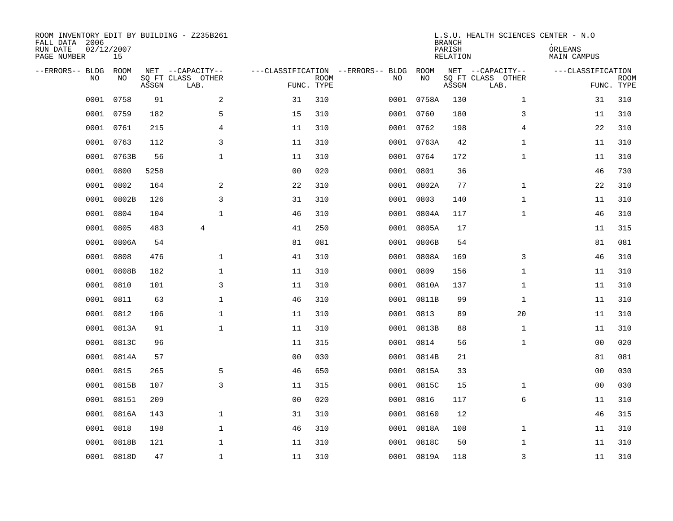| FALL DATA 2006<br>RUN DATE<br>PAGE NUMBER |           | 02/12/2007<br>15 |       | ROOM INVENTORY EDIT BY BUILDING - Z235B261    |                                                 |             |      |            | <b>BRANCH</b><br>PARISH<br>RELATION | L.S.U. HEALTH SCIENCES CENTER - N.O           | ORLEANS<br>MAIN CAMPUS |                           |
|-------------------------------------------|-----------|------------------|-------|-----------------------------------------------|-------------------------------------------------|-------------|------|------------|-------------------------------------|-----------------------------------------------|------------------------|---------------------------|
| --ERRORS-- BLDG                           | <b>NO</b> | ROOM<br>NO       | ASSGN | NET --CAPACITY--<br>SQ FT CLASS OTHER<br>LAB. | ---CLASSIFICATION --ERRORS-- BLDG<br>FUNC. TYPE | <b>ROOM</b> | NO   | ROOM<br>NO | ASSGN                               | NET --CAPACITY--<br>SQ FT CLASS OTHER<br>LAB. | ---CLASSIFICATION      | <b>ROOM</b><br>FUNC. TYPE |
|                                           | 0001      | 0758             | 91    | 2                                             | 31                                              | 310         |      | 0001 0758A | 130                                 | $\mathbf{1}$                                  | 31                     | 310                       |
|                                           | 0001      | 0759             | 182   | 5                                             | 15                                              | 310         |      | 0001 0760  | 180                                 | 3                                             | 11                     | 310                       |
|                                           | 0001      | 0761             | 215   | $\overline{4}$                                | 11                                              | 310         |      | 0001 0762  | 198                                 | $\overline{4}$                                | 22                     | 310                       |
|                                           | 0001      | 0763             | 112   | 3                                             | 11                                              | 310         |      | 0001 0763A | 42                                  | $\mathbf{1}$                                  | 11                     | 310                       |
|                                           | 0001      | 0763B            | 56    | $\mathbf 1$                                   | 11                                              | 310         |      | 0001 0764  | 172                                 | $\mathbf{1}$                                  | 11                     | 310                       |
|                                           | 0001      | 0800             | 5258  |                                               | 0 <sub>0</sub>                                  | 020         |      | 0001 0801  | 36                                  |                                               | 46                     | 730                       |
|                                           | 0001      | 0802             | 164   | 2                                             | 22                                              | 310         |      | 0001 0802A | 77                                  | $\mathbf{1}$                                  | 22                     | 310                       |
|                                           | 0001      | 0802B            | 126   | $\overline{3}$                                | 31                                              | 310         |      | 0001 0803  | 140                                 | $\mathbf{1}$                                  | 11                     | 310                       |
|                                           | 0001      | 0804             | 104   | $\mathbf 1$                                   | 46                                              | 310         |      | 0001 0804A | 117                                 | $\mathbf{1}$                                  | 46                     | 310                       |
|                                           | 0001      | 0805             | 483   | 4                                             | 41                                              | 250         |      | 0001 0805A | 17                                  |                                               | 11                     | 315                       |
|                                           | 0001      | 0806A            | 54    |                                               | 81                                              | 081         |      | 0001 0806B | 54                                  |                                               | 81                     | 081                       |
|                                           | 0001      | 0808             | 476   | $\mathbf 1$                                   | 41                                              | 310         |      | 0001 0808A | 169                                 | 3                                             | 46                     | 310                       |
|                                           | 0001      | 0808B            | 182   | $\mathbf 1$                                   | 11                                              | 310         | 0001 | 0809       | 156                                 | $\mathbf{1}$                                  | 11                     | 310                       |
|                                           | 0001      | 0810             | 101   | 3                                             | 11                                              | 310         |      | 0001 0810A | 137                                 | $\mathbf{1}$                                  | 11                     | 310                       |
|                                           | 0001      | 0811             | 63    | $\mathbf 1$                                   | 46                                              | 310         |      | 0001 0811B | 99                                  | $\mathbf{1}$                                  | 11                     | 310                       |
|                                           | 0001      | 0812             | 106   | $\mathbf 1$                                   | 11                                              | 310         |      | 0001 0813  | 89                                  | 20                                            | 11                     | 310                       |
|                                           | 0001      | 0813A            | 91    | $\mathbf{1}$                                  | 11                                              | 310         |      | 0001 0813B | 88                                  | $\mathbf{1}$                                  | 11                     | 310                       |
|                                           | 0001      | 0813C            | 96    |                                               | 11                                              | 315         |      | 0001 0814  | 56                                  | $\mathbf{1}$                                  | 00                     | 020                       |
|                                           |           | 0001 0814A       | 57    |                                               | 0 <sub>0</sub>                                  | 030         |      | 0001 0814B | 21                                  |                                               | 81                     | 081                       |
|                                           | 0001      | 0815             | 265   | 5                                             | 46                                              | 650         |      | 0001 0815A | 33                                  |                                               | 0 <sub>0</sub>         | 030                       |
|                                           | 0001      | 0815B            | 107   | 3                                             | 11                                              | 315         |      | 0001 0815C | 15                                  | $\mathbf{1}$                                  | 0 <sub>0</sub>         | 030                       |
|                                           | 0001      | 08151            | 209   |                                               | 0 <sub>0</sub>                                  | 020         |      | 0001 0816  | 117                                 | 6                                             | 11                     | 310                       |
|                                           | 0001      | 0816A            | 143   | $\mathbf 1$                                   | 31                                              | 310         |      | 0001 08160 | 12                                  |                                               | 46                     | 315                       |
|                                           | 0001      | 0818             | 198   | $\mathbf{1}$                                  | 46                                              | 310         |      | 0001 0818A | 108                                 | $\mathbf{1}$                                  | 11                     | 310                       |
|                                           | 0001      | 0818B            | 121   | 1                                             | 11                                              | 310         |      | 0001 0818C | 50                                  | $\mathbf{1}$                                  | 11                     | 310                       |
|                                           |           | 0001 0818D       | 47    | $\mathbf 1$                                   | 11                                              | 310         |      | 0001 0819A | 118                                 | 3                                             | 11                     | 310                       |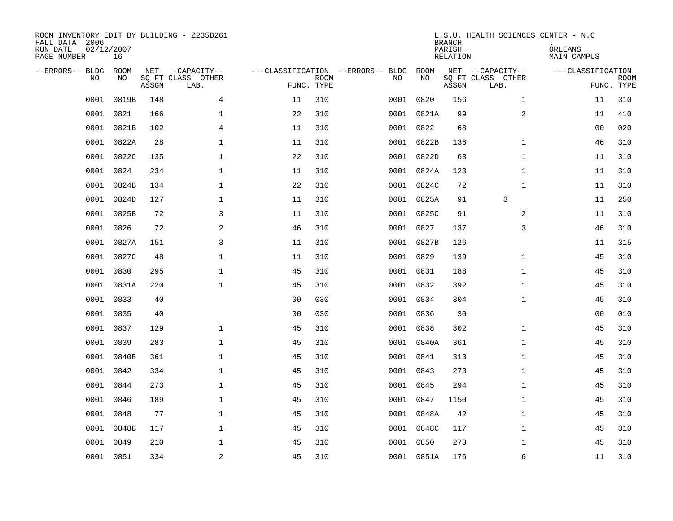| ROOM INVENTORY EDIT BY BUILDING - Z235B261<br>FALL DATA 2006<br>RUN DATE<br>PAGE NUMBER | 02/12/2007<br>16 |       |                                               |                |                           |                                         |            | <b>BRANCH</b><br>PARISH<br><b>RELATION</b> | L.S.U. HEALTH SCIENCES CENTER - N.O           | ORLEANS<br>MAIN CAMPUS |                           |
|-----------------------------------------------------------------------------------------|------------------|-------|-----------------------------------------------|----------------|---------------------------|-----------------------------------------|------------|--------------------------------------------|-----------------------------------------------|------------------------|---------------------------|
| --ERRORS-- BLDG<br>NO.                                                                  | ROOM<br>NO       | ASSGN | NET --CAPACITY--<br>SQ FT CLASS OTHER<br>LAB. |                | <b>ROOM</b><br>FUNC. TYPE | ---CLASSIFICATION --ERRORS-- BLDG<br>NO | ROOM<br>NO | ASSGN                                      | NET --CAPACITY--<br>SQ FT CLASS OTHER<br>LAB. | ---CLASSIFICATION      | <b>ROOM</b><br>FUNC. TYPE |
| 0001                                                                                    | 0819B            | 148   | $\overline{4}$                                | 11             | 310                       | 0001                                    | 0820       | 156                                        | $\mathbf{1}$                                  | 11                     | 310                       |
| 0001                                                                                    | 0821             | 166   | $\mathbf{1}$                                  | 22             | 310                       |                                         | 0001 0821A | 99                                         | 2                                             | 11                     | 410                       |
| 0001                                                                                    | 0821B            | 102   | 4                                             | 11             | 310                       | 0001                                    | 0822       | 68                                         |                                               | 00                     | 020                       |
| 0001                                                                                    | 0822A            | 28    | $\mathbf{1}$                                  | 11             | 310                       |                                         | 0001 0822B | 136                                        | $\mathbf{1}$                                  | 46                     | 310                       |
| 0001                                                                                    | 0822C            | 135   | $\mathbf{1}$                                  | 22             | 310                       |                                         | 0001 0822D | 63                                         | $\mathbf{1}$                                  | 11                     | 310                       |
| 0001                                                                                    | 0824             | 234   | $\mathbf{1}$                                  | 11             | 310                       |                                         | 0001 0824A | 123                                        | $\mathbf{1}$                                  | 11                     | 310                       |
| 0001                                                                                    | 0824B            | 134   | $\mathbf{1}$                                  | 22             | 310                       |                                         | 0001 0824C | 72                                         | $\mathbf{1}$                                  | 11                     | 310                       |
| 0001                                                                                    | 0824D            | 127   | $\mathbf{1}$                                  | 11             | 310                       |                                         | 0001 0825A | 91                                         | 3                                             | 11                     | 250                       |
| 0001                                                                                    | 0825B            | 72    | 3                                             | 11             | 310                       |                                         | 0001 0825C | 91                                         | 2                                             | 11                     | 310                       |
| 0001                                                                                    | 0826             | 72    | 2                                             | 46             | 310                       |                                         | 0001 0827  | 137                                        | 3                                             | 46                     | 310                       |
| 0001                                                                                    | 0827A            | 151   | 3                                             | 11             | 310                       |                                         | 0001 0827B | 126                                        |                                               | 11                     | 315                       |
| 0001                                                                                    | 0827C            | 48    | $\mathbf 1$                                   | 11             | 310                       |                                         | 0001 0829  | 139                                        | $\mathbf{1}$                                  | 45                     | 310                       |
| 0001                                                                                    | 0830             | 295   | $\mathbf 1$                                   | 45             | 310                       |                                         | 0001 0831  | 188                                        | $\mathbf{1}$                                  | 45                     | 310                       |
| 0001                                                                                    | 0831A            | 220   | $\mathbf 1$                                   | 45             | 310                       |                                         | 0001 0832  | 392                                        | $\mathbf{1}$                                  | 45                     | 310                       |
| 0001                                                                                    | 0833             | 40    |                                               | 0 <sub>0</sub> | 030                       | 0001                                    | 0834       | 304                                        | $\mathbf{1}$                                  | 45                     | 310                       |
| 0001                                                                                    | 0835             | 40    |                                               | 0 <sub>0</sub> | 030                       |                                         | 0001 0836  | 30                                         |                                               | 0 <sub>0</sub>         | 010                       |
| 0001                                                                                    | 0837             | 129   | $\mathbf{1}$                                  | 45             | 310                       |                                         | 0001 0838  | 302                                        | $\mathbf{1}$                                  | 45                     | 310                       |
| 0001                                                                                    | 0839             | 283   | $\mathbf 1$                                   | 45             | 310                       |                                         | 0001 0840A | 361                                        | $\mathbf{1}$                                  | 45                     | 310                       |
| 0001                                                                                    | 0840B            | 361   | 1                                             | 45             | 310                       |                                         | 0001 0841  | 313                                        | $\mathbf{1}$                                  | 45                     | 310                       |
| 0001                                                                                    | 0842             | 334   | $\mathbf 1$                                   | 45             | 310                       |                                         | 0001 0843  | 273                                        | $\mathbf{1}$                                  | 45                     | 310                       |
| 0001                                                                                    | 0844             | 273   | $\mathbf 1$                                   | 45             | 310                       |                                         | 0001 0845  | 294                                        | $\mathbf{1}$                                  | 45                     | 310                       |
| 0001                                                                                    | 0846             | 189   | $\mathbf 1$                                   | 45             | 310                       |                                         | 0001 0847  | 1150                                       | $\mathbf{1}$                                  | 45                     | 310                       |
| 0001                                                                                    | 0848             | 77    | $\mathbf 1$                                   | 45             | 310                       |                                         | 0001 0848A | 42                                         | $\mathbf{1}$                                  | 45                     | 310                       |
| 0001                                                                                    | 0848B            | 117   | $\mathbf 1$                                   | 45             | 310                       |                                         | 0001 0848C | 117                                        | $\mathbf{1}$                                  | 45                     | 310                       |
| 0001                                                                                    | 0849             | 210   | $\mathbf 1$                                   | 45             | 310                       | 0001                                    | 0850       | 273                                        | $\mathbf{1}$                                  | 45                     | 310                       |
|                                                                                         | 0001 0851        | 334   | $\sqrt{2}$                                    | 45             | 310                       |                                         | 0001 0851A | 176                                        | 6                                             | 11                     | 310                       |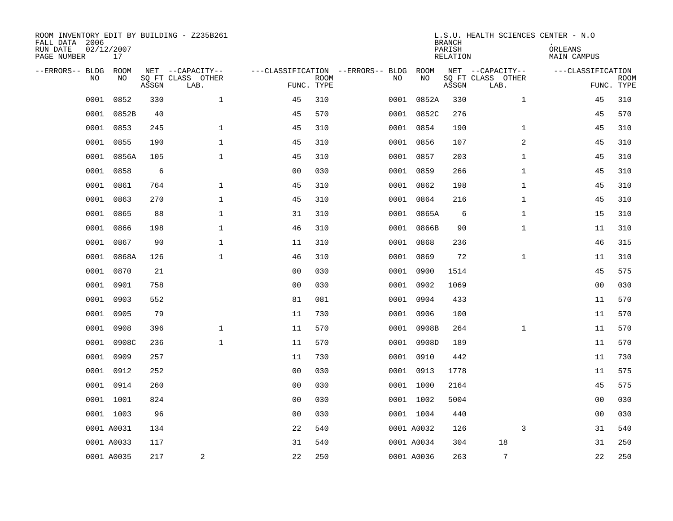| ROOM INVENTORY EDIT BY BUILDING - Z235B261<br>FALL DATA 2006<br>RUN DATE<br>PAGE NUMBER | 02/12/2007<br>17 |       |                                               |                |             |                                         |            | <b>BRANCH</b><br>PARISH<br><b>RELATION</b> | L.S.U. HEALTH SCIENCES CENTER - N.O           | ORLEANS<br><b>MAIN CAMPUS</b> |                           |
|-----------------------------------------------------------------------------------------|------------------|-------|-----------------------------------------------|----------------|-------------|-----------------------------------------|------------|--------------------------------------------|-----------------------------------------------|-------------------------------|---------------------------|
| --ERRORS-- BLDG<br>NO.                                                                  | ROOM<br>NO       | ASSGN | NET --CAPACITY--<br>SQ FT CLASS OTHER<br>LAB. | FUNC. TYPE     | <b>ROOM</b> | ---CLASSIFICATION --ERRORS-- BLDG<br>NO | ROOM<br>NO | ASSGN                                      | NET --CAPACITY--<br>SQ FT CLASS OTHER<br>LAB. | ---CLASSIFICATION             | <b>ROOM</b><br>FUNC. TYPE |
| 0001                                                                                    | 0852             | 330   | $\mathbf{1}$                                  | 45             | 310         | 0001                                    | 0852A      | 330                                        | $\mathbf{1}$                                  | 45                            | 310                       |
| 0001                                                                                    | 0852B            | 40    |                                               | 45             | 570         |                                         | 0001 0852C | 276                                        |                                               | 45                            | 570                       |
| 0001                                                                                    | 0853             | 245   | $\mathbf 1$                                   | 45             | 310         |                                         | 0001 0854  | 190                                        | $\mathbf{1}$                                  | 45                            | 310                       |
| 0001                                                                                    | 0855             | 190   | $\mathbf 1$                                   | 45             | 310         |                                         | 0001 0856  | 107                                        | 2                                             | 45                            | 310                       |
| 0001                                                                                    | 0856A            | 105   | $\mathbf{1}$                                  | 45             | 310         |                                         | 0001 0857  | 203                                        | $\mathbf{1}$                                  | 45                            | 310                       |
| 0001                                                                                    | 0858             | 6     |                                               | 0 <sub>0</sub> | 030         |                                         | 0001 0859  | 266                                        | $\mathbf{1}$                                  | 45                            | 310                       |
| 0001                                                                                    | 0861             | 764   | $\mathbf{1}$                                  | 45             | 310         |                                         | 0001 0862  | 198                                        | $\mathbf{1}$                                  | 45                            | 310                       |
| 0001                                                                                    | 0863             | 270   | $\mathbf 1$                                   | 45             | 310         |                                         | 0001 0864  | 216                                        | $\mathbf{1}$                                  | 45                            | 310                       |
| 0001                                                                                    | 0865             | 88    | $\mathbf 1$                                   | 31             | 310         |                                         | 0001 0865A | 6                                          | $\mathbf{1}$                                  | 15                            | 310                       |
| 0001                                                                                    | 0866             | 198   | $\mathbf 1$                                   | 46             | 310         |                                         | 0001 0866B | 90                                         | $\mathbf{1}$                                  | 11                            | 310                       |
| 0001                                                                                    | 0867             | 90    | $\mathbf 1$                                   | 11             | 310         |                                         | 0001 0868  | 236                                        |                                               | 46                            | 315                       |
| 0001                                                                                    | 0868A            | 126   | $\mathbf 1$                                   | 46             | 310         |                                         | 0001 0869  | 72                                         | $\mathbf{1}$                                  | 11                            | 310                       |
| 0001                                                                                    | 0870             | 21    |                                               | 0 <sub>0</sub> | 030         | 0001                                    | 0900       | 1514                                       |                                               | 45                            | 575                       |
| 0001                                                                                    | 0901             | 758   |                                               | 0 <sub>0</sub> | 030         |                                         | 0001 0902  | 1069                                       |                                               | 00                            | 030                       |
| 0001                                                                                    | 0903             | 552   |                                               | 81             | 081         | 0001                                    | 0904       | 433                                        |                                               | 11                            | 570                       |
| 0001                                                                                    | 0905             | 79    |                                               | 11             | 730         |                                         | 0001 0906  | 100                                        |                                               | 11                            | 570                       |
| 0001                                                                                    | 0908             | 396   | $\mathbf{1}$                                  | 11             | 570         |                                         | 0001 0908B | 264                                        | $\mathbf{1}$                                  | 11                            | 570                       |
| 0001                                                                                    | 0908C            | 236   | $\mathbf{1}$                                  | 11             | 570         |                                         | 0001 0908D | 189                                        |                                               | 11                            | 570                       |
| 0001                                                                                    | 0909             | 257   |                                               | 11             | 730         |                                         | 0001 0910  | 442                                        |                                               | 11                            | 730                       |
| 0001                                                                                    | 0912             | 252   |                                               | 0 <sub>0</sub> | 030         |                                         | 0001 0913  | 1778                                       |                                               | 11                            | 575                       |
|                                                                                         | 0001 0914        | 260   |                                               | 0 <sub>0</sub> | 030         |                                         | 0001 1000  | 2164                                       |                                               | 45                            | 575                       |
|                                                                                         | 0001 1001        | 824   |                                               | 0 <sub>0</sub> | 030         |                                         | 0001 1002  | 5004                                       |                                               | 00                            | 030                       |
|                                                                                         | 0001 1003        | 96    |                                               | 0 <sub>0</sub> | 030         |                                         | 0001 1004  | 440                                        |                                               | 0 <sub>0</sub>                | 030                       |
|                                                                                         | 0001 A0031       | 134   |                                               | 22             | 540         |                                         | 0001 A0032 | 126                                        | 3                                             | 31                            | 540                       |
|                                                                                         | 0001 A0033       | 117   |                                               | 31             | 540         |                                         | 0001 A0034 | 304                                        | 18                                            | 31                            | 250                       |
|                                                                                         | 0001 A0035       | 217   | $\overline{c}$                                | 22             | 250         |                                         | 0001 A0036 | 263                                        | $7\overline{ }$                               | 22                            | 250                       |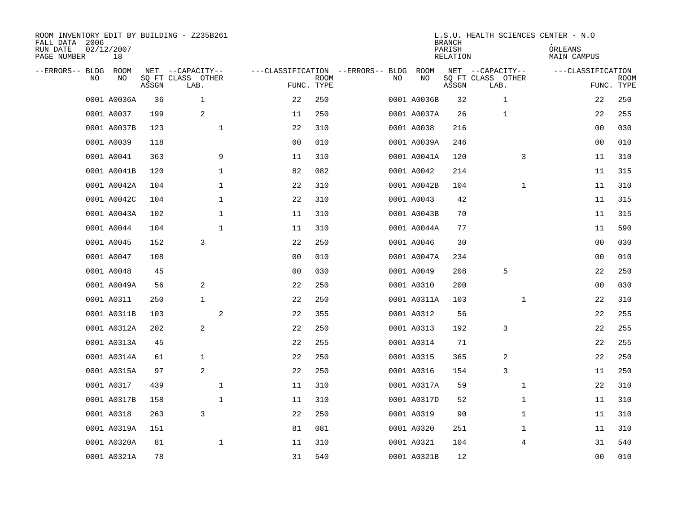| ROOM INVENTORY EDIT BY BUILDING - Z235B261<br>FALL DATA 2006<br>RUN DATE<br>PAGE NUMBER | 02/12/2007<br>18 |       |                                               |                |                           |                                         |             | <b>BRANCH</b><br>PARISH<br><b>RELATION</b> | L.S.U. HEALTH SCIENCES CENTER - N.O           | ORLEANS<br>MAIN CAMPUS |                           |
|-----------------------------------------------------------------------------------------|------------------|-------|-----------------------------------------------|----------------|---------------------------|-----------------------------------------|-------------|--------------------------------------------|-----------------------------------------------|------------------------|---------------------------|
| --ERRORS-- BLDG ROOM<br>NO                                                              | NO               | ASSGN | NET --CAPACITY--<br>SQ FT CLASS OTHER<br>LAB. |                | <b>ROOM</b><br>FUNC. TYPE | ---CLASSIFICATION --ERRORS-- BLDG<br>NO | ROOM<br>NO  | ASSGN                                      | NET --CAPACITY--<br>SQ FT CLASS OTHER<br>LAB. | ---CLASSIFICATION      | <b>ROOM</b><br>FUNC. TYPE |
|                                                                                         | 0001 A0036A      | 36    | $\mathbf{1}$                                  | 22             | 250                       |                                         | 0001 A0036B | 32                                         | 1                                             | 22                     | 250                       |
|                                                                                         | 0001 A0037       | 199   | 2                                             | 11             | 250                       |                                         | 0001 A0037A | 26                                         | $\mathbf 1$                                   | 22                     | 255                       |
|                                                                                         | 0001 A0037B      | 123   | $\mathbf 1$                                   | 22             | 310                       |                                         | 0001 A0038  | 216                                        |                                               | 00                     | 030                       |
|                                                                                         | 0001 A0039       | 118   |                                               | 0 <sub>0</sub> | 010                       |                                         | 0001 A0039A | 246                                        |                                               | 00                     | 010                       |
|                                                                                         | 0001 A0041       | 363   | 9                                             | 11             | 310                       |                                         | 0001 A0041A | 120                                        | 3                                             | 11                     | 310                       |
|                                                                                         | 0001 A0041B      | 120   | $\mathbf 1$                                   | 82             | 082                       |                                         | 0001 A0042  | 214                                        |                                               | 11                     | 315                       |
|                                                                                         | 0001 A0042A      | 104   | $\mathbf 1$                                   | 22             | 310                       |                                         | 0001 A0042B | 104                                        | $\mathbf{1}$                                  | 11                     | 310                       |
|                                                                                         | 0001 A0042C      | 104   | $\mathbf 1$                                   | 22             | 310                       |                                         | 0001 A0043  | 42                                         |                                               | 11                     | 315                       |
|                                                                                         | 0001 A0043A      | 102   | $\mathbf 1$                                   | 11             | 310                       |                                         | 0001 A0043B | 70                                         |                                               | 11                     | 315                       |
|                                                                                         | 0001 A0044       | 104   | $\mathbf 1$                                   | 11             | 310                       |                                         | 0001 A0044A | 77                                         |                                               | 11                     | 590                       |
|                                                                                         | 0001 A0045       | 152   | 3                                             | 22             | 250                       |                                         | 0001 A0046  | 30                                         |                                               | 0 <sub>0</sub>         | 030                       |
|                                                                                         | 0001 A0047       | 108   |                                               | 0 <sub>0</sub> | 010                       |                                         | 0001 A0047A | 234                                        |                                               | 0 <sub>0</sub>         | 010                       |
|                                                                                         | 0001 A0048       | 45    |                                               | 0 <sub>0</sub> | 030                       |                                         | 0001 A0049  | 208                                        | 5                                             | 22                     | 250                       |
|                                                                                         | 0001 A0049A      | 56    | 2                                             | 22             | 250                       |                                         | 0001 A0310  | 200                                        |                                               | 00                     | 030                       |
|                                                                                         | 0001 A0311       | 250   | $\mathbf{1}$                                  | 22             | 250                       |                                         | 0001 A0311A | 103                                        | $\mathbf{1}$                                  | 22                     | 310                       |
|                                                                                         | 0001 A0311B      | 103   | 2                                             | 22             | 355                       |                                         | 0001 A0312  | 56                                         |                                               | 22                     | 255                       |
|                                                                                         | 0001 A0312A      | 202   | 2                                             | 22             | 250                       |                                         | 0001 A0313  | 192                                        | 3                                             | 22                     | 255                       |
|                                                                                         | 0001 A0313A      | 45    |                                               | 22             | 255                       |                                         | 0001 A0314  | 71                                         |                                               | 22                     | 255                       |
|                                                                                         | 0001 A0314A      | 61    | $\mathbf{1}$                                  | 22             | 250                       |                                         | 0001 A0315  | 365                                        | 2                                             | 22                     | 250                       |
|                                                                                         | 0001 A0315A      | 97    | $\overline{a}$                                | 22             | 250                       |                                         | 0001 A0316  | 154                                        | 3                                             | 11                     | 250                       |
|                                                                                         | 0001 A0317       | 439   | $\mathbf{1}$                                  | 11             | 310                       |                                         | 0001 A0317A | 59                                         | $\mathbf{1}$                                  | 22                     | 310                       |
|                                                                                         | 0001 A0317B      | 158   | $\mathbf 1$                                   | 11             | 310                       |                                         | 0001 A0317D | 52                                         | $\mathbf{1}$                                  | 11                     | 310                       |
|                                                                                         | 0001 A0318       | 263   | 3                                             | 22             | 250                       |                                         | 0001 A0319  | 90                                         | $\mathbf{1}$                                  | 11                     | 310                       |
|                                                                                         | 0001 A0319A      | 151   |                                               | 81             | 081                       |                                         | 0001 A0320  | 251                                        | $\mathbf{1}$                                  | 11                     | 310                       |
|                                                                                         | 0001 A0320A      | 81    | $\mathbf 1$                                   | 11             | 310                       |                                         | 0001 A0321  | 104                                        | 4                                             | 31                     | 540                       |
|                                                                                         | 0001 A0321A      | 78    |                                               | 31             | 540                       |                                         | 0001 A0321B | 12                                         |                                               | 0 <sub>0</sub>         | 010                       |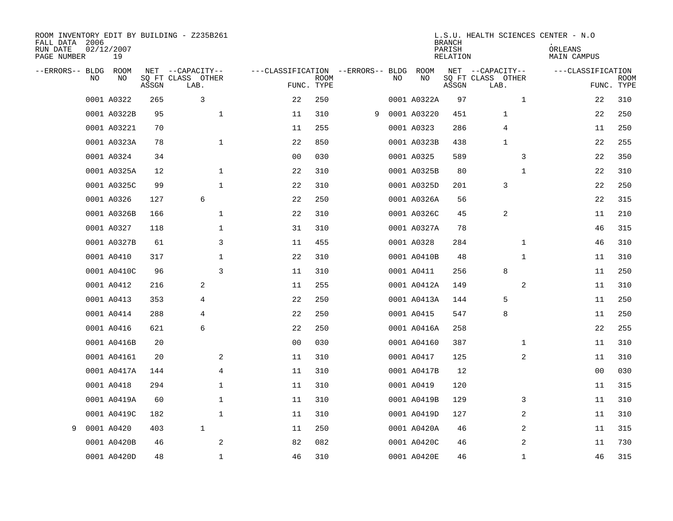| ROOM INVENTORY EDIT BY BUILDING - Z235B261<br>FALL DATA 2006<br>RUN DATE<br>PAGE NUMBER | 02/12/2007<br>19 |       |                                               |                                                 |             |   |    |             | <b>BRANCH</b><br>PARISH<br><b>RELATION</b> | L.S.U. HEALTH SCIENCES CENTER - N.O           | ORLEANS<br>MAIN CAMPUS |                           |
|-----------------------------------------------------------------------------------------|------------------|-------|-----------------------------------------------|-------------------------------------------------|-------------|---|----|-------------|--------------------------------------------|-----------------------------------------------|------------------------|---------------------------|
| --ERRORS-- BLDG ROOM<br>NO                                                              | NO               | ASSGN | NET --CAPACITY--<br>SQ FT CLASS OTHER<br>LAB. | ---CLASSIFICATION --ERRORS-- BLDG<br>FUNC. TYPE | <b>ROOM</b> |   | NO | ROOM<br>NO  | ASSGN                                      | NET --CAPACITY--<br>SQ FT CLASS OTHER<br>LAB. | ---CLASSIFICATION      | <b>ROOM</b><br>FUNC. TYPE |
|                                                                                         | 0001 A0322       | 265   | 3                                             | 22                                              | 250         |   |    | 0001 A0322A | 97                                         | $\mathbf{1}$                                  | 22                     | 310                       |
|                                                                                         | 0001 A0322B      | 95    | $\mathbf{1}$                                  | 11                                              | 310         | 9 |    | 0001 A03220 | 451                                        | $\mathbf 1$                                   | 22                     | 250                       |
|                                                                                         | 0001 A03221      | 70    |                                               | 11                                              | 255         |   |    | 0001 A0323  | 286                                        | 4                                             | 11                     | 250                       |
|                                                                                         | 0001 A0323A      | 78    | $\mathbf 1$                                   | 22                                              | 850         |   |    | 0001 A0323B | 438                                        | 1                                             | 22                     | 255                       |
|                                                                                         | 0001 A0324       | 34    |                                               | 00                                              | 030         |   |    | 0001 A0325  | 589                                        | 3                                             | 22                     | 350                       |
|                                                                                         | 0001 A0325A      | 12    | 1                                             | 22                                              | 310         |   |    | 0001 A0325B | 80                                         | $\mathbf{1}$                                  | 22                     | 310                       |
|                                                                                         | 0001 A0325C      | 99    | $\mathbf{1}$                                  | 22                                              | 310         |   |    | 0001 A0325D | 201                                        | 3                                             | 22                     | 250                       |
|                                                                                         | 0001 A0326       | 127   | 6                                             | 22                                              | 250         |   |    | 0001 A0326A | 56                                         |                                               | 22                     | 315                       |
|                                                                                         | 0001 A0326B      | 166   | $\mathbf 1$                                   | 22                                              | 310         |   |    | 0001 A0326C | 45                                         | 2                                             | 11                     | 210                       |
|                                                                                         | 0001 A0327       | 118   | $\mathbf{1}$                                  | 31                                              | 310         |   |    | 0001 A0327A | 78                                         |                                               | 46                     | 315                       |
|                                                                                         | 0001 A0327B      | 61    | 3                                             | 11                                              | 455         |   |    | 0001 A0328  | 284                                        | $\mathbf{1}$                                  | 46                     | 310                       |
|                                                                                         | 0001 A0410       | 317   | $\mathbf 1$                                   | 22                                              | 310         |   |    | 0001 A0410B | 48                                         | $\mathbf{1}$                                  | 11                     | 310                       |
|                                                                                         | 0001 A0410C      | 96    | 3                                             | 11                                              | 310         |   |    | 0001 A0411  | 256                                        | 8                                             | 11                     | 250                       |
|                                                                                         | 0001 A0412       | 216   | 2                                             | 11                                              | 255         |   |    | 0001 A0412A | 149                                        | 2                                             | 11                     | 310                       |
|                                                                                         | 0001 A0413       | 353   | 4                                             | 22                                              | 250         |   |    | 0001 A0413A | 144                                        | 5                                             | 11                     | 250                       |
|                                                                                         | 0001 A0414       | 288   | 4                                             | 22                                              | 250         |   |    | 0001 A0415  | 547                                        | 8                                             | 11                     | 250                       |
|                                                                                         | 0001 A0416       | 621   | 6                                             | 22                                              | 250         |   |    | 0001 A0416A | 258                                        |                                               | 22                     | 255                       |
|                                                                                         | 0001 A0416B      | 20    |                                               | 0 <sub>0</sub>                                  | 030         |   |    | 0001 A04160 | 387                                        | $\mathbf{1}$                                  | 11                     | 310                       |
|                                                                                         | 0001 A04161      | 20    | 2                                             | 11                                              | 310         |   |    | 0001 A0417  | 125                                        | 2                                             | 11                     | 310                       |
|                                                                                         | 0001 A0417A      | 144   | 4                                             | 11                                              | 310         |   |    | 0001 A0417B | 12                                         |                                               | 00                     | 030                       |
|                                                                                         | 0001 A0418       | 294   | $\mathbf 1$                                   | 11                                              | 310         |   |    | 0001 A0419  | 120                                        |                                               | 11                     | 315                       |
|                                                                                         | 0001 A0419A      | 60    | $\mathbf 1$                                   | 11                                              | 310         |   |    | 0001 A0419B | 129                                        | 3                                             | 11                     | 310                       |
|                                                                                         | 0001 A0419C      | 182   | $\mathbf{1}$                                  | 11                                              | 310         |   |    | 0001 A0419D | 127                                        | 2                                             | 11                     | 310                       |
| 9                                                                                       | 0001 A0420       | 403   | $\mathbf{1}$                                  | 11                                              | 250         |   |    | 0001 A0420A | 46                                         | 2                                             | 11                     | 315                       |
|                                                                                         | 0001 A0420B      | 46    | 2                                             | 82                                              | 082         |   |    | 0001 A0420C | 46                                         | 2                                             | 11                     | 730                       |
|                                                                                         | 0001 A0420D      | 48    | $\mathbf 1$                                   | 46                                              | 310         |   |    | 0001 A0420E | 46                                         | $\mathbf{1}$                                  | 46                     | 315                       |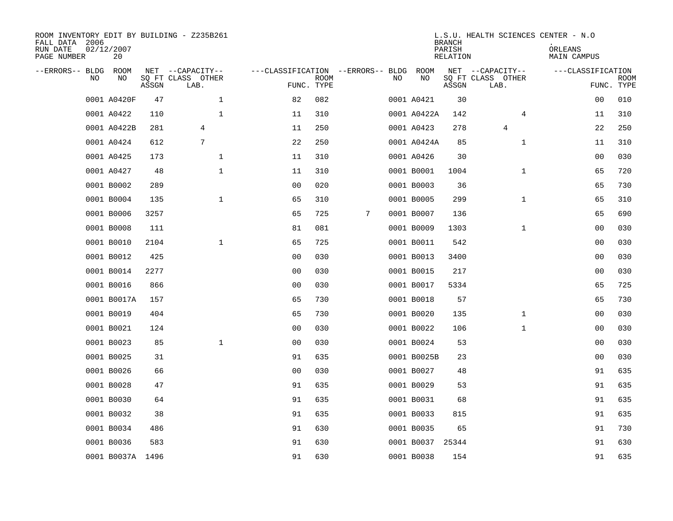| ROOM INVENTORY EDIT BY BUILDING - Z235B261<br>FALL DATA 2006<br>RUN DATE<br>PAGE NUMBER | 02/12/2007<br>20 |       |                                               |                                                      |             |   |    |                  | <b>BRANCH</b><br>PARISH<br><b>RELATION</b> | L.S.U. HEALTH SCIENCES CENTER - N.O           | ORLEANS<br><b>MAIN CAMPUS</b> |                           |
|-----------------------------------------------------------------------------------------|------------------|-------|-----------------------------------------------|------------------------------------------------------|-------------|---|----|------------------|--------------------------------------------|-----------------------------------------------|-------------------------------|---------------------------|
| --ERRORS-- BLDG ROOM<br>NO.                                                             | NO               | ASSGN | NET --CAPACITY--<br>SQ FT CLASS OTHER<br>LAB. | ---CLASSIFICATION --ERRORS-- BLDG ROOM<br>FUNC. TYPE | <b>ROOM</b> |   | NO | NO               | ASSGN                                      | NET --CAPACITY--<br>SQ FT CLASS OTHER<br>LAB. | ---CLASSIFICATION             | <b>ROOM</b><br>FUNC. TYPE |
|                                                                                         | 0001 A0420F      | 47    | $\mathbf 1$                                   | 82                                                   | 082         |   |    | 0001 A0421       | 30                                         |                                               | 00                            | 010                       |
|                                                                                         | 0001 A0422       | 110   | $\mathbf{1}$                                  | 11                                                   | 310         |   |    | 0001 A0422A      | 142                                        | 4                                             | 11                            | 310                       |
|                                                                                         | 0001 A0422B      | 281   | 4                                             | 11                                                   | 250         |   |    | 0001 A0423       | 278                                        | $\overline{4}$                                | 22                            | 250                       |
|                                                                                         | 0001 A0424       | 612   | 7                                             | 22                                                   | 250         |   |    | 0001 A0424A      | 85                                         | $1\,$                                         | 11                            | 310                       |
|                                                                                         | 0001 A0425       | 173   | $\mathbf 1$                                   | 11                                                   | 310         |   |    | 0001 A0426       | 30                                         |                                               | 0 <sub>0</sub>                | 030                       |
|                                                                                         | 0001 A0427       | 48    | $\mathbf 1$                                   | 11                                                   | 310         |   |    | 0001 B0001       | 1004                                       | $\mathbf{1}$                                  | 65                            | 720                       |
|                                                                                         | 0001 B0002       | 289   |                                               | 0 <sub>0</sub>                                       | 020         |   |    | 0001 B0003       | 36                                         |                                               | 65                            | 730                       |
|                                                                                         | 0001 B0004       | 135   | $\mathbf{1}$                                  | 65                                                   | 310         |   |    | 0001 B0005       | 299                                        | $\mathbf{1}$                                  | 65                            | 310                       |
|                                                                                         | 0001 B0006       | 3257  |                                               | 65                                                   | 725         | 7 |    | 0001 B0007       | 136                                        |                                               | 65                            | 690                       |
|                                                                                         | 0001 B0008       | 111   |                                               | 81                                                   | 081         |   |    | 0001 B0009       | 1303                                       | $\mathbf{1}$                                  | 0 <sub>0</sub>                | 030                       |
|                                                                                         | 0001 B0010       | 2104  | $\mathbf{1}$                                  | 65                                                   | 725         |   |    | 0001 B0011       | 542                                        |                                               | 0 <sub>0</sub>                | 030                       |
|                                                                                         | 0001 B0012       | 425   |                                               | 0 <sub>0</sub>                                       | 030         |   |    | 0001 B0013       | 3400                                       |                                               | 0 <sub>0</sub>                | 030                       |
|                                                                                         | 0001 B0014       | 2277  |                                               | 0 <sub>0</sub>                                       | 030         |   |    | 0001 B0015       | 217                                        |                                               | 0 <sub>0</sub>                | 030                       |
|                                                                                         | 0001 B0016       | 866   |                                               | 0 <sub>0</sub>                                       | 030         |   |    | 0001 B0017       | 5334                                       |                                               | 65                            | 725                       |
|                                                                                         | 0001 B0017A      | 157   |                                               | 65                                                   | 730         |   |    | 0001 B0018       | 57                                         |                                               | 65                            | 730                       |
|                                                                                         | 0001 B0019       | 404   |                                               | 65                                                   | 730         |   |    | 0001 B0020       | 135                                        | $\mathbf{1}$                                  | 0 <sub>0</sub>                | 030                       |
|                                                                                         | 0001 B0021       | 124   |                                               | 0 <sub>0</sub>                                       | 030         |   |    | 0001 B0022       | 106                                        | $\mathbf{1}$                                  | 0 <sub>0</sub>                | 030                       |
|                                                                                         | 0001 B0023       | 85    | $\mathbf 1$                                   | 0 <sub>0</sub>                                       | 030         |   |    | 0001 B0024       | 53                                         |                                               | 00                            | 030                       |
|                                                                                         | 0001 B0025       | 31    |                                               | 91                                                   | 635         |   |    | 0001 B0025B      | 23                                         |                                               | 0 <sub>0</sub>                | 030                       |
|                                                                                         | 0001 B0026       | 66    |                                               | 0 <sub>0</sub>                                       | 030         |   |    | 0001 B0027       | 48                                         |                                               | 91                            | 635                       |
|                                                                                         | 0001 B0028       | 47    |                                               | 91                                                   | 635         |   |    | 0001 B0029       | 53                                         |                                               | 91                            | 635                       |
|                                                                                         | 0001 B0030       | 64    |                                               | 91                                                   | 635         |   |    | 0001 B0031       | 68                                         |                                               | 91                            | 635                       |
|                                                                                         | 0001 B0032       | 38    |                                               | 91                                                   | 635         |   |    | 0001 B0033       | 815                                        |                                               | 91                            | 635                       |
|                                                                                         | 0001 B0034       | 486   |                                               | 91                                                   | 630         |   |    | 0001 B0035       | 65                                         |                                               | 91                            | 730                       |
|                                                                                         | 0001 B0036       | 583   |                                               | 91                                                   | 630         |   |    | 0001 B0037 25344 |                                            |                                               | 91                            | 630                       |
|                                                                                         | 0001 B0037A 1496 |       |                                               | 91                                                   | 630         |   |    | 0001 B0038       | 154                                        |                                               | 91                            | 635                       |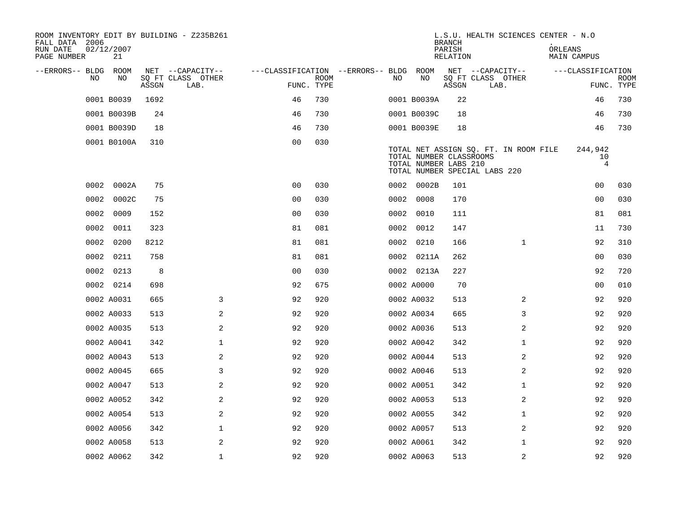| ROOM INVENTORY EDIT BY BUILDING - Z235B261<br>FALL DATA 2006<br>RUN DATE<br>PAGE NUMBER | 02/12/2007<br>21 |       |                           |                                        |             |     |                                                  | <b>BRANCH</b><br>PARISH<br>RELATION | L.S.U. HEALTH SCIENCES CENTER - N.O                                    | ORLEANS | MAIN CAMPUS        |                           |
|-----------------------------------------------------------------------------------------|------------------|-------|---------------------------|----------------------------------------|-------------|-----|--------------------------------------------------|-------------------------------------|------------------------------------------------------------------------|---------|--------------------|---------------------------|
| --ERRORS-- BLDG ROOM                                                                    |                  |       | NET --CAPACITY--          | ---CLASSIFICATION --ERRORS-- BLDG ROOM |             |     |                                                  |                                     | NET --CAPACITY--                                                       |         | ---CLASSIFICATION  |                           |
| NO.                                                                                     | NO.              | ASSGN | SQ FT CLASS OTHER<br>LAB. | FUNC. TYPE                             | <b>ROOM</b> | NO. | NO                                               | ASSGN                               | SQ FT CLASS OTHER<br>LAB.                                              |         |                    | <b>ROOM</b><br>FUNC. TYPE |
|                                                                                         | 0001 B0039       | 1692  |                           | 46                                     | 730         |     | 0001 B0039A                                      | 22                                  |                                                                        |         | 46                 | 730                       |
|                                                                                         | 0001 B0039B      | 24    |                           | 46                                     | 730         |     | 0001 B0039C                                      | 18                                  |                                                                        |         | 46                 | 730                       |
|                                                                                         | 0001 B0039D      | 18    |                           | 46                                     | 730         |     | 0001 B0039E                                      | 18                                  |                                                                        |         | 46                 | 730                       |
|                                                                                         | 0001 B0100A      | 310   |                           | 0 <sub>0</sub>                         | 030         |     | TOTAL NUMBER CLASSROOMS<br>TOTAL NUMBER LABS 210 |                                     | TOTAL NET ASSIGN SQ. FT. IN ROOM FILE<br>TOTAL NUMBER SPECIAL LABS 220 |         | 244,942<br>10<br>4 |                           |
| 0002                                                                                    | 0002A            | 75    |                           | 0 <sub>0</sub>                         | 030         |     | 0002 0002B                                       | 101                                 |                                                                        |         | 00                 | 030                       |
| 0002                                                                                    | 0002C            | 75    |                           | 0 <sub>0</sub>                         | 030         |     | 0002 0008                                        | 170                                 |                                                                        |         | 0 <sub>0</sub>     | 030                       |
| 0002                                                                                    | 0009             | 152   |                           | 0 <sub>0</sub>                         | 030         |     | 0002 0010                                        | 111                                 |                                                                        |         | 81                 | 081                       |
| 0002                                                                                    | 0011             | 323   |                           | 81                                     | 081         |     | 0002 0012                                        | 147                                 |                                                                        |         | 11                 | 730                       |
| 0002                                                                                    | 0200             | 8212  |                           | 81                                     | 081         |     | 0002 0210                                        | 166                                 | $\mathbf{1}$                                                           |         | 92                 | 310                       |
|                                                                                         | 0002 0211        | 758   |                           | 81                                     | 081         |     | 0002 0211A                                       | 262                                 |                                                                        |         | 0 <sub>0</sub>     | 030                       |
|                                                                                         | 0002 0213        | 8     |                           | 0 <sub>0</sub>                         | 030         |     | 0002 0213A                                       | 227                                 |                                                                        |         | 92                 | 720                       |
|                                                                                         | 0002 0214        | 698   |                           | 92                                     | 675         |     | 0002 A0000                                       | 70                                  |                                                                        |         | 00                 | 010                       |
|                                                                                         | 0002 A0031       | 665   | 3                         | 92                                     | 920         |     | 0002 A0032                                       | 513                                 | $\overline{a}$                                                         |         | 92                 | 920                       |
|                                                                                         | 0002 A0033       | 513   | 2                         | 92                                     | 920         |     | 0002 A0034                                       | 665                                 | 3                                                                      |         | 92                 | 920                       |
|                                                                                         | 0002 A0035       | 513   | 2                         | 92                                     | 920         |     | 0002 A0036                                       | 513                                 | 2                                                                      |         | 92                 | 920                       |
|                                                                                         | 0002 A0041       | 342   | $\mathbf{1}$              | 92                                     | 920         |     | 0002 A0042                                       | 342                                 | $\mathbf{1}$                                                           |         | 92                 | 920                       |
|                                                                                         | 0002 A0043       | 513   | 2                         | 92                                     | 920         |     | 0002 A0044                                       | 513                                 | 2                                                                      |         | 92                 | 920                       |
|                                                                                         | 0002 A0045       | 665   | 3                         | 92                                     | 920         |     | 0002 A0046                                       | 513                                 | 2                                                                      |         | 92                 | 920                       |
|                                                                                         | 0002 A0047       | 513   | 2                         | 92                                     | 920         |     | 0002 A0051                                       | 342                                 | $\mathbf{1}$                                                           |         | 92                 | 920                       |
|                                                                                         | 0002 A0052       | 342   | 2                         | 92                                     | 920         |     | 0002 A0053                                       | 513                                 | 2                                                                      |         | 92                 | 920                       |
|                                                                                         | 0002 A0054       | 513   | 2                         | 92                                     | 920         |     | 0002 A0055                                       | 342                                 | $\mathbf{1}$                                                           |         | 92                 | 920                       |
|                                                                                         | 0002 A0056       | 342   | $\mathbf 1$               | 92                                     | 920         |     | 0002 A0057                                       | 513                                 | 2                                                                      |         | 92                 | 920                       |
|                                                                                         | 0002 A0058       | 513   | 2                         | 92                                     | 920         |     | 0002 A0061                                       | 342                                 | $\mathbf{1}$                                                           |         | 92                 | 920                       |
|                                                                                         | 0002 A0062       | 342   | $\mathbf{1}$              | 92                                     | 920         |     | 0002 A0063                                       | 513                                 | 2                                                                      |         | 92                 | 920                       |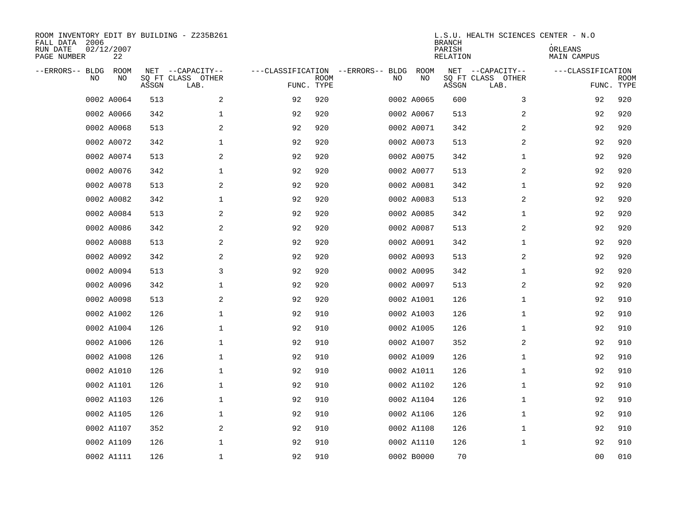| ROOM INVENTORY EDIT BY BUILDING - Z235B261<br>FALL DATA 2006<br>RUN DATE<br>PAGE NUMBER | 02/12/2007<br>22 |       |                                               |                                   |                           |    |                   | <b>BRANCH</b><br>PARISH<br><b>RELATION</b> | L.S.U. HEALTH SCIENCES CENTER - N.O           | ORLEANS<br>MAIN CAMPUS |                           |
|-----------------------------------------------------------------------------------------|------------------|-------|-----------------------------------------------|-----------------------------------|---------------------------|----|-------------------|--------------------------------------------|-----------------------------------------------|------------------------|---------------------------|
| --ERRORS-- BLDG<br>NO.                                                                  | ROOM<br>NO       | ASSGN | NET --CAPACITY--<br>SQ FT CLASS OTHER<br>LAB. | ---CLASSIFICATION --ERRORS-- BLDG | <b>ROOM</b><br>FUNC. TYPE | NO | <b>ROOM</b><br>NO | ASSGN                                      | NET --CAPACITY--<br>SQ FT CLASS OTHER<br>LAB. | ---CLASSIFICATION      | <b>ROOM</b><br>FUNC. TYPE |
|                                                                                         | 0002 A0064       | 513   | $\overline{a}$                                | 92                                | 920                       |    | 0002 A0065        | 600                                        | 3                                             | 92                     | 920                       |
|                                                                                         | 0002 A0066       | 342   | $\mathbf{1}$                                  | 92                                | 920                       |    | 0002 A0067        | 513                                        | 2                                             | 92                     | 920                       |
|                                                                                         | 0002 A0068       | 513   | 2                                             | 92                                | 920                       |    | 0002 A0071        | 342                                        | 2                                             | 92                     | 920                       |
|                                                                                         | 0002 A0072       | 342   | $\mathbf{1}$                                  | 92                                | 920                       |    | 0002 A0073        | 513                                        | 2                                             | 92                     | 920                       |
|                                                                                         | 0002 A0074       | 513   | 2                                             | 92                                | 920                       |    | 0002 A0075        | 342                                        | $\mathbf{1}$                                  | 92                     | 920                       |
|                                                                                         | 0002 A0076       | 342   | $\mathbf 1$                                   | 92                                | 920                       |    | 0002 A0077        | 513                                        | 2                                             | 92                     | 920                       |
|                                                                                         | 0002 A0078       | 513   | 2                                             | 92                                | 920                       |    | 0002 A0081        | 342                                        | $\mathbf{1}$                                  | 92                     | 920                       |
|                                                                                         | 0002 A0082       | 342   | $\mathbf 1$                                   | 92                                | 920                       |    | 0002 A0083        | 513                                        | 2                                             | 92                     | 920                       |
|                                                                                         | 0002 A0084       | 513   | 2                                             | 92                                | 920                       |    | 0002 A0085        | 342                                        | $\mathbf{1}$                                  | 92                     | 920                       |
|                                                                                         | 0002 A0086       | 342   | 2                                             | 92                                | 920                       |    | 0002 A0087        | 513                                        | 2                                             | 92                     | 920                       |
|                                                                                         | 0002 A0088       | 513   | 2                                             | 92                                | 920                       |    | 0002 A0091        | 342                                        | $\mathbf{1}$                                  | 92                     | 920                       |
|                                                                                         | 0002 A0092       | 342   | 2                                             | 92                                | 920                       |    | 0002 A0093        | 513                                        | 2                                             | 92                     | 920                       |
|                                                                                         | 0002 A0094       | 513   | 3                                             | 92                                | 920                       |    | 0002 A0095        | 342                                        | $\mathbf{1}$                                  | 92                     | 920                       |
|                                                                                         | 0002 A0096       | 342   | $\mathbf 1$                                   | 92                                | 920                       |    | 0002 A0097        | 513                                        | 2                                             | 92                     | 920                       |
|                                                                                         | 0002 A0098       | 513   | 2                                             | 92                                | 920                       |    | 0002 A1001        | 126                                        | $\mathbf{1}$                                  | 92                     | 910                       |
|                                                                                         | 0002 A1002       | 126   | $\mathbf 1$                                   | 92                                | 910                       |    | 0002 A1003        | 126                                        | $\mathbf{1}$                                  | 92                     | 910                       |
|                                                                                         | 0002 A1004       | 126   | 1                                             | 92                                | 910                       |    | 0002 A1005        | 126                                        | $\mathbf{1}$                                  | 92                     | 910                       |
|                                                                                         | 0002 A1006       | 126   | $\mathbf{1}$                                  | 92                                | 910                       |    | 0002 A1007        | 352                                        | 2                                             | 92                     | 910                       |
|                                                                                         | 0002 A1008       | 126   | $\mathbf{1}$                                  | 92                                | 910                       |    | 0002 A1009        | 126                                        | $\mathbf{1}$                                  | 92                     | 910                       |
|                                                                                         | 0002 A1010       | 126   | $\mathbf 1$                                   | 92                                | 910                       |    | 0002 A1011        | 126                                        | $\mathbf{1}$                                  | 92                     | 910                       |
|                                                                                         | 0002 A1101       | 126   | $\mathbf{1}$                                  | 92                                | 910                       |    | 0002 A1102        | 126                                        | $\mathbf{1}$                                  | 92                     | 910                       |
|                                                                                         | 0002 A1103       | 126   | $\mathbf 1$                                   | 92                                | 910                       |    | 0002 A1104        | 126                                        | $\mathbf{1}$                                  | 92                     | 910                       |
|                                                                                         | 0002 A1105       | 126   | $\mathbf 1$                                   | 92                                | 910                       |    | 0002 A1106        | 126                                        | $\mathbf{1}$                                  | 92                     | 910                       |
|                                                                                         | 0002 A1107       | 352   | 2                                             | 92                                | 910                       |    | 0002 A1108        | 126                                        | $\mathbf{1}$                                  | 92                     | 910                       |
|                                                                                         | 0002 A1109       | 126   | 1                                             | 92                                | 910                       |    | 0002 A1110        | 126                                        | $\mathbf{1}$                                  | 92                     | 910                       |
|                                                                                         | 0002 A1111       | 126   | $\mathbf 1$                                   | 92                                | 910                       |    | 0002 B0000        | 70                                         |                                               | 0 <sub>0</sub>         | 010                       |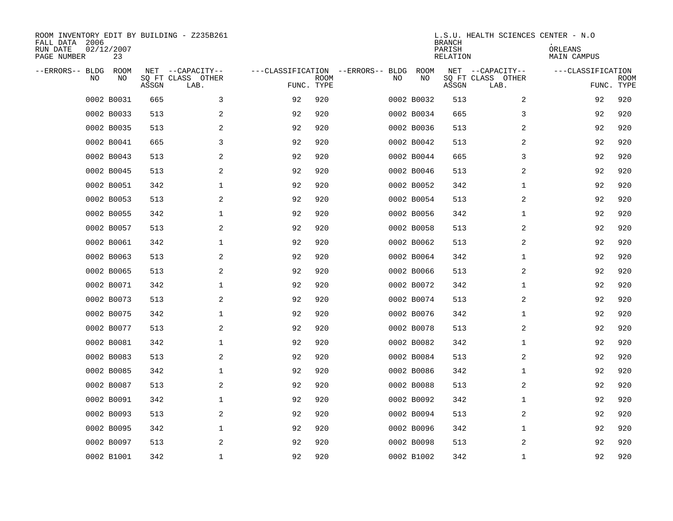| ROOM INVENTORY EDIT BY BUILDING - Z235B261<br>FALL DATA 2006<br>RUN DATE<br>PAGE NUMBER | 02/12/2007<br>23 |       |                                               |                                                 |             |    |                   | <b>BRANCH</b><br>PARISH<br><b>RELATION</b> | L.S.U. HEALTH SCIENCES CENTER - N.O           | ORLEANS<br>MAIN CAMPUS |                           |
|-----------------------------------------------------------------------------------------|------------------|-------|-----------------------------------------------|-------------------------------------------------|-------------|----|-------------------|--------------------------------------------|-----------------------------------------------|------------------------|---------------------------|
| --ERRORS-- BLDG<br>NO.                                                                  | ROOM<br>NO       | ASSGN | NET --CAPACITY--<br>SQ FT CLASS OTHER<br>LAB. | ---CLASSIFICATION --ERRORS-- BLDG<br>FUNC. TYPE | <b>ROOM</b> | NO | <b>ROOM</b><br>NO | ASSGN                                      | NET --CAPACITY--<br>SQ FT CLASS OTHER<br>LAB. | ---CLASSIFICATION      | <b>ROOM</b><br>FUNC. TYPE |
|                                                                                         | 0002 B0031       | 665   | 3                                             | 92                                              | 920         |    | 0002 B0032        | 513                                        | 2                                             | 92                     | 920                       |
|                                                                                         | 0002 B0033       | 513   | 2                                             | 92                                              | 920         |    | 0002 B0034        | 665                                        | 3                                             | 92                     | 920                       |
|                                                                                         | 0002 B0035       | 513   | 2                                             | 92                                              | 920         |    | 0002 B0036        | 513                                        | 2                                             | 92                     | 920                       |
|                                                                                         | 0002 B0041       | 665   | 3                                             | 92                                              | 920         |    | 0002 B0042        | 513                                        | 2                                             | 92                     | 920                       |
|                                                                                         | 0002 B0043       | 513   | 2                                             | 92                                              | 920         |    | 0002 B0044        | 665                                        | 3                                             | 92                     | 920                       |
|                                                                                         | 0002 B0045       | 513   | 2                                             | 92                                              | 920         |    | 0002 B0046        | 513                                        | 2                                             | 92                     | 920                       |
|                                                                                         | 0002 B0051       | 342   | $\mathbf 1$                                   | 92                                              | 920         |    | 0002 B0052        | 342                                        | $\mathbf{1}$                                  | 92                     | 920                       |
|                                                                                         | 0002 B0053       | 513   | 2                                             | 92                                              | 920         |    | 0002 B0054        | 513                                        | 2                                             | 92                     | 920                       |
|                                                                                         | 0002 B0055       | 342   | $\mathbf 1$                                   | 92                                              | 920         |    | 0002 B0056        | 342                                        | $\mathbf{1}$                                  | 92                     | 920                       |
|                                                                                         | 0002 B0057       | 513   | 2                                             | 92                                              | 920         |    | 0002 B0058        | 513                                        | 2                                             | 92                     | 920                       |
|                                                                                         | 0002 B0061       | 342   | $\mathbf{1}$                                  | 92                                              | 920         |    | 0002 B0062        | 513                                        | 2                                             | 92                     | 920                       |
|                                                                                         | 0002 B0063       | 513   | 2                                             | 92                                              | 920         |    | 0002 B0064        | 342                                        | $\mathbf{1}$                                  | 92                     | 920                       |
|                                                                                         | 0002 B0065       | 513   | 2                                             | 92                                              | 920         |    | 0002 B0066        | 513                                        | 2                                             | 92                     | 920                       |
|                                                                                         | 0002 B0071       | 342   | $\mathbf 1$                                   | 92                                              | 920         |    | 0002 B0072        | 342                                        | $\mathbf{1}$                                  | 92                     | 920                       |
|                                                                                         | 0002 B0073       | 513   | 2                                             | 92                                              | 920         |    | 0002 B0074        | 513                                        | 2                                             | 92                     | 920                       |
|                                                                                         | 0002 B0075       | 342   | $\mathbf 1$                                   | 92                                              | 920         |    | 0002 B0076        | 342                                        | $\mathbf{1}$                                  | 92                     | 920                       |
|                                                                                         | 0002 B0077       | 513   | 2                                             | 92                                              | 920         |    | 0002 B0078        | 513                                        | 2                                             | 92                     | 920                       |
|                                                                                         | 0002 B0081       | 342   | $\mathbf{1}$                                  | 92                                              | 920         |    | 0002 B0082        | 342                                        | $\mathbf{1}$                                  | 92                     | 920                       |
|                                                                                         | 0002 B0083       | 513   | 2                                             | 92                                              | 920         |    | 0002 B0084        | 513                                        | 2                                             | 92                     | 920                       |
|                                                                                         | 0002 B0085       | 342   | $\mathbf 1$                                   | 92                                              | 920         |    | 0002 B0086        | 342                                        | $\mathbf{1}$                                  | 92                     | 920                       |
|                                                                                         | 0002 B0087       | 513   | 2                                             | 92                                              | 920         |    | 0002 B0088        | 513                                        | 2                                             | 92                     | 920                       |
|                                                                                         | 0002 B0091       | 342   | $\mathbf 1$                                   | 92                                              | 920         |    | 0002 B0092        | 342                                        | $\mathbf{1}$                                  | 92                     | 920                       |
|                                                                                         | 0002 B0093       | 513   | 2                                             | 92                                              | 920         |    | 0002 B0094        | 513                                        | 2                                             | 92                     | 920                       |
|                                                                                         | 0002 B0095       | 342   | $\mathbf 1$                                   | 92                                              | 920         |    | 0002 B0096        | 342                                        | $\mathbf{1}$                                  | 92                     | 920                       |
|                                                                                         | 0002 B0097       | 513   | 2                                             | 92                                              | 920         |    | 0002 B0098        | 513                                        | 2                                             | 92                     | 920                       |
|                                                                                         | 0002 B1001       | 342   | $\mathbf 1$                                   | 92                                              | 920         |    | 0002 B1002        | 342                                        | $\mathbf{1}$                                  | 92                     | 920                       |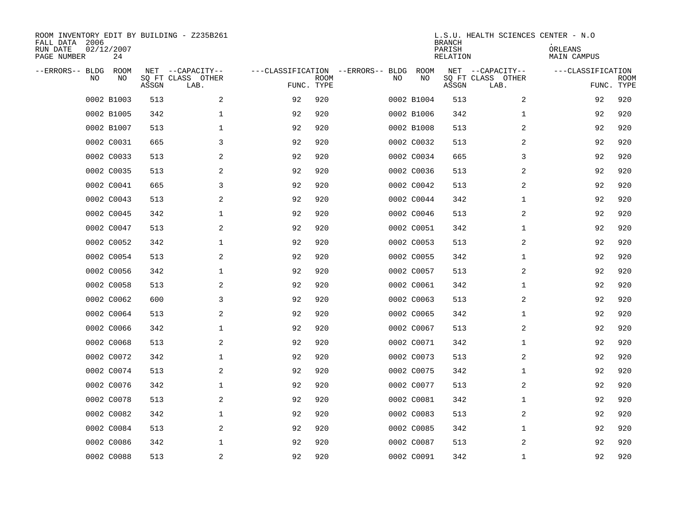| ROOM INVENTORY EDIT BY BUILDING - Z235B261<br>FALL DATA 2006<br>RUN DATE<br>PAGE NUMBER | 02/12/2007<br>24 |       |                                               |                                                 |             |    |                   | <b>BRANCH</b><br>PARISH<br><b>RELATION</b> | L.S.U. HEALTH SCIENCES CENTER - N.O           | ORLEANS<br>MAIN CAMPUS |                           |
|-----------------------------------------------------------------------------------------|------------------|-------|-----------------------------------------------|-------------------------------------------------|-------------|----|-------------------|--------------------------------------------|-----------------------------------------------|------------------------|---------------------------|
| --ERRORS-- BLDG<br>NO.                                                                  | ROOM<br>NO       | ASSGN | NET --CAPACITY--<br>SQ FT CLASS OTHER<br>LAB. | ---CLASSIFICATION --ERRORS-- BLDG<br>FUNC. TYPE | <b>ROOM</b> | NO | <b>ROOM</b><br>NO | ASSGN                                      | NET --CAPACITY--<br>SQ FT CLASS OTHER<br>LAB. | ---CLASSIFICATION      | <b>ROOM</b><br>FUNC. TYPE |
|                                                                                         | 0002 B1003       | 513   | $\overline{a}$                                | 92                                              | 920         |    | 0002 B1004        | 513                                        | 2                                             | 92                     | 920                       |
|                                                                                         | 0002 B1005       | 342   | $\mathbf{1}$                                  | 92                                              | 920         |    | 0002 B1006        | 342                                        | $\mathbf{1}$                                  | 92                     | 920                       |
|                                                                                         | 0002 B1007       | 513   | 1                                             | 92                                              | 920         |    | 0002 B1008        | 513                                        | 2                                             | 92                     | 920                       |
|                                                                                         | 0002 C0031       | 665   | 3                                             | 92                                              | 920         |    | 0002 C0032        | 513                                        | 2                                             | 92                     | 920                       |
|                                                                                         | 0002 C0033       | 513   | 2                                             | 92                                              | 920         |    | 0002 C0034        | 665                                        | 3                                             | 92                     | 920                       |
|                                                                                         | 0002 C0035       | 513   | 2                                             | 92                                              | 920         |    | 0002 C0036        | 513                                        | 2                                             | 92                     | 920                       |
|                                                                                         | 0002 C0041       | 665   | 3                                             | 92                                              | 920         |    | 0002 C0042        | 513                                        | 2                                             | 92                     | 920                       |
|                                                                                         | 0002 C0043       | 513   | 2                                             | 92                                              | 920         |    | 0002 C0044        | 342                                        | $\mathbf{1}$                                  | 92                     | 920                       |
|                                                                                         | 0002 C0045       | 342   | $\mathbf 1$                                   | 92                                              | 920         |    | 0002 C0046        | 513                                        | 2                                             | 92                     | 920                       |
|                                                                                         | 0002 C0047       | 513   | 2                                             | 92                                              | 920         |    | 0002 C0051        | 342                                        | $\mathbf{1}$                                  | 92                     | 920                       |
|                                                                                         | 0002 C0052       | 342   | $\mathbf 1$                                   | 92                                              | 920         |    | 0002 C0053        | 513                                        | 2                                             | 92                     | 920                       |
|                                                                                         | 0002 C0054       | 513   | 2                                             | 92                                              | 920         |    | 0002 C0055        | 342                                        | $\mathbf{1}$                                  | 92                     | 920                       |
|                                                                                         | 0002 C0056       | 342   | $\mathbf 1$                                   | 92                                              | 920         |    | 0002 C0057        | 513                                        | 2                                             | 92                     | 920                       |
|                                                                                         | 0002 C0058       | 513   | 2                                             | 92                                              | 920         |    | 0002 C0061        | 342                                        | $\mathbf{1}$                                  | 92                     | 920                       |
|                                                                                         | 0002 C0062       | 600   | 3                                             | 92                                              | 920         |    | 0002 C0063        | 513                                        | 2                                             | 92                     | 920                       |
|                                                                                         | 0002 C0064       | 513   | 2                                             | 92                                              | 920         |    | 0002 C0065        | 342                                        | $\mathbf{1}$                                  | 92                     | 920                       |
|                                                                                         | 0002 C0066       | 342   | 1                                             | 92                                              | 920         |    | 0002 C0067        | 513                                        | 2                                             | 92                     | 920                       |
|                                                                                         | 0002 C0068       | 513   | $\mathbf{2}$                                  | 92                                              | 920         |    | 0002 C0071        | 342                                        | $\mathbf{1}$                                  | 92                     | 920                       |
|                                                                                         | 0002 C0072       | 342   | $\mathbf{1}$                                  | 92                                              | 920         |    | 0002 C0073        | 513                                        | 2                                             | 92                     | 920                       |
|                                                                                         | 0002 C0074       | 513   | 2                                             | 92                                              | 920         |    | 0002 C0075        | 342                                        | $\mathbf{1}$                                  | 92                     | 920                       |
|                                                                                         | 0002 C0076       | 342   | $\mathbf 1$                                   | 92                                              | 920         |    | 0002 C0077        | 513                                        | 2                                             | 92                     | 920                       |
|                                                                                         | 0002 C0078       | 513   | 2                                             | 92                                              | 920         |    | 0002 C0081        | 342                                        | $\mathbf{1}$                                  | 92                     | 920                       |
|                                                                                         | 0002 C0082       | 342   | $\mathbf 1$                                   | 92                                              | 920         |    | 0002 C0083        | 513                                        | 2                                             | 92                     | 920                       |
|                                                                                         | 0002 C0084       | 513   | 2                                             | 92                                              | 920         |    | 0002 C0085        | 342                                        | $\mathbf{1}$                                  | 92                     | 920                       |
|                                                                                         | 0002 C0086       | 342   | 1                                             | 92                                              | 920         |    | 0002 C0087        | 513                                        | 2                                             | 92                     | 920                       |
|                                                                                         | 0002 C0088       | 513   | 2                                             | 92                                              | 920         |    | 0002 C0091        | 342                                        | $\mathbf{1}$                                  | 92                     | 920                       |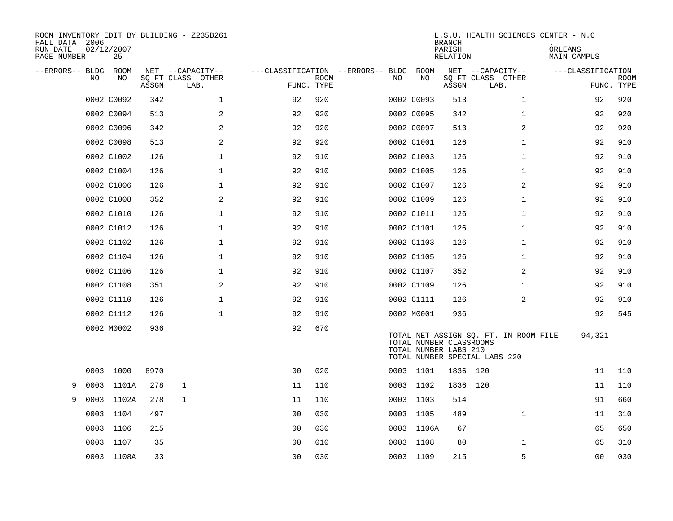| FALL DATA 2006<br>RUN DATE<br>PAGE NUMBER |           | 02/12/2007<br>25 |       | ROOM INVENTORY EDIT BY BUILDING - Z235B261 |                                   |             |      |            | <b>BRANCH</b><br>PARISH<br>RELATION              | L.S.U. HEALTH SCIENCES CENTER - N.O                                    | ORLEANS<br>MAIN CAMPUS |                           |
|-------------------------------------------|-----------|------------------|-------|--------------------------------------------|-----------------------------------|-------------|------|------------|--------------------------------------------------|------------------------------------------------------------------------|------------------------|---------------------------|
| --ERRORS-- BLDG ROOM                      |           |                  |       | NET --CAPACITY--                           | ---CLASSIFICATION --ERRORS-- BLDG |             |      | ROOM       |                                                  | NET --CAPACITY--                                                       | ---CLASSIFICATION      |                           |
|                                           | <b>NO</b> | NO.              | ASSGN | SO FT CLASS OTHER<br>LAB.                  | FUNC. TYPE                        | <b>ROOM</b> | NO.  | NO         | ASSGN                                            | SQ FT CLASS OTHER<br>LAB.                                              |                        | <b>ROOM</b><br>FUNC. TYPE |
|                                           |           | 0002 C0092       | 342   | $\mathbf 1$                                | 92                                | 920         |      | 0002 C0093 | 513                                              | $\mathbf{1}$                                                           | 92                     | 920                       |
|                                           |           | 0002 C0094       | 513   | 2                                          | 92                                | 920         |      | 0002 C0095 | 342                                              | $\mathbf{1}$                                                           | 92                     | 920                       |
|                                           |           | 0002 C0096       | 342   | 2                                          | 92                                | 920         |      | 0002 C0097 | 513                                              | 2                                                                      | 92                     | 920                       |
|                                           |           | 0002 C0098       | 513   | $\overline{a}$                             | 92                                | 920         |      | 0002 C1001 | 126                                              | $\mathbf{1}$                                                           | 92                     | 910                       |
|                                           |           | 0002 C1002       | 126   | $\mathbf 1$                                | 92                                | 910         |      | 0002 C1003 | 126                                              | $\mathbf{1}$                                                           | 92                     | 910                       |
|                                           |           | 0002 C1004       | 126   | $\mathbf 1$                                | 92                                | 910         |      | 0002 C1005 | 126                                              | $\mathbf{1}$                                                           | 92                     | 910                       |
|                                           |           | 0002 C1006       | 126   | $\mathbf 1$                                | 92                                | 910         |      | 0002 C1007 | 126                                              | $\overline{a}$                                                         | 92                     | 910                       |
|                                           |           | 0002 C1008       | 352   | 2                                          | 92                                | 910         |      | 0002 C1009 | 126                                              | $\mathbf{1}$                                                           | 92                     | 910                       |
|                                           |           | 0002 C1010       | 126   | $\mathbf{1}$                               | 92                                | 910         |      | 0002 C1011 | 126                                              | $\mathbf{1}$                                                           | 92                     | 910                       |
|                                           |           | 0002 C1012       | 126   | $\mathbf 1$                                | 92                                | 910         |      | 0002 C1101 | 126                                              | $\mathbf{1}$                                                           | 92                     | 910                       |
|                                           |           | 0002 C1102       | 126   | $\mathbf 1$                                | 92                                | 910         |      | 0002 C1103 | 126                                              | $\mathbf{1}$                                                           | 92                     | 910                       |
|                                           |           | 0002 C1104       | 126   | $\mathbf{1}$                               | 92                                | 910         |      | 0002 C1105 | 126                                              | $\mathbf{1}$                                                           | 92                     | 910                       |
|                                           |           | 0002 C1106       | 126   | $\mathbf{1}$                               | 92                                | 910         |      | 0002 C1107 | 352                                              | 2                                                                      | 92                     | 910                       |
|                                           |           | 0002 C1108       | 351   | 2                                          | 92                                | 910         |      | 0002 C1109 | 126                                              | $\mathbf{1}$                                                           | 92                     | 910                       |
|                                           |           | 0002 C1110       | 126   | $\mathbf 1$                                | 92                                | 910         |      | 0002 C1111 | 126                                              | 2                                                                      | 92                     | 910                       |
|                                           |           | 0002 C1112       | 126   | $\mathbf 1$                                | 92                                | 910         |      | 0002 M0001 | 936                                              |                                                                        | 92                     | 545                       |
|                                           |           | 0002 M0002       | 936   |                                            | 92                                | 670         |      |            | TOTAL NUMBER CLASSROOMS<br>TOTAL NUMBER LABS 210 | TOTAL NET ASSIGN SQ. FT. IN ROOM FILE<br>TOTAL NUMBER SPECIAL LABS 220 | 94,321                 |                           |
|                                           |           | 0003 1000        | 8970  |                                            | 0 <sub>0</sub>                    | 020         |      | 0003 1101  |                                                  | 1836 120                                                               | 11                     | 110                       |
| 9                                         | 0003      | 1101A            | 278   | $\mathbf{1}$                               | 11                                | 110         |      | 0003 1102  |                                                  | 1836 120                                                               | 11                     | 110                       |
| 9                                         | 0003      | 1102A            | 278   | $\mathbf{1}$                               | 11                                | 110         |      | 0003 1103  | 514                                              |                                                                        | 91                     | 660                       |
|                                           |           | 0003 1104        | 497   |                                            | 0 <sub>0</sub>                    | 030         |      | 0003 1105  | 489                                              | $\mathbf{1}$                                                           | 11                     | 310                       |
|                                           | 0003      | 1106             | 215   |                                            | 0 <sub>0</sub>                    | 030         |      | 0003 1106A | 67                                               |                                                                        | 65                     | 650                       |
|                                           |           | 0003 1107        | 35    |                                            | 0 <sub>0</sub>                    | 010         | 0003 | 1108       | 80                                               | $\mathbf{1}$                                                           | 65                     | 310                       |
|                                           |           | 0003 1108A       | 33    |                                            | 0 <sub>0</sub>                    | 030         |      | 0003 1109  | 215                                              | 5                                                                      | 0 <sub>0</sub>         | 030                       |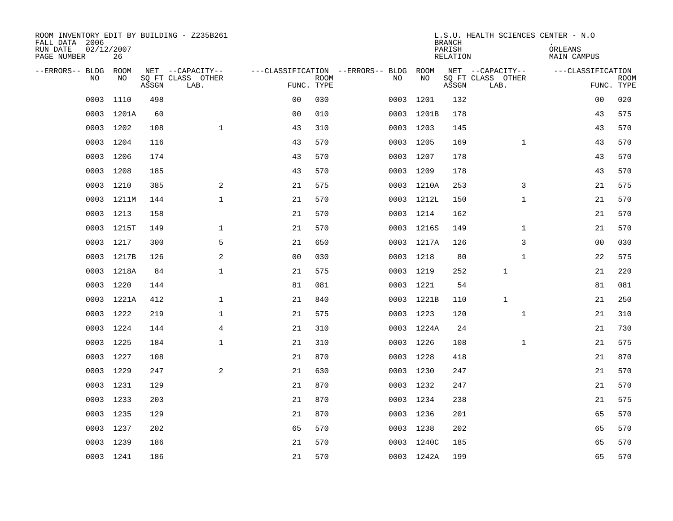| ROOM INVENTORY EDIT BY BUILDING - Z235B261<br>FALL DATA 2006<br>RUN DATE<br>PAGE NUMBER | 02/12/2007<br>26 |       |                                               |                                                      |             |     |            | <b>BRANCH</b><br>PARISH<br>RELATION | L.S.U. HEALTH SCIENCES CENTER - N.O           | ORLEANS<br>MAIN CAMPUS |                           |
|-----------------------------------------------------------------------------------------|------------------|-------|-----------------------------------------------|------------------------------------------------------|-------------|-----|------------|-------------------------------------|-----------------------------------------------|------------------------|---------------------------|
| --ERRORS-- BLDG ROOM<br>NO.                                                             | NO.              | ASSGN | NET --CAPACITY--<br>SQ FT CLASS OTHER<br>LAB. | ---CLASSIFICATION --ERRORS-- BLDG ROOM<br>FUNC. TYPE | <b>ROOM</b> | NO. | NO         | ASSGN                               | NET --CAPACITY--<br>SQ FT CLASS OTHER<br>LAB. | ---CLASSIFICATION      | <b>ROOM</b><br>FUNC. TYPE |
| 0003                                                                                    | 1110             | 498   |                                               | 0 <sub>0</sub>                                       | 030         |     | 0003 1201  | 132                                 |                                               | 0 <sub>0</sub>         | 020                       |
|                                                                                         | 0003 1201A       | 60    |                                               | 0 <sub>0</sub>                                       | 010         |     | 0003 1201B | 178                                 |                                               | 43                     | 575                       |
|                                                                                         | 0003 1202        | 108   | $\mathbf 1$                                   | 43                                                   | 310         |     | 0003 1203  | 145                                 |                                               | 43                     | 570                       |
|                                                                                         | 0003 1204        | 116   |                                               | 43                                                   | 570         |     | 0003 1205  | 169                                 | $\mathbf{1}$                                  | 43                     | 570                       |
| 0003                                                                                    | 1206             | 174   |                                               | 43                                                   | 570         |     | 0003 1207  | 178                                 |                                               | 43                     | 570                       |
|                                                                                         | 0003 1208        | 185   |                                               | 43                                                   | 570         |     | 0003 1209  | 178                                 |                                               | 43                     | 570                       |
| 0003                                                                                    | 1210             | 385   | $\mathbf{2}$                                  | 21                                                   | 575         |     | 0003 1210A | 253                                 | 3                                             | 21                     | 575                       |
|                                                                                         | 0003 1211M       | 144   | $\mathbf 1$                                   | 21                                                   | 570         |     | 0003 1212L | 150                                 | $\mathbf{1}$                                  | 21                     | 570                       |
| 0003                                                                                    | 1213             | 158   |                                               | 21                                                   | 570         |     | 0003 1214  | 162                                 |                                               | 21                     | 570                       |
|                                                                                         | 0003 1215T       | 149   | $\mathbf{1}$                                  | 21                                                   | 570         |     | 0003 1216S | 149                                 | $\mathbf{1}$                                  | 21                     | 570                       |
| 0003                                                                                    | 1217             | 300   | 5                                             | 21                                                   | 650         |     | 0003 1217A | 126                                 | 3                                             | 0 <sub>0</sub>         | 030                       |
|                                                                                         | 0003 1217B       | 126   | 2                                             | 0 <sub>0</sub>                                       | 030         |     | 0003 1218  | 80                                  | $\mathbf{1}$                                  | 22                     | 575                       |
| 0003                                                                                    | 1218A            | 84    | $\mathbf{1}$                                  | 21                                                   | 575         |     | 0003 1219  | 252                                 | 1                                             | 21                     | 220                       |
|                                                                                         | 0003 1220        | 144   |                                               | 81                                                   | 081         |     | 0003 1221  | 54                                  |                                               | 81                     | 081                       |
|                                                                                         | 0003 1221A       | 412   | $\mathbf 1$                                   | 21                                                   | 840         |     | 0003 1221B | 110                                 | $\mathbf{1}$                                  | 21                     | 250                       |
|                                                                                         | 0003 1222        | 219   | $\mathbf{1}$                                  | 21                                                   | 575         |     | 0003 1223  | 120                                 | $\mathbf{1}$                                  | 21                     | 310                       |
|                                                                                         | 0003 1224        | 144   | 4                                             | 21                                                   | 310         |     | 0003 1224A | 24                                  |                                               | 21                     | 730                       |
|                                                                                         | 0003 1225        | 184   | $\mathbf 1$                                   | 21                                                   | 310         |     | 0003 1226  | 108                                 | $\mathbf{1}$                                  | 21                     | 575                       |
|                                                                                         | 0003 1227        | 108   |                                               | 21                                                   | 870         |     | 0003 1228  | 418                                 |                                               | 21                     | 870                       |
|                                                                                         | 0003 1229        | 247   | 2                                             | 21                                                   | 630         |     | 0003 1230  | 247                                 |                                               | 21                     | 570                       |
|                                                                                         | 0003 1231        | 129   |                                               | 21                                                   | 870         |     | 0003 1232  | 247                                 |                                               | 21                     | 570                       |
|                                                                                         | 0003 1233        | 203   |                                               | 21                                                   | 870         |     | 0003 1234  | 238                                 |                                               | 21                     | 575                       |
|                                                                                         | 0003 1235        | 129   |                                               | 21                                                   | 870         |     | 0003 1236  | 201                                 |                                               | 65                     | 570                       |
| 0003                                                                                    | 1237             | 202   |                                               | 65                                                   | 570         |     | 0003 1238  | 202                                 |                                               | 65                     | 570                       |
|                                                                                         | 0003 1239        | 186   |                                               | 21                                                   | 570         |     | 0003 1240C | 185                                 |                                               | 65                     | 570                       |
|                                                                                         | 0003 1241        | 186   |                                               | 21                                                   | 570         |     | 0003 1242A | 199                                 |                                               | 65                     | 570                       |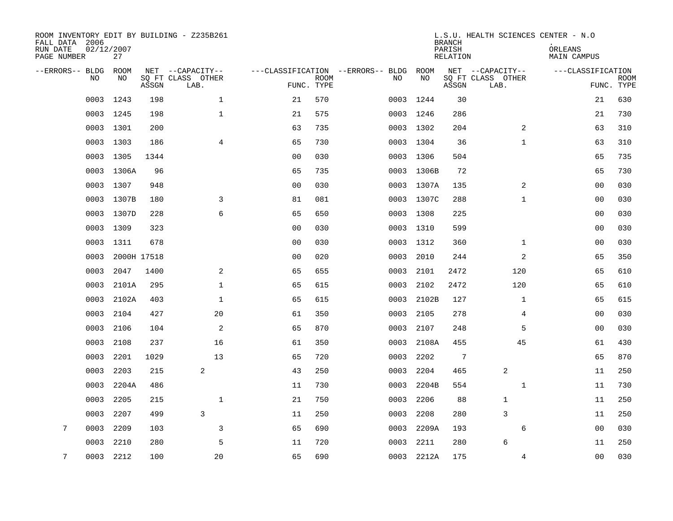| ROOM INVENTORY EDIT BY BUILDING - Z235B261<br>FALL DATA 2006<br>RUN DATE<br>PAGE NUMBER | 02/12/2007<br>27 |             |                                               |                |             |                                          |            | <b>BRANCH</b><br>PARISH<br><b>RELATION</b> | L.S.U. HEALTH SCIENCES CENTER - N.O           | ORLEANS<br><b>MAIN CAMPUS</b> |                           |
|-----------------------------------------------------------------------------------------|------------------|-------------|-----------------------------------------------|----------------|-------------|------------------------------------------|------------|--------------------------------------------|-----------------------------------------------|-------------------------------|---------------------------|
| --ERRORS-- BLDG<br><b>NO</b>                                                            | ROOM<br>NO.      | ASSGN       | NET --CAPACITY--<br>SQ FT CLASS OTHER<br>LAB. | FUNC. TYPE     | <b>ROOM</b> | ---CLASSIFICATION --ERRORS-- BLDG<br>NO. | ROOM<br>NO | ASSGN                                      | NET --CAPACITY--<br>SQ FT CLASS OTHER<br>LAB. | ---CLASSIFICATION             | <b>ROOM</b><br>FUNC. TYPE |
| 0003                                                                                    | 1243             | 198         | $\mathbf 1$                                   | 21             | 570         | 0003                                     | 1244       | 30                                         |                                               | 21                            | 630                       |
|                                                                                         | 0003 1245        | 198         | $\mathbf 1$                                   | 21             | 575         |                                          | 0003 1246  | 286                                        |                                               | 21                            | 730                       |
|                                                                                         | 0003 1301        | 200         |                                               | 63             | 735         |                                          | 0003 1302  | 204                                        | $\overline{2}$                                | 63                            | 310                       |
|                                                                                         | 0003 1303        | 186         | 4                                             | 65             | 730         |                                          | 0003 1304  | 36                                         | $\mathbf{1}$                                  | 63                            | 310                       |
| 0003                                                                                    | 1305             | 1344        |                                               | 00             | 030         | 0003                                     | 1306       | 504                                        |                                               | 65                            | 735                       |
|                                                                                         | 0003 1306A       | 96          |                                               | 65             | 735         |                                          | 0003 1306B | 72                                         |                                               | 65                            | 730                       |
| 0003                                                                                    | 1307             | 948         |                                               | 0 <sub>0</sub> | 030         |                                          | 0003 1307A | 135                                        | 2                                             | 0 <sub>0</sub>                | 030                       |
| 0003                                                                                    | 1307B            | 180         | 3                                             | 81             | 081         |                                          | 0003 1307C | 288                                        | $\mathbf{1}$                                  | 00                            | 030                       |
| 0003                                                                                    | 1307D            | 228         | 6                                             | 65             | 650         | 0003                                     | 1308       | 225                                        |                                               | 00                            | 030                       |
| 0003                                                                                    | 1309             | 323         |                                               | 0 <sub>0</sub> | 030         |                                          | 0003 1310  | 599                                        |                                               | 0 <sub>0</sub>                | 030                       |
| 0003                                                                                    | 1311             | 678         |                                               | 0 <sub>0</sub> | 030         | 0003                                     | 1312       | 360                                        | $\mathbf{1}$                                  | 00                            | 030                       |
| 0003                                                                                    |                  | 2000H 17518 |                                               | 0 <sub>0</sub> | 020         | 0003                                     | 2010       | 244                                        | 2                                             | 65                            | 350                       |
| 0003                                                                                    | 2047             | 1400        | 2                                             | 65             | 655         | 0003                                     | 2101       | 2472                                       | 120                                           | 65                            | 610                       |
| 0003                                                                                    | 2101A            | 295         | $\mathbf 1$                                   | 65             | 615         | 0003                                     | 2102       | 2472                                       | 120                                           | 65                            | 610                       |
| 0003                                                                                    | 2102A            | 403         | $\mathbf{1}$                                  | 65             | 615         | 0003                                     | 2102B      | 127                                        | $\mathbf{1}$                                  | 65                            | 615                       |
| 0003                                                                                    | 2104             | 427         | 20                                            | 61             | 350         | 0003                                     | 2105       | 278                                        | 4                                             | 0 <sub>0</sub>                | 030                       |
| 0003                                                                                    | 2106             | 104         | 2                                             | 65             | 870         | 0003                                     | 2107       | 248                                        | 5                                             | 00                            | 030                       |
| 0003                                                                                    | 2108             | 237         | 16                                            | 61             | 350         | 0003                                     | 2108A      | 455                                        | 45                                            | 61                            | 430                       |
| 0003                                                                                    | 2201             | 1029        | 13                                            | 65             | 720         | 0003                                     | 2202       | 7                                          |                                               | 65                            | 870                       |
| 0003                                                                                    | 2203             | 215         | 2                                             | 43             | 250         | 0003                                     | 2204       | 465                                        | 2                                             | 11                            | 250                       |
| 0003                                                                                    | 2204A            | 486         |                                               | 11             | 730         | 0003                                     | 2204B      | 554                                        | $\mathbf{1}$                                  | 11                            | 730                       |
| 0003                                                                                    | 2205             | 215         | $\mathbf{1}$                                  | 21             | 750         | 0003                                     | 2206       | 88                                         | 1                                             | 11                            | 250                       |
| 0003                                                                                    | 2207             | 499         | $\overline{3}$                                | 11             | 250         | 0003                                     | 2208       | 280                                        | $\overline{3}$                                | 11                            | 250                       |
| 7<br>0003                                                                               | 2209             | 103         | 3                                             | 65             | 690         | 0003                                     | 2209A      | 193                                        | 6                                             | 0 <sub>0</sub>                | 030                       |
| 0003                                                                                    | 2210             | 280         | 5                                             | 11             | 720         | 0003                                     | 2211       | 280                                        | $\epsilon$                                    | 11                            | 250                       |
| 7                                                                                       | 0003 2212        | 100         | 20                                            | 65             | 690         |                                          | 0003 2212A | 175                                        | 4                                             | 0 <sub>0</sub>                | 030                       |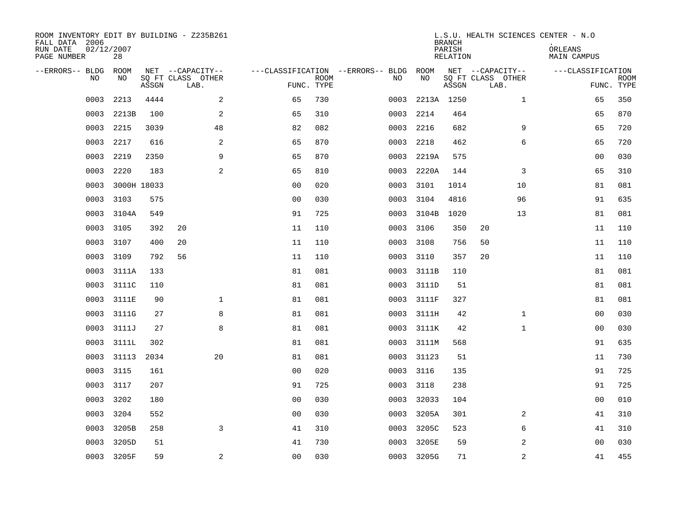| ROOM INVENTORY EDIT BY BUILDING - Z235B261<br>FALL DATA 2006<br>02/12/2007<br>RUN DATE<br>PAGE NUMBER | 28          |       |                                               |                |             |                                               |            | <b>BRANCH</b><br>PARISH<br>RELATION | L.S.U. HEALTH SCIENCES CENTER - N.O           | ORLEANS<br>MAIN CAMPUS |                           |
|-------------------------------------------------------------------------------------------------------|-------------|-------|-----------------------------------------------|----------------|-------------|-----------------------------------------------|------------|-------------------------------------|-----------------------------------------------|------------------------|---------------------------|
| --ERRORS-- BLDG ROOM<br>NO.                                                                           | NO.         | ASSGN | NET --CAPACITY--<br>SQ FT CLASS OTHER<br>LAB. | FUNC. TYPE     | <b>ROOM</b> | ---CLASSIFICATION --ERRORS-- BLDG ROOM<br>NO. | NO         | ASSGN                               | NET --CAPACITY--<br>SQ FT CLASS OTHER<br>LAB. | ---CLASSIFICATION      | <b>ROOM</b><br>FUNC. TYPE |
| 0003                                                                                                  | 2213        | 4444  | 2                                             | 65             | 730         | 0003                                          |            | 2213A 1250                          | $\mathbf{1}$                                  | 65                     | 350                       |
| 0003                                                                                                  | 2213B       | 100   | $\overline{a}$                                | 65             | 310         | 0003                                          | 2214       | 464                                 |                                               | 65                     | 870                       |
| 0003                                                                                                  | 2215        | 3039  | 48                                            | 82             | 082         | 0003                                          | 2216       | 682                                 | 9                                             | 65                     | 720                       |
| 0003                                                                                                  | 2217        | 616   | 2                                             | 65             | 870         | 0003                                          | 2218       | 462                                 | 6                                             | 65                     | 720                       |
| 0003                                                                                                  | 2219        | 2350  | 9                                             | 65             | 870         | 0003                                          | 2219A      | 575                                 |                                               | 0 <sub>0</sub>         | 030                       |
| 0003                                                                                                  | 2220        | 183   | $\overline{a}$                                | 65             | 810         | 0003                                          | 2220A      | 144                                 | 3                                             | 65                     | 310                       |
| 0003                                                                                                  | 3000H 18033 |       |                                               | 0 <sub>0</sub> | 020         | 0003                                          | 3101       | 1014                                | 10                                            | 81                     | 081                       |
| 0003                                                                                                  | 3103        | 575   |                                               | 0 <sub>0</sub> | 030         | 0003                                          | 3104       | 4816                                | 96                                            | 91                     | 635                       |
| 0003                                                                                                  | 3104A       | 549   |                                               | 91             | 725         | 0003                                          | 3104B      | 1020                                | 13                                            | 81                     | 081                       |
| 0003                                                                                                  | 3105        | 392   | 20                                            | 11             | 110         |                                               | 0003 3106  | 350                                 | 20                                            | 11                     | 110                       |
| 0003                                                                                                  | 3107        | 400   | 20                                            | 11             | 110         | 0003                                          | 3108       | 756                                 | 50                                            | 11                     | 110                       |
| 0003                                                                                                  | 3109        | 792   | 56                                            | 11             | 110         |                                               | 0003 3110  | 357                                 | 20                                            | 11                     | 110                       |
| 0003                                                                                                  | 3111A       | 133   |                                               | 81             | 081         | 0003                                          | 3111B      | 110                                 |                                               | 81                     | 081                       |
| 0003                                                                                                  | 3111C       | 110   |                                               | 81             | 081         | 0003                                          | 3111D      | 51                                  |                                               | 81                     | 081                       |
| 0003                                                                                                  | 3111E       | 90    | $\mathbf 1$                                   | 81             | 081         |                                               | 0003 3111F | 327                                 |                                               | 81                     | 081                       |
| 0003                                                                                                  | 3111G       | 27    | 8                                             | 81             | 081         |                                               | 0003 3111H | 42                                  | $\mathbf{1}$                                  | 00                     | 030                       |
| 0003                                                                                                  | 3111J       | 27    | 8                                             | 81             | 081         |                                               | 0003 3111K | 42                                  | $\mathbf{1}$                                  | 0 <sub>0</sub>         | 030                       |
| 0003                                                                                                  | 3111L       | 302   |                                               | 81             | 081         |                                               | 0003 3111M | 568                                 |                                               | 91                     | 635                       |
| 0003                                                                                                  | 31113       | 2034  | 20                                            | 81             | 081         |                                               | 0003 31123 | 51                                  |                                               | 11                     | 730                       |
| 0003                                                                                                  | 3115        | 161   |                                               | 0 <sub>0</sub> | 020         |                                               | 0003 3116  | 135                                 |                                               | 91                     | 725                       |
| 0003                                                                                                  | 3117        | 207   |                                               | 91             | 725         |                                               | 0003 3118  | 238                                 |                                               | 91                     | 725                       |
| 0003                                                                                                  | 3202        | 180   |                                               | 00             | 030         | 0003                                          | 32033      | 104                                 |                                               | 0 <sub>0</sub>         | 010                       |
| 0003                                                                                                  | 3204        | 552   |                                               | 0 <sub>0</sub> | 030         | 0003                                          | 3205A      | 301                                 | 2                                             | 41                     | 310                       |
| 0003                                                                                                  | 3205B       | 258   | 3                                             | 41             | 310         | 0003                                          | 3205C      | 523                                 | 6                                             | 41                     | 310                       |
| 0003                                                                                                  | 3205D       | 51    |                                               | 41             | 730         | 0003                                          | 3205E      | 59                                  | 2                                             | 0 <sub>0</sub>         | 030                       |
|                                                                                                       | 0003 3205F  | 59    | 2                                             | 0 <sub>0</sub> | 030         |                                               | 0003 3205G | 71                                  | 2                                             | 41                     | 455                       |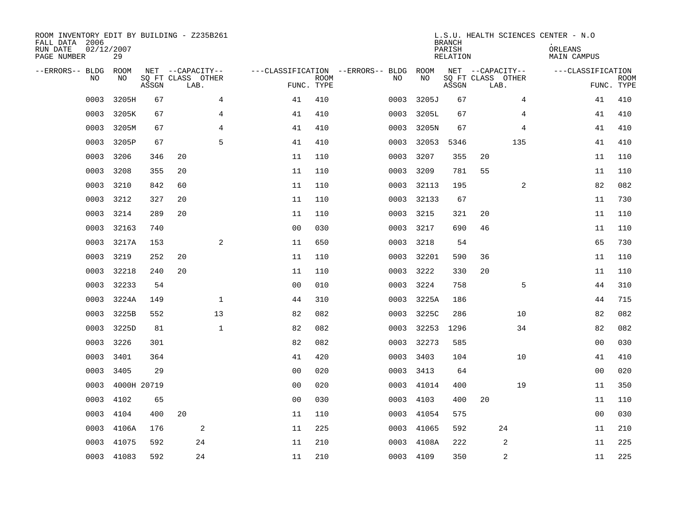| ROOM INVENTORY EDIT BY BUILDING - Z235B261<br>FALL DATA 2006<br>RUN DATE<br>PAGE NUMBER | 02/12/2007<br>29 |             |                           |                |                                        |             |           |       | <b>BRANCH</b><br>PARISH<br>RELATION |    |                           | L.S.U. HEALTH SCIENCES CENTER - N.O<br>ORLEANS<br>MAIN CAMPUS |                           |
|-----------------------------------------------------------------------------------------|------------------|-------------|---------------------------|----------------|----------------------------------------|-------------|-----------|-------|-------------------------------------|----|---------------------------|---------------------------------------------------------------|---------------------------|
| --ERRORS-- BLDG ROOM                                                                    |                  |             | NET --CAPACITY--          |                | ---CLASSIFICATION --ERRORS-- BLDG ROOM |             |           |       |                                     |    | NET --CAPACITY--          | ---CLASSIFICATION                                             |                           |
| NO.                                                                                     | NO.              | ASSGN       | SQ FT CLASS OTHER<br>LAB. |                | FUNC. TYPE                             | <b>ROOM</b> | NO.       | NO    | ASSGN                               |    | SQ FT CLASS OTHER<br>LAB. |                                                               | <b>ROOM</b><br>FUNC. TYPE |
| 0003                                                                                    | 3205H            | 67          |                           | $\overline{4}$ | 41                                     | 410         | 0003      | 3205J | 67                                  |    | $\overline{4}$            | 41                                                            | 410                       |
| 0003                                                                                    | 3205K            | 67          |                           | $\overline{4}$ | 41                                     | 410         | 0003      | 3205L | 67                                  |    | $\overline{4}$            | 41                                                            | 410                       |
| 0003                                                                                    | 3205M            | 67          |                           | 4              | 41                                     | 410         | 0003      | 3205N | 67                                  |    | 4                         | 41                                                            | 410                       |
| 0003                                                                                    | 3205P            | 67          |                           | 5              | 41                                     | 410         | 0003      | 32053 | 5346                                |    | 135                       | 41                                                            | 410                       |
| 0003                                                                                    | 3206             | 346         | 20                        |                | 11                                     | 110         | 0003      | 3207  | 355                                 | 20 |                           | 11                                                            | 110                       |
| 0003                                                                                    | 3208             | 355         | 20                        |                | 11                                     | 110         | 0003      | 3209  | 781                                 | 55 |                           | 11                                                            | 110                       |
| 0003                                                                                    | 3210             | 842         | 60                        |                | 11                                     | 110         | 0003      | 32113 | 195                                 |    | 2                         | 82                                                            | 082                       |
| 0003                                                                                    | 3212             | 327         | 20                        |                | 11                                     | 110         | 0003      | 32133 | 67                                  |    |                           | 11                                                            | 730                       |
| 0003                                                                                    | 3214             | 289         | 20                        |                | 11                                     | 110         | 0003      | 3215  | 321                                 | 20 |                           | 11                                                            | 110                       |
| 0003                                                                                    | 32163            | 740         |                           |                | 0 <sub>0</sub>                         | 030         | 0003      | 3217  | 690                                 | 46 |                           | 11                                                            | 110                       |
| 0003                                                                                    | 3217A            | 153         |                           | 2              | 11                                     | 650         | 0003      | 3218  | 54                                  |    |                           | 65                                                            | 730                       |
| 0003                                                                                    | 3219             | 252         | 20                        |                | 11                                     | 110         | 0003      | 32201 | 590                                 | 36 |                           | 11                                                            | 110                       |
| 0003                                                                                    | 32218            | 240         | 20                        |                | 11                                     | 110         | 0003      | 3222  | 330                                 | 20 |                           | 11                                                            | 110                       |
| 0003                                                                                    | 32233            | 54          |                           |                | 0 <sub>0</sub>                         | 010         | 0003      | 3224  | 758                                 |    | 5                         | 44                                                            | 310                       |
| 0003                                                                                    | 3224A            | 149         |                           | $\mathbf 1$    | 44                                     | 310         | 0003      | 3225A | 186                                 |    |                           | 44                                                            | 715                       |
| 0003                                                                                    | 3225B            | 552         |                           | 13             | 82                                     | 082         | 0003      | 3225C | 286                                 |    | 10                        | 82                                                            | 082                       |
| 0003                                                                                    | 3225D            | 81          |                           | $\mathbf 1$    | 82                                     | 082         | 0003      | 32253 | 1296                                |    | 34                        | 82                                                            | 082                       |
| 0003                                                                                    | 3226             | 301         |                           |                | 82                                     | 082         | 0003      | 32273 | 585                                 |    |                           | 00                                                            | 030                       |
| 0003                                                                                    | 3401             | 364         |                           |                | 41                                     | 420         | 0003      | 3403  | 104                                 |    | 10                        | 41                                                            | 410                       |
| 0003                                                                                    | 3405             | 29          |                           |                | 0 <sub>0</sub>                         | 020         | 0003 3413 |       | 64                                  |    |                           | 0 <sub>0</sub>                                                | 020                       |
| 0003                                                                                    |                  | 4000H 20719 |                           |                | 0 <sub>0</sub>                         | 020         | 0003      | 41014 | 400                                 |    | 19                        | 11                                                            | 350                       |
| 0003                                                                                    | 4102             | 65          |                           |                | 0 <sub>0</sub>                         | 030         | 0003      | 4103  | 400                                 | 20 |                           | 11                                                            | 110                       |
| 0003                                                                                    | 4104             | 400         | 20                        |                | 11                                     | 110         | 0003      | 41054 | 575                                 |    |                           | 00                                                            | 030                       |
| 0003                                                                                    | 4106A            | 176         | 2                         |                | 11                                     | 225         | 0003      | 41065 | 592                                 |    | 24                        | 11                                                            | 210                       |
| 0003                                                                                    | 41075            | 592         | 24                        |                | 11                                     | 210         | 0003      | 4108A | 222                                 |    | 2                         | 11                                                            | 225                       |
|                                                                                         | 0003 41083       | 592         | 24                        |                | 11                                     | 210         | 0003 4109 |       | 350                                 |    | $\sqrt{2}$                | 11                                                            | 225                       |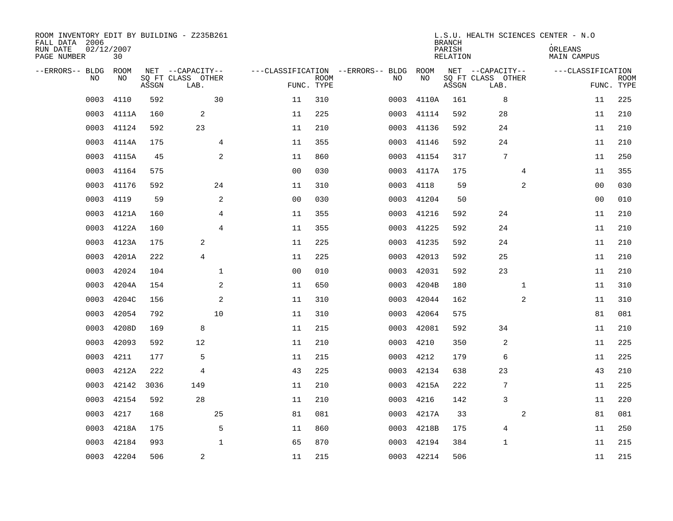| ROOM INVENTORY EDIT BY BUILDING - Z235B261<br>FALL DATA 2006<br>RUN DATE<br>PAGE NUMBER | 02/12/2007<br>30 |       |                                               |                |                           |                                         |            | <b>BRANCH</b><br>PARISH<br><b>RELATION</b> | L.S.U. HEALTH SCIENCES CENTER - N.O           | ORLEANS<br>MAIN CAMPUS |                           |
|-----------------------------------------------------------------------------------------|------------------|-------|-----------------------------------------------|----------------|---------------------------|-----------------------------------------|------------|--------------------------------------------|-----------------------------------------------|------------------------|---------------------------|
| --ERRORS-- BLDG<br>NO                                                                   | ROOM<br>NO       | ASSGN | NET --CAPACITY--<br>SQ FT CLASS OTHER<br>LAB. |                | <b>ROOM</b><br>FUNC. TYPE | ---CLASSIFICATION --ERRORS-- BLDG<br>NO | ROOM<br>NO | ASSGN                                      | NET --CAPACITY--<br>SQ FT CLASS OTHER<br>LAB. | ---CLASSIFICATION      | <b>ROOM</b><br>FUNC. TYPE |
| 0003                                                                                    | 4110             | 592   | 30                                            | 11             | 310                       | 0003                                    | 4110A      | 161                                        | 8                                             | 11                     | 225                       |
| 0003                                                                                    | 4111A            | 160   | 2                                             | 11             | 225                       | 0003                                    | 41114      | 592                                        | 28                                            | 11                     | 210                       |
| 0003                                                                                    | 41124            | 592   | 23                                            | 11             | 210                       | 0003                                    | 41136      | 592                                        | 24                                            | 11                     | 210                       |
| 0003                                                                                    | 4114A            | 175   | 4                                             | 11             | 355                       | 0003                                    | 41146      | 592                                        | 24                                            | 11                     | 210                       |
| 0003                                                                                    | 4115A            | 45    | 2                                             | 11             | 860                       | 0003                                    | 41154      | 317                                        | $7\phantom{.0}$                               | 11                     | 250                       |
| 0003                                                                                    | 41164            | 575   |                                               | 0 <sub>0</sub> | 030                       | 0003                                    | 4117A      | 175                                        | 4                                             | 11                     | 355                       |
| 0003                                                                                    | 41176            | 592   | 24                                            | 11             | 310                       | 0003                                    | 4118       | 59                                         | 2                                             | 0 <sub>0</sub>         | 030                       |
| 0003                                                                                    | 4119             | 59    | 2                                             | 0 <sub>0</sub> | 030                       | 0003                                    | 41204      | 50                                         |                                               | 00                     | 010                       |
| 0003                                                                                    | 4121A            | 160   | 4                                             | 11             | 355                       | 0003                                    | 41216      | 592                                        | 24                                            | 11                     | 210                       |
| 0003                                                                                    | 4122A            | 160   |                                               | 4<br>11        | 355                       | 0003                                    | 41225      | 592                                        | 24                                            | 11                     | 210                       |
| 0003                                                                                    | 4123A            | 175   | 2                                             | 11             | 225                       | 0003                                    | 41235      | 592                                        | 24                                            | 11                     | 210                       |
| 0003                                                                                    | 4201A            | 222   | 4                                             | 11             | 225                       | 0003                                    | 42013      | 592                                        | 25                                            | 11                     | 210                       |
| 0003                                                                                    | 42024            | 104   | $\mathbf{1}$                                  | 00             | 010                       | 0003                                    | 42031      | 592                                        | 23                                            | 11                     | 210                       |
| 0003                                                                                    | 4204A            | 154   | $\mathbf{2}$                                  | 11             | 650                       | 0003                                    | 4204B      | 180                                        | $\mathbf{1}$                                  | 11                     | 310                       |
| 0003                                                                                    | 4204C            | 156   | 2                                             | 11             | 310                       | 0003                                    | 42044      | 162                                        | 2                                             | 11                     | 310                       |
| 0003                                                                                    | 42054            | 792   | 10                                            | 11             | 310                       | 0003                                    | 42064      | 575                                        |                                               | 81                     | 081                       |
| 0003                                                                                    | 4208D            | 169   | 8                                             | 11             | 215                       | 0003                                    | 42081      | 592                                        | 34                                            | 11                     | 210                       |
| 0003                                                                                    | 42093            | 592   | 12                                            | 11             | 210                       | 0003                                    | 4210       | 350                                        | 2                                             | 11                     | 225                       |
| 0003                                                                                    | 4211             | 177   | 5                                             | 11             | 215                       | 0003                                    | 4212       | 179                                        | 6                                             | 11                     | 225                       |
| 0003                                                                                    | 4212A            | 222   | $\overline{4}$                                | 43             | 225                       | 0003                                    | 42134      | 638                                        | 23                                            | 43                     | 210                       |
| 0003                                                                                    | 42142            | 3036  | 149                                           | 11             | 210                       | 0003                                    | 4215A      | 222                                        | $\overline{7}$                                | 11                     | 225                       |
| 0003                                                                                    | 42154            | 592   | 28                                            | 11             | 210                       | 0003                                    | 4216       | 142                                        | 3                                             | 11                     | 220                       |
| 0003                                                                                    | 4217             | 168   | 25                                            | 81             | 081                       | 0003                                    | 4217A      | 33                                         | 2                                             | 81                     | 081                       |
| 0003                                                                                    | 4218A            | 175   | 5                                             | 11             | 860                       | 0003                                    | 4218B      | 175                                        | 4                                             | 11                     | 250                       |
| 0003                                                                                    | 42184            | 993   | $\mathbf{1}$                                  | 65             | 870                       | 0003                                    | 42194      | 384                                        | $\mathbf 1$                                   | 11                     | 215                       |
|                                                                                         | 0003 42204       | 506   | 2                                             | 11             | 215                       |                                         | 0003 42214 | 506                                        |                                               | 11                     | 215                       |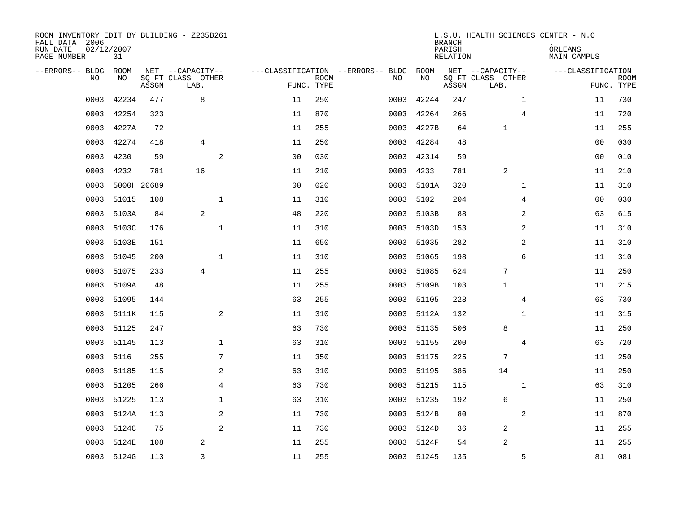| ROOM INVENTORY EDIT BY BUILDING - Z235B261<br>FALL DATA 2006<br>RUN DATE<br>PAGE NUMBER | 02/12/2007<br>31 |             |                           |                |                           |                                   |            | <b>BRANCH</b><br>PARISH<br>RELATION | L.S.U. HEALTH SCIENCES CENTER - N.O | ORLEANS<br>MAIN CAMPUS |                           |
|-----------------------------------------------------------------------------------------|------------------|-------------|---------------------------|----------------|---------------------------|-----------------------------------|------------|-------------------------------------|-------------------------------------|------------------------|---------------------------|
| --ERRORS-- BLDG                                                                         | ROOM             |             | NET --CAPACITY--          |                |                           | ---CLASSIFICATION --ERRORS-- BLDG | ROOM       |                                     | NET --CAPACITY--                    | ---CLASSIFICATION      |                           |
| N <sub>O</sub>                                                                          | NO.              | ASSGN       | SO FT CLASS OTHER<br>LAB. |                | <b>ROOM</b><br>FUNC. TYPE | NO.                               | NO         | ASSGN                               | SQ FT CLASS OTHER<br>LAB.           |                        | <b>ROOM</b><br>FUNC. TYPE |
| 0003                                                                                    | 42234            | 477         | 8                         | 11             | 250                       | 0003                              | 42244      | 247                                 | $\mathbf{1}$                        | 11                     | 730                       |
| 0003                                                                                    | 42254            | 323         |                           | 11             | 870                       | 0003                              | 42264      | 266                                 | $\overline{4}$                      | 11                     | 720                       |
| 0003                                                                                    | 4227A            | 72          |                           | 11             | 255                       | 0003                              | 4227B      | 64                                  | $\mathbf 1$                         | 11                     | 255                       |
| 0003                                                                                    | 42274            | 418         | $\overline{4}$            | 11             | 250                       | 0003                              | 42284      | 48                                  |                                     | 0 <sub>0</sub>         | 030                       |
| 0003                                                                                    | 4230             | 59          | 2                         | 0 <sub>0</sub> | 030                       | 0003                              | 42314      | 59                                  |                                     | 00                     | 010                       |
| 0003                                                                                    | 4232             | 781         | 16                        | 11             | 210                       | 0003                              | 4233       | 781                                 | 2                                   | 11                     | 210                       |
| 0003                                                                                    |                  | 5000H 20689 |                           | 0 <sub>0</sub> | 020                       | 0003                              | 5101A      | 320                                 | $\mathbf{1}$                        | 11                     | 310                       |
| 0003                                                                                    | 51015            | 108         | $\mathbf 1$               | 11             | 310                       | 0003                              | 5102       | 204                                 | $\overline{4}$                      | 0 <sub>0</sub>         | 030                       |
| 0003                                                                                    | 5103A            | 84          | 2                         | 48             | 220                       | 0003                              | 5103B      | 88                                  | 2                                   | 63                     | 615                       |
| 0003                                                                                    | 5103C            | 176         | $\mathbf{1}$              | 11             | 310                       | 0003                              | 5103D      | 153                                 | 2                                   | 11                     | 310                       |
| 0003                                                                                    | 5103E            | 151         |                           | 11             | 650                       | 0003                              | 51035      | 282                                 | 2                                   | 11                     | 310                       |
| 0003                                                                                    | 51045            | 200         | $\mathbf 1$               | 11             | 310                       | 0003                              | 51065      | 198                                 | 6                                   | 11                     | 310                       |
| 0003                                                                                    | 51075            | 233         | $\overline{4}$            | 11             | 255                       | 0003                              | 51085      | 624                                 | $7\phantom{.0}$                     | 11                     | 250                       |
| 0003                                                                                    | 5109A            | 48          |                           | 11             | 255                       | 0003                              | 5109B      | 103                                 | $\mathbf{1}$                        | 11                     | 215                       |
| 0003                                                                                    | 51095            | 144         |                           | 63             | 255                       | 0003                              | 51105      | 228                                 | 4                                   | 63                     | 730                       |
| 0003                                                                                    | 5111K            | 115         | 2                         | 11             | 310                       | 0003                              | 5112A      | 132                                 | $\mathbf{1}$                        | 11                     | 315                       |
| 0003                                                                                    | 51125            | 247         |                           | 63             | 730                       | 0003                              | 51135      | 506                                 | $\,8\,$                             | 11                     | 250                       |
| 0003                                                                                    | 51145            | 113         | $\mathbf 1$               | 63             | 310                       | 0003                              | 51155      | 200                                 | 4                                   | 63                     | 720                       |
| 0003                                                                                    | 5116             | 255         | 7                         | 11             | 350                       | 0003                              | 51175      | 225                                 | $7\phantom{.0}$                     | 11                     | 250                       |
| 0003                                                                                    | 51185            | 115         | $\overline{2}$            | 63             | 310                       | 0003                              | 51195      | 386                                 | 14                                  | 11                     | 250                       |
| 0003                                                                                    | 51205            | 266         | 4                         | 63             | 730                       | 0003                              | 51215      | 115                                 | $\mathbf{1}$                        | 63                     | 310                       |
| 0003                                                                                    | 51225            | 113         | 1                         | 63             | 310                       | 0003                              | 51235      | 192                                 | 6                                   | 11                     | 250                       |
| 0003                                                                                    | 5124A            | 113         | 2                         | 11             | 730                       | 0003                              | 5124B      | 80                                  | 2                                   | 11                     | 870                       |
| 0003                                                                                    | 5124C            | 75          | 2                         | 11             | 730                       | 0003                              | 5124D      | 36                                  | 2                                   | 11                     | 255                       |
| 0003                                                                                    | 5124E            | 108         | 2                         | 11             | 255                       | 0003                              | 5124F      | 54                                  | $\overline{2}$                      | 11                     | 255                       |
|                                                                                         | 0003 5124G       | 113         | $\overline{3}$            | 11             | 255                       |                                   | 0003 51245 | 135                                 | 5                                   | 81                     | 081                       |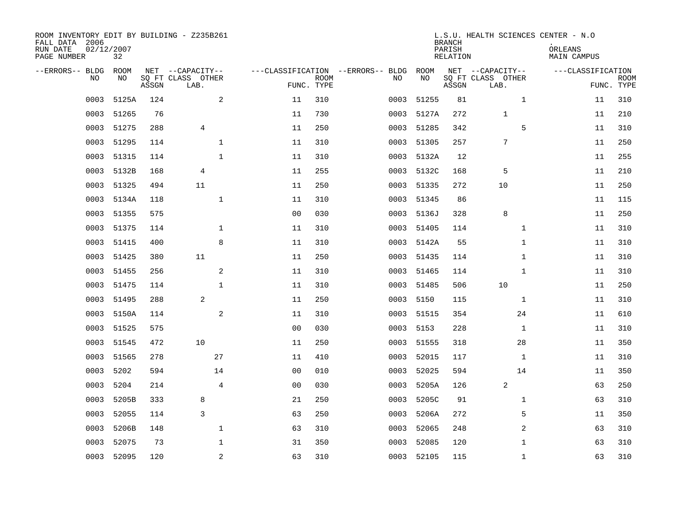| ROOM INVENTORY EDIT BY BUILDING - Z235B261<br>FALL DATA 2006<br>RUN DATE<br>PAGE NUMBER | 02/12/2007<br>32 |       |                                               |                |                           |                                         |            | <b>BRANCH</b><br>PARISH<br><b>RELATION</b> | L.S.U. HEALTH SCIENCES CENTER - N.O           | ORLEANS<br>MAIN CAMPUS |                           |
|-----------------------------------------------------------------------------------------|------------------|-------|-----------------------------------------------|----------------|---------------------------|-----------------------------------------|------------|--------------------------------------------|-----------------------------------------------|------------------------|---------------------------|
| --ERRORS-- BLDG<br>NO                                                                   | ROOM<br>NO       | ASSGN | NET --CAPACITY--<br>SQ FT CLASS OTHER<br>LAB. |                | <b>ROOM</b><br>FUNC. TYPE | ---CLASSIFICATION --ERRORS-- BLDG<br>NO | ROOM<br>NO | ASSGN                                      | NET --CAPACITY--<br>SQ FT CLASS OTHER<br>LAB. | ---CLASSIFICATION      | <b>ROOM</b><br>FUNC. TYPE |
| 0003                                                                                    | 5125A            | 124   | 2                                             | 11             | 310                       | 0003                                    | 51255      | 81                                         | $\mathbf{1}$                                  | 11                     | 310                       |
| 0003                                                                                    | 51265            | 76    |                                               | 11             | 730                       | 0003                                    | 5127A      | 272                                        | $\mathbf 1$                                   | 11                     | 210                       |
| 0003                                                                                    | 51275            | 288   | 4                                             | 11             | 250                       | 0003                                    | 51285      | 342                                        | 5                                             | 11                     | 310                       |
| 0003                                                                                    | 51295            | 114   | $\mathbf{1}$                                  | 11             | 310                       | 0003                                    | 51305      | 257                                        | 7                                             | 11                     | 250                       |
| 0003                                                                                    | 51315            | 114   | $\mathbf{1}$                                  | 11             | 310                       | 0003                                    | 5132A      | 12                                         |                                               | 11                     | 255                       |
| 0003                                                                                    | 5132B            | 168   | $\overline{4}$                                | 11             | 255                       | 0003                                    | 5132C      | 168                                        | 5                                             | 11                     | 210                       |
| 0003                                                                                    | 51325            | 494   | 11                                            | 11             | 250                       | 0003                                    | 51335      | 272                                        | 10                                            | 11                     | 250                       |
| 0003                                                                                    | 5134A            | 118   | $\mathbf 1$                                   | 11             | 310                       | 0003                                    | 51345      | 86                                         |                                               | 11                     | 115                       |
| 0003                                                                                    | 51355            | 575   |                                               | 0 <sub>0</sub> | 030                       | 0003                                    | 5136J      | 328                                        | 8                                             | 11                     | 250                       |
| 0003                                                                                    | 51375            | 114   | $\mathbf{1}$                                  | 11             | 310                       | 0003                                    | 51405      | 114                                        | $\mathbf{1}$                                  | 11                     | 310                       |
| 0003                                                                                    | 51415            | 400   | 8                                             | 11             | 310                       | 0003                                    | 5142A      | 55                                         | $\mathbf{1}$                                  | 11                     | 310                       |
| 0003                                                                                    | 51425            | 380   | 11                                            | 11             | 250                       | 0003                                    | 51435      | 114                                        | $\mathbf{1}$                                  | 11                     | 310                       |
| 0003                                                                                    | 51455            | 256   | 2                                             | 11             | 310                       | 0003                                    | 51465      | 114                                        | $\mathbf{1}$                                  | 11                     | 310                       |
| 0003                                                                                    | 51475            | 114   | $\mathbf 1$                                   | 11             | 310                       | 0003                                    | 51485      | 506                                        | 10                                            | 11                     | 250                       |
| 0003                                                                                    | 51495            | 288   | 2                                             | 11             | 250                       | 0003                                    | 5150       | 115                                        | $\mathbf{1}$                                  | 11                     | 310                       |
| 0003                                                                                    | 5150A            | 114   | 2                                             | 11             | 310                       | 0003                                    | 51515      | 354                                        | 24                                            | 11                     | 610                       |
| 0003                                                                                    | 51525            | 575   |                                               | 0 <sub>0</sub> | 030                       | 0003                                    | 5153       | 228                                        | 1                                             | 11                     | 310                       |
| 0003                                                                                    | 51545            | 472   | 10                                            | 11             | 250                       | 0003                                    | 51555      | 318                                        | 28                                            | 11                     | 350                       |
| 0003                                                                                    | 51565            | 278   | 27                                            | 11             | 410                       | 0003                                    | 52015      | 117                                        | $\mathbf{1}$                                  | 11                     | 310                       |
| 0003                                                                                    | 5202             | 594   | 14                                            | 0 <sub>0</sub> | 010                       | 0003                                    | 52025      | 594                                        | 14                                            | 11                     | 350                       |
| 0003                                                                                    | 5204             | 214   | $\overline{4}$                                | 0 <sub>0</sub> | 030                       | 0003                                    | 5205A      | 126                                        | 2                                             | 63                     | 250                       |
| 0003                                                                                    | 5205B            | 333   | 8                                             | 21             | 250                       | 0003                                    | 5205C      | 91                                         | $\mathbf{1}$                                  | 63                     | 310                       |
| 0003                                                                                    | 52055            | 114   | 3                                             | 63             | 250                       | 0003                                    | 5206A      | 272                                        | 5                                             | 11                     | 350                       |
| 0003                                                                                    | 5206B            | 148   | $\mathbf 1$                                   | 63             | 310                       | 0003                                    | 52065      | 248                                        | 2                                             | 63                     | 310                       |
| 0003                                                                                    | 52075            | 73    | $\mathbf 1$                                   | 31             | 350                       | 0003                                    | 52085      | 120                                        | $\mathbf{1}$                                  | 63                     | 310                       |
|                                                                                         | 0003 52095       | 120   | $\overline{c}$                                | 63             | 310                       |                                         | 0003 52105 | 115                                        | $\mathbf{1}$                                  | 63                     | 310                       |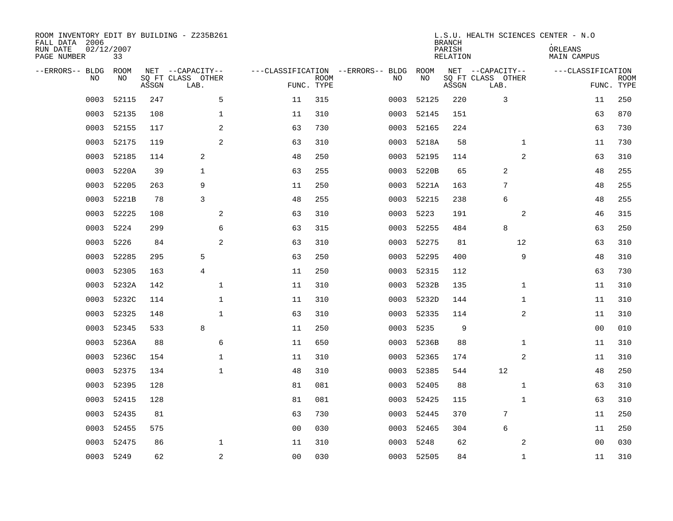| ROOM INVENTORY EDIT BY BUILDING - Z235B261<br>FALL DATA 2006<br>RUN DATE<br>PAGE NUMBER | 02/12/2007<br>33 |       |                                               |                |                           |                                         |            | <b>BRANCH</b><br>PARISH<br><b>RELATION</b> | L.S.U. HEALTH SCIENCES CENTER - N.O           | ORLEANS<br>MAIN CAMPUS |                           |
|-----------------------------------------------------------------------------------------|------------------|-------|-----------------------------------------------|----------------|---------------------------|-----------------------------------------|------------|--------------------------------------------|-----------------------------------------------|------------------------|---------------------------|
| --ERRORS-- BLDG<br>NO                                                                   | ROOM<br>NO       | ASSGN | NET --CAPACITY--<br>SQ FT CLASS OTHER<br>LAB. |                | <b>ROOM</b><br>FUNC. TYPE | ---CLASSIFICATION --ERRORS-- BLDG<br>NO | ROOM<br>NO | ASSGN                                      | NET --CAPACITY--<br>SQ FT CLASS OTHER<br>LAB. | ---CLASSIFICATION      | <b>ROOM</b><br>FUNC. TYPE |
| 0003                                                                                    | 52115            | 247   | 5                                             | 11             | 315                       | 0003                                    | 52125      | 220                                        | 3                                             | 11                     | 250                       |
| 0003                                                                                    | 52135            | 108   | 1                                             | 11             | 310                       | 0003                                    | 52145      | 151                                        |                                               | 63                     | 870                       |
| 0003                                                                                    | 52155            | 117   | 2                                             | 63             | 730                       | 0003                                    | 52165      | 224                                        |                                               | 63                     | 730                       |
| 0003                                                                                    | 52175            | 119   | 2                                             | 63             | 310                       | 0003                                    | 5218A      | 58                                         | $\mathbf{1}$                                  | 11                     | 730                       |
| 0003                                                                                    | 52185            | 114   | 2                                             | 48             | 250                       | 0003                                    | 52195      | 114                                        | 2                                             | 63                     | 310                       |
| 0003                                                                                    | 5220A            | 39    | $\mathbf 1$                                   | 63             | 255                       | 0003                                    | 5220B      | 65                                         | 2                                             | 48                     | 255                       |
| 0003                                                                                    | 52205            | 263   | 9                                             | 11             | 250                       | 0003                                    | 5221A      | 163                                        | 7                                             | 48                     | 255                       |
| 0003                                                                                    | 5221B            | 78    | 3                                             | 48             | 255                       | 0003                                    | 52215      | 238                                        | 6                                             | 48                     | 255                       |
| 0003                                                                                    | 52225            | 108   | 2                                             | 63             | 310                       | 0003                                    | 5223       | 191                                        | 2                                             | 46                     | 315                       |
| 0003                                                                                    | 5224             | 299   | 6                                             | 63             | 315                       | 0003                                    | 52255      | 484                                        | 8                                             | 63                     | 250                       |
| 0003                                                                                    | 5226             | 84    | 2                                             | 63             | 310                       | 0003                                    | 52275      | 81                                         | 12                                            | 63                     | 310                       |
| 0003                                                                                    | 52285            | 295   | 5                                             | 63             | 250                       | 0003                                    | 52295      | 400                                        | 9                                             | 48                     | 310                       |
| 0003                                                                                    | 52305            | 163   | 4                                             | 11             | 250                       | 0003                                    | 52315      | 112                                        |                                               | 63                     | 730                       |
| 0003                                                                                    | 5232A            | 142   | 1                                             | 11             | 310                       | 0003                                    | 5232B      | 135                                        | $\mathbf{1}$                                  | 11                     | 310                       |
| 0003                                                                                    | 5232C            | 114   | 1                                             | 11             | 310                       | 0003                                    | 5232D      | 144                                        | $\mathbf{1}$                                  | 11                     | 310                       |
| 0003                                                                                    | 52325            | 148   | $\mathbf{1}$                                  | 63             | 310                       | 0003                                    | 52335      | 114                                        | 2                                             | 11                     | 310                       |
| 0003                                                                                    | 52345            | 533   | 8                                             | 11             | 250                       | 0003                                    | 5235       | 9                                          |                                               | 0 <sub>0</sub>         | 010                       |
| 0003                                                                                    | 5236A            | 88    | 6                                             | 11             | 650                       | 0003                                    | 5236B      | 88                                         | $\mathbf{1}$                                  | 11                     | 310                       |
| 0003                                                                                    | 5236C            | 154   | $\mathbf{1}$                                  | 11             | 310                       | 0003                                    | 52365      | 174                                        | 2                                             | 11                     | 310                       |
| 0003                                                                                    | 52375            | 134   | $\mathbf 1$                                   | 48             | 310                       | 0003                                    | 52385      | 544                                        | 12                                            | 48                     | 250                       |
| 0003                                                                                    | 52395            | 128   |                                               | 81             | 081                       | 0003                                    | 52405      | 88                                         | $\mathbf{1}$                                  | 63                     | 310                       |
| 0003                                                                                    | 52415            | 128   |                                               | 81             | 081                       | 0003                                    | 52425      | 115                                        | $\mathbf{1}$                                  | 63                     | 310                       |
| 0003                                                                                    | 52435            | 81    |                                               | 63             | 730                       | 0003                                    | 52445      | 370                                        | $7\phantom{.0}$                               | 11                     | 250                       |
| 0003                                                                                    | 52455            | 575   |                                               | 0 <sub>0</sub> | 030                       | 0003                                    | 52465      | 304                                        | 6                                             | 11                     | 250                       |
| 0003                                                                                    | 52475            | 86    | 1                                             | 11             | 310                       | 0003                                    | 5248       | 62                                         | 2                                             | 0 <sub>0</sub>         | 030                       |
|                                                                                         | 0003 5249        | 62    | $\sqrt{2}$                                    | 0 <sub>0</sub> | 030                       |                                         | 0003 52505 | 84                                         | $\mathbf{1}$                                  | 11                     | 310                       |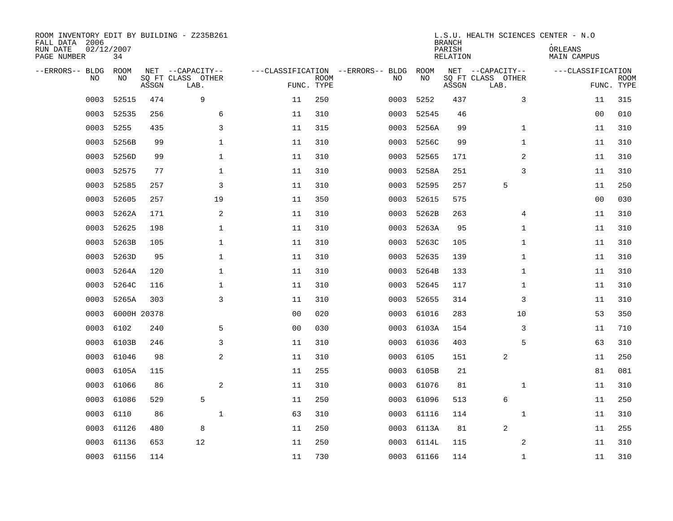| ROOM INVENTORY EDIT BY BUILDING - Z235B261<br>FALL DATA 2006<br>RUN DATE<br>PAGE NUMBER | 02/12/2007<br>34 |             |                                               |                |                           |                                         |            | <b>BRANCH</b><br>PARISH<br><b>RELATION</b> | L.S.U. HEALTH SCIENCES CENTER - N.O           | ORLEANS<br>MAIN CAMPUS |                           |
|-----------------------------------------------------------------------------------------|------------------|-------------|-----------------------------------------------|----------------|---------------------------|-----------------------------------------|------------|--------------------------------------------|-----------------------------------------------|------------------------|---------------------------|
| --ERRORS-- BLDG<br>NO                                                                   | ROOM<br>NO       | ASSGN       | NET --CAPACITY--<br>SQ FT CLASS OTHER<br>LAB. |                | <b>ROOM</b><br>FUNC. TYPE | ---CLASSIFICATION --ERRORS-- BLDG<br>NO | ROOM<br>NO | ASSGN                                      | NET --CAPACITY--<br>SQ FT CLASS OTHER<br>LAB. | ---CLASSIFICATION      | <b>ROOM</b><br>FUNC. TYPE |
| 0003                                                                                    | 52515            | 474         | 9                                             | 11             | 250                       | 0003                                    | 5252       | 437                                        | 3                                             | 11                     | 315                       |
| 0003                                                                                    | 52535            | 256         | 6                                             | 11             | 310                       | 0003                                    | 52545      | 46                                         |                                               | 00                     | 010                       |
| 0003                                                                                    | 5255             | 435         | 3                                             | 11             | 315                       | 0003                                    | 5256A      | 99                                         | $\mathbf{1}$                                  | 11                     | 310                       |
| 0003                                                                                    | 5256B            | 99          | $\mathbf 1$                                   | 11             | 310                       | 0003                                    | 5256C      | 99                                         | $\mathbf{1}$                                  | 11                     | 310                       |
| 0003                                                                                    | 5256D            | 99          | $\mathbf 1$                                   | 11             | 310                       | 0003                                    | 52565      | 171                                        | $\overline{a}$                                | 11                     | 310                       |
| 0003                                                                                    | 52575            | 77          | $\mathbf{1}$                                  | 11             | 310                       | 0003                                    | 5258A      | 251                                        | 3                                             | 11                     | 310                       |
| 0003                                                                                    | 52585            | 257         | $\mathsf{3}$                                  | 11             | 310                       | 0003                                    | 52595      | 257                                        | 5                                             | 11                     | 250                       |
| 0003                                                                                    | 52605            | 257         | 19                                            | 11             | 350                       | 0003                                    | 52615      | 575                                        |                                               | 00                     | 030                       |
| 0003                                                                                    | 5262A            | 171         | 2                                             | 11             | 310                       | 0003                                    | 5262B      | 263                                        | 4                                             | 11                     | 310                       |
| 0003                                                                                    | 52625            | 198         | 1                                             | 11             | 310                       | 0003                                    | 5263A      | 95                                         | $\mathbf{1}$                                  | 11                     | 310                       |
| 0003                                                                                    | 5263B            | 105         | 1                                             | 11             | 310                       | 0003                                    | 5263C      | 105                                        | $\mathbf{1}$                                  | 11                     | 310                       |
| 0003                                                                                    | 5263D            | 95          | $\mathbf 1$                                   | 11             | 310                       | 0003                                    | 52635      | 139                                        | $\mathbf{1}$                                  | 11                     | 310                       |
| 0003                                                                                    | 5264A            | 120         | $\mathbf 1$                                   | 11             | 310                       | 0003                                    | 5264B      | 133                                        | $\mathbf{1}$                                  | 11                     | 310                       |
| 0003                                                                                    | 5264C            | 116         | $\mathbf 1$                                   | 11             | 310                       | 0003                                    | 52645      | 117                                        | $\mathbf{1}$                                  | 11                     | 310                       |
| 0003                                                                                    | 5265A            | 303         | 3                                             | 11             | 310                       | 0003                                    | 52655      | 314                                        | 3                                             | 11                     | 310                       |
| 0003                                                                                    |                  | 6000H 20378 |                                               | 0 <sub>0</sub> | 020                       | 0003                                    | 61016      | 283                                        | 10                                            | 53                     | 350                       |
| 0003                                                                                    | 6102             | 240         | 5                                             | 0 <sub>0</sub> | 030                       | 0003                                    | 6103A      | 154                                        | 3                                             | 11                     | 710                       |
| 0003                                                                                    | 6103B            | 246         | 3                                             | 11             | 310                       | 0003                                    | 61036      | 403                                        | 5                                             | 63                     | 310                       |
| 0003                                                                                    | 61046            | 98          | 2                                             | 11             | 310                       | 0003                                    | 6105       | 151                                        | 2                                             | 11                     | 250                       |
| 0003                                                                                    | 6105A            | 115         |                                               | 11             | 255                       | 0003                                    | 6105B      | 21                                         |                                               | 81                     | 081                       |
| 0003                                                                                    | 61066            | 86          | 2                                             | 11             | 310                       | 0003                                    | 61076      | 81                                         | $\mathbf{1}$                                  | 11                     | 310                       |
| 0003                                                                                    | 61086            | 529         | 5                                             | 11             | 250                       | 0003                                    | 61096      | 513                                        | 6                                             | 11                     | 250                       |
| 0003                                                                                    | 6110             | 86          | $\mathbf 1$                                   | 63             | 310                       | 0003                                    | 61116      | 114                                        | $\mathbf{1}$                                  | 11                     | 310                       |
| 0003                                                                                    | 61126            | 480         | 8                                             | 11             | 250                       | 0003                                    | 6113A      | 81                                         | 2                                             | 11                     | 255                       |
| 0003                                                                                    | 61136            | 653         | 12                                            | 11             | 250                       | 0003                                    | 6114L      | 115                                        | 2                                             | 11                     | 310                       |
|                                                                                         | 0003 61156       | 114         |                                               | 11             | 730                       |                                         | 0003 61166 | 114                                        | $\mathbf{1}$                                  | 11                     | 310                       |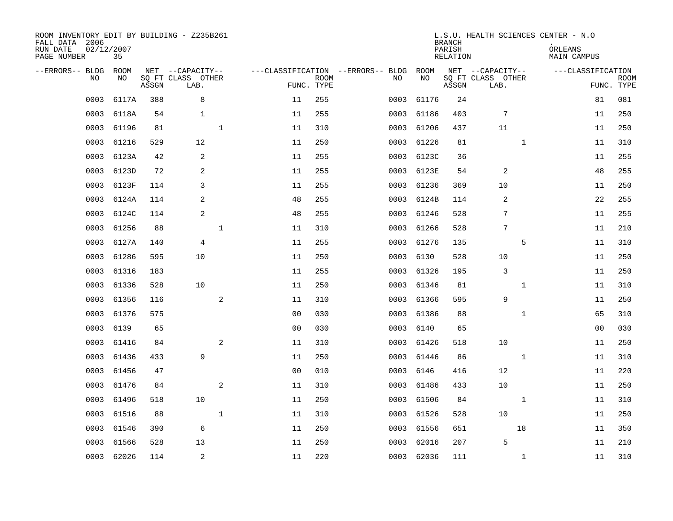| ROOM INVENTORY EDIT BY BUILDING - Z235B261<br>FALL DATA 2006<br>RUN DATE<br>PAGE NUMBER | 02/12/2007<br>35 |       |                                               |              |                |                           |                                         |            | <b>BRANCH</b><br>PARISH<br><b>RELATION</b> | L.S.U. HEALTH SCIENCES CENTER - N.O           | ORLEANS<br><b>MAIN CAMPUS</b> |                           |
|-----------------------------------------------------------------------------------------|------------------|-------|-----------------------------------------------|--------------|----------------|---------------------------|-----------------------------------------|------------|--------------------------------------------|-----------------------------------------------|-------------------------------|---------------------------|
| --ERRORS-- BLDG ROOM<br>NO                                                              | NO               | ASSGN | NET --CAPACITY--<br>SQ FT CLASS OTHER<br>LAB. |              |                | <b>ROOM</b><br>FUNC. TYPE | ---CLASSIFICATION --ERRORS-- BLDG<br>NO | ROOM<br>NO | ASSGN                                      | NET --CAPACITY--<br>SQ FT CLASS OTHER<br>LAB. | ---CLASSIFICATION             | <b>ROOM</b><br>FUNC. TYPE |
| 0003                                                                                    | 6117A            | 388   | 8                                             |              | 11             | 255                       | 0003                                    | 61176      | 24                                         |                                               | 81                            | 081                       |
| 0003                                                                                    | 6118A            | 54    | $\mathbf{1}$                                  |              | 11             | 255                       | 0003                                    | 61186      | 403                                        | $7\phantom{.0}$                               | 11                            | 250                       |
| 0003                                                                                    | 61196            | 81    |                                               | $\mathbf{1}$ | 11             | 310                       | 0003                                    | 61206      | 437                                        | 11                                            | 11                            | 250                       |
| 0003                                                                                    | 61216            | 529   | 12                                            |              | 11             | 250                       | 0003                                    | 61226      | 81                                         | $\mathbf{1}$                                  | 11                            | 310                       |
| 0003                                                                                    | 6123A            | 42    | 2                                             |              | 11             | 255                       | 0003                                    | 6123C      | 36                                         |                                               | 11                            | 255                       |
| 0003                                                                                    | 6123D            | 72    | 2                                             |              | 11             | 255                       | 0003                                    | 6123E      | 54                                         | 2                                             | 48                            | 255                       |
| 0003                                                                                    | 6123F            | 114   | $\mathsf{3}$                                  |              | 11             | 255                       | 0003                                    | 61236      | 369                                        | 10                                            | 11                            | 250                       |
| 0003                                                                                    | 6124A            | 114   | 2                                             |              | 48             | 255                       | 0003                                    | 6124B      | 114                                        | 2                                             | 22                            | 255                       |
| 0003                                                                                    | 6124C            | 114   | 2                                             |              | 48             | 255                       | 0003                                    | 61246      | 528                                        | 7                                             | 11                            | 255                       |
| 0003                                                                                    | 61256            | 88    |                                               | $\mathbf 1$  | 11             | 310                       | 0003                                    | 61266      | 528                                        | 7                                             | 11                            | 210                       |
| 0003                                                                                    | 6127A            | 140   | $\overline{4}$                                |              | 11             | 255                       | 0003                                    | 61276      | 135                                        | 5                                             | 11                            | 310                       |
| 0003                                                                                    | 61286            | 595   | 10                                            |              | $11\,$         | 250                       | 0003                                    | 6130       | 528                                        | 10                                            | 11                            | 250                       |
| 0003                                                                                    | 61316            | 183   |                                               |              | 11             | 255                       | 0003                                    | 61326      | 195                                        | $\mathsf 3$                                   | 11                            | 250                       |
| 0003                                                                                    | 61336            | 528   | 10                                            |              | 11             | 250                       | 0003                                    | 61346      | 81                                         | $\mathbf{1}$                                  | 11                            | 310                       |
| 0003                                                                                    | 61356            | 116   |                                               | 2            | 11             | 310                       | 0003                                    | 61366      | 595                                        | 9                                             | 11                            | 250                       |
| 0003                                                                                    | 61376            | 575   |                                               |              | 0 <sub>0</sub> | 030                       | 0003                                    | 61386      | 88                                         | $\mathbf{1}$                                  | 65                            | 310                       |
| 0003                                                                                    | 6139             | 65    |                                               |              | 0 <sub>0</sub> | 030                       | 0003                                    | 6140       | 65                                         |                                               | 0 <sub>0</sub>                | 030                       |
| 0003                                                                                    | 61416            | 84    |                                               | 2            | 11             | 310                       | 0003                                    | 61426      | 518                                        | 10                                            | 11                            | 250                       |
| 0003                                                                                    | 61436            | 433   | 9                                             |              | 11             | 250                       | 0003                                    | 61446      | 86                                         | $\mathbf{1}$                                  | 11                            | 310                       |
| 0003                                                                                    | 61456            | 47    |                                               |              | 0 <sub>0</sub> | 010                       | 0003                                    | 6146       | 416                                        | 12                                            | 11                            | 220                       |
| 0003                                                                                    | 61476            | 84    |                                               | 2            | 11             | 310                       | 0003                                    | 61486      | 433                                        | 10                                            | 11                            | 250                       |
| 0003                                                                                    | 61496            | 518   | 10                                            |              | 11             | 250                       | 0003                                    | 61506      | 84                                         | $\mathbf{1}$                                  | 11                            | 310                       |
| 0003                                                                                    | 61516            | 88    |                                               | $\mathbf 1$  | 11             | 310                       | 0003                                    | 61526      | 528                                        | 10                                            | 11                            | 250                       |
| 0003                                                                                    | 61546            | 390   | 6                                             |              | 11             | 250                       | 0003                                    | 61556      | 651                                        | 18                                            | 11                            | 350                       |
| 0003                                                                                    | 61566            | 528   | 13                                            |              | 11             | 250                       | 0003                                    | 62016      | 207                                        | 5                                             | 11                            | 210                       |
|                                                                                         | 0003 62026       | 114   | $\sqrt{2}$                                    |              | 11             | 220                       |                                         | 0003 62036 | 111                                        | $\mathbf{1}$                                  | 11                            | 310                       |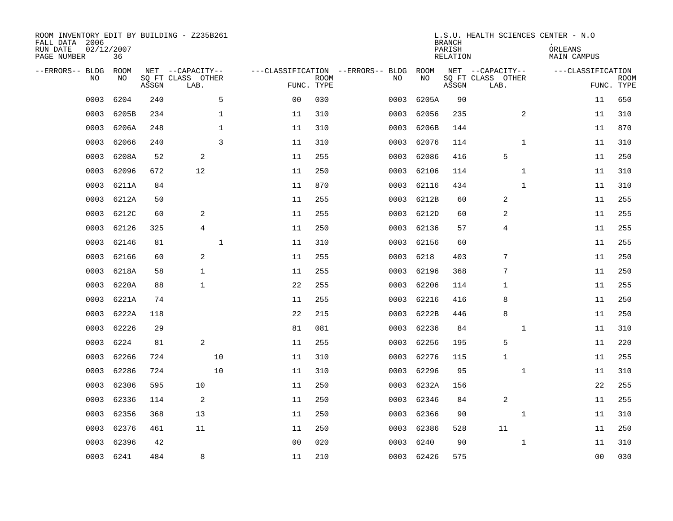| ROOM INVENTORY EDIT BY BUILDING - Z235B261<br>FALL DATA 2006<br>RUN DATE<br>PAGE NUMBER | 02/12/2007<br>36 |       |                                               |                |                           |                                         |            | <b>BRANCH</b><br>PARISH<br><b>RELATION</b> | L.S.U. HEALTH SCIENCES CENTER - N.O           | ORLEANS<br>MAIN CAMPUS |                           |
|-----------------------------------------------------------------------------------------|------------------|-------|-----------------------------------------------|----------------|---------------------------|-----------------------------------------|------------|--------------------------------------------|-----------------------------------------------|------------------------|---------------------------|
| --ERRORS-- BLDG<br>NO                                                                   | ROOM<br>NO       | ASSGN | NET --CAPACITY--<br>SQ FT CLASS OTHER<br>LAB. |                | <b>ROOM</b><br>FUNC. TYPE | ---CLASSIFICATION --ERRORS-- BLDG<br>NO | ROOM<br>NO | ASSGN                                      | NET --CAPACITY--<br>SQ FT CLASS OTHER<br>LAB. | ---CLASSIFICATION      | <b>ROOM</b><br>FUNC. TYPE |
| 0003                                                                                    | 6204             | 240   | 5                                             | 0 <sub>0</sub> | 030                       | 0003                                    | 6205A      | 90                                         |                                               | 11                     | 650                       |
| 0003                                                                                    | 6205B            | 234   | 1                                             | 11             | 310                       | 0003                                    | 62056      | 235                                        | 2                                             | 11                     | 310                       |
| 0003                                                                                    | 6206A            | 248   | 1                                             | 11             | 310                       | 0003                                    | 6206B      | 144                                        |                                               | 11                     | 870                       |
| 0003                                                                                    | 62066            | 240   | 3                                             | 11             | 310                       | 0003                                    | 62076      | 114                                        | $\mathbf{1}$                                  | 11                     | 310                       |
| 0003                                                                                    | 6208A            | 52    | 2                                             | 11             | 255                       | 0003                                    | 62086      | 416                                        | 5                                             | 11                     | 250                       |
| 0003                                                                                    | 62096            | 672   | 12                                            | 11             | 250                       | 0003                                    | 62106      | 114                                        | $\mathbf{1}$                                  | 11                     | 310                       |
| 0003                                                                                    | 6211A            | 84    |                                               | 11             | 870                       | 0003                                    | 62116      | 434                                        | $\mathbf{1}$                                  | 11                     | 310                       |
| 0003                                                                                    | 6212A            | 50    |                                               | 11             | 255                       | 0003                                    | 6212B      | 60                                         | 2                                             | 11                     | 255                       |
| 0003                                                                                    | 6212C            | 60    | 2                                             | 11             | 255                       | 0003                                    | 6212D      | 60                                         | 2                                             | 11                     | 255                       |
| 0003                                                                                    | 62126            | 325   | $\overline{4}$                                | 11             | 250                       | 0003                                    | 62136      | 57                                         | 4                                             | 11                     | 255                       |
| 0003                                                                                    | 62146            | 81    | $\mathbf 1$                                   | 11             | 310                       | 0003                                    | 62156      | 60                                         |                                               | 11                     | 255                       |
| 0003                                                                                    | 62166            | 60    | 2                                             | $11\,$         | 255                       | 0003                                    | 6218       | 403                                        | 7                                             | 11                     | 250                       |
| 0003                                                                                    | 6218A            | 58    | $\mathbf{1}$                                  | 11             | 255                       | 0003                                    | 62196      | 368                                        | 7                                             | 11                     | 250                       |
| 0003                                                                                    | 6220A            | 88    | $\mathbf{1}$                                  | 22             | 255                       | 0003                                    | 62206      | 114                                        | 1                                             | 11                     | 255                       |
| 0003                                                                                    | 6221A            | 74    |                                               | 11             | 255                       | 0003                                    | 62216      | 416                                        | 8                                             | 11                     | 250                       |
| 0003                                                                                    | 6222A            | 118   |                                               | 22             | 215                       | 0003                                    | 6222B      | 446                                        | 8                                             | 11                     | 250                       |
| 0003                                                                                    | 62226            | 29    |                                               | 81             | 081                       | 0003                                    | 62236      | 84                                         | $\mathbf{1}$                                  | 11                     | 310                       |
| 0003                                                                                    | 6224             | 81    | 2                                             | 11             | 255                       | 0003                                    | 62256      | 195                                        | 5                                             | 11                     | 220                       |
| 0003                                                                                    | 62266            | 724   | 10                                            | 11             | 310                       | 0003                                    | 62276      | 115                                        | $\mathbf{1}$                                  | 11                     | 255                       |
| 0003                                                                                    | 62286            | 724   | 10                                            | 11             | 310                       | 0003                                    | 62296      | 95                                         | $\mathbf{1}$                                  | 11                     | 310                       |
| 0003                                                                                    | 62306            | 595   | 10                                            | 11             | 250                       | 0003                                    | 6232A      | 156                                        |                                               | 22                     | 255                       |
| 0003                                                                                    | 62336            | 114   | 2                                             | 11             | 250                       | 0003                                    | 62346      | 84                                         | 2                                             | 11                     | 255                       |
| 0003                                                                                    | 62356            | 368   | 13                                            | 11             | 250                       | 0003                                    | 62366      | 90                                         | $\mathbf{1}$                                  | 11                     | 310                       |
| 0003                                                                                    | 62376            | 461   | 11                                            | 11             | 250                       | 0003                                    | 62386      | 528                                        | 11                                            | 11                     | 250                       |
| 0003                                                                                    | 62396            | 42    |                                               | 0 <sub>0</sub> | 020                       | 0003                                    | 6240       | 90                                         | $\mathbf{1}$                                  | 11                     | 310                       |
|                                                                                         | 0003 6241        | 484   | 8                                             | 11             | 210                       |                                         | 0003 62426 | 575                                        |                                               | 0 <sub>0</sub>         | 030                       |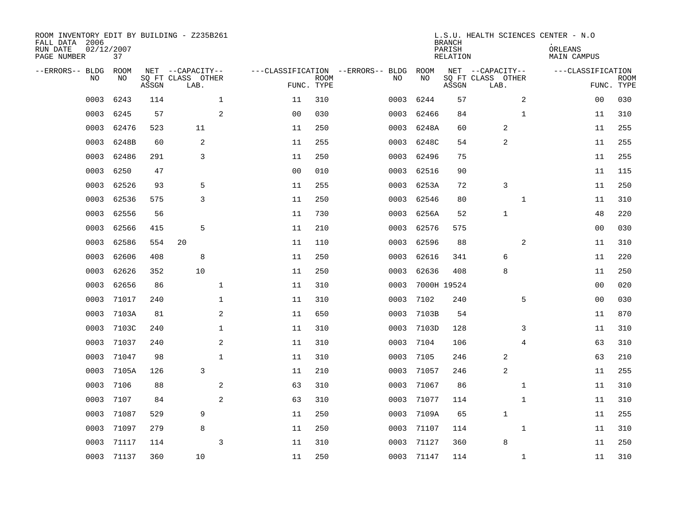| ROOM INVENTORY EDIT BY BUILDING - Z235B261<br>FALL DATA 2006<br>RUN DATE<br>PAGE NUMBER | 02/12/2007<br>37 |       |                                               |                                   |                           |      |            | <b>BRANCH</b><br>PARISH<br><b>RELATION</b> | L.S.U. HEALTH SCIENCES CENTER - N.O           | ORLEANS<br>MAIN CAMPUS |                           |
|-----------------------------------------------------------------------------------------|------------------|-------|-----------------------------------------------|-----------------------------------|---------------------------|------|------------|--------------------------------------------|-----------------------------------------------|------------------------|---------------------------|
| --ERRORS-- BLDG<br>NO                                                                   | ROOM<br>NO       | ASSGN | NET --CAPACITY--<br>SQ FT CLASS OTHER<br>LAB. | ---CLASSIFICATION --ERRORS-- BLDG | <b>ROOM</b><br>FUNC. TYPE | NO   | ROOM<br>NO | ASSGN                                      | NET --CAPACITY--<br>SQ FT CLASS OTHER<br>LAB. | ---CLASSIFICATION      | <b>ROOM</b><br>FUNC. TYPE |
| 0003                                                                                    | 6243             | 114   | $\mathbf 1$                                   | 11                                | 310                       | 0003 | 6244       | 57                                         | 2                                             | 00                     | 030                       |
| 0003                                                                                    | 6245             | 57    | 2                                             | 0 <sub>0</sub>                    | 030                       | 0003 | 62466      | 84                                         | $\mathbf{1}$                                  | 11                     | 310                       |
| 0003                                                                                    | 62476            | 523   | 11                                            | 11                                | 250                       | 0003 | 6248A      | 60                                         | 2                                             | 11                     | 255                       |
| 0003                                                                                    | 6248B            | 60    | 2                                             | 11                                | 255                       | 0003 | 6248C      | 54                                         | 2                                             | 11                     | 255                       |
| 0003                                                                                    | 62486            | 291   | 3                                             | 11                                | 250                       | 0003 | 62496      | 75                                         |                                               | 11                     | 255                       |
| 0003                                                                                    | 6250             | 47    |                                               | 0 <sub>0</sub>                    | 010                       | 0003 | 62516      | 90                                         |                                               | 11                     | 115                       |
| 0003                                                                                    | 62526            | 93    | 5                                             | 11                                | 255                       | 0003 | 6253A      | 72                                         | 3                                             | 11                     | 250                       |
| 0003                                                                                    | 62536            | 575   | 3                                             | 11                                | 250                       | 0003 | 62546      | 80                                         | $\mathbf{1}$                                  | 11                     | 310                       |
| 0003                                                                                    | 62556            | 56    |                                               | 11                                | 730                       | 0003 | 6256A      | 52                                         | $\mathbf{1}$                                  | 48                     | 220                       |
| 0003                                                                                    | 62566            | 415   | 5                                             | 11                                | 210                       | 0003 | 62576      | 575                                        |                                               | 00                     | 030                       |
| 0003                                                                                    | 62586            | 554   | 20                                            | 11                                | 110                       | 0003 | 62596      | 88                                         | 2                                             | 11                     | 310                       |
| 0003                                                                                    | 62606            | 408   | 8                                             | 11                                | 250                       | 0003 | 62616      | 341                                        | 6                                             | 11                     | 220                       |
| 0003                                                                                    | 62626            | 352   | 10                                            | 11                                | 250                       | 0003 | 62636      | 408                                        | 8                                             | 11                     | 250                       |
| 0003                                                                                    | 62656            | 86    | $\mathbf{1}$                                  | 11                                | 310                       | 0003 |            | 7000H 19524                                |                                               | 00                     | 020                       |
| 0003                                                                                    | 71017            | 240   | 1                                             | 11                                | 310                       | 0003 | 7102       | 240                                        | 5                                             | 0 <sub>0</sub>         | 030                       |
| 0003                                                                                    | 7103A            | 81    | 2                                             | 11                                | 650                       | 0003 | 7103B      | 54                                         |                                               | 11                     | 870                       |
| 0003                                                                                    | 7103C            | 240   | 1                                             | 11                                | 310                       | 0003 | 7103D      | 128                                        | 3                                             | 11                     | 310                       |
| 0003                                                                                    | 71037            | 240   | 2                                             | 11                                | 310                       | 0003 | 7104       | 106                                        | $\overline{4}$                                | 63                     | 310                       |
| 0003                                                                                    | 71047            | 98    | $\mathbf{1}$                                  | 11                                | 310                       | 0003 | 7105       | 246                                        | 2                                             | 63                     | 210                       |
| 0003                                                                                    | 7105A            | 126   | 3                                             | 11                                | 210                       | 0003 | 71057      | 246                                        | 2                                             | 11                     | 255                       |
| 0003                                                                                    | 7106             | 88    | 2                                             | 63                                | 310                       | 0003 | 71067      | 86                                         | $\mathbf{1}$                                  | 11                     | 310                       |
| 0003                                                                                    | 7107             | 84    | 2                                             | 63                                | 310                       | 0003 | 71077      | 114                                        | $\mathbf{1}$                                  | 11                     | 310                       |
| 0003                                                                                    | 71087            | 529   | 9                                             | 11                                | 250                       | 0003 | 7109A      | 65                                         | $\mathbf{1}$                                  | 11                     | 255                       |
| 0003                                                                                    | 71097            | 279   | 8                                             | 11                                | 250                       | 0003 | 71107      | 114                                        | $\mathbf{1}$                                  | 11                     | 310                       |
| 0003                                                                                    | 71117            | 114   | 3                                             | 11                                | 310                       | 0003 | 71127      | 360                                        | 8                                             | 11                     | 250                       |
| 0003                                                                                    | 71137            | 360   | 10                                            | 11                                | 250                       | 0003 | 71147      | 114                                        | $\mathbf{1}$                                  | 11                     | 310                       |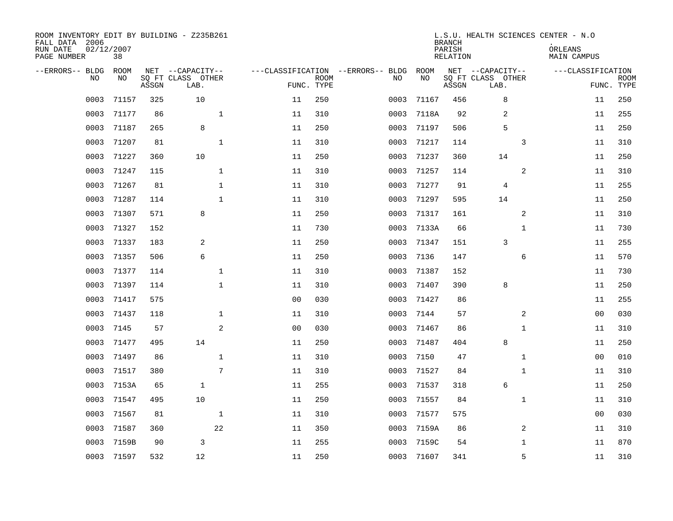| ROOM INVENTORY EDIT BY BUILDING - Z235B261<br>FALL DATA 2006<br>RUN DATE<br>PAGE NUMBER | 02/12/2007<br>38  |       |                                               |                |                           |                                         |            | <b>BRANCH</b><br>PARISH<br><b>RELATION</b> | L.S.U. HEALTH SCIENCES CENTER - N.O           | ORLEANS<br>MAIN CAMPUS |                           |
|-----------------------------------------------------------------------------------------|-------------------|-------|-----------------------------------------------|----------------|---------------------------|-----------------------------------------|------------|--------------------------------------------|-----------------------------------------------|------------------------|---------------------------|
| --ERRORS-- BLDG<br>NO                                                                   | <b>ROOM</b><br>NO | ASSGN | NET --CAPACITY--<br>SQ FT CLASS OTHER<br>LAB. |                | <b>ROOM</b><br>FUNC. TYPE | ---CLASSIFICATION --ERRORS-- BLDG<br>NO | ROOM<br>NO | ASSGN                                      | NET --CAPACITY--<br>SQ FT CLASS OTHER<br>LAB. | ---CLASSIFICATION      | <b>ROOM</b><br>FUNC. TYPE |
| 0003                                                                                    | 71157             | 325   | 10                                            | 11             | 250                       | 0003                                    | 71167      | 456                                        | 8                                             | 11                     | 250                       |
| 0003                                                                                    | 71177             | 86    | $1\,$                                         | 11             | 310                       | 0003                                    | 7118A      | 92                                         | 2                                             | 11                     | 255                       |
| 0003                                                                                    | 71187             | 265   | 8                                             | 11             | 250                       | 0003                                    | 71197      | 506                                        | 5                                             | 11                     | 250                       |
| 0003                                                                                    | 71207             | 81    | $\mathbf 1$                                   | 11             | 310                       | 0003                                    | 71217      | 114                                        | 3                                             | 11                     | 310                       |
| 0003                                                                                    | 71227             | 360   | 10                                            | 11             | 250                       | 0003                                    | 71237      | 360                                        | 14                                            | 11                     | 250                       |
| 0003                                                                                    | 71247             | 115   | $\mathbf{1}$                                  | 11             | 310                       | 0003                                    | 71257      | 114                                        | 2                                             | 11                     | 310                       |
| 0003                                                                                    | 71267             | 81    | $\mathbf 1$                                   | 11             | 310                       | 0003                                    | 71277      | 91                                         | $\overline{4}$                                | 11                     | 255                       |
| 0003                                                                                    | 71287             | 114   | $\mathbf 1$                                   | 11             | 310                       | 0003                                    | 71297      | 595                                        | 14                                            | 11                     | 250                       |
| 0003                                                                                    | 71307             | 571   | 8                                             | 11             | 250                       | 0003                                    | 71317      | 161                                        | 2                                             | 11                     | 310                       |
| 0003                                                                                    | 71327             | 152   |                                               | 11             | 730                       | 0003                                    | 7133A      | 66                                         | $\mathbf{1}$                                  | 11                     | 730                       |
| 0003                                                                                    | 71337             | 183   | 2                                             | 11             | 250                       | 0003                                    | 71347      | 151                                        | 3                                             | 11                     | 255                       |
| 0003                                                                                    | 71357             | 506   | 6                                             | 11             | 250                       | 0003                                    | 7136       | 147                                        | 6                                             | 11                     | 570                       |
| 0003                                                                                    | 71377             | 114   | $\mathbf{1}$                                  | 11             | 310                       | 0003                                    | 71387      | 152                                        |                                               | 11                     | 730                       |
| 0003                                                                                    | 71397             | 114   | $\mathbf{1}$                                  | 11             | 310                       | 0003                                    | 71407      | 390                                        | 8                                             | 11                     | 250                       |
| 0003                                                                                    | 71417             | 575   |                                               | 0 <sub>0</sub> | 030                       | 0003                                    | 71427      | 86                                         |                                               | 11                     | 255                       |
| 0003                                                                                    | 71437             | 118   | 1                                             | 11             | 310                       | 0003                                    | 7144       | 57                                         | 2                                             | 0 <sub>0</sub>         | 030                       |
| 0003                                                                                    | 7145              | 57    | 2                                             | 0 <sub>0</sub> | 030                       | 0003                                    | 71467      | 86                                         | $\mathbf{1}$                                  | 11                     | 310                       |
| 0003                                                                                    | 71477             | 495   | 14                                            | 11             | 250                       | 0003                                    | 71487      | 404                                        | 8                                             | 11                     | 250                       |
| 0003                                                                                    | 71497             | 86    | $\mathbf{1}$                                  | 11             | 310                       | 0003                                    | 7150       | 47                                         | $\mathbf{1}$                                  | 00                     | 010                       |
| 0003                                                                                    | 71517             | 380   | 7                                             | 11             | 310                       | 0003                                    | 71527      | 84                                         | $\mathbf{1}$                                  | 11                     | 310                       |
| 0003                                                                                    | 7153A             | 65    | $\mathbf{1}$                                  | 11             | 255                       | 0003                                    | 71537      | 318                                        | 6                                             | 11                     | 250                       |
| 0003                                                                                    | 71547             | 495   | 10                                            | 11             | 250                       | 0003                                    | 71557      | 84                                         | $\mathbf{1}$                                  | 11                     | 310                       |
| 0003                                                                                    | 71567             | 81    | $\mathbf 1$                                   | 11             | 310                       | 0003                                    | 71577      | 575                                        |                                               | 0 <sub>0</sub>         | 030                       |
| 0003                                                                                    | 71587             | 360   | 22                                            | 11             | 350                       | 0003                                    | 7159A      | 86                                         | 2                                             | 11                     | 310                       |
| 0003                                                                                    | 7159B             | 90    | 3                                             | 11             | 255                       | 0003                                    | 7159C      | 54                                         | $\mathbf{1}$                                  | 11                     | 870                       |
|                                                                                         | 0003 71597        | 532   | 12                                            | 11             | 250                       | 0003                                    | 71607      | 341                                        | 5                                             | 11                     | 310                       |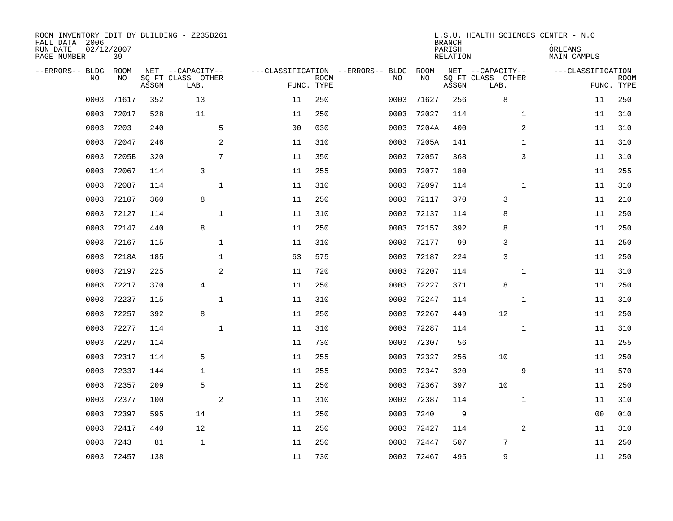| ROOM INVENTORY EDIT BY BUILDING - Z235B261<br>FALL DATA 2006<br>RUN DATE<br>PAGE NUMBER | 02/12/2007<br>39  |       |                                               |                |                           |                                         |            | <b>BRANCH</b><br>PARISH<br><b>RELATION</b> | L.S.U. HEALTH SCIENCES CENTER - N.O           | ORLEANS<br>MAIN CAMPUS |                           |
|-----------------------------------------------------------------------------------------|-------------------|-------|-----------------------------------------------|----------------|---------------------------|-----------------------------------------|------------|--------------------------------------------|-----------------------------------------------|------------------------|---------------------------|
| --ERRORS-- BLDG<br>NO                                                                   | <b>ROOM</b><br>NO | ASSGN | NET --CAPACITY--<br>SQ FT CLASS OTHER<br>LAB. |                | <b>ROOM</b><br>FUNC. TYPE | ---CLASSIFICATION --ERRORS-- BLDG<br>NO | ROOM<br>NO | ASSGN                                      | NET --CAPACITY--<br>SQ FT CLASS OTHER<br>LAB. | ---CLASSIFICATION      | <b>ROOM</b><br>FUNC. TYPE |
| 0003                                                                                    | 71617             | 352   | 13                                            | 11             | 250                       | 0003                                    | 71627      | 256                                        | 8                                             | 11                     | 250                       |
| 0003                                                                                    | 72017             | 528   | 11                                            | 11             | 250                       | 0003                                    | 72027      | 114                                        | $\mathbf{1}$                                  | 11                     | 310                       |
| 0003                                                                                    | 7203              | 240   | 5                                             | 0 <sub>0</sub> | 030                       | 0003                                    | 7204A      | 400                                        | 2                                             | 11                     | 310                       |
| 0003                                                                                    | 72047             | 246   | 2                                             | 11             | 310                       | 0003                                    | 7205A      | 141                                        | $\mathbf{1}$                                  | 11                     | 310                       |
| 0003                                                                                    | 7205B             | 320   | 7                                             | 11             | 350                       | 0003                                    | 72057      | 368                                        | 3                                             | 11                     | 310                       |
| 0003                                                                                    | 72067             | 114   | 3                                             | 11             | 255                       | 0003                                    | 72077      | 180                                        |                                               | 11                     | 255                       |
| 0003                                                                                    | 72087             | 114   | $\mathbf{1}$                                  | 11             | 310                       | 0003                                    | 72097      | 114                                        | $\mathbf{1}$                                  | 11                     | 310                       |
| 0003                                                                                    | 72107             | 360   | 8                                             | 11             | 250                       | 0003                                    | 72117      | 370                                        | 3                                             | 11                     | 210                       |
| 0003                                                                                    | 72127             | 114   | $\mathbf 1$                                   | 11             | 310                       | 0003                                    | 72137      | 114                                        | 8                                             | 11                     | 250                       |
| 0003                                                                                    | 72147             | 440   | 8                                             | 11             | 250                       | 0003                                    | 72157      | 392                                        | 8                                             | 11                     | 250                       |
| 0003                                                                                    | 72167             | 115   | $\mathbf 1$                                   | 11             | 310                       | 0003                                    | 72177      | 99                                         | 3                                             | 11                     | 250                       |
| 0003                                                                                    | 7218A             | 185   | 1                                             | 63             | 575                       | 0003                                    | 72187      | 224                                        | 3                                             | 11                     | 250                       |
| 0003                                                                                    | 72197             | 225   | 2                                             | 11             | 720                       | 0003                                    | 72207      | 114                                        | $\mathbf{1}$                                  | 11                     | 310                       |
| 0003                                                                                    | 72217             | 370   | 4                                             | 11             | 250                       | 0003                                    | 72227      | 371                                        | 8                                             | 11                     | 250                       |
| 0003                                                                                    | 72237             | 115   | 1                                             | 11             | 310                       | 0003                                    | 72247      | 114                                        | $\mathbf{1}$                                  | 11                     | 310                       |
| 0003                                                                                    | 72257             | 392   | 8                                             | 11             | 250                       | 0003                                    | 72267      | 449                                        | 12                                            | 11                     | 250                       |
| 0003                                                                                    | 72277             | 114   | $\mathbf{1}$                                  | 11             | 310                       | 0003                                    | 72287      | 114                                        | $\mathbf{1}$                                  | 11                     | 310                       |
| 0003                                                                                    | 72297             | 114   |                                               | 11             | 730                       | 0003                                    | 72307      | 56                                         |                                               | 11                     | 255                       |
| 0003                                                                                    | 72317             | 114   | 5                                             | 11             | 255                       | 0003                                    | 72327      | 256                                        | 10                                            | 11                     | 250                       |
| 0003                                                                                    | 72337             | 144   | $\mathbf{1}$                                  | 11             | 255                       | 0003                                    | 72347      | 320                                        | 9                                             | 11                     | 570                       |
| 0003                                                                                    | 72357             | 209   | 5                                             | 11             | 250                       | 0003                                    | 72367      | 397                                        | 10                                            | 11                     | 250                       |
| 0003                                                                                    | 72377             | 100   | 2                                             | 11             | 310                       | 0003                                    | 72387      | 114                                        | $\mathbf{1}$                                  | 11                     | 310                       |
| 0003                                                                                    | 72397             | 595   | 14                                            | 11             | 250                       | 0003                                    | 7240       | 9                                          |                                               | 00                     | 010                       |
| 0003                                                                                    | 72417             | 440   | 12                                            | 11             | 250                       | 0003                                    | 72427      | 114                                        | 2                                             | 11                     | 310                       |
| 0003                                                                                    | 7243              | 81    | $\mathbf 1$                                   | 11             | 250                       | 0003                                    | 72447      | 507                                        | 7                                             | 11                     | 250                       |
| 0003                                                                                    | 72457             | 138   |                                               | 11             | 730                       | 0003                                    | 72467      | 495                                        | 9                                             | 11                     | 250                       |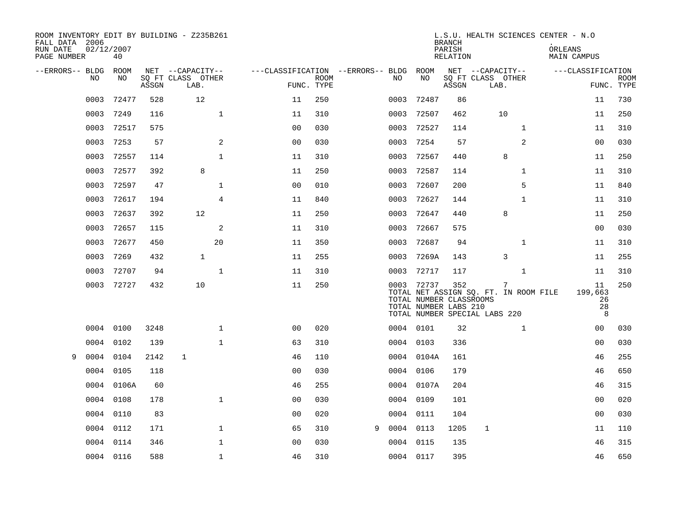| FALL DATA 2006<br>RUN DATE<br>PAGE NUMBER | 02/12/2007 | 40         |       | ROOM INVENTORY EDIT BY BUILDING - Z235B261 |                |                                   |             |   |           |                                                                                                 | <b>BRANCH</b><br>PARISH<br>RELATION |             |                                       | L.S.U. HEALTH SCIENCES CENTER - N.O   | ORLEANS<br>MAIN CAMPUS         |             |
|-------------------------------------------|------------|------------|-------|--------------------------------------------|----------------|-----------------------------------|-------------|---|-----------|-------------------------------------------------------------------------------------------------|-------------------------------------|-------------|---------------------------------------|---------------------------------------|--------------------------------|-------------|
| --ERRORS-- BLDG ROOM                      | NO.        | NO.        |       | NET --CAPACITY--<br>SQ FT CLASS OTHER      |                | ---CLASSIFICATION --ERRORS-- BLDG | <b>ROOM</b> |   | NO        | ROOM<br>NO                                                                                      |                                     |             | NET --CAPACITY--<br>SQ FT CLASS OTHER |                                       | ---CLASSIFICATION              | <b>ROOM</b> |
|                                           |            |            | ASSGN | LAB.                                       |                | FUNC. TYPE                        |             |   |           |                                                                                                 | ASSGN                               |             | LAB.                                  |                                       |                                | FUNC. TYPE  |
|                                           | 0003       | 72477      | 528   | 12                                         |                | 11                                | 250         |   | 0003      | 72487                                                                                           | 86                                  |             |                                       |                                       | 11                             | 730         |
|                                           | 0003       | 7249       | 116   |                                            | $\mathbf 1$    | 11                                | 310         |   | 0003      | 72507                                                                                           | 462                                 |             | 10                                    |                                       | 11                             | 250         |
|                                           | 0003       | 72517      | 575   |                                            |                | 0 <sub>0</sub>                    | 030         |   | 0003      | 72527                                                                                           | 114                                 |             | $\mathbf{1}$                          |                                       | 11                             | 310         |
|                                           | 0003       | 7253       | 57    |                                            | 2              | 0 <sub>0</sub>                    | 030         |   | 0003      | 7254                                                                                            | 57                                  |             | 2                                     |                                       | 0 <sub>0</sub>                 | 030         |
|                                           | 0003       | 72557      | 114   |                                            | $\mathbf 1$    | 11                                | 310         |   | 0003      | 72567                                                                                           | 440                                 |             | 8                                     |                                       | 11                             | 250         |
|                                           | 0003       | 72577      | 392   | 8                                          |                | 11                                | 250         |   | 0003      | 72587                                                                                           | 114                                 |             | $\mathbf{1}$                          |                                       | 11                             | 310         |
|                                           | 0003       | 72597      | 47    |                                            | $\mathbf{1}$   | 0 <sub>0</sub>                    | 010         |   | 0003      | 72607                                                                                           | 200                                 |             | 5                                     |                                       | 11                             | 840         |
|                                           | 0003       | 72617      | 194   |                                            | $\overline{4}$ | 11                                | 840         |   | 0003      | 72627                                                                                           | 144                                 |             | $\mathbf{1}$                          |                                       | 11                             | 310         |
|                                           | 0003       | 72637      | 392   | 12                                         |                | 11                                | 250         |   | 0003      | 72647                                                                                           | 440                                 |             | 8                                     |                                       | 11                             | 250         |
|                                           | 0003       | 72657      | 115   |                                            | 2              | 11                                | 310         |   | 0003      | 72667                                                                                           | 575                                 |             |                                       |                                       | 00                             | 030         |
|                                           | 0003       | 72677      | 450   |                                            | 20             | 11                                | 350         |   | 0003      | 72687                                                                                           | 94                                  |             | $\mathbf{1}$                          |                                       | 11                             | 310         |
|                                           | 0003       | 7269       | 432   | $\mathbf{1}$                               |                | 11                                | 255         |   | 0003      | 7269A                                                                                           | 143                                 |             | 3                                     |                                       | 11                             | 255         |
|                                           | 0003       | 72707      | 94    |                                            | $\mathbf{1}$   | 11                                | 310         |   | 0003      | 72717                                                                                           | 117                                 |             | $\mathbf{1}$                          |                                       | 11                             | 310         |
|                                           |            | 0003 72727 | 432   | 10                                         |                | 11                                | 250         |   |           | 0003 72737<br>TOTAL NUMBER CLASSROOMS<br>TOTAL NUMBER LABS 210<br>TOTAL NUMBER SPECIAL LABS 220 | 352                                 |             | 7                                     | TOTAL NET ASSIGN SQ. FT. IN ROOM FILE | 11<br>199,663<br>26<br>28<br>8 | 250         |
|                                           | 0004 0100  |            | 3248  |                                            | $\mathbf{1}$   | 0 <sub>0</sub>                    | 020         |   | 0004 0101 |                                                                                                 | 32                                  |             | $\mathbf{1}$                          |                                       | 00                             | 030         |
|                                           | 0004       | 0102       | 139   |                                            | $\mathbf 1$    | 63                                | 310         |   |           | 0004 0103                                                                                       | 336                                 |             |                                       |                                       | 00                             | 030         |
| 9                                         | 0004       | 0104       | 2142  | $\mathbf 1$                                |                | 46                                | 110         |   |           | 0004 0104A                                                                                      | 161                                 |             |                                       |                                       | 46                             | 255         |
|                                           | 0004       | 0105       | 118   |                                            |                | 0 <sub>0</sub>                    | 030         |   | 0004 0106 |                                                                                                 | 179                                 |             |                                       |                                       | 46                             | 650         |
|                                           | 0004       | 0106A      | 60    |                                            |                | 46                                | 255         |   |           | 0004 0107A                                                                                      | 204                                 |             |                                       |                                       | 46                             | 315         |
|                                           | 0004       | 0108       | 178   |                                            | $\mathbf{1}$   | 0 <sub>0</sub>                    | 030         |   | 0004      | 0109                                                                                            | 101                                 |             |                                       |                                       | 0 <sub>0</sub>                 | 020         |
|                                           | 0004       | 0110       | 83    |                                            |                | 0 <sub>0</sub>                    | 020         |   | 0004 0111 |                                                                                                 | 104                                 |             |                                       |                                       | 00                             | 030         |
|                                           | 0004       | 0112       | 171   |                                            | $\mathbf 1$    | 65                                | 310         | 9 | 0004      | 0113                                                                                            | 1205                                | $\mathbf 1$ |                                       |                                       | 11                             | 110         |
|                                           | 0004       | 0114       | 346   |                                            | $\mathbf{1}$   | 0 <sub>0</sub>                    | 030         |   | 0004 0115 |                                                                                                 | 135                                 |             |                                       |                                       | 46                             | 315         |
|                                           | 0004 0116  |            | 588   |                                            | $\mathbf 1$    | 46                                | 310         |   | 0004 0117 |                                                                                                 | 395                                 |             |                                       |                                       | 46                             | 650         |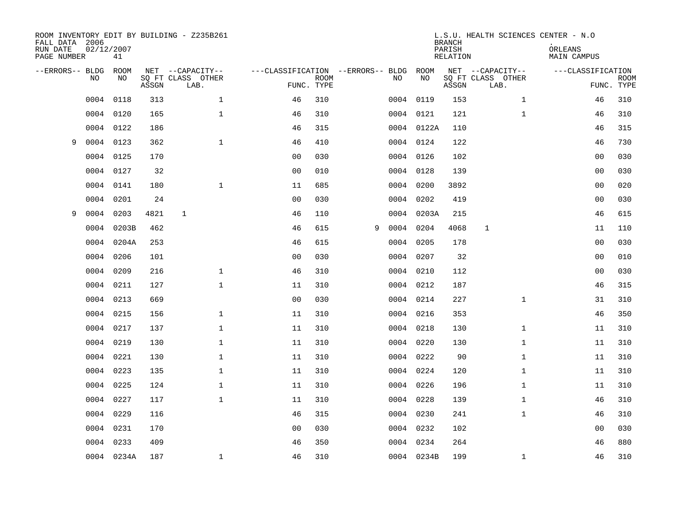| FALL DATA 2006<br>RUN DATE<br>PAGE NUMBER | 02/12/2007 | 41         |       | ROOM INVENTORY EDIT BY BUILDING - Z235B261    |                                                      |             |   |    |            | <b>BRANCH</b><br>PARISH<br><b>RELATION</b> | L.S.U. HEALTH SCIENCES CENTER - N.O           | ORLEANS<br><b>MAIN CAMPUS</b> |                           |
|-------------------------------------------|------------|------------|-------|-----------------------------------------------|------------------------------------------------------|-------------|---|----|------------|--------------------------------------------|-----------------------------------------------|-------------------------------|---------------------------|
| --ERRORS-- BLDG                           | NO         | ROOM<br>NO | ASSGN | NET --CAPACITY--<br>SQ FT CLASS OTHER<br>LAB. | ---CLASSIFICATION --ERRORS-- BLDG ROOM<br>FUNC. TYPE | <b>ROOM</b> |   | NO | NO         | ASSGN                                      | NET --CAPACITY--<br>SQ FT CLASS OTHER<br>LAB. | ---CLASSIFICATION             | <b>ROOM</b><br>FUNC. TYPE |
|                                           | 0004       | 0118       | 313   | $\mathbf 1$                                   | 46                                                   | 310         |   |    | 0004 0119  | 153                                        | $\mathbf{1}$                                  | 46                            | 310                       |
|                                           | 0004       | 0120       | 165   | $\mathbf{1}$                                  | 46                                                   | 310         |   |    | 0004 0121  | 121                                        | $\mathbf{1}$                                  | 46                            | 310                       |
|                                           | 0004       | 0122       | 186   |                                               | 46                                                   | 315         |   |    | 0004 0122A | 110                                        |                                               | 46                            | 315                       |
| 9                                         | 0004       | 0123       | 362   | $\mathbf{1}$                                  | 46                                                   | 410         |   |    | 0004 0124  | 122                                        |                                               | 46                            | 730                       |
|                                           | 0004       | 0125       | 170   |                                               | 0 <sub>0</sub>                                       | 030         |   |    | 0004 0126  | 102                                        |                                               | 0 <sub>0</sub>                | 030                       |
|                                           | 0004       | 0127       | 32    |                                               | 0 <sub>0</sub>                                       | 010         |   |    | 0004 0128  | 139                                        |                                               | 0 <sub>0</sub>                | 030                       |
|                                           | 0004       | 0141       | 180   | $\mathbf{1}$                                  | 11                                                   | 685         |   |    | 0004 0200  | 3892                                       |                                               | 00                            | 020                       |
|                                           | 0004       | 0201       | 24    |                                               | 0 <sub>0</sub>                                       | 030         |   |    | 0004 0202  | 419                                        |                                               | 0 <sub>0</sub>                | 030                       |
| 9                                         | 0004       | 0203       | 4821  | $\mathbf{1}$                                  | 46                                                   | 110         |   |    | 0004 0203A | 215                                        |                                               | 46                            | 615                       |
|                                           | 0004       | 0203B      | 462   |                                               | 46                                                   | 615         | 9 |    | 0004 0204  | 4068                                       | $\mathbf{1}$                                  | 11                            | 110                       |
|                                           | 0004       | 0204A      | 253   |                                               | 46                                                   | 615         |   |    | 0004 0205  | 178                                        |                                               | 0 <sub>0</sub>                | 030                       |
|                                           | 0004       | 0206       | 101   |                                               | 0 <sub>0</sub>                                       | 030         |   |    | 0004 0207  | 32                                         |                                               | 0 <sub>0</sub>                | 010                       |
|                                           | 0004       | 0209       | 216   | $\mathbf 1$                                   | 46                                                   | 310         |   |    | 0004 0210  | 112                                        |                                               | 00                            | 030                       |
|                                           | 0004       | 0211       | 127   | $\mathbf 1$                                   | 11                                                   | 310         |   |    | 0004 0212  | 187                                        |                                               | 46                            | 315                       |
|                                           | 0004       | 0213       | 669   |                                               | 0 <sub>0</sub>                                       | 030         |   |    | 0004 0214  | 227                                        | $\mathbf{1}$                                  | 31                            | 310                       |
|                                           | 0004       | 0215       | 156   | $\mathbf 1$                                   | 11                                                   | 310         |   |    | 0004 0216  | 353                                        |                                               | 46                            | 350                       |
|                                           | 0004       | 0217       | 137   | $\mathbf 1$                                   | 11                                                   | 310         |   |    | 0004 0218  | 130                                        | $\mathbf{1}$                                  | 11                            | 310                       |
|                                           | 0004       | 0219       | 130   | $\mathbf{1}$                                  | 11                                                   | 310         |   |    | 0004 0220  | 130                                        | $\mathbf{1}$                                  | 11                            | 310                       |
|                                           | 0004       | 0221       | 130   | $\mathbf{1}$                                  | 11                                                   | 310         |   |    | 0004 0222  | 90                                         | $\mathbf{1}$                                  | 11                            | 310                       |
|                                           | 0004       | 0223       | 135   | $\mathbf 1$                                   | 11                                                   | 310         |   |    | 0004 0224  | 120                                        | $\mathbf{1}$                                  | 11                            | 310                       |
|                                           | 0004       | 0225       | 124   | $\mathbf 1$                                   | 11                                                   | 310         |   |    | 0004 0226  | 196                                        | $\mathbf{1}$                                  | 11                            | 310                       |
|                                           | 0004       | 0227       | 117   | $\mathbf{1}$                                  | 11                                                   | 310         |   |    | 0004 0228  | 139                                        | $\mathbf{1}$                                  | 46                            | 310                       |
|                                           | 0004       | 0229       | 116   |                                               | 46                                                   | 315         |   |    | 0004 0230  | 241                                        | $\mathbf{1}$                                  | 46                            | 310                       |
|                                           | 0004       | 0231       | 170   |                                               | 0 <sub>0</sub>                                       | 030         |   |    | 0004 0232  | 102                                        |                                               | 0 <sub>0</sub>                | 030                       |
|                                           | 0004       | 0233       | 409   |                                               | 46                                                   | 350         |   |    | 0004 0234  | 264                                        |                                               | 46                            | 880                       |
|                                           |            | 0004 0234A | 187   | $\mathbf 1$                                   | 46                                                   | 310         |   |    | 0004 0234B | 199                                        | $\mathbf{1}$                                  | 46                            | 310                       |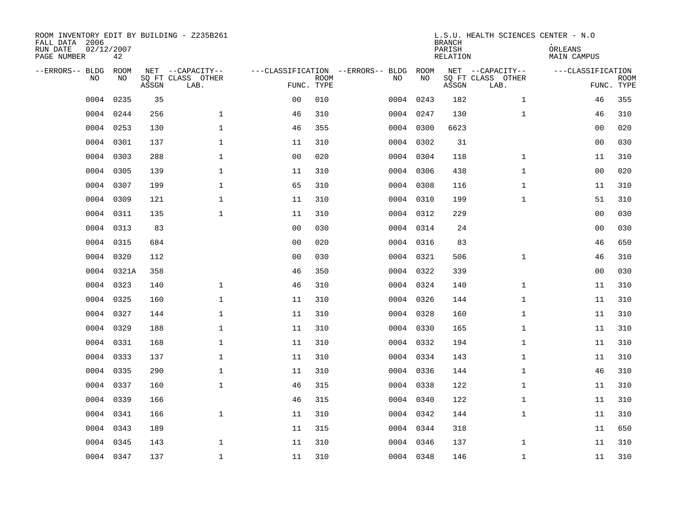| ROOM INVENTORY EDIT BY BUILDING - Z235B261<br>FALL DATA 2006<br>RUN DATE<br>PAGE NUMBER | 02/12/2007<br>42 |       |                                               |                |             |                                         |            | <b>BRANCH</b><br>PARISH<br><b>RELATION</b> | L.S.U. HEALTH SCIENCES CENTER - N.O           | ORLEANS<br><b>MAIN CAMPUS</b> |                           |
|-----------------------------------------------------------------------------------------|------------------|-------|-----------------------------------------------|----------------|-------------|-----------------------------------------|------------|--------------------------------------------|-----------------------------------------------|-------------------------------|---------------------------|
| --ERRORS-- BLDG<br>NO                                                                   | ROOM<br>NO       | ASSGN | NET --CAPACITY--<br>SQ FT CLASS OTHER<br>LAB. | FUNC. TYPE     | <b>ROOM</b> | ---CLASSIFICATION --ERRORS-- BLDG<br>NO | ROOM<br>NO | ASSGN                                      | NET --CAPACITY--<br>SQ FT CLASS OTHER<br>LAB. | ---CLASSIFICATION             | <b>ROOM</b><br>FUNC. TYPE |
| 0004                                                                                    | 0235             | 35    |                                               | 0 <sub>0</sub> | 010         |                                         | 0004 0243  | 182                                        | $\mathbf{1}$                                  | 46                            | 355                       |
| 0004                                                                                    | 0244             | 256   | $\mathbf 1$                                   | 46             | 310         |                                         | 0004 0247  | 130                                        | $\mathbf{1}$                                  | 46                            | 310                       |
| 0004                                                                                    | 0253             | 130   | $\mathbf 1$                                   | 46             | 355         |                                         | 0004 0300  | 6623                                       |                                               | 00                            | 020                       |
| 0004                                                                                    | 0301             | 137   | $\mathbf 1$                                   | 11             | 310         |                                         | 0004 0302  | 31                                         |                                               | 0 <sub>0</sub>                | 030                       |
| 0004                                                                                    | 0303             | 288   | $\mathbf{1}$                                  | 0 <sub>0</sub> | 020         |                                         | 0004 0304  | 118                                        | $\mathbf{1}$                                  | 11                            | 310                       |
| 0004                                                                                    | 0305             | 139   | $\mathbf 1$                                   | 11             | 310         |                                         | 0004 0306  | 438                                        | $\mathbf{1}$                                  | 0 <sub>0</sub>                | 020                       |
| 0004                                                                                    | 0307             | 199   | $\mathbf{1}$                                  | 65             | 310         |                                         | 0004 0308  | 116                                        | $\mathbf{1}$                                  | 11                            | 310                       |
|                                                                                         | 0004 0309        | 121   | $\mathbf 1$                                   | 11             | 310         |                                         | 0004 0310  | 199                                        | $\mathbf{1}$                                  | 51                            | 310                       |
| 0004                                                                                    | 0311             | 135   | $\mathbf{1}$                                  | 11             | 310         |                                         | 0004 0312  | 229                                        |                                               | 0 <sub>0</sub>                | 030                       |
| 0004                                                                                    | 0313             | 83    |                                               | 0 <sub>0</sub> | 030         |                                         | 0004 0314  | 24                                         |                                               | 0 <sub>0</sub>                | 030                       |
| 0004                                                                                    | 0315             | 684   |                                               | 0 <sub>0</sub> | 020         |                                         | 0004 0316  | 83                                         |                                               | 46                            | 650                       |
| 0004                                                                                    | 0320             | 112   |                                               | 0 <sub>0</sub> | 030         |                                         | 0004 0321  | 506                                        | $\mathbf{1}$                                  | 46                            | 310                       |
| 0004                                                                                    | 0321A            | 358   |                                               | 46             | 350         |                                         | 0004 0322  | 339                                        |                                               | 0 <sub>0</sub>                | 030                       |
| 0004                                                                                    | 0323             | 140   | $\mathbf 1$                                   | 46             | 310         |                                         | 0004 0324  | 140                                        | $\mathbf{1}$                                  | 11                            | 310                       |
| 0004                                                                                    | 0325             | 160   | $\mathbf 1$                                   | 11             | 310         |                                         | 0004 0326  | 144                                        | $\mathbf{1}$                                  | 11                            | 310                       |
| 0004                                                                                    | 0327             | 144   | $\mathbf 1$                                   | 11             | 310         |                                         | 0004 0328  | 160                                        | $\mathbf{1}$                                  | 11                            | 310                       |
| 0004                                                                                    | 0329             | 188   | $\mathbf 1$                                   | 11             | 310         |                                         | 0004 0330  | 165                                        | $\mathbf{1}$                                  | 11                            | 310                       |
| 0004                                                                                    | 0331             | 168   | $\mathbf{1}$                                  | 11             | 310         |                                         | 0004 0332  | 194                                        | $\mathbf{1}$                                  | 11                            | 310                       |
| 0004                                                                                    | 0333             | 137   | $\mathbf{1}$                                  | 11             | 310         |                                         | 0004 0334  | 143                                        | $\mathbf{1}$                                  | 11                            | 310                       |
| 0004                                                                                    | 0335             | 290   | $\mathbf 1$                                   | 11             | 310         |                                         | 0004 0336  | 144                                        | $\mathbf{1}$                                  | 46                            | 310                       |
| 0004                                                                                    | 0337             | 160   | $\mathbf 1$                                   | 46             | 315         |                                         | 0004 0338  | 122                                        | $\mathbf{1}$                                  | 11                            | 310                       |
| 0004                                                                                    | 0339             | 166   |                                               | 46             | 315         |                                         | 0004 0340  | 122                                        | $\mathbf{1}$                                  | 11                            | 310                       |
| 0004                                                                                    | 0341             | 166   | $\mathbf{1}$                                  | 11             | 310         |                                         | 0004 0342  | 144                                        | $\mathbf{1}$                                  | 11                            | 310                       |
| 0004                                                                                    | 0343             | 189   |                                               | 11             | 315         |                                         | 0004 0344  | 318                                        |                                               | 11                            | 650                       |
| 0004                                                                                    | 0345             | 143   | $\mathbf 1$                                   | 11             | 310         |                                         | 0004 0346  | 137                                        | $\mathbf{1}$                                  | 11                            | 310                       |
|                                                                                         | 0004 0347        | 137   | $\mathbf{1}$                                  | 11             | 310         |                                         | 0004 0348  | 146                                        | $\mathbf{1}$                                  | 11                            | 310                       |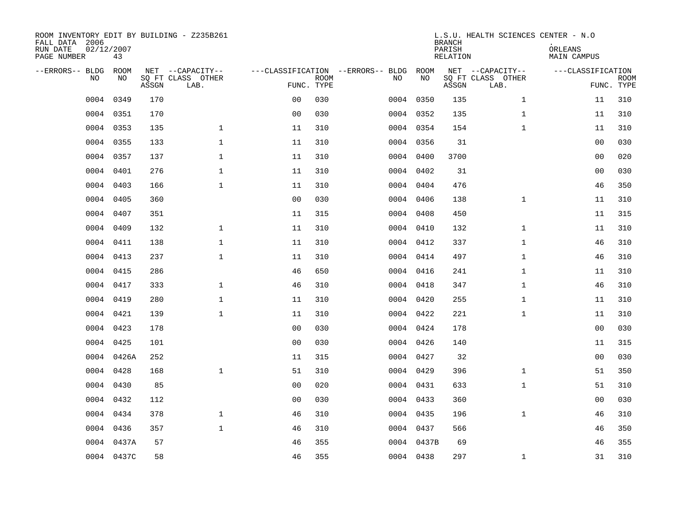| ROOM INVENTORY EDIT BY BUILDING - Z235B261<br>FALL DATA 2006<br>RUN DATE<br>PAGE NUMBER | 02/12/2007<br>43 |       |                                               |                |                           |                                         |            | <b>BRANCH</b><br>PARISH<br><b>RELATION</b> | L.S.U. HEALTH SCIENCES CENTER - N.O           | ORLEANS<br><b>MAIN CAMPUS</b> |                           |
|-----------------------------------------------------------------------------------------|------------------|-------|-----------------------------------------------|----------------|---------------------------|-----------------------------------------|------------|--------------------------------------------|-----------------------------------------------|-------------------------------|---------------------------|
| --ERRORS-- BLDG<br>NO                                                                   | ROOM<br>NO       | ASSGN | NET --CAPACITY--<br>SQ FT CLASS OTHER<br>LAB. |                | <b>ROOM</b><br>FUNC. TYPE | ---CLASSIFICATION --ERRORS-- BLDG<br>NO | ROOM<br>NO | ASSGN                                      | NET --CAPACITY--<br>SQ FT CLASS OTHER<br>LAB. | ---CLASSIFICATION             | <b>ROOM</b><br>FUNC. TYPE |
| 0004                                                                                    | 0349             | 170   |                                               | 0 <sub>0</sub> | 030                       | 0004                                    | 0350       | 135                                        | $\mathbf{1}$                                  | 11                            | 310                       |
| 0004                                                                                    | 0351             | 170   |                                               | 0 <sub>0</sub> | 030                       |                                         | 0004 0352  | 135                                        | $\mathbf{1}$                                  | 11                            | 310                       |
| 0004                                                                                    | 0353             | 135   | $\mathbf 1$                                   | 11             | 310                       |                                         | 0004 0354  | 154                                        | $\mathbf{1}$                                  | 11                            | 310                       |
| 0004                                                                                    | 0355             | 133   | $\mathbf 1$                                   | 11             | 310                       |                                         | 0004 0356  | 31                                         |                                               | 00                            | 030                       |
| 0004                                                                                    | 0357             | 137   | $\mathbf{1}$                                  | 11             | 310                       |                                         | 0004 0400  | 3700                                       |                                               | 0 <sub>0</sub>                | 020                       |
| 0004                                                                                    | 0401             | 276   | $\mathbf 1$                                   | 11             | 310                       |                                         | 0004 0402  | 31                                         |                                               | 0 <sub>0</sub>                | 030                       |
| 0004                                                                                    | 0403             | 166   | $\mathbf{1}$                                  | 11             | 310                       |                                         | 0004 0404  | 476                                        |                                               | 46                            | 350                       |
| 0004                                                                                    | 0405             | 360   |                                               | 0 <sub>0</sub> | 030                       |                                         | 0004 0406  | 138                                        | $\mathbf{1}$                                  | 11                            | 310                       |
| 0004                                                                                    | 0407             | 351   |                                               | 11             | 315                       |                                         | 0004 0408  | 450                                        |                                               | 11                            | 315                       |
| 0004                                                                                    | 0409             | 132   | $\mathbf 1$                                   | 11             | 310                       |                                         | 0004 0410  | 132                                        | $\mathbf{1}$                                  | 11                            | 310                       |
| 0004                                                                                    | 0411             | 138   | $\mathbf 1$                                   | 11             | 310                       |                                         | 0004 0412  | 337                                        | $\mathbf{1}$                                  | 46                            | 310                       |
| 0004                                                                                    | 0413             | 237   | $\mathbf{1}$                                  | 11             | 310                       |                                         | 0004 0414  | 497                                        | $\mathbf{1}$                                  | 46                            | 310                       |
| 0004                                                                                    | 0415             | 286   |                                               | 46             | 650                       |                                         | 0004 0416  | 241                                        | $\mathbf{1}$                                  | 11                            | 310                       |
| 0004                                                                                    | 0417             | 333   | $\mathbf 1$                                   | 46             | 310                       |                                         | 0004 0418  | 347                                        | $\mathbf{1}$                                  | 46                            | 310                       |
| 0004                                                                                    | 0419             | 280   | $\mathbf 1$                                   | 11             | 310                       |                                         | 0004 0420  | 255                                        | $\mathbf{1}$                                  | 11                            | 310                       |
| 0004                                                                                    | 0421             | 139   | $\mathbf{1}$                                  | 11             | 310                       |                                         | 0004 0422  | 221                                        | $\mathbf{1}$                                  | 11                            | 310                       |
| 0004                                                                                    | 0423             | 178   |                                               | 0 <sub>0</sub> | 030                       |                                         | 0004 0424  | 178                                        |                                               | 0 <sub>0</sub>                | 030                       |
| 0004                                                                                    | 0425             | 101   |                                               | 0 <sub>0</sub> | 030                       |                                         | 0004 0426  | 140                                        |                                               | 11                            | 315                       |
| 0004                                                                                    | 0426A            | 252   |                                               | 11             | 315                       |                                         | 0004 0427  | 32                                         |                                               | 0 <sub>0</sub>                | 030                       |
| 0004                                                                                    | 0428             | 168   | $\mathbf 1$                                   | 51             | 310                       |                                         | 0004 0429  | 396                                        | $\mathbf{1}$                                  | 51                            | 350                       |
| 0004                                                                                    | 0430             | 85    |                                               | 0 <sub>0</sub> | 020                       |                                         | 0004 0431  | 633                                        | $\mathbf{1}$                                  | 51                            | 310                       |
| 0004                                                                                    | 0432             | 112   |                                               | 0 <sub>0</sub> | 030                       |                                         | 0004 0433  | 360                                        |                                               | 00                            | 030                       |
| 0004                                                                                    | 0434             | 378   | $\mathbf{1}$                                  | 46             | 310                       |                                         | 0004 0435  | 196                                        | $\mathbf{1}$                                  | 46                            | 310                       |
| 0004                                                                                    | 0436             | 357   | $\mathbf{1}$                                  | 46             | 310                       |                                         | 0004 0437  | 566                                        |                                               | 46                            | 350                       |
| 0004                                                                                    | 0437A            | 57    |                                               | 46             | 355                       |                                         | 0004 0437B | 69                                         |                                               | 46                            | 355                       |
|                                                                                         | 0004 0437C       | 58    |                                               | 46             | 355                       |                                         | 0004 0438  | 297                                        | $\mathbf{1}$                                  | 31                            | 310                       |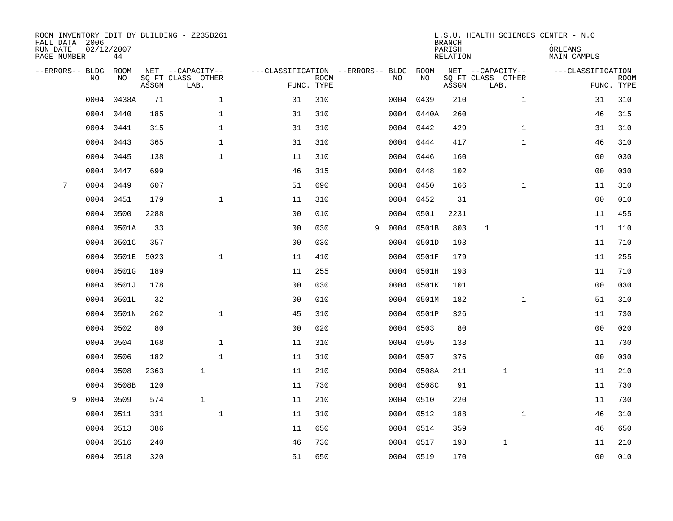| FALL DATA 2006<br>RUN DATE<br>PAGE NUMBER | 02/12/2007 | 44        |       | ROOM INVENTORY EDIT BY BUILDING - Z235B261    |                                                      |             |   |      |            | <b>BRANCH</b><br>PARISH<br>RELATION | L.S.U. HEALTH SCIENCES CENTER - N.O           | ORLEANS<br>MAIN CAMPUS |                           |
|-------------------------------------------|------------|-----------|-------|-----------------------------------------------|------------------------------------------------------|-------------|---|------|------------|-------------------------------------|-----------------------------------------------|------------------------|---------------------------|
| --ERRORS-- BLDG ROOM                      | NO.        | NO.       | ASSGN | NET --CAPACITY--<br>SQ FT CLASS OTHER<br>LAB. | ---CLASSIFICATION --ERRORS-- BLDG ROOM<br>FUNC. TYPE | <b>ROOM</b> |   | NO.  | NO         | ASSGN                               | NET --CAPACITY--<br>SQ FT CLASS OTHER<br>LAB. | ---CLASSIFICATION      | <b>ROOM</b><br>FUNC. TYPE |
|                                           | 0004       | 0438A     | 71    | $\mathbf{1}$                                  | 31                                                   | 310         |   |      | 0004 0439  | 210                                 | $\mathbf{1}$                                  | 31                     | 310                       |
|                                           | 0004       | 0440      | 185   | $\mathbf{1}$                                  | 31                                                   | 310         |   |      | 0004 0440A | 260                                 |                                               | 46                     | 315                       |
|                                           | 0004       | 0441      | 315   | $\mathbf{1}$                                  | 31                                                   | 310         |   |      | 0004 0442  | 429                                 | $\mathbf{1}$                                  | 31                     | 310                       |
|                                           | 0004       | 0443      | 365   | $\mathbf 1$                                   | 31                                                   | 310         |   |      | 0004 0444  | 417                                 | $\mathbf{1}$                                  | 46                     | 310                       |
|                                           | 0004       | 0445      | 138   | $\mathbf{1}$                                  | 11                                                   | 310         |   |      | 0004 0446  | 160                                 |                                               | 0 <sub>0</sub>         | 030                       |
|                                           | 0004       | 0447      | 699   |                                               | 46                                                   | 315         |   |      | 0004 0448  | 102                                 |                                               | 0 <sub>0</sub>         | 030                       |
| 7                                         | 0004       | 0449      | 607   |                                               | 51                                                   | 690         |   |      | 0004 0450  | 166                                 | $\mathbf{1}$                                  | 11                     | 310                       |
|                                           | 0004       | 0451      | 179   | $\mathbf 1$                                   | 11                                                   | 310         |   |      | 0004 0452  | 31                                  |                                               | 00                     | 010                       |
|                                           | 0004       | 0500      | 2288  |                                               | 0 <sub>0</sub>                                       | 010         |   |      | 0004 0501  | 2231                                |                                               | 11                     | 455                       |
|                                           | 0004       | 0501A     | 33    |                                               | 0 <sub>0</sub>                                       | 030         | 9 |      | 0004 0501B | 803                                 | $\mathbf 1$                                   | 11                     | 110                       |
|                                           | 0004       | 0501C     | 357   |                                               | 0 <sub>0</sub>                                       | 030         |   |      | 0004 0501D | 193                                 |                                               | 11                     | 710                       |
|                                           | 0004       | 0501E     | 5023  | $\mathbf{1}$                                  | 11                                                   | 410         |   |      | 0004 0501F | 179                                 |                                               | 11                     | 255                       |
|                                           | 0004       | 0501G     | 189   |                                               | 11                                                   | 255         |   |      | 0004 0501H | 193                                 |                                               | 11                     | 710                       |
|                                           | 0004       | 0501J     | 178   |                                               | 0 <sub>0</sub>                                       | 030         |   |      | 0004 0501K | 101                                 |                                               | 00                     | 030                       |
|                                           | 0004       | 0501L     | 32    |                                               | 0 <sub>0</sub>                                       | 010         |   |      | 0004 0501M | 182                                 | $\mathbf{1}$                                  | 51                     | 310                       |
|                                           | 0004       | 0501N     | 262   | $\mathbf{1}$                                  | 45                                                   | 310         |   |      | 0004 0501P | 326                                 |                                               | 11                     | 730                       |
|                                           | 0004       | 0502      | 80    |                                               | 0 <sub>0</sub>                                       | 020         |   |      | 0004 0503  | 80                                  |                                               | 0 <sub>0</sub>         | 020                       |
|                                           | 0004       | 0504      | 168   | $\mathbf 1$                                   | 11                                                   | 310         |   |      | 0004 0505  | 138                                 |                                               | 11                     | 730                       |
|                                           | 0004       | 0506      | 182   | $\mathbf 1$                                   | 11                                                   | 310         |   | 0004 | 0507       | 376                                 |                                               | 0 <sub>0</sub>         | 030                       |
|                                           | 0004       | 0508      | 2363  | $\mathbf{1}$                                  | 11                                                   | 210         |   |      | 0004 0508A | 211                                 | 1                                             | 11                     | 210                       |
|                                           | 0004       | 0508B     | 120   |                                               | 11                                                   | 730         |   |      | 0004 0508C | 91                                  |                                               | 11                     | 730                       |
| 9                                         | 0004       | 0509      | 574   | $\mathbf{1}$                                  | 11                                                   | 210         |   |      | 0004 0510  | 220                                 |                                               | 11                     | 730                       |
|                                           | 0004       | 0511      | 331   | $\mathbf{1}$                                  | 11                                                   | 310         |   |      | 0004 0512  | 188                                 | $\mathbf{1}$                                  | 46                     | 310                       |
|                                           | 0004       | 0513      | 386   |                                               | 11                                                   | 650         |   |      | 0004 0514  | 359                                 |                                               | 46                     | 650                       |
|                                           | 0004       | 0516      | 240   |                                               | 46                                                   | 730         |   |      | 0004 0517  | 193                                 | 1                                             | 11                     | 210                       |
|                                           |            | 0004 0518 | 320   |                                               | 51                                                   | 650         |   |      | 0004 0519  | 170                                 |                                               | 0 <sub>0</sub>         | 010                       |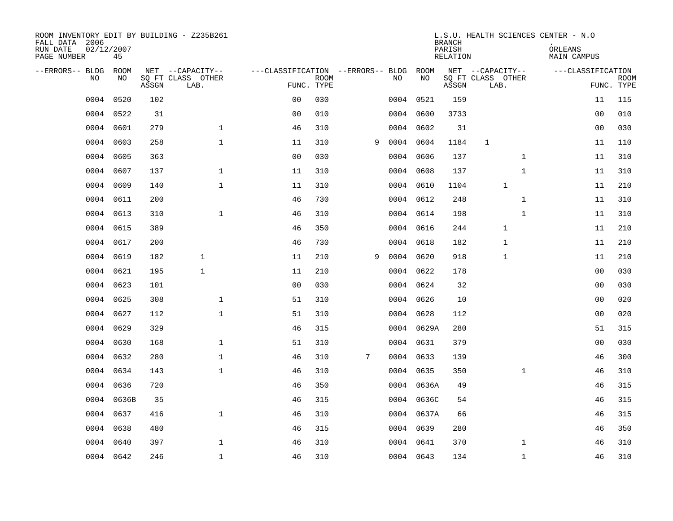| ROOM INVENTORY EDIT BY BUILDING - Z235B261<br>FALL DATA 2006<br>RUN DATE<br>PAGE NUMBER | 02/12/2007<br>45 |       |                           |                                   |                           |   |           |            | <b>BRANCH</b><br>PARISH<br>RELATION | L.S.U. HEALTH SCIENCES CENTER - N.O | ORLEANS<br>MAIN CAMPUS |                           |
|-----------------------------------------------------------------------------------------|------------------|-------|---------------------------|-----------------------------------|---------------------------|---|-----------|------------|-------------------------------------|-------------------------------------|------------------------|---------------------------|
| --ERRORS-- BLDG                                                                         | ROOM             |       | NET --CAPACITY--          | ---CLASSIFICATION --ERRORS-- BLDG |                           |   |           | ROOM       |                                     | NET --CAPACITY--                    | ---CLASSIFICATION      |                           |
| N <sub>O</sub>                                                                          | NO.              | ASSGN | SO FT CLASS OTHER<br>LAB. |                                   | <b>ROOM</b><br>FUNC. TYPE |   | NO.       | NO         | ASSGN                               | SQ FT CLASS OTHER<br>LAB.           |                        | <b>ROOM</b><br>FUNC. TYPE |
| 0004                                                                                    | 0520             | 102   |                           | 0 <sub>0</sub>                    | 030                       |   |           | 0004 0521  | 159                                 |                                     | 11                     | 115                       |
| 0004                                                                                    | 0522             | 31    |                           | 0 <sub>0</sub>                    | 010                       |   |           | 0004 0600  | 3733                                |                                     | 0 <sub>0</sub>         | 010                       |
| 0004                                                                                    | 0601             | 279   | $\mathbf{1}$              | 46                                | 310                       |   |           | 0004 0602  | 31                                  |                                     | 0 <sub>0</sub>         | 030                       |
| 0004                                                                                    | 0603             | 258   | $\mathbf{1}$              | 11                                | 310                       | 9 | 0004      | 0604       | 1184                                | $\mathbf{1}$                        | 11                     | 110                       |
| 0004                                                                                    | 0605             | 363   |                           | 0 <sub>0</sub>                    | 030                       |   | 0004      | 0606       | 137                                 | $\mathbf{1}$                        | 11                     | 310                       |
| 0004                                                                                    | 0607             | 137   | $\mathbf 1$               | 11                                | 310                       |   | 0004      | 0608       | 137                                 | $\mathbf{1}$                        | 11                     | 310                       |
| 0004                                                                                    | 0609             | 140   | $\mathbf{1}$              | 11                                | 310                       |   |           | 0004 0610  | 1104                                | $\mathbf{1}$                        | 11                     | 210                       |
| 0004                                                                                    | 0611             | 200   |                           | 46                                | 730                       |   |           | 0004 0612  | 248                                 | $\mathbf{1}$                        | 11                     | 310                       |
| 0004                                                                                    | 0613             | 310   | $\mathbf{1}$              | 46                                | 310                       |   | 0004      | 0614       | 198                                 | $\mathbf{1}$                        | 11                     | 310                       |
| 0004                                                                                    | 0615             | 389   |                           | 46                                | 350                       |   |           | 0004 0616  | 244                                 | $\mathbf 1$                         | 11                     | 210                       |
| 0004                                                                                    | 0617             | 200   |                           | 46                                | 730                       |   |           | 0004 0618  | 182                                 | $\mathbf 1$                         | 11                     | 210                       |
| 0004                                                                                    | 0619             | 182   | $\mathbf{1}$              | 11                                | 210                       | 9 | 0004 0620 |            | 918                                 | 1                                   | 11                     | 210                       |
| 0004                                                                                    | 0621             | 195   | $\mathbf{1}$              | 11                                | 210                       |   | 0004      | 0622       | 178                                 |                                     | 0 <sub>0</sub>         | 030                       |
| 0004                                                                                    | 0623             | 101   |                           | 0 <sub>0</sub>                    | 030                       |   |           | 0004 0624  | 32                                  |                                     | 00                     | 030                       |
| 0004                                                                                    | 0625             | 308   | 1                         | 51                                | 310                       |   | 0004      | 0626       | 10                                  |                                     | 00                     | 020                       |
| 0004                                                                                    | 0627             | 112   | $\mathbf 1$               | 51                                | 310                       |   |           | 0004 0628  | 112                                 |                                     | 00                     | 020                       |
| 0004                                                                                    | 0629             | 329   |                           | 46                                | 315                       |   |           | 0004 0629A | 280                                 |                                     | 51                     | 315                       |
| 0004                                                                                    | 0630             | 168   | $\mathbf 1$               | 51                                | 310                       |   |           | 0004 0631  | 379                                 |                                     | 00                     | 030                       |
| 0004                                                                                    | 0632             | 280   | $\mathbf{1}$              | 46                                | 310                       | 7 |           | 0004 0633  | 139                                 |                                     | 46                     | 300                       |
| 0004                                                                                    | 0634             | 143   | $\mathbf{1}$              | 46                                | 310                       |   |           | 0004 0635  | 350                                 | $\mathbf{1}$                        | 46                     | 310                       |
| 0004                                                                                    | 0636             | 720   |                           | 46                                | 350                       |   |           | 0004 0636A | 49                                  |                                     | 46                     | 315                       |
| 0004                                                                                    | 0636B            | 35    |                           | 46                                | 315                       |   |           | 0004 0636C | 54                                  |                                     | 46                     | 315                       |
| 0004                                                                                    | 0637             | 416   | $\mathbf{1}$              | 46                                | 310                       |   |           | 0004 0637A | 66                                  |                                     | 46                     | 315                       |
| 0004                                                                                    | 0638             | 480   |                           | 46                                | 315                       |   |           | 0004 0639  | 280                                 |                                     | 46                     | 350                       |
| 0004                                                                                    | 0640             | 397   | $\mathbf 1$               | 46                                | 310                       |   |           | 0004 0641  | 370                                 | $\mathbf{1}$                        | 46                     | 310                       |
|                                                                                         | 0004 0642        | 246   | $\mathbf{1}$              | 46                                | 310                       |   |           | 0004 0643  | 134                                 | $\mathbf{1}$                        | 46                     | 310                       |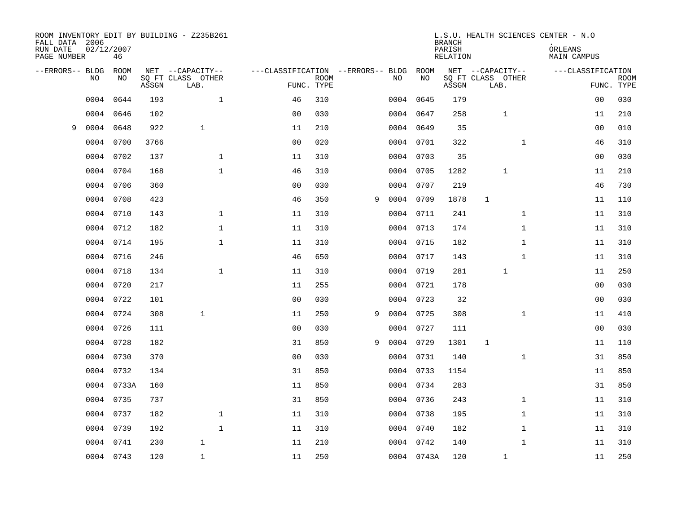| FALL DATA 2006<br>RUN DATE<br>PAGE NUMBER | 02/12/2007 | 46         |       | ROOM INVENTORY EDIT BY BUILDING - Z235B261    |                                                      |             |   |     |            | <b>BRANCH</b><br>PARISH<br>RELATION |              |                                               | L.S.U. HEALTH SCIENCES CENTER - N.O<br>ORLEANS<br>MAIN CAMPUS |                           |
|-------------------------------------------|------------|------------|-------|-----------------------------------------------|------------------------------------------------------|-------------|---|-----|------------|-------------------------------------|--------------|-----------------------------------------------|---------------------------------------------------------------|---------------------------|
| --ERRORS-- BLDG ROOM                      | NO.        | NO.        | ASSGN | NET --CAPACITY--<br>SQ FT CLASS OTHER<br>LAB. | ---CLASSIFICATION --ERRORS-- BLDG ROOM<br>FUNC. TYPE | <b>ROOM</b> |   | NO. | NO         | ASSGN                               |              | NET --CAPACITY--<br>SQ FT CLASS OTHER<br>LAB. | ---CLASSIFICATION                                             | <b>ROOM</b><br>FUNC. TYPE |
|                                           | 0004       | 0644       | 193   | $\mathbf{1}$                                  | 46                                                   | 310         |   |     | 0004 0645  | 179                                 |              |                                               | 0 <sub>0</sub>                                                | 030                       |
|                                           | 0004       | 0646       | 102   |                                               | 0 <sub>0</sub>                                       | 030         |   |     | 0004 0647  | 258                                 |              | 1                                             | 11                                                            | 210                       |
| 9                                         | 0004       | 0648       | 922   | $\mathbf{1}$                                  | 11                                                   | 210         |   |     | 0004 0649  | 35                                  |              |                                               | 00                                                            | 010                       |
|                                           | 0004       | 0700       | 3766  |                                               | 0 <sub>0</sub>                                       | 020         |   |     | 0004 0701  | 322                                 |              | $\mathbf{1}$                                  | 46                                                            | 310                       |
|                                           | 0004       | 0702       | 137   | $\mathbf{1}$                                  | 11                                                   | 310         |   |     | 0004 0703  | 35                                  |              |                                               | 0 <sub>0</sub>                                                | 030                       |
|                                           | 0004       | 0704       | 168   | $\mathbf 1$                                   | 46                                                   | 310         |   |     | 0004 0705  | 1282                                |              | 1                                             | 11                                                            | 210                       |
|                                           | 0004       | 0706       | 360   |                                               | 0 <sub>0</sub>                                       | 030         |   |     | 0004 0707  | 219                                 |              |                                               | 46                                                            | 730                       |
|                                           | 0004       | 0708       | 423   |                                               | 46                                                   | 350         | 9 |     | 0004 0709  | 1878                                | $\mathbf{1}$ |                                               | 11                                                            | 110                       |
|                                           | 0004       | 0710       | 143   | $\mathbf{1}$                                  | 11                                                   | 310         |   |     | 0004 0711  | 241                                 |              | $\mathbf{1}$                                  | 11                                                            | 310                       |
|                                           | 0004       | 0712       | 182   | $\mathbf 1$                                   | 11                                                   | 310         |   |     | 0004 0713  | 174                                 |              | $\mathbf{1}$                                  | 11                                                            | 310                       |
|                                           | 0004       | 0714       | 195   | $\mathbf 1$                                   | 11                                                   | 310         |   |     | 0004 0715  | 182                                 |              | $\mathbf{1}$                                  | 11                                                            | 310                       |
|                                           |            | 0004 0716  | 246   |                                               | 46                                                   | 650         |   |     | 0004 0717  | 143                                 |              | $\mathbf{1}$                                  | 11                                                            | 310                       |
|                                           | 0004       | 0718       | 134   | $\mathbf{1}$                                  | 11                                                   | 310         |   |     | 0004 0719  | 281                                 |              | $\mathbf{1}$                                  | 11                                                            | 250                       |
|                                           | 0004       | 0720       | 217   |                                               | 11                                                   | 255         |   |     | 0004 0721  | 178                                 |              |                                               | 00                                                            | 030                       |
|                                           | 0004       | 0722       | 101   |                                               | 0 <sub>0</sub>                                       | 030         |   |     | 0004 0723  | 32                                  |              |                                               | 0 <sub>0</sub>                                                | 030                       |
|                                           | 0004       | 0724       | 308   | $\mathbf{1}$                                  | 11                                                   | 250         | 9 |     | 0004 0725  | 308                                 |              | $\mathbf{1}$                                  | 11                                                            | 410                       |
|                                           | 0004       | 0726       | 111   |                                               | 0 <sub>0</sub>                                       | 030         |   |     | 0004 0727  | 111                                 |              |                                               | 0 <sub>0</sub>                                                | 030                       |
|                                           | 0004       | 0728       | 182   |                                               | 31                                                   | 850         | 9 |     | 0004 0729  | 1301                                | 1            |                                               | 11                                                            | 110                       |
|                                           | 0004       | 0730       | 370   |                                               | 0 <sub>0</sub>                                       | 030         |   |     | 0004 0731  | 140                                 |              | $\mathbf{1}$                                  | 31                                                            | 850                       |
|                                           | 0004       | 0732       | 134   |                                               | 31                                                   | 850         |   |     | 0004 0733  | 1154                                |              |                                               | 11                                                            | 850                       |
|                                           |            | 0004 0733A | 160   |                                               | 11                                                   | 850         |   |     | 0004 0734  | 283                                 |              |                                               | 31                                                            | 850                       |
|                                           | 0004       | 0735       | 737   |                                               | 31                                                   | 850         |   |     | 0004 0736  | 243                                 |              | $\mathbf{1}$                                  | 11                                                            | 310                       |
|                                           | 0004       | 0737       | 182   | 1                                             | 11                                                   | 310         |   |     | 0004 0738  | 195                                 |              | $\mathbf{1}$                                  | 11                                                            | 310                       |
|                                           | 0004       | 0739       | 192   | $\mathbf 1$                                   | 11                                                   | 310         |   |     | 0004 0740  | 182                                 |              | $\mathbf{1}$                                  | 11                                                            | 310                       |
|                                           | 0004       | 0741       | 230   | $\mathbf{1}$                                  | 11                                                   | 210         |   |     | 0004 0742  | 140                                 |              | $\mathbf{1}$                                  | 11                                                            | 310                       |
|                                           |            | 0004 0743  | 120   | $\mathbf{1}$                                  | 11                                                   | 250         |   |     | 0004 0743A | 120                                 |              | $\mathbf{1}$                                  | 11                                                            | 250                       |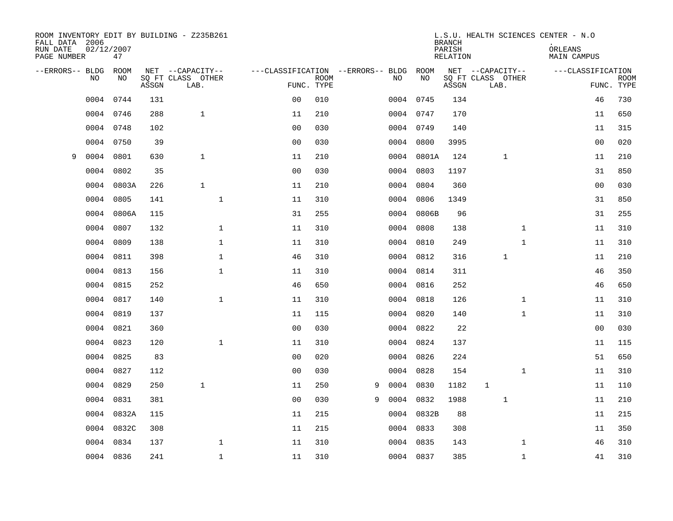| FALL DATA 2006<br>RUN DATE<br>PAGE NUMBER | 02/12/2007 | 47         |       | ROOM INVENTORY EDIT BY BUILDING - Z235B261    |                                                 |             |   |      |            | <b>BRANCH</b><br>PARISH<br><b>RELATION</b> |                                               |              | L.S.U. HEALTH SCIENCES CENTER - N.O<br>ORLEANS<br><b>MAIN CAMPUS</b> |                           |
|-------------------------------------------|------------|------------|-------|-----------------------------------------------|-------------------------------------------------|-------------|---|------|------------|--------------------------------------------|-----------------------------------------------|--------------|----------------------------------------------------------------------|---------------------------|
| --ERRORS-- BLDG                           | NO         | ROOM<br>NO | ASSGN | NET --CAPACITY--<br>SQ FT CLASS OTHER<br>LAB. | ---CLASSIFICATION --ERRORS-- BLDG<br>FUNC. TYPE | <b>ROOM</b> |   | NO   | ROOM<br>NO | ASSGN                                      | NET --CAPACITY--<br>SQ FT CLASS OTHER<br>LAB. |              | ---CLASSIFICATION                                                    | <b>ROOM</b><br>FUNC. TYPE |
|                                           | 0004       | 0744       | 131   |                                               | 0 <sub>0</sub>                                  | 010         |   |      | 0004 0745  | 134                                        |                                               |              | 46                                                                   | 730                       |
|                                           | 0004       | 0746       | 288   | $\mathbf{1}$                                  | 11                                              | 210         |   |      | 0004 0747  | 170                                        |                                               |              | 11                                                                   | 650                       |
|                                           | 0004       | 0748       | 102   |                                               | 0 <sub>0</sub>                                  | 030         |   |      | 0004 0749  | 140                                        |                                               |              | 11                                                                   | 315                       |
|                                           | 0004       | 0750       | 39    |                                               | 0 <sub>0</sub>                                  | 030         |   |      | 0004 0800  | 3995                                       |                                               |              | 0 <sub>0</sub>                                                       | 020                       |
| 9                                         | 0004       | 0801       | 630   | $\mathbf{1}$                                  | 11                                              | 210         |   |      | 0004 0801A | 124                                        | $\mathbf{1}$                                  |              | 11                                                                   | 210                       |
|                                           | 0004       | 0802       | 35    |                                               | 0 <sub>0</sub>                                  | 030         |   |      | 0004 0803  | 1197                                       |                                               |              | 31                                                                   | 850                       |
|                                           | 0004       | 0803A      | 226   | $\mathbf{1}$                                  | 11                                              | 210         |   |      | 0004 0804  | 360                                        |                                               |              | 00                                                                   | 030                       |
|                                           | 0004       | 0805       | 141   | $\mathbf 1$                                   | 11                                              | 310         |   |      | 0004 0806  | 1349                                       |                                               |              | 31                                                                   | 850                       |
|                                           | 0004       | 0806A      | 115   |                                               | 31                                              | 255         |   | 0004 | 0806B      | 96                                         |                                               |              | 31                                                                   | 255                       |
|                                           | 0004       | 0807       | 132   | $\mathbf{1}$                                  | 11                                              | 310         |   |      | 0004 0808  | 138                                        |                                               | $\mathbf{1}$ | 11                                                                   | 310                       |
|                                           | 0004       | 0809       | 138   | $\mathbf{1}$                                  | 11                                              | 310         |   |      | 0004 0810  | 249                                        |                                               | $\mathbf{1}$ | 11                                                                   | 310                       |
|                                           | 0004       | 0811       | 398   | $\mathbf{1}$                                  | 46                                              | 310         |   |      | 0004 0812  | 316                                        | $\mathbf{1}$                                  |              | 11                                                                   | 210                       |
|                                           | 0004       | 0813       | 156   | $\mathbf 1$                                   | 11                                              | 310         |   |      | 0004 0814  | 311                                        |                                               |              | 46                                                                   | 350                       |
|                                           | 0004       | 0815       | 252   |                                               | 46                                              | 650         |   |      | 0004 0816  | 252                                        |                                               |              | 46                                                                   | 650                       |
|                                           | 0004       | 0817       | 140   | $\mathbf 1$                                   | 11                                              | 310         |   | 0004 | 0818       | 126                                        |                                               | $\mathbf{1}$ | 11                                                                   | 310                       |
|                                           | 0004       | 0819       | 137   |                                               | 11                                              | 115         |   |      | 0004 0820  | 140                                        |                                               | $\mathbf{1}$ | 11                                                                   | 310                       |
|                                           | 0004       | 0821       | 360   |                                               | 0 <sub>0</sub>                                  | 030         |   |      | 0004 0822  | 22                                         |                                               |              | 0 <sub>0</sub>                                                       | 030                       |
|                                           | 0004       | 0823       | 120   | $\mathbf{1}$                                  | 11                                              | 310         |   |      | 0004 0824  | 137                                        |                                               |              | 11                                                                   | 115                       |
|                                           | 0004       | 0825       | 83    |                                               | 0 <sub>0</sub>                                  | 020         |   |      | 0004 0826  | 224                                        |                                               |              | 51                                                                   | 650                       |
|                                           | 0004       | 0827       | 112   |                                               | 0 <sub>0</sub>                                  | 030         |   |      | 0004 0828  | 154                                        |                                               | $\mathbf{1}$ | 11                                                                   | 310                       |
|                                           | 0004       | 0829       | 250   | $\mathbf{1}$                                  | 11                                              | 250         | 9 | 0004 | 0830       | 1182                                       | $\mathbf 1$                                   |              | 11                                                                   | 110                       |
|                                           | 0004       | 0831       | 381   |                                               | 0 <sub>0</sub>                                  | 030         | 9 | 0004 | 0832       | 1988                                       | 1                                             |              | 11                                                                   | 210                       |
|                                           | 0004       | 0832A      | 115   |                                               | 11                                              | 215         |   |      | 0004 0832B | 88                                         |                                               |              | 11                                                                   | 215                       |
|                                           | 0004       | 0832C      | 308   |                                               | 11                                              | 215         |   |      | 0004 0833  | 308                                        |                                               |              | 11                                                                   | 350                       |
|                                           | 0004       | 0834       | 137   | $\mathbf 1$                                   | 11                                              | 310         |   |      | 0004 0835  | 143                                        |                                               | $\mathbf{1}$ | 46                                                                   | 310                       |
|                                           | 0004 0836  |            | 241   | $\mathbf{1}$                                  | 11                                              | 310         |   |      | 0004 0837  | 385                                        |                                               | $\mathbf{1}$ | 41                                                                   | 310                       |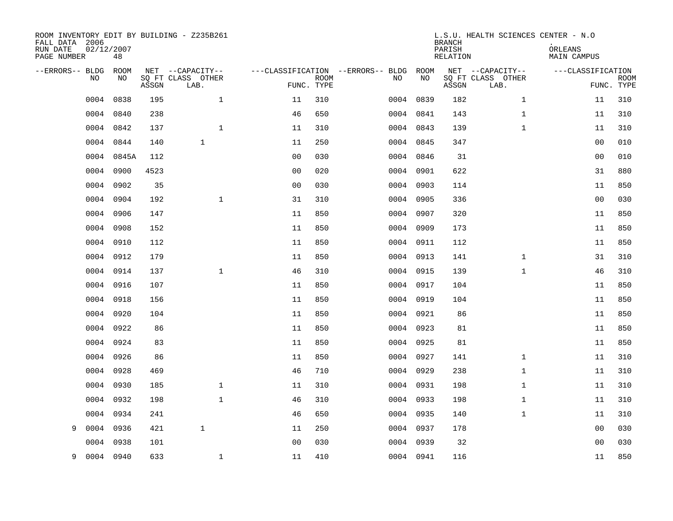| ROOM INVENTORY EDIT BY BUILDING - Z235B261<br>FALL DATA 2006<br>RUN DATE<br>PAGE NUMBER | 02/12/2007<br>48 |       |                                               |                |             |                                              |           | <b>BRANCH</b><br>PARISH<br><b>RELATION</b> | L.S.U. HEALTH SCIENCES CENTER - N.O           | ORLEANS<br><b>MAIN CAMPUS</b> |                           |
|-----------------------------------------------------------------------------------------|------------------|-------|-----------------------------------------------|----------------|-------------|----------------------------------------------|-----------|--------------------------------------------|-----------------------------------------------|-------------------------------|---------------------------|
| --ERRORS-- BLDG<br>NO                                                                   | ROOM<br>NO       | ASSGN | NET --CAPACITY--<br>SQ FT CLASS OTHER<br>LAB. | FUNC. TYPE     | <b>ROOM</b> | ---CLASSIFICATION --ERRORS-- BLDG ROOM<br>NO | NO        | ASSGN                                      | NET --CAPACITY--<br>SQ FT CLASS OTHER<br>LAB. | ---CLASSIFICATION             | <b>ROOM</b><br>FUNC. TYPE |
| 0004                                                                                    | 0838             | 195   | $\mathbf 1$                                   | 11             | 310         |                                              | 0004 0839 | 182                                        | $\mathbf{1}$                                  | 11                            | 310                       |
| 0004                                                                                    | 0840             | 238   |                                               | 46             | 650         |                                              | 0004 0841 | 143                                        | $\mathbf{1}$                                  | 11                            | 310                       |
| 0004                                                                                    | 0842             | 137   | $\mathbf{1}$                                  | 11             | 310         |                                              | 0004 0843 | 139                                        | $\mathbf{1}$                                  | 11                            | 310                       |
| 0004                                                                                    | 0844             | 140   | $\mathbf{1}$                                  | 11             | 250         |                                              | 0004 0845 | 347                                        |                                               | 0 <sub>0</sub>                | 010                       |
| 0004                                                                                    | 0845A            | 112   |                                               | 0 <sub>0</sub> | 030         |                                              | 0004 0846 | 31                                         |                                               | 0 <sub>0</sub>                | 010                       |
| 0004                                                                                    | 0900             | 4523  |                                               | 0 <sub>0</sub> | 020         |                                              | 0004 0901 | 622                                        |                                               | 31                            | 880                       |
| 0004                                                                                    | 0902             | 35    |                                               | 0 <sub>0</sub> | 030         |                                              | 0004 0903 | 114                                        |                                               | 11                            | 850                       |
|                                                                                         | 0004 0904        | 192   | $\mathbf{1}$                                  | 31             | 310         |                                              | 0004 0905 | 336                                        |                                               | 0 <sub>0</sub>                | 030                       |
| 0004                                                                                    | 0906             | 147   |                                               | 11             | 850         |                                              | 0004 0907 | 320                                        |                                               | 11                            | 850                       |
| 0004                                                                                    | 0908             | 152   |                                               | 11             | 850         |                                              | 0004 0909 | 173                                        |                                               | 11                            | 850                       |
| 0004                                                                                    | 0910             | 112   |                                               | 11             | 850         |                                              | 0004 0911 | 112                                        |                                               | 11                            | 850                       |
| 0004                                                                                    | 0912             | 179   |                                               | 11             | 850         |                                              | 0004 0913 | 141                                        | $\mathbf{1}$                                  | 31                            | 310                       |
| 0004                                                                                    | 0914             | 137   | $\mathbf 1$                                   | 46             | 310         |                                              | 0004 0915 | 139                                        | $\mathbf{1}$                                  | 46                            | 310                       |
| 0004                                                                                    | 0916             | 107   |                                               | 11             | 850         |                                              | 0004 0917 | 104                                        |                                               | 11                            | 850                       |
| 0004                                                                                    | 0918             | 156   |                                               | 11             | 850         | 0004                                         | 0919      | 104                                        |                                               | 11                            | 850                       |
| 0004                                                                                    | 0920             | 104   |                                               | 11             | 850         |                                              | 0004 0921 | 86                                         |                                               | 11                            | 850                       |
| 0004                                                                                    | 0922             | 86    |                                               | 11             | 850         |                                              | 0004 0923 | 81                                         |                                               | 11                            | 850                       |
| 0004                                                                                    | 0924             | 83    |                                               | 11             | 850         |                                              | 0004 0925 | 81                                         |                                               | 11                            | 850                       |
| 0004                                                                                    | 0926             | 86    |                                               | 11             | 850         |                                              | 0004 0927 | 141                                        | $\mathbf{1}$                                  | 11                            | 310                       |
| 0004                                                                                    | 0928             | 469   |                                               | 46             | 710         |                                              | 0004 0929 | 238                                        | $\mathbf{1}$                                  | 11                            | 310                       |
| 0004                                                                                    | 0930             | 185   | $\mathbf 1$                                   | 11             | 310         |                                              | 0004 0931 | 198                                        | $\mathbf{1}$                                  | 11                            | 310                       |
| 0004                                                                                    | 0932             | 198   | $\mathbf{1}$                                  | 46             | 310         |                                              | 0004 0933 | 198                                        | $\mathbf{1}$                                  | 11                            | 310                       |
| 0004                                                                                    | 0934             | 241   |                                               | 46             | 650         |                                              | 0004 0935 | 140                                        | $\mathbf{1}$                                  | 11                            | 310                       |
| 0004<br>9                                                                               | 0936             | 421   | $\mathbf{1}$                                  | 11             | 250         |                                              | 0004 0937 | 178                                        |                                               | 00                            | 030                       |
| 0004                                                                                    | 0938             | 101   |                                               | 0 <sub>0</sub> | 030         |                                              | 0004 0939 | 32                                         |                                               | 00                            | 030                       |
| 9                                                                                       | 0004 0940        | 633   | $\mathbf 1$                                   | 11             | 410         |                                              | 0004 0941 | 116                                        |                                               | 11                            | 850                       |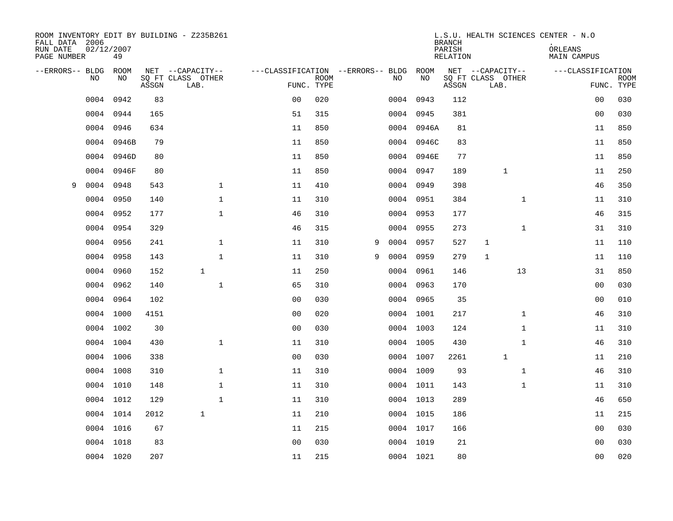| FALL DATA 2006<br>RUN DATE<br>PAGE NUMBER | 02/12/2007 | 49    |       | ROOM INVENTORY EDIT BY BUILDING - Z235B261    |                                                      |             |   |      |            | <b>BRANCH</b><br>PARISH<br>RELATION |              |                                               | L.S.U. HEALTH SCIENCES CENTER - N.O<br>ORLEANS<br>MAIN CAMPUS |                           |
|-------------------------------------------|------------|-------|-------|-----------------------------------------------|------------------------------------------------------|-------------|---|------|------------|-------------------------------------|--------------|-----------------------------------------------|---------------------------------------------------------------|---------------------------|
| --ERRORS-- BLDG ROOM                      | NO.        | NO.   | ASSGN | NET --CAPACITY--<br>SQ FT CLASS OTHER<br>LAB. | ---CLASSIFICATION --ERRORS-- BLDG ROOM<br>FUNC. TYPE | <b>ROOM</b> |   | NO.  | NO         | ASSGN                               |              | NET --CAPACITY--<br>SQ FT CLASS OTHER<br>LAB. | ---CLASSIFICATION                                             | <b>ROOM</b><br>FUNC. TYPE |
|                                           | 0004       | 0942  | 83    |                                               | 0 <sub>0</sub>                                       | 020         |   |      | 0004 0943  | 112                                 |              |                                               | 0 <sub>0</sub>                                                | 030                       |
|                                           | 0004       | 0944  | 165   |                                               | 51                                                   | 315         |   |      | 0004 0945  | 381                                 |              |                                               | 0 <sub>0</sub>                                                | 030                       |
|                                           | 0004       | 0946  | 634   |                                               | 11                                                   | 850         |   |      | 0004 0946A | 81                                  |              |                                               | 11                                                            | 850                       |
|                                           | 0004       | 0946B | 79    |                                               | 11                                                   | 850         |   |      | 0004 0946C | 83                                  |              |                                               | 11                                                            | 850                       |
|                                           | 0004       | 0946D | 80    |                                               | 11                                                   | 850         |   |      | 0004 0946E | 77                                  |              |                                               | 11                                                            | 850                       |
|                                           | 0004       | 0946F | 80    |                                               | 11                                                   | 850         |   |      | 0004 0947  | 189                                 |              | $\mathbf 1$                                   | 11                                                            | 250                       |
| 9                                         | 0004       | 0948  | 543   | $\mathbf{1}$                                  | 11                                                   | 410         |   | 0004 | 0949       | 398                                 |              |                                               | 46                                                            | 350                       |
|                                           | 0004       | 0950  | 140   | $\mathbf 1$                                   | 11                                                   | 310         |   |      | 0004 0951  | 384                                 |              | $\mathbf{1}$                                  | 11                                                            | 310                       |
|                                           | 0004       | 0952  | 177   | $\mathbf{1}$                                  | 46                                                   | 310         |   |      | 0004 0953  | 177                                 |              |                                               | 46                                                            | 315                       |
|                                           | 0004       | 0954  | 329   |                                               | 46                                                   | 315         |   |      | 0004 0955  | 273                                 |              | $\mathbf{1}$                                  | 31                                                            | 310                       |
|                                           | 0004       | 0956  | 241   | $\mathbf{1}$                                  | 11                                                   | 310         | 9 |      | 0004 0957  | 527                                 | $\mathbf{1}$ |                                               | 11                                                            | 110                       |
|                                           | 0004 0958  |       | 143   | $\mathbf{1}$                                  | 11                                                   | 310         | 9 |      | 0004 0959  | 279                                 | $\mathbf 1$  |                                               | 11                                                            | 110                       |
|                                           | 0004       | 0960  | 152   | $\mathbf{1}$                                  | 11                                                   | 250         |   | 0004 | 0961       | 146                                 |              | 13                                            | 31                                                            | 850                       |
|                                           | 0004       | 0962  | 140   | $\mathbf{1}$                                  | 65                                                   | 310         |   |      | 0004 0963  | 170                                 |              |                                               | 00                                                            | 030                       |
|                                           | 0004       | 0964  | 102   |                                               | 0 <sub>0</sub>                                       | 030         |   |      | 0004 0965  | 35                                  |              |                                               | 00                                                            | 010                       |
|                                           | 0004 1000  |       | 4151  |                                               | 0 <sub>0</sub>                                       | 020         |   |      | 0004 1001  | 217                                 |              | $\mathbf{1}$                                  | 46                                                            | 310                       |
|                                           | 0004       | 1002  | 30    |                                               | 0 <sub>0</sub>                                       | 030         |   |      | 0004 1003  | 124                                 |              | $\mathbf{1}$                                  | 11                                                            | 310                       |
|                                           | 0004 1004  |       | 430   | $\mathbf 1$                                   | 11                                                   | 310         |   |      | 0004 1005  | 430                                 |              | $\mathbf{1}$                                  | 46                                                            | 310                       |
|                                           | 0004 1006  |       | 338   |                                               | 0 <sub>0</sub>                                       | 030         |   |      | 0004 1007  | 2261                                |              | $\mathbf 1$                                   | 11                                                            | 210                       |
|                                           | 0004 1008  |       | 310   | $\mathbf{1}$                                  | 11                                                   | 310         |   |      | 0004 1009  | 93                                  |              | $\mathbf{1}$                                  | 46                                                            | 310                       |
|                                           | 0004 1010  |       | 148   | $\mathbf{1}$                                  | 11                                                   | 310         |   |      | 0004 1011  | 143                                 |              | $\mathbf{1}$                                  | 11                                                            | 310                       |
|                                           | 0004 1012  |       | 129   | $\mathbf 1$                                   | 11                                                   | 310         |   |      | 0004 1013  | 289                                 |              |                                               | 46                                                            | 650                       |
|                                           | 0004 1014  |       | 2012  | $\mathbf{1}$                                  | 11                                                   | 210         |   |      | 0004 1015  | 186                                 |              |                                               | 11                                                            | 215                       |
|                                           | 0004 1016  |       | 67    |                                               | 11                                                   | 215         |   |      | 0004 1017  | 166                                 |              |                                               | 00                                                            | 030                       |
|                                           | 0004 1018  |       | 83    |                                               | 0 <sub>0</sub>                                       | 030         |   |      | 0004 1019  | 21                                  |              |                                               | 00                                                            | 030                       |
|                                           | 0004 1020  |       | 207   |                                               | 11                                                   | 215         |   |      | 0004 1021  | 80                                  |              |                                               | 0 <sub>0</sub>                                                | 020                       |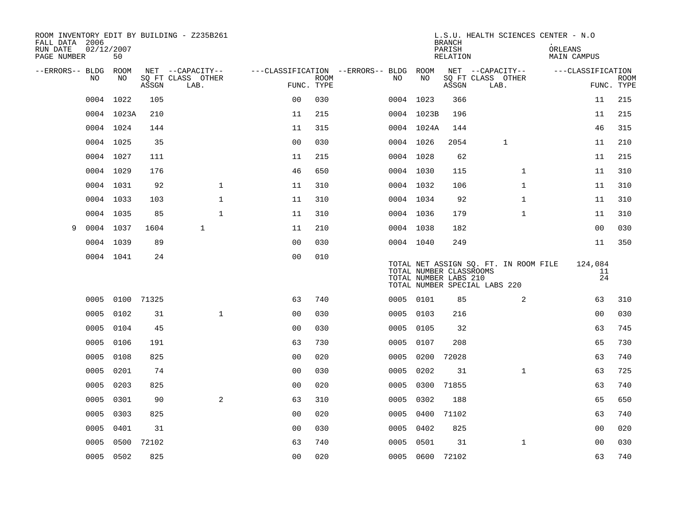| ROOM INVENTORY EDIT BY BUILDING - Z235B261<br>FALL DATA 2006<br>RUN DATE<br>PAGE NUMBER | 02/12/2007<br>50 |            |                           |                                        |             |      |                                                  | <b>BRANCH</b><br>PARISH<br>RELATION | L.S.U. HEALTH SCIENCES CENTER - N.O                                    | ORLEANS<br>MAIN CAMPUS |                           |
|-----------------------------------------------------------------------------------------|------------------|------------|---------------------------|----------------------------------------|-------------|------|--------------------------------------------------|-------------------------------------|------------------------------------------------------------------------|------------------------|---------------------------|
| --ERRORS-- BLDG ROOM                                                                    |                  |            | NET --CAPACITY--          | ---CLASSIFICATION --ERRORS-- BLDG ROOM |             |      |                                                  |                                     | NET --CAPACITY--                                                       | ---CLASSIFICATION      |                           |
| NO.                                                                                     | NO.              | ASSGN      | SQ FT CLASS OTHER<br>LAB. | FUNC. TYPE                             | <b>ROOM</b> | NO.  | NO                                               | ASSGN                               | SQ FT CLASS OTHER<br>LAB.                                              |                        | <b>ROOM</b><br>FUNC. TYPE |
| 0004                                                                                    | 1022             | 105        |                           | 0 <sub>0</sub>                         | 030         |      | 0004 1023                                        | 366                                 |                                                                        | 11                     | 215                       |
|                                                                                         | 0004 1023A       | 210        |                           | 11                                     | 215         |      | 0004 1023B                                       | 196                                 |                                                                        | 11                     | 215                       |
|                                                                                         | 0004 1024        | 144        |                           | 11                                     | 315         |      | 0004 1024A                                       | 144                                 |                                                                        | 46                     | 315                       |
|                                                                                         | 0004 1025        | 35         |                           | 0 <sub>0</sub>                         | 030         |      | 0004 1026                                        | 2054                                | $\mathbf 1$                                                            | 11                     | 210                       |
|                                                                                         | 0004 1027        | 111        |                           | 11                                     | 215         |      | 0004 1028                                        | 62                                  |                                                                        | 11                     | 215                       |
|                                                                                         | 0004 1029        | 176        |                           | 46                                     | 650         |      | 0004 1030                                        | 115                                 | $\mathbf{1}$                                                           | 11                     | 310                       |
|                                                                                         | 0004 1031        | 92         | $\mathbf{1}$              | 11                                     | 310         |      | 0004 1032                                        | 106                                 | $\mathbf{1}$                                                           | 11                     | 310                       |
|                                                                                         | 0004 1033        | 103        | $\mathbf{1}$              | 11                                     | 310         |      | 0004 1034                                        | 92                                  | $\mathbf{1}$                                                           | 11                     | 310                       |
|                                                                                         | 0004 1035        | 85         | $\mathbf{1}$              | 11                                     | 310         |      | 0004 1036                                        | 179                                 | $\mathbf{1}$                                                           | 11                     | 310                       |
| 9                                                                                       | 0004 1037        | 1604       | $\mathbf{1}$              | 11                                     | 210         |      | 0004 1038                                        | 182                                 |                                                                        | 0 <sub>0</sub>         | 030                       |
|                                                                                         | 0004 1039        | 89         |                           | 0 <sub>0</sub>                         | 030         |      | 0004 1040                                        | 249                                 |                                                                        | 11                     | 350                       |
|                                                                                         | 0004 1041        | 24         |                           | 0 <sub>0</sub>                         | 010         |      | TOTAL NUMBER CLASSROOMS<br>TOTAL NUMBER LABS 210 |                                     | TOTAL NET ASSIGN SQ. FT. IN ROOM FILE<br>TOTAL NUMBER SPECIAL LABS 220 | 124,084<br>11<br>24    |                           |
|                                                                                         | 0005 0100 71325  |            |                           | 63                                     | 740         |      | 0005 0101                                        | 85                                  | 2                                                                      | 63                     | 310                       |
| 0005                                                                                    | 0102             | 31         | $\mathbf 1$               | 0 <sub>0</sub>                         | 030         |      | 0005 0103                                        | 216                                 |                                                                        | 0 <sub>0</sub>         | 030                       |
| 0005                                                                                    | 0104             | 45         |                           | 0 <sub>0</sub>                         | 030         | 0005 | 0105                                             | 32                                  |                                                                        | 63                     | 745                       |
| 0005                                                                                    | 0106             | 191        |                           | 63                                     | 730         | 0005 | 0107                                             | 208                                 |                                                                        | 65                     | 730                       |
| 0005                                                                                    | 0108             | 825        |                           | 0 <sub>0</sub>                         | 020         |      | 0005 0200                                        | 72028                               |                                                                        | 63                     | 740                       |
| 0005                                                                                    | 0201             | 74         |                           | 00                                     | 030         | 0005 | 0202                                             | 31                                  | $\mathbf{1}$                                                           | 63                     | 725                       |
| 0005                                                                                    | 0203             | 825        |                           | 0 <sub>0</sub>                         | 020         | 0005 | 0300                                             | 71855                               |                                                                        | 63                     | 740                       |
| 0005                                                                                    | 0301             | 90         | 2                         | 63                                     | 310         | 0005 | 0302                                             | 188                                 |                                                                        | 65                     | 650                       |
| 0005                                                                                    | 0303             | 825        |                           | 0 <sub>0</sub>                         | 020         |      | 0005 0400                                        | 71102                               |                                                                        | 63                     | 740                       |
| 0005                                                                                    | 0401             | 31         |                           | 00                                     | 030         | 0005 | 0402                                             | 825                                 |                                                                        | 0 <sub>0</sub>         | 020                       |
| 0005                                                                                    |                  | 0500 72102 |                           | 63                                     | 740         | 0005 | 0501                                             | 31                                  | $\mathbf{1}$                                                           | 00                     | 030                       |
|                                                                                         | 0005 0502        | 825        |                           | 0 <sub>0</sub>                         | 020         |      | 0005 0600                                        | 72102                               |                                                                        | 63                     | 740                       |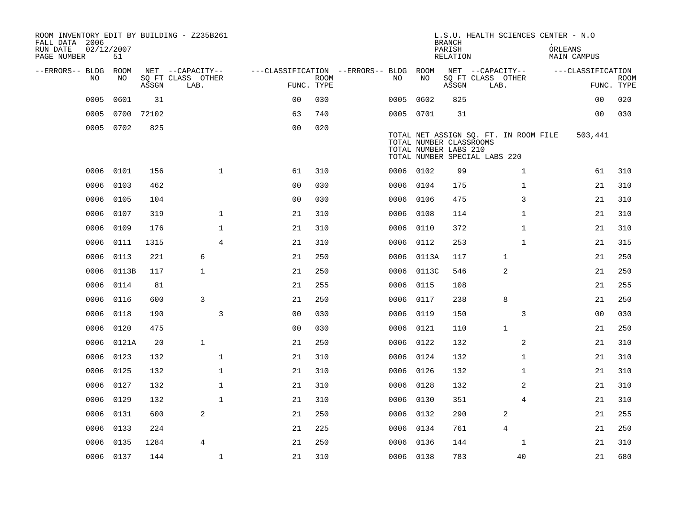| ROOM INVENTORY EDIT BY BUILDING - Z235B261<br>FALL DATA 2006<br>RUN DATE<br>PAGE NUMBER | 02/12/2007<br>51 |       |                           |                                        |             |           |            | <b>BRANCH</b><br>PARISH<br>RELATION                                               | L.S.U. HEALTH SCIENCES CENTER - N.O   | ORLEANS | MAIN CAMPUS       |                           |
|-----------------------------------------------------------------------------------------|------------------|-------|---------------------------|----------------------------------------|-------------|-----------|------------|-----------------------------------------------------------------------------------|---------------------------------------|---------|-------------------|---------------------------|
| --ERRORS-- BLDG ROOM                                                                    |                  |       | NET --CAPACITY--          | ---CLASSIFICATION --ERRORS-- BLDG ROOM |             |           |            |                                                                                   | NET --CAPACITY--                      |         | ---CLASSIFICATION |                           |
| NO.                                                                                     | NO.              | ASSGN | SQ FT CLASS OTHER<br>LAB. | FUNC. TYPE                             | <b>ROOM</b> | NO.       | NO         | ASSGN                                                                             | SQ FT CLASS OTHER<br>LAB.             |         |                   | <b>ROOM</b><br>FUNC. TYPE |
| 0005                                                                                    | 0601             | 31    |                           | 0 <sub>0</sub>                         | 030         | 0005      | 0602       | 825                                                                               |                                       |         | 0 <sub>0</sub>    | 020                       |
| 0005                                                                                    | 0700             | 72102 |                           | 63                                     | 740         | 0005 0701 |            | 31                                                                                |                                       |         | 0 <sub>0</sub>    | 030                       |
|                                                                                         | 0005 0702        | 825   |                           | 0 <sub>0</sub>                         | 020         |           |            | TOTAL NUMBER CLASSROOMS<br>TOTAL NUMBER LABS 210<br>TOTAL NUMBER SPECIAL LABS 220 | TOTAL NET ASSIGN SQ. FT. IN ROOM FILE |         | 503,441           |                           |
| 0006                                                                                    | 0101             | 156   | $\mathbf{1}$              | 61                                     | 310         | 0006 0102 |            | 99                                                                                | $\mathbf{1}$                          |         | 61                | 310                       |
| 0006                                                                                    | 0103             | 462   |                           | 0 <sub>0</sub>                         | 030         | 0006 0104 |            | 175                                                                               | $\mathbf{1}$                          |         | 21                | 310                       |
| 0006                                                                                    | 0105             | 104   |                           | 0 <sub>0</sub>                         | 030         |           | 0006 0106  | 475                                                                               | 3                                     |         | 21                | 310                       |
| 0006                                                                                    | 0107             | 319   | $\mathbf{1}$              | 21                                     | 310         | 0006      | 0108       | 114                                                                               | $\mathbf{1}$                          |         | 21                | 310                       |
| 0006                                                                                    | 0109             | 176   | $\mathbf 1$               | 21                                     | 310         |           | 0006 0110  | 372                                                                               | $\mathbf{1}$                          |         | 21                | 310                       |
| 0006                                                                                    | 0111             | 1315  | $\overline{4}$            | 21                                     | 310         | 0006      | 0112       | 253                                                                               | $\mathbf{1}$                          |         | 21                | 315                       |
| 0006                                                                                    | 0113             | 221   | 6                         | 21                                     | 250         |           | 0006 0113A | 117                                                                               | $\mathbf 1$                           |         | 21                | 250                       |
| 0006                                                                                    | 0113B            | 117   | $\mathbf{1}$              | 21                                     | 250         | 0006      | 0113C      | 546                                                                               | 2                                     |         | 21                | 250                       |
| 0006                                                                                    | 0114             | 81    |                           | 21                                     | 255         | 0006      | 0115       | 108                                                                               |                                       |         | 21                | 255                       |
| 0006                                                                                    | 0116             | 600   | 3                         | 21                                     | 250         | 0006      | 0117       | 238                                                                               | 8                                     |         | 21                | 250                       |
| 0006                                                                                    | 0118             | 190   | 3                         | 0 <sub>0</sub>                         | 030         | 0006      | 0119       | 150                                                                               | 3                                     |         | 0 <sub>0</sub>    | 030                       |
| 0006                                                                                    | 0120             | 475   |                           | 0 <sub>0</sub>                         | 030         | 0006      | 0121       | 110                                                                               | $\mathbf{1}$                          |         | 21                | 250                       |
| 0006                                                                                    | 0121A            | 20    | $\mathbf{1}$              | 21                                     | 250         |           | 0006 0122  | 132                                                                               | 2                                     |         | 21                | 310                       |
| 0006                                                                                    | 0123             | 132   | $\mathbf 1$               | 21                                     | 310         | 0006      | 0124       | 132                                                                               | $\mathbf{1}$                          |         | 21                | 310                       |
| 0006                                                                                    | 0125             | 132   | $\mathbf 1$               | 21                                     | 310         | 0006      | 0126       | 132                                                                               | $\mathbf{1}$                          |         | 21                | 310                       |
| 0006                                                                                    | 0127             | 132   | $\mathbf 1$               | 21                                     | 310         | 0006      | 0128       | 132                                                                               | 2                                     |         | 21                | 310                       |
| 0006                                                                                    | 0129             | 132   | $\mathbf{1}$              | 21                                     | 310         | 0006      | 0130       | 351                                                                               | $\overline{4}$                        |         | 21                | 310                       |
| 0006                                                                                    | 0131             | 600   | 2                         | 21                                     | 250         | 0006      | 0132       | 290                                                                               | 2                                     |         | 21                | 255                       |
| 0006                                                                                    | 0133             | 224   |                           | 21                                     | 225         | 0006 0134 |            | 761                                                                               | $\overline{4}$                        |         | 21                | 250                       |
| 0006                                                                                    | 0135             | 1284  | 4                         | 21                                     | 250         | 0006      | 0136       | 144                                                                               | 1                                     |         | 21                | 310                       |
|                                                                                         | 0006 0137        | 144   | $\mathbf 1$               | 21                                     | 310         | 0006 0138 |            | 783                                                                               | 40                                    |         | 21                | 680                       |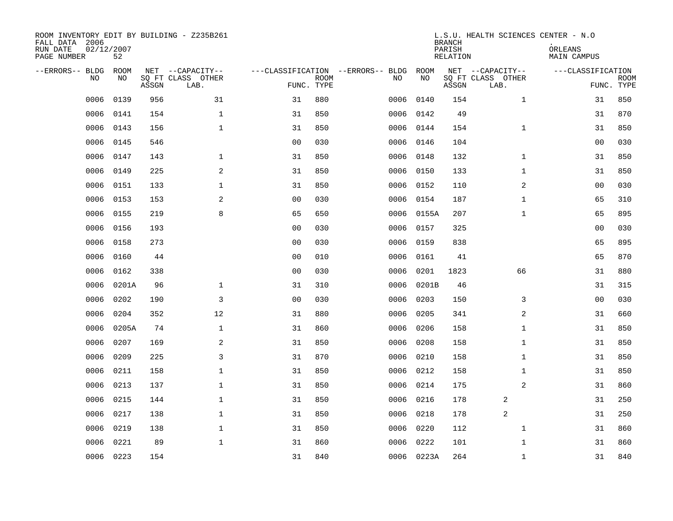| ROOM INVENTORY EDIT BY BUILDING - Z235B261<br>FALL DATA 2006<br>RUN DATE<br>PAGE NUMBER | 02/12/2007<br>52 |       |                                               |                |                           |                                         |            | <b>BRANCH</b><br>PARISH<br><b>RELATION</b> | L.S.U. HEALTH SCIENCES CENTER - N.O           | ORLEANS<br>MAIN CAMPUS |                           |
|-----------------------------------------------------------------------------------------|------------------|-------|-----------------------------------------------|----------------|---------------------------|-----------------------------------------|------------|--------------------------------------------|-----------------------------------------------|------------------------|---------------------------|
| --ERRORS-- BLDG<br>NO                                                                   | ROOM<br>NO       | ASSGN | NET --CAPACITY--<br>SQ FT CLASS OTHER<br>LAB. |                | <b>ROOM</b><br>FUNC. TYPE | ---CLASSIFICATION --ERRORS-- BLDG<br>NO | ROOM<br>NO | ASSGN                                      | NET --CAPACITY--<br>SQ FT CLASS OTHER<br>LAB. | ---CLASSIFICATION      | <b>ROOM</b><br>FUNC. TYPE |
| 0006                                                                                    | 0139             | 956   | 31                                            | 31             | 880                       | 0006                                    | 0140       | 154                                        | $\mathbf{1}$                                  | 31                     | 850                       |
| 0006                                                                                    | 0141             | 154   | $\mathbf 1$                                   | 31             | 850                       | 0006                                    | 0142       | 49                                         |                                               | 31                     | 870                       |
| 0006                                                                                    | 0143             | 156   | $\mathbf{1}$                                  | 31             | 850                       | 0006                                    | 0144       | 154                                        | $\mathbf{1}$                                  | 31                     | 850                       |
| 0006                                                                                    | 0145             | 546   |                                               | 0 <sub>0</sub> | 030                       |                                         | 0006 0146  | 104                                        |                                               | 0 <sub>0</sub>         | 030                       |
| 0006                                                                                    | 0147             | 143   | $\mathbf 1$                                   | 31             | 850                       | 0006                                    | 0148       | 132                                        | $\mathbf{1}$                                  | 31                     | 850                       |
| 0006                                                                                    | 0149             | 225   | 2                                             | 31             | 850                       |                                         | 0006 0150  | 133                                        | $\mathbf{1}$                                  | 31                     | 850                       |
| 0006                                                                                    | 0151             | 133   | $\mathbf{1}$                                  | 31             | 850                       |                                         | 0006 0152  | 110                                        | 2                                             | 00                     | 030                       |
| 0006                                                                                    | 0153             | 153   | 2                                             | 0 <sub>0</sub> | 030                       |                                         | 0006 0154  | 187                                        | $\mathbf{1}$                                  | 65                     | 310                       |
| 0006                                                                                    | 0155             | 219   | 8                                             | 65             | 650                       | 0006                                    | 0155A      | 207                                        | $\mathbf{1}$                                  | 65                     | 895                       |
| 0006                                                                                    | 0156             | 193   |                                               | 0 <sub>0</sub> | 030                       | 0006                                    | 0157       | 325                                        |                                               | 00                     | 030                       |
| 0006                                                                                    | 0158             | 273   |                                               | 0 <sub>0</sub> | 030                       | 0006                                    | 0159       | 838                                        |                                               | 65                     | 895                       |
| 0006                                                                                    | 0160             | 44    |                                               | 0 <sub>0</sub> | 010                       | 0006                                    | 0161       | 41                                         |                                               | 65                     | 870                       |
| 0006                                                                                    | 0162             | 338   |                                               | 00             | 030                       | 0006                                    | 0201       | 1823                                       | 66                                            | 31                     | 880                       |
| 0006                                                                                    | 0201A            | 96    | $\mathbf{1}$                                  | 31             | 310                       | 0006                                    | 0201B      | 46                                         |                                               | 31                     | 315                       |
| 0006                                                                                    | 0202             | 190   | $\mathsf{3}$                                  | 0 <sub>0</sub> | 030                       | 0006                                    | 0203       | 150                                        | 3                                             | 0 <sub>0</sub>         | 030                       |
| 0006                                                                                    | 0204             | 352   | 12                                            | 31             | 880                       | 0006                                    | 0205       | 341                                        | 2                                             | 31                     | 660                       |
| 0006                                                                                    | 0205A            | 74    | $\mathbf 1$                                   | 31             | 860                       | 0006                                    | 0206       | 158                                        | $\mathbf{1}$                                  | 31                     | 850                       |
| 0006                                                                                    | 0207             | 169   | 2                                             | 31             | 850                       | 0006                                    | 0208       | 158                                        | $\mathbf{1}$                                  | 31                     | 850                       |
| 0006                                                                                    | 0209             | 225   | 3                                             | 31             | 870                       | 0006                                    | 0210       | 158                                        | $\mathbf{1}$                                  | 31                     | 850                       |
| 0006                                                                                    | 0211             | 158   | $\mathbf 1$                                   | 31             | 850                       | 0006                                    | 0212       | 158                                        | $\mathbf{1}$                                  | 31                     | 850                       |
| 0006                                                                                    | 0213             | 137   | $\mathbf{1}$                                  | 31             | 850                       |                                         | 0006 0214  | 175                                        | 2                                             | 31                     | 860                       |
| 0006                                                                                    | 0215             | 144   | $\mathbf{1}$                                  | 31             | 850                       | 0006                                    | 0216       | 178                                        | 2                                             | 31                     | 250                       |
| 0006                                                                                    | 0217             | 138   | $\mathbf{1}$                                  | 31             | 850                       | 0006                                    | 0218       | 178                                        | 2                                             | 31                     | 250                       |
| 0006                                                                                    | 0219             | 138   | $\mathbf 1$                                   | 31             | 850                       | 0006                                    | 0220       | 112                                        | $\mathbf{1}$                                  | 31                     | 860                       |
| 0006                                                                                    | 0221             | 89    | $\mathbf 1$                                   | 31             | 860                       | 0006                                    | 0222       | 101                                        | $\mathbf{1}$                                  | 31                     | 860                       |
|                                                                                         | 0006 0223        | 154   |                                               | 31             | 840                       |                                         | 0006 0223A | 264                                        | $\mathbf{1}$                                  | 31                     | 840                       |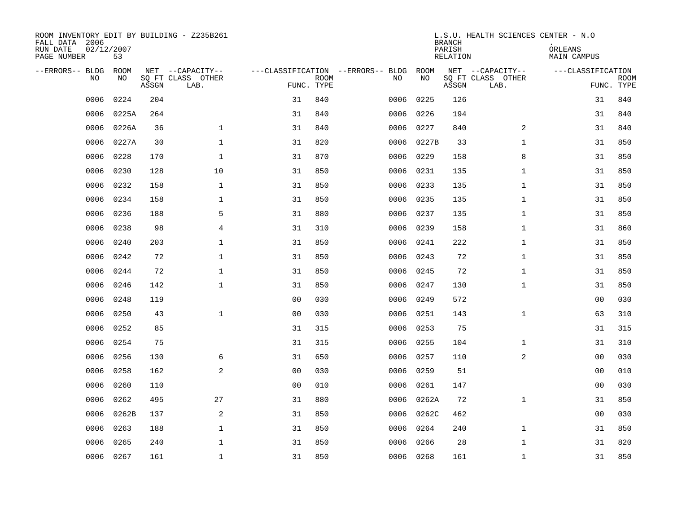| ROOM INVENTORY EDIT BY BUILDING - Z235B261<br>FALL DATA 2006<br>RUN DATE<br>PAGE NUMBER | 02/12/2007<br>53 |       |                                               |                |             |                                          |            | <b>BRANCH</b><br>PARISH<br>RELATION | L.S.U. HEALTH SCIENCES CENTER - N.O           | ORLEANS<br>MAIN CAMPUS |                           |
|-----------------------------------------------------------------------------------------|------------------|-------|-----------------------------------------------|----------------|-------------|------------------------------------------|------------|-------------------------------------|-----------------------------------------------|------------------------|---------------------------|
| --ERRORS-- BLDG<br>N <sub>O</sub>                                                       | ROOM<br>NO.      | ASSGN | NET --CAPACITY--<br>SO FT CLASS OTHER<br>LAB. | FUNC. TYPE     | <b>ROOM</b> | ---CLASSIFICATION --ERRORS-- BLDG<br>NO. | ROOM<br>NO | ASSGN                               | NET --CAPACITY--<br>SQ FT CLASS OTHER<br>LAB. | ---CLASSIFICATION      | <b>ROOM</b><br>FUNC. TYPE |
| 0006                                                                                    | 0224             | 204   |                                               | 31             | 840         | 0006                                     | 0225       | 126                                 |                                               | 31                     | 840                       |
| 0006                                                                                    | 0225A            | 264   |                                               | 31             | 840         | 0006                                     | 0226       | 194                                 |                                               | 31                     | 840                       |
| 0006                                                                                    | 0226A            | 36    | $\mathbf{1}$                                  | 31             | 840         | 0006                                     | 0227       | 840                                 | $\overline{2}$                                | 31                     | 840                       |
| 0006                                                                                    | 0227A            | 30    | $\mathbf{1}$                                  | 31             | 820         | 0006                                     | 0227B      | 33                                  | $\mathbf{1}$                                  | 31                     | 850                       |
| 0006                                                                                    | 0228             | 170   | $\mathbf 1$                                   | 31             | 870         | 0006                                     | 0229       | 158                                 | 8                                             | 31                     | 850                       |
| 0006                                                                                    | 0230             | 128   | 10                                            | 31             | 850         | 0006                                     | 0231       | 135                                 | $\mathbf{1}$                                  | 31                     | 850                       |
| 0006                                                                                    | 0232             | 158   | $\mathbf{1}$                                  | 31             | 850         | 0006                                     | 0233       | 135                                 | $\mathbf{1}$                                  | 31                     | 850                       |
| 0006                                                                                    | 0234             | 158   | $\mathbf 1$                                   | 31             | 850         | 0006                                     | 0235       | 135                                 | $\mathbf{1}$                                  | 31                     | 850                       |
| 0006                                                                                    | 0236             | 188   | 5                                             | 31             | 880         | 0006                                     | 0237       | 135                                 | $\mathbf{1}$                                  | 31                     | 850                       |
| 0006                                                                                    | 0238             | 98    | 4                                             | 31             | 310         | 0006                                     | 0239       | 158                                 | $\mathbf{1}$                                  | 31                     | 860                       |
| 0006                                                                                    | 0240             | 203   | 1                                             | 31             | 850         | 0006                                     | 0241       | 222                                 | $\mathbf{1}$                                  | 31                     | 850                       |
| 0006                                                                                    | 0242             | 72    | $\mathbf 1$                                   | 31             | 850         | 0006                                     | 0243       | 72                                  | $\mathbf{1}$                                  | 31                     | 850                       |
| 0006                                                                                    | 0244             | 72    | $\mathbf{1}$                                  | 31             | 850         | 0006                                     | 0245       | 72                                  | $\mathbf{1}$                                  | 31                     | 850                       |
| 0006                                                                                    | 0246             | 142   | $\mathbf{1}$                                  | 31             | 850         | 0006                                     | 0247       | 130                                 | $\mathbf{1}$                                  | 31                     | 850                       |
| 0006                                                                                    | 0248             | 119   |                                               | 00             | 030         | 0006                                     | 0249       | 572                                 |                                               | 00                     | 030                       |
| 0006                                                                                    | 0250             | 43    | $\mathbf 1$                                   | 0 <sub>0</sub> | 030         | 0006                                     | 0251       | 143                                 | $\mathbf{1}$                                  | 63                     | 310                       |
| 0006                                                                                    | 0252             | 85    |                                               | 31             | 315         | 0006                                     | 0253       | 75                                  |                                               | 31                     | 315                       |
| 0006                                                                                    | 0254             | 75    |                                               | 31             | 315         | 0006                                     | 0255       | 104                                 | $\mathbf{1}$                                  | 31                     | 310                       |
| 0006                                                                                    | 0256             | 130   | 6                                             | 31             | 650         | 0006                                     | 0257       | 110                                 | 2                                             | 00                     | 030                       |
| 0006                                                                                    | 0258             | 162   | 2                                             | 0 <sub>0</sub> | 030         | 0006                                     | 0259       | 51                                  |                                               | 0 <sub>0</sub>         | 010                       |
| 0006                                                                                    | 0260             | 110   |                                               | 0 <sub>0</sub> | 010         | 0006                                     | 0261       | 147                                 |                                               | 0 <sub>0</sub>         | 030                       |
| 0006                                                                                    | 0262             | 495   | 27                                            | 31             | 880         | 0006                                     | 0262A      | 72                                  | $\mathbf{1}$                                  | 31                     | 850                       |
| 0006                                                                                    | 0262B            | 137   | 2                                             | 31             | 850         | 0006                                     | 0262C      | 462                                 |                                               | 00                     | 030                       |
| 0006                                                                                    | 0263             | 188   | $\mathbf 1$                                   | 31             | 850         | 0006                                     | 0264       | 240                                 | $\mathbf{1}$                                  | 31                     | 850                       |
| 0006                                                                                    | 0265             | 240   | $\mathbf 1$                                   | 31             | 850         | 0006                                     | 0266       | 28                                  | $\mathbf{1}$                                  | 31                     | 820                       |
|                                                                                         | 0006 0267        | 161   | $\mathbf{1}$                                  | 31             | 850         |                                          | 0006 0268  | 161                                 | $\mathbf{1}$                                  | 31                     | 850                       |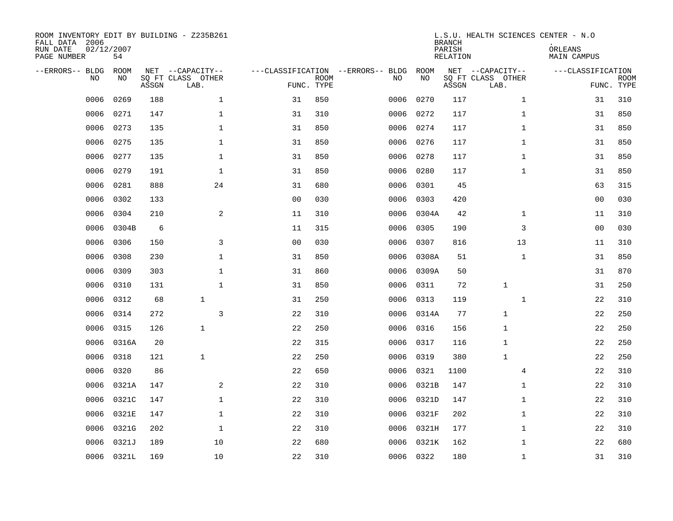| ROOM INVENTORY EDIT BY BUILDING - Z235B261<br>FALL DATA 2006<br>RUN DATE<br>PAGE NUMBER | 02/12/2007<br>54  |       |                                               |                |                           |                                         |                   | <b>BRANCH</b><br>PARISH<br><b>RELATION</b> | L.S.U. HEALTH SCIENCES CENTER - N.O           | ORLEANS<br>MAIN CAMPUS |                           |
|-----------------------------------------------------------------------------------------|-------------------|-------|-----------------------------------------------|----------------|---------------------------|-----------------------------------------|-------------------|--------------------------------------------|-----------------------------------------------|------------------------|---------------------------|
| --ERRORS-- BLDG<br>NO                                                                   | <b>ROOM</b><br>NO | ASSGN | NET --CAPACITY--<br>SQ FT CLASS OTHER<br>LAB. |                | <b>ROOM</b><br>FUNC. TYPE | ---CLASSIFICATION --ERRORS-- BLDG<br>NO | <b>ROOM</b><br>NO | ASSGN                                      | NET --CAPACITY--<br>SQ FT CLASS OTHER<br>LAB. | ---CLASSIFICATION      | <b>ROOM</b><br>FUNC. TYPE |
| 0006                                                                                    | 0269              | 188   | $\mathbf 1$                                   | 31             | 850                       | 0006                                    | 0270              | 117                                        | $\mathbf{1}$                                  | 31                     | 310                       |
| 0006                                                                                    | 0271              | 147   | $\mathbf{1}$                                  | 31             | 310                       | 0006                                    | 0272              | 117                                        | $\mathbf{1}$                                  | 31                     | 850                       |
| 0006                                                                                    | 0273              | 135   | $\mathbf{1}$                                  | 31             | 850                       | 0006                                    | 0274              | 117                                        | $\mathbf{1}$                                  | 31                     | 850                       |
| 0006                                                                                    | 0275              | 135   | $\mathbf 1$                                   | 31             | 850                       | 0006                                    | 0276              | 117                                        | $\mathbf{1}$                                  | 31                     | 850                       |
| 0006                                                                                    | 0277              | 135   | $\mathbf{1}$                                  | 31             | 850                       | 0006                                    | 0278              | 117                                        | $\mathbf{1}$                                  | 31                     | 850                       |
| 0006                                                                                    | 0279              | 191   | $\mathbf 1$                                   | 31             | 850                       | 0006                                    | 0280              | 117                                        | $\mathbf{1}$                                  | 31                     | 850                       |
| 0006                                                                                    | 0281              | 888   | 24                                            | 31             | 680                       | 0006                                    | 0301              | 45                                         |                                               | 63                     | 315                       |
| 0006                                                                                    | 0302              | 133   |                                               | 0 <sub>0</sub> | 030                       | 0006                                    | 0303              | 420                                        |                                               | 00                     | 030                       |
| 0006                                                                                    | 0304              | 210   | 2                                             | 11             | 310                       | 0006                                    | 0304A             | 42                                         | $\mathbf{1}$                                  | 11                     | 310                       |
| 0006                                                                                    | 0304B             | 6     |                                               | 11             | 315                       | 0006                                    | 0305              | 190                                        | 3                                             | 00                     | 030                       |
| 0006                                                                                    | 0306              | 150   | 3                                             | 0 <sub>0</sub> | 030                       | 0006                                    | 0307              | 816                                        | 13                                            | 11                     | 310                       |
| 0006                                                                                    | 0308              | 230   | 1                                             | 31             | 850                       | 0006                                    | 0308A             | 51                                         | $\mathbf{1}$                                  | 31                     | 850                       |
| 0006                                                                                    | 0309              | 303   | $\mathbf 1$                                   | 31             | 860                       | 0006                                    | 0309A             | 50                                         |                                               | 31                     | 870                       |
| 0006                                                                                    | 0310              | 131   | $\mathbf 1$                                   | 31             | 850                       | 0006                                    | 0311              | 72                                         | 1                                             | 31                     | 250                       |
| 0006                                                                                    | 0312              | 68    | $\mathbf{1}$                                  | 31             | 250                       | 0006                                    | 0313              | 119                                        | $\mathbf{1}$                                  | 22                     | 310                       |
| 0006                                                                                    | 0314              | 272   | $\overline{3}$                                | 22             | 310                       | 0006                                    | 0314A             | 77                                         | $\mathbf{1}$                                  | 22                     | 250                       |
| 0006                                                                                    | 0315              | 126   | $\mathbf{1}$                                  | 22             | 250                       | 0006                                    | 0316              | 156                                        | $\mathbf 1$                                   | 22                     | 250                       |
| 0006                                                                                    | 0316A             | 20    |                                               | 22             | 315                       | 0006                                    | 0317              | 116                                        | 1                                             | 22                     | 250                       |
| 0006                                                                                    | 0318              | 121   | $\mathbf{1}$                                  | 22             | 250                       | 0006                                    | 0319              | 380                                        | 1                                             | 22                     | 250                       |
| 0006                                                                                    | 0320              | 86    |                                               | 22             | 650                       | 0006                                    | 0321              | 1100                                       | 4                                             | 22                     | 310                       |
| 0006                                                                                    | 0321A             | 147   | 2                                             | 22             | 310                       | 0006                                    | 0321B             | 147                                        | $\mathbf{1}$                                  | 22                     | 310                       |
| 0006                                                                                    | 0321C             | 147   | $\mathbf{1}$                                  | 22             | 310                       | 0006                                    | 0321D             | 147                                        | $\mathbf{1}$                                  | 22                     | 310                       |
| 0006                                                                                    | 0321E             | 147   | $\mathbf{1}$                                  | 22             | 310                       | 0006                                    | 0321F             | 202                                        | $\mathbf{1}$                                  | 22                     | 310                       |
| 0006                                                                                    | 0321G             | 202   | $\mathbf{1}$                                  | 22             | 310                       | 0006                                    | 0321H             | 177                                        | $\mathbf{1}$                                  | 22                     | 310                       |
| 0006                                                                                    | 0321J             | 189   | 10                                            | 22             | 680                       | 0006                                    | 0321K             | 162                                        | $\mathbf{1}$                                  | 22                     | 680                       |
|                                                                                         | 0006 0321L        | 169   | 10                                            | 22             | 310                       |                                         | 0006 0322         | 180                                        | $\mathbf{1}$                                  | 31                     | 310                       |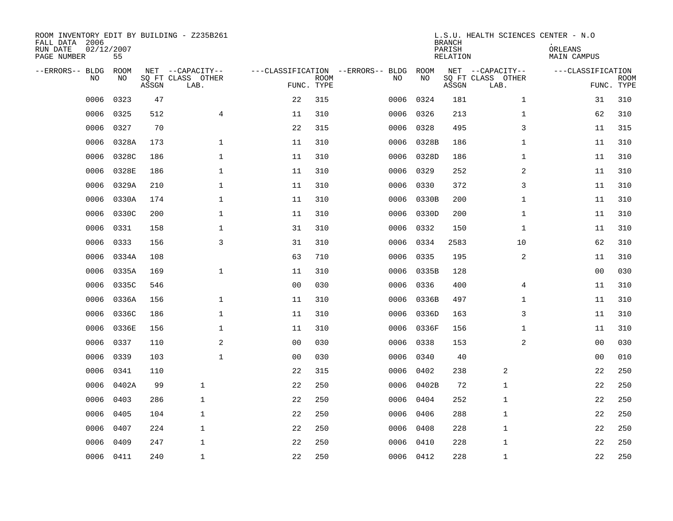| ROOM INVENTORY EDIT BY BUILDING - Z235B261<br>FALL DATA 2006<br>RUN DATE<br>PAGE NUMBER | 02/12/2007<br>55 |       |                                               |                                   |                           |      |            | <b>BRANCH</b><br>PARISH<br><b>RELATION</b> | L.S.U. HEALTH SCIENCES CENTER - N.O           | ORLEANS<br>MAIN CAMPUS |                           |
|-----------------------------------------------------------------------------------------|------------------|-------|-----------------------------------------------|-----------------------------------|---------------------------|------|------------|--------------------------------------------|-----------------------------------------------|------------------------|---------------------------|
| --ERRORS-- BLDG<br>NO                                                                   | ROOM<br>NO       | ASSGN | NET --CAPACITY--<br>SQ FT CLASS OTHER<br>LAB. | ---CLASSIFICATION --ERRORS-- BLDG | <b>ROOM</b><br>FUNC. TYPE | NO   | ROOM<br>NO | ASSGN                                      | NET --CAPACITY--<br>SQ FT CLASS OTHER<br>LAB. | ---CLASSIFICATION      | <b>ROOM</b><br>FUNC. TYPE |
| 0006                                                                                    | 0323             | 47    |                                               | 22                                | 315                       | 0006 | 0324       | 181                                        | $\mathbf{1}$                                  | 31                     | 310                       |
| 0006                                                                                    | 0325             | 512   | 4                                             | 11                                | 310                       | 0006 | 0326       | 213                                        | $\mathbf{1}$                                  | 62                     | 310                       |
| 0006                                                                                    | 0327             | 70    |                                               | 22                                | 315                       | 0006 | 0328       | 495                                        | 3                                             | 11                     | 315                       |
| 0006                                                                                    | 0328A            | 173   | $\mathbf 1$                                   | 11                                | 310                       | 0006 | 0328B      | 186                                        | $\mathbf{1}$                                  | 11                     | 310                       |
| 0006                                                                                    | 0328C            | 186   | $\mathbf 1$                                   | 11                                | 310                       | 0006 | 0328D      | 186                                        | $\mathbf{1}$                                  | 11                     | 310                       |
| 0006                                                                                    | 0328E            | 186   | $\mathbf 1$                                   | 11                                | 310                       | 0006 | 0329       | 252                                        | $\overline{a}$                                | 11                     | 310                       |
| 0006                                                                                    | 0329A            | 210   | $\mathbf{1}$                                  | 11                                | 310                       | 0006 | 0330       | 372                                        | 3                                             | 11                     | 310                       |
| 0006                                                                                    | 0330A            | 174   | $\mathbf 1$                                   | 11                                | 310                       |      | 0006 0330B | 200                                        | $\mathbf{1}$                                  | 11                     | 310                       |
| 0006                                                                                    | 0330C            | 200   | $\mathbf 1$                                   | 11                                | 310                       | 0006 | 0330D      | 200                                        | $\mathbf{1}$                                  | 11                     | 310                       |
| 0006                                                                                    | 0331             | 158   | $\mathbf 1$                                   | 31                                | 310                       | 0006 | 0332       | 150                                        | $\mathbf{1}$                                  | 11                     | 310                       |
| 0006                                                                                    | 0333             | 156   | 3                                             | 31                                | 310                       | 0006 | 0334       | 2583                                       | 10                                            | 62                     | 310                       |
| 0006                                                                                    | 0334A            | 108   |                                               | 63                                | 710                       | 0006 | 0335       | 195                                        | 2                                             | 11                     | 310                       |
| 0006                                                                                    | 0335A            | 169   | $\mathbf{1}$                                  | 11                                | 310                       | 0006 | 0335B      | 128                                        |                                               | 00                     | 030                       |
| 0006                                                                                    | 0335C            | 546   |                                               | 0 <sub>0</sub>                    | 030                       | 0006 | 0336       | 400                                        | 4                                             | 11                     | 310                       |
| 0006                                                                                    | 0336A            | 156   | $\mathbf{1}$                                  | 11                                | 310                       | 0006 | 0336B      | 497                                        | $\mathbf{1}$                                  | 11                     | 310                       |
| 0006                                                                                    | 0336C            | 186   | $\mathbf 1$                                   | 11                                | 310                       | 0006 | 0336D      | 163                                        | 3                                             | 11                     | 310                       |
| 0006                                                                                    | 0336E            | 156   | $\mathbf 1$                                   | 11                                | 310                       | 0006 | 0336F      | 156                                        | $\mathbf{1}$                                  | 11                     | 310                       |
| 0006                                                                                    | 0337             | 110   | 2                                             | 0 <sub>0</sub>                    | 030                       | 0006 | 0338       | 153                                        | $\overline{a}$                                | 0 <sub>0</sub>         | 030                       |
| 0006                                                                                    | 0339             | 103   | $\mathbf{1}$                                  | 0 <sub>0</sub>                    | 030                       | 0006 | 0340       | 40                                         |                                               | 0 <sub>0</sub>         | 010                       |
| 0006                                                                                    | 0341             | 110   |                                               | 22                                | 315                       | 0006 | 0402       | 238                                        | 2                                             | 22                     | 250                       |
| 0006                                                                                    | 0402A            | 99    | $\mathbf{1}$                                  | 22                                | 250                       | 0006 | 0402B      | 72                                         | 1                                             | 22                     | 250                       |
| 0006                                                                                    | 0403             | 286   | $\mathbf{1}$                                  | 22                                | 250                       | 0006 | 0404       | 252                                        | 1                                             | 22                     | 250                       |
| 0006                                                                                    | 0405             | 104   | $\mathbf{1}$                                  | 22                                | 250                       | 0006 | 0406       | 288                                        | 1                                             | 22                     | 250                       |
| 0006                                                                                    | 0407             | 224   | $\mathbf{1}$                                  | 22                                | 250                       | 0006 | 0408       | 228                                        | 1                                             | 22                     | 250                       |
| 0006                                                                                    | 0409             | 247   | $\mathbf 1$                                   | 22                                | 250                       | 0006 | 0410       | 228                                        | 1                                             | 22                     | 250                       |
|                                                                                         | 0006 0411        | 240   | $\mathbf{1}$                                  | 22                                | 250                       |      | 0006 0412  | 228                                        | $\mathbf{1}$                                  | 22                     | 250                       |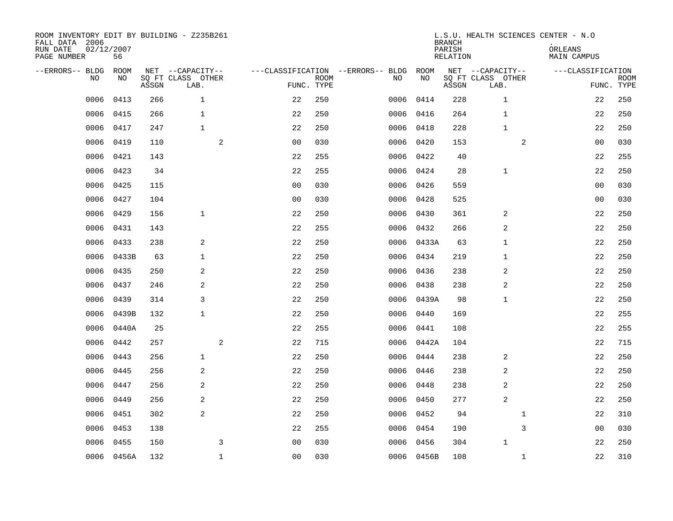| ROOM INVENTORY EDIT BY BUILDING - Z235B261<br>FALL DATA 2006<br>RUN DATE<br>PAGE NUMBER | 02/12/2007<br>56 |       |                                               |                |                           |                                          |            | <b>BRANCH</b><br>PARISH<br>RELATION | L.S.U. HEALTH SCIENCES CENTER - N.O           | ORLEANS<br>MAIN CAMPUS |                           |
|-----------------------------------------------------------------------------------------|------------------|-------|-----------------------------------------------|----------------|---------------------------|------------------------------------------|------------|-------------------------------------|-----------------------------------------------|------------------------|---------------------------|
| --ERRORS-- BLDG<br>N <sub>O</sub>                                                       | ROOM<br>NO.      | ASSGN | NET --CAPACITY--<br>SO FT CLASS OTHER<br>LAB. |                | <b>ROOM</b><br>FUNC. TYPE | ---CLASSIFICATION --ERRORS-- BLDG<br>NO. | ROOM<br>NO | ASSGN                               | NET --CAPACITY--<br>SQ FT CLASS OTHER<br>LAB. | ---CLASSIFICATION      | <b>ROOM</b><br>FUNC. TYPE |
| 0006                                                                                    | 0413             | 266   | $\mathbf{1}$                                  | 22             | 250                       | 0006                                     | 0414       | 228                                 | $\mathbf 1$                                   | 22                     | 250                       |
| 0006                                                                                    | 0415             | 266   | $\mathbf{1}$                                  | 22             | 250                       | 0006                                     | 0416       | 264                                 | $\mathbf{1}$                                  | 22                     | 250                       |
| 0006                                                                                    | 0417             | 247   | $\mathbf{1}$                                  | 22             | 250                       | 0006                                     | 0418       | 228                                 | $\mathbf{1}$                                  | 22                     | 250                       |
| 0006                                                                                    | 0419             | 110   | $\overline{a}$                                | 0 <sub>0</sub> | 030                       | 0006                                     | 0420       | 153                                 | $\overline{a}$                                | 0 <sub>0</sub>         | 030                       |
| 0006                                                                                    | 0421             | 143   |                                               | 22             | 255                       | 0006                                     | 0422       | 40                                  |                                               | 22                     | 255                       |
| 0006                                                                                    | 0423             | 34    |                                               | 22             | 255                       |                                          | 0006 0424  | 28                                  | $\mathbf 1$                                   | 22                     | 250                       |
| 0006                                                                                    | 0425             | 115   |                                               | 0 <sub>0</sub> | 030                       | 0006                                     | 0426       | 559                                 |                                               | 0 <sub>0</sub>         | 030                       |
| 0006                                                                                    | 0427             | 104   |                                               | 0 <sub>0</sub> | 030                       |                                          | 0006 0428  | 525                                 |                                               | 0 <sub>0</sub>         | 030                       |
| 0006                                                                                    | 0429             | 156   | $\mathbf{1}$                                  | 22             | 250                       | 0006                                     | 0430       | 361                                 | 2                                             | 22                     | 250                       |
| 0006                                                                                    | 0431             | 143   |                                               | 22             | 255                       |                                          | 0006 0432  | 266                                 | 2                                             | 22                     | 250                       |
| 0006                                                                                    | 0433             | 238   | 2                                             | 22             | 250                       |                                          | 0006 0433A | 63                                  | 1                                             | 22                     | 250                       |
| 0006                                                                                    | 0433B            | 63    | $\mathbf{1}$                                  | 22             | 250                       | 0006                                     | 0434       | 219                                 | 1                                             | 22                     | 250                       |
| 0006                                                                                    | 0435             | 250   | 2                                             | 22             | 250                       | 0006                                     | 0436       | 238                                 | 2                                             | 22                     | 250                       |
| 0006                                                                                    | 0437             | 246   | 2                                             | 22             | 250                       | 0006                                     | 0438       | 238                                 | 2                                             | 22                     | 250                       |
| 0006                                                                                    | 0439             | 314   | 3                                             | 22             | 250                       | 0006                                     | 0439A      | 98                                  | 1                                             | 22                     | 250                       |
| 0006                                                                                    | 0439B            | 132   | $\mathbf{1}$                                  | 22             | 250                       | 0006                                     | 0440       | 169                                 |                                               | 22                     | 255                       |
| 0006                                                                                    | 0440A            | 25    |                                               | 22             | 255                       | 0006                                     | 0441       | 108                                 |                                               | 22                     | 255                       |
| 0006                                                                                    | 0442             | 257   | 2                                             | 22             | 715                       | 0006                                     | 0442A      | 104                                 |                                               | 22                     | 715                       |
| 0006                                                                                    | 0443             | 256   | $\mathbf{1}$                                  | 22             | 250                       | 0006                                     | 0444       | 238                                 | 2                                             | 22                     | 250                       |
| 0006                                                                                    | 0445             | 256   | 2                                             | 22             | 250                       | 0006                                     | 0446       | 238                                 | 2                                             | 22                     | 250                       |
| 0006                                                                                    | 0447             | 256   | 2                                             | 22             | 250                       | 0006                                     | 0448       | 238                                 | $\overline{c}$                                | 22                     | 250                       |
| 0006                                                                                    | 0449             | 256   | 2                                             | 22             | 250                       | 0006                                     | 0450       | 277                                 | 2                                             | 22                     | 250                       |
| 0006                                                                                    | 0451             | 302   | 2                                             | 22             | 250                       | 0006                                     | 0452       | 94                                  | $\mathbf{1}$                                  | 22                     | 310                       |
| 0006                                                                                    | 0453             | 138   |                                               | 22             | 255                       | 0006                                     | 0454       | 190                                 | 3                                             | 00                     | 030                       |
| 0006                                                                                    | 0455             | 150   | 3                                             | 0 <sub>0</sub> | 030                       | 0006                                     | 0456       | 304                                 | $\mathbf{1}$                                  | 22                     | 250                       |
|                                                                                         | 0006 0456A       | 132   | $\mathbf{1}$                                  | 0 <sub>0</sub> | 030                       |                                          | 0006 0456B | 108                                 | $\mathbf{1}$                                  | $2\sqrt{2}$            | 310                       |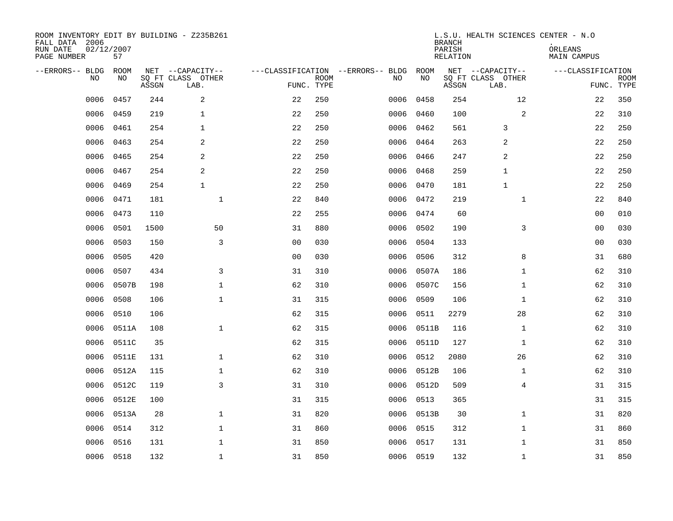| ROOM INVENTORY EDIT BY BUILDING - Z235B261<br>FALL DATA 2006<br>RUN DATE<br>PAGE NUMBER | 02/12/2007<br>57 |       |                                               |                |             |                                         |      |            | <b>BRANCH</b><br>PARISH<br><b>RELATION</b> | L.S.U. HEALTH SCIENCES CENTER - N.O           | ORLEANS<br>MAIN CAMPUS |                           |
|-----------------------------------------------------------------------------------------|------------------|-------|-----------------------------------------------|----------------|-------------|-----------------------------------------|------|------------|--------------------------------------------|-----------------------------------------------|------------------------|---------------------------|
| --ERRORS-- BLDG<br>NO                                                                   | ROOM<br>NO       | ASSGN | NET --CAPACITY--<br>SQ FT CLASS OTHER<br>LAB. | FUNC. TYPE     | <b>ROOM</b> | ---CLASSIFICATION --ERRORS-- BLDG<br>NO |      | ROOM<br>NO | ASSGN                                      | NET --CAPACITY--<br>SQ FT CLASS OTHER<br>LAB. | ---CLASSIFICATION      | <b>ROOM</b><br>FUNC. TYPE |
| 0006                                                                                    | 0457             | 244   | 2                                             | 22             | 250         |                                         | 0006 | 0458       | 254                                        | 12                                            | 22                     | 350                       |
| 0006                                                                                    | 0459             | 219   | $\mathbf{1}$                                  | 22             | 250         |                                         | 0006 | 0460       | 100                                        | 2                                             | 22                     | 310                       |
| 0006                                                                                    | 0461             | 254   | $\mathbf{1}$                                  | 22             | 250         |                                         | 0006 | 0462       | 561                                        | 3                                             | 22                     | 250                       |
| 0006                                                                                    | 0463             | 254   | 2                                             | 22             | 250         |                                         | 0006 | 0464       | 263                                        | 2                                             | 22                     | 250                       |
| 0006                                                                                    | 0465             | 254   | 2                                             | 22             | 250         |                                         | 0006 | 0466       | 247                                        | 2                                             | 22                     | 250                       |
| 0006                                                                                    | 0467             | 254   | 2                                             | 22             | 250         |                                         |      | 0006 0468  | 259                                        | $\mathbf{1}$                                  | 22                     | 250                       |
| 0006                                                                                    | 0469             | 254   | $\mathbf{1}$                                  | 22             | 250         |                                         | 0006 | 0470       | 181                                        | $\mathbf{1}$                                  | 22                     | 250                       |
| 0006                                                                                    | 0471             | 181   | $\mathbf 1$                                   | 22             | 840         |                                         |      | 0006 0472  | 219                                        | $\mathbf{1}$                                  | 22                     | 840                       |
| 0006                                                                                    | 0473             | 110   |                                               | 22             | 255         |                                         | 0006 | 0474       | 60                                         |                                               | 00                     | 010                       |
| 0006                                                                                    | 0501             | 1500  | 50                                            | 31             | 880         |                                         | 0006 | 0502       | 190                                        | 3                                             | 00                     | 030                       |
| 0006                                                                                    | 0503             | 150   | 3                                             | 0 <sub>0</sub> | 030         |                                         | 0006 | 0504       | 133                                        |                                               | 00                     | 030                       |
| 0006                                                                                    | 0505             | 420   |                                               | 0 <sub>0</sub> | 030         |                                         | 0006 | 0506       | 312                                        | 8                                             | 31                     | 680                       |
| 0006                                                                                    | 0507             | 434   | 3                                             | 31             | 310         |                                         | 0006 | 0507A      | 186                                        | $\mathbf{1}$                                  | 62                     | 310                       |
| 0006                                                                                    | 0507B            | 198   | $\mathbf 1$                                   | 62             | 310         |                                         | 0006 | 0507C      | 156                                        | $\mathbf{1}$                                  | 62                     | 310                       |
| 0006                                                                                    | 0508             | 106   | $\mathbf 1$                                   | 31             | 315         |                                         | 0006 | 0509       | 106                                        | $\mathbf{1}$                                  | 62                     | 310                       |
| 0006                                                                                    | 0510             | 106   |                                               | 62             | 315         |                                         | 0006 | 0511       | 2279                                       | 28                                            | 62                     | 310                       |
| 0006                                                                                    | 0511A            | 108   | $\mathbf 1$                                   | 62             | 315         |                                         | 0006 | 0511B      | 116                                        | $\mathbf{1}$                                  | 62                     | 310                       |
| 0006                                                                                    | 0511C            | 35    |                                               | 62             | 315         |                                         | 0006 | 0511D      | 127                                        | $\mathbf{1}$                                  | 62                     | 310                       |
| 0006                                                                                    | 0511E            | 131   | $\mathbf 1$                                   | 62             | 310         |                                         | 0006 | 0512       | 2080                                       | 26                                            | 62                     | 310                       |
| 0006                                                                                    | 0512A            | 115   | $\mathbf 1$                                   | 62             | 310         |                                         | 0006 | 0512B      | 106                                        | $\mathbf{1}$                                  | 62                     | 310                       |
| 0006                                                                                    | 0512C            | 119   | 3                                             | 31             | 310         |                                         | 0006 | 0512D      | 509                                        | 4                                             | 31                     | 315                       |
| 0006                                                                                    | 0512E            | 100   |                                               | 31             | 315         |                                         | 0006 | 0513       | 365                                        |                                               | 31                     | 315                       |
| 0006                                                                                    | 0513A            | 28    | $\mathbf 1$                                   | 31             | 820         |                                         | 0006 | 0513B      | 30                                         | $\mathbf{1}$                                  | 31                     | 820                       |
| 0006                                                                                    | 0514             | 312   | $\mathbf{1}$                                  | 31             | 860         |                                         | 0006 | 0515       | 312                                        | $\mathbf{1}$                                  | 31                     | 860                       |
| 0006                                                                                    | 0516             | 131   | $\mathbf 1$                                   | 31             | 850         |                                         | 0006 | 0517       | 131                                        | $\mathbf{1}$                                  | 31                     | 850                       |
|                                                                                         | 0006 0518        | 132   | $\mathbf{1}$                                  | 31             | 850         |                                         |      | 0006 0519  | 132                                        | $\mathbf{1}$                                  | 31                     | 850                       |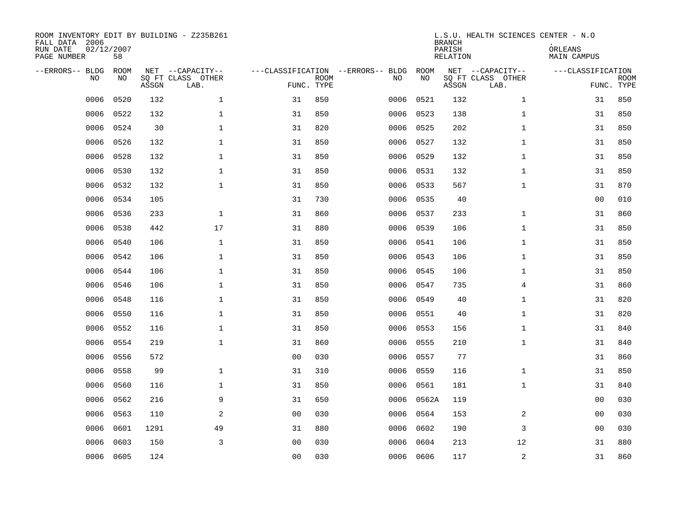| ROOM INVENTORY EDIT BY BUILDING - Z235B261<br>FALL DATA 2006<br>RUN DATE<br>PAGE NUMBER | 02/12/2007<br>58 |       |                                               |                |                           |                                         |            | <b>BRANCH</b><br>PARISH<br><b>RELATION</b> | L.S.U. HEALTH SCIENCES CENTER - N.O           | ORLEANS<br>MAIN CAMPUS |                           |
|-----------------------------------------------------------------------------------------|------------------|-------|-----------------------------------------------|----------------|---------------------------|-----------------------------------------|------------|--------------------------------------------|-----------------------------------------------|------------------------|---------------------------|
| --ERRORS-- BLDG<br>NO                                                                   | ROOM<br>NO       | ASSGN | NET --CAPACITY--<br>SQ FT CLASS OTHER<br>LAB. |                | <b>ROOM</b><br>FUNC. TYPE | ---CLASSIFICATION --ERRORS-- BLDG<br>NO | ROOM<br>NO | ASSGN                                      | NET --CAPACITY--<br>SQ FT CLASS OTHER<br>LAB. | ---CLASSIFICATION      | <b>ROOM</b><br>FUNC. TYPE |
| 0006                                                                                    | 0520             | 132   | $\mathbf{1}$                                  | 31             | 850                       | 0006                                    | 0521       | 132                                        | $\mathbf{1}$                                  | 31                     | 850                       |
| 0006                                                                                    | 0522             | 132   | $\mathbf 1$                                   | 31             | 850                       | 0006                                    | 0523       | 138                                        | $\mathbf{1}$                                  | 31                     | 850                       |
| 0006                                                                                    | 0524             | 30    | $\mathbf{1}$                                  | 31             | 820                       | 0006                                    | 0525       | 202                                        | $\mathbf{1}$                                  | 31                     | 850                       |
| 0006                                                                                    | 0526             | 132   | $\mathbf{1}$                                  | 31             | 850                       |                                         | 0006 0527  | 132                                        | $\mathbf{1}$                                  | 31                     | 850                       |
| 0006                                                                                    | 0528             | 132   | $\mathbf 1$                                   | 31             | 850                       | 0006                                    | 0529       | 132                                        | $\mathbf{1}$                                  | 31                     | 850                       |
| 0006                                                                                    | 0530             | 132   | $\mathbf 1$                                   | 31             | 850                       |                                         | 0006 0531  | 132                                        | $\mathbf{1}$                                  | 31                     | 850                       |
| 0006                                                                                    | 0532             | 132   | $\mathbf{1}$                                  | 31             | 850                       | 0006                                    | 0533       | 567                                        | $\mathbf{1}$                                  | 31                     | 870                       |
| 0006                                                                                    | 0534             | 105   |                                               | 31             | 730                       |                                         | 0006 0535  | 40                                         |                                               | 0 <sub>0</sub>         | 010                       |
| 0006                                                                                    | 0536             | 233   | $\mathbf{1}$                                  | 31             | 860                       | 0006                                    | 0537       | 233                                        | $\mathbf{1}$                                  | 31                     | 860                       |
| 0006                                                                                    | 0538             | 442   | 17                                            | 31             | 880                       | 0006                                    | 0539       | 106                                        | $\mathbf{1}$                                  | 31                     | 850                       |
| 0006                                                                                    | 0540             | 106   | $\mathbf{1}$                                  | 31             | 850                       | 0006                                    | 0541       | 106                                        | $\mathbf{1}$                                  | 31                     | 850                       |
| 0006                                                                                    | 0542             | 106   | $\mathbf 1$                                   | 31             | 850                       | 0006                                    | 0543       | 106                                        | $\mathbf{1}$                                  | 31                     | 850                       |
| 0006                                                                                    | 0544             | 106   | $\mathbf{1}$                                  | 31             | 850                       | 0006                                    | 0545       | 106                                        | $\mathbf{1}$                                  | 31                     | 850                       |
| 0006                                                                                    | 0546             | 106   | $\mathbf 1$                                   | 31             | 850                       | 0006                                    | 0547       | 735                                        | 4                                             | 31                     | 860                       |
| 0006                                                                                    | 0548             | 116   | 1                                             | 31             | 850                       | 0006                                    | 0549       | 40                                         | $\mathbf{1}$                                  | 31                     | 820                       |
| 0006                                                                                    | 0550             | 116   | $\mathbf 1$                                   | 31             | 850                       | 0006                                    | 0551       | 40                                         | $\mathbf{1}$                                  | 31                     | 820                       |
| 0006                                                                                    | 0552             | 116   | $\mathbf 1$                                   | 31             | 850                       | 0006                                    | 0553       | 156                                        | $\mathbf{1}$                                  | 31                     | 840                       |
| 0006                                                                                    | 0554             | 219   | $\mathbf 1$                                   | 31             | 860                       | 0006                                    | 0555       | 210                                        | $\mathbf{1}$                                  | 31                     | 840                       |
| 0006                                                                                    | 0556             | 572   |                                               | 0 <sub>0</sub> | 030                       | 0006                                    | 0557       | 77                                         |                                               | 31                     | 860                       |
| 0006                                                                                    | 0558             | 99    | $\mathbf 1$                                   | 31             | 310                       | 0006                                    | 0559       | 116                                        | $\mathbf{1}$                                  | 31                     | 850                       |
| 0006                                                                                    | 0560             | 116   | $\mathbf{1}$                                  | 31             | 850                       | 0006                                    | 0561       | 181                                        | $\mathbf{1}$                                  | 31                     | 840                       |
| 0006                                                                                    | 0562             | 216   | 9                                             | 31             | 650                       | 0006                                    | 0562A      | 119                                        |                                               | 0 <sub>0</sub>         | 030                       |
| 0006                                                                                    | 0563             | 110   | 2                                             | 0 <sub>0</sub> | 030                       | 0006                                    | 0564       | 153                                        | 2                                             | 0 <sub>0</sub>         | 030                       |
| 0006                                                                                    | 0601             | 1291  | 49                                            | 31             | 880                       | 0006                                    | 0602       | 190                                        | 3                                             | 00                     | 030                       |
| 0006                                                                                    | 0603             | 150   | 3                                             | 0 <sub>0</sub> | 030                       | 0006                                    | 0604       | 213                                        | 12                                            | 31                     | 880                       |
|                                                                                         | 0006 0605        | 124   |                                               | 00             | 030                       |                                         | 0006 0606  | 117                                        | 2                                             | 31                     | 860                       |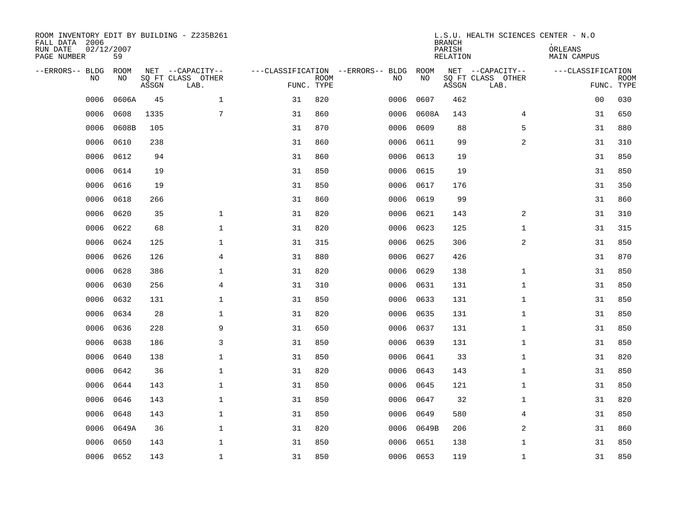| ROOM INVENTORY EDIT BY BUILDING - Z235B261<br>FALL DATA 2006<br>RUN DATE<br>PAGE NUMBER | 02/12/2007<br>59 |       |                                               |                                                 |             |           |            | <b>BRANCH</b><br>PARISH<br><b>RELATION</b> | L.S.U. HEALTH SCIENCES CENTER - N.O           | ORLEANS<br>MAIN CAMPUS |                           |
|-----------------------------------------------------------------------------------------|------------------|-------|-----------------------------------------------|-------------------------------------------------|-------------|-----------|------------|--------------------------------------------|-----------------------------------------------|------------------------|---------------------------|
| --ERRORS-- BLDG<br>NO                                                                   | ROOM<br>NO       | ASSGN | NET --CAPACITY--<br>SQ FT CLASS OTHER<br>LAB. | ---CLASSIFICATION --ERRORS-- BLDG<br>FUNC. TYPE | <b>ROOM</b> | NO        | ROOM<br>NO | ASSGN                                      | NET --CAPACITY--<br>SQ FT CLASS OTHER<br>LAB. | ---CLASSIFICATION      | <b>ROOM</b><br>FUNC. TYPE |
| 0006                                                                                    | 0606A            | 45    | $\mathbf 1$                                   | 31                                              | 820         | 0006      | 0607       | 462                                        |                                               | 00                     | 030                       |
| 0006                                                                                    | 0608             | 1335  | 7                                             | 31                                              | 860         | 0006      | 0608A      | 143                                        | 4                                             | 31                     | 650                       |
| 0006                                                                                    | 0608B            | 105   |                                               | 31                                              | 870         | 0006      | 0609       | 88                                         | 5                                             | 31                     | 880                       |
| 0006                                                                                    | 0610             | 238   |                                               | 31                                              | 860         | 0006      | 0611       | 99                                         | 2                                             | 31                     | 310                       |
| 0006                                                                                    | 0612             | 94    |                                               | 31                                              | 860         | 0006      | 0613       | 19                                         |                                               | 31                     | 850                       |
| 0006                                                                                    | 0614             | 19    |                                               | 31                                              | 850         | 0006      | 0615       | 19                                         |                                               | 31                     | 850                       |
| 0006                                                                                    | 0616             | 19    |                                               | 31                                              | 850         | 0006      | 0617       | 176                                        |                                               | 31                     | 350                       |
| 0006                                                                                    | 0618             | 266   |                                               | 31                                              | 860         | 0006      | 0619       | 99                                         |                                               | 31                     | 860                       |
| 0006                                                                                    | 0620             | 35    | $\mathbf{1}$                                  | 31                                              | 820         | 0006      | 0621       | 143                                        | 2                                             | 31                     | 310                       |
| 0006                                                                                    | 0622             | 68    | $\mathbf 1$                                   | 31                                              | 820         | 0006      | 0623       | 125                                        | $\mathbf{1}$                                  | 31                     | 315                       |
| 0006                                                                                    | 0624             | 125   | $\mathbf 1$                                   | 31                                              | 315         | 0006      | 0625       | 306                                        | 2                                             | 31                     | 850                       |
| 0006                                                                                    | 0626             | 126   | $\overline{4}$                                | 31                                              | 880         | 0006      | 0627       | 426                                        |                                               | 31                     | 870                       |
| 0006                                                                                    | 0628             | 386   | $\mathbf 1$                                   | 31                                              | 820         | 0006      | 0629       | 138                                        | $\mathbf{1}$                                  | 31                     | 850                       |
| 0006                                                                                    | 0630             | 256   | 4                                             | 31                                              | 310         | 0006      | 0631       | 131                                        | $\mathbf{1}$                                  | 31                     | 850                       |
| 0006                                                                                    | 0632             | 131   | $\mathbf{1}$                                  | 31                                              | 850         | 0006      | 0633       | 131                                        | $\mathbf{1}$                                  | 31                     | 850                       |
| 0006                                                                                    | 0634             | 28    | 1                                             | 31                                              | 820         | 0006      | 0635       | 131                                        | $\mathbf{1}$                                  | 31                     | 850                       |
| 0006                                                                                    | 0636             | 228   | 9                                             | 31                                              | 650         | 0006      | 0637       | 131                                        | $\mathbf{1}$                                  | 31                     | 850                       |
| 0006                                                                                    | 0638             | 186   | 3                                             | 31                                              | 850         | 0006      | 0639       | 131                                        | $\mathbf{1}$                                  | 31                     | 850                       |
| 0006                                                                                    | 0640             | 138   | $\mathbf 1$                                   | 31                                              | 850         | 0006      | 0641       | 33                                         | $\mathbf{1}$                                  | 31                     | 820                       |
| 0006                                                                                    | 0642             | 36    | $\mathbf 1$                                   | 31                                              | 820         | 0006      | 0643       | 143                                        | $\mathbf{1}$                                  | 31                     | 850                       |
| 0006                                                                                    | 0644             | 143   | 1                                             | 31                                              | 850         | 0006      | 0645       | 121                                        | $\mathbf{1}$                                  | 31                     | 850                       |
| 0006                                                                                    | 0646             | 143   | $\mathbf 1$                                   | 31                                              | 850         | 0006      | 0647       | 32                                         | $\mathbf{1}$                                  | 31                     | 820                       |
| 0006                                                                                    | 0648             | 143   | $\mathbf 1$                                   | 31                                              | 850         | 0006      | 0649       | 580                                        | 4                                             | 31                     | 850                       |
| 0006                                                                                    | 0649A            | 36    | $\mathbf 1$                                   | 31                                              | 820         | 0006      | 0649B      | 206                                        | 2                                             | 31                     | 860                       |
| 0006                                                                                    | 0650             | 143   | $\mathbf 1$                                   | 31                                              | 850         | 0006      | 0651       | 138                                        | $\mathbf{1}$                                  | 31                     | 850                       |
|                                                                                         | 0006 0652        | 143   | $\mathbf{1}$                                  | 31                                              | 850         | 0006 0653 |            | 119                                        | $\mathbf{1}$                                  | 31                     | 850                       |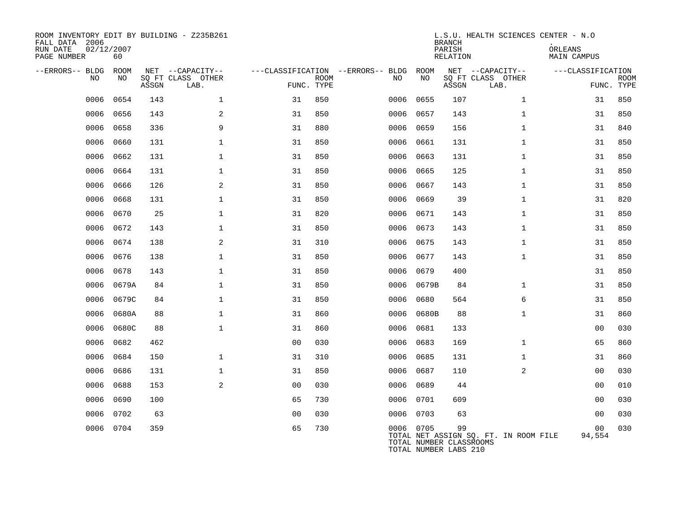| ROOM INVENTORY EDIT BY BUILDING - Z235B261<br>FALL DATA 2006<br>RUN DATE<br>PAGE NUMBER | 02/12/2007<br>60 |       |                                               |                |             |                                         |            | <b>BRANCH</b><br>PARISH<br><b>RELATION</b>             | L.S.U. HEALTH SCIENCES CENTER - N.O           | ORLEANS<br><b>MAIN CAMPUS</b> |                           |
|-----------------------------------------------------------------------------------------|------------------|-------|-----------------------------------------------|----------------|-------------|-----------------------------------------|------------|--------------------------------------------------------|-----------------------------------------------|-------------------------------|---------------------------|
| --ERRORS-- BLDG ROOM<br>NO.                                                             | NO.              | ASSGN | NET --CAPACITY--<br>SQ FT CLASS OTHER<br>LAB. | FUNC. TYPE     | <b>ROOM</b> | ---CLASSIFICATION --ERRORS-- BLDG<br>NO | ROOM<br>NO | ASSGN                                                  | NET --CAPACITY--<br>SQ FT CLASS OTHER<br>LAB. | ---CLASSIFICATION             | <b>ROOM</b><br>FUNC. TYPE |
| 0006                                                                                    | 0654             | 143   | 1                                             | 31             | 850         | 0006                                    | 0655       | 107                                                    | $\mathbf{1}$                                  | 31                            | 850                       |
| 0006                                                                                    | 0656             | 143   | 2                                             | 31             | 850         | 0006                                    | 0657       | 143                                                    | $\mathbf{1}$                                  | 31                            | 850                       |
| 0006                                                                                    | 0658             | 336   | 9                                             | 31             | 880         | 0006                                    | 0659       | 156                                                    | $\mathbf{1}$                                  | 31                            | 840                       |
| 0006                                                                                    | 0660             | 131   | $\mathbf 1$                                   | 31             | 850         | 0006                                    | 0661       | 131                                                    | $\mathbf{1}$                                  | 31                            | 850                       |
| 0006                                                                                    | 0662             | 131   | $\mathbf 1$                                   | 31             | 850         |                                         | 0006 0663  | 131                                                    | $\mathbf{1}$                                  | 31                            | 850                       |
| 0006                                                                                    | 0664             | 131   | $\mathbf{1}$                                  | 31             | 850         | 0006                                    | 0665       | 125                                                    | $\mathbf{1}$                                  | 31                            | 850                       |
| 0006                                                                                    | 0666             | 126   | 2                                             | 31             | 850         | 0006                                    | 0667       | 143                                                    | $\mathbf{1}$                                  | 31                            | 850                       |
| 0006                                                                                    | 0668             | 131   | $\mathbf 1$                                   | 31             | 850         | 0006                                    | 0669       | 39                                                     | $\mathbf{1}$                                  | 31                            | 820                       |
| 0006                                                                                    | 0670             | 25    | $\mathbf 1$                                   | 31             | 820         | 0006                                    | 0671       | 143                                                    | $\mathbf{1}$                                  | 31                            | 850                       |
| 0006                                                                                    | 0672             | 143   | $\mathbf 1$                                   | 31             | 850         | 0006                                    | 0673       | 143                                                    | $\mathbf{1}$                                  | 31                            | 850                       |
| 0006                                                                                    | 0674             | 138   | 2                                             | 31             | 310         | 0006                                    | 0675       | 143                                                    | $\mathbf{1}$                                  | 31                            | 850                       |
| 0006                                                                                    | 0676             | 138   | $\mathbf 1$                                   | 31             | 850         | 0006                                    | 0677       | 143                                                    | $\mathbf{1}$                                  | 31                            | 850                       |
| 0006                                                                                    | 0678             | 143   | $\mathbf 1$                                   | 31             | 850         | 0006                                    | 0679       | 400                                                    |                                               | 31                            | 850                       |
| 0006                                                                                    | 0679A            | 84    | $\mathbf{1}$                                  | 31             | 850         | 0006                                    | 0679B      | 84                                                     | $\mathbf{1}$                                  | 31                            | 850                       |
| 0006                                                                                    | 0679C            | 84    | $\mathbf 1$                                   | 31             | 850         | 0006                                    | 0680       | 564                                                    | 6                                             | 31                            | 850                       |
| 0006                                                                                    | 0680A            | 88    | $\mathbf{1}$                                  | 31             | 860         | 0006                                    | 0680B      | 88                                                     | $\mathbf{1}$                                  | 31                            | 860                       |
| 0006                                                                                    | 0680C            | 88    | $\mathbf{1}$                                  | 31             | 860         | 0006                                    | 0681       | 133                                                    |                                               | 0 <sub>0</sub>                | 030                       |
| 0006                                                                                    | 0682             | 462   |                                               | 0 <sub>0</sub> | 030         | 0006                                    | 0683       | 169                                                    | $\mathbf{1}$                                  | 65                            | 860                       |
| 0006                                                                                    | 0684             | 150   | $\mathbf 1$                                   | 31             | 310         | 0006                                    | 0685       | 131                                                    | $\mathbf{1}$                                  | 31                            | 860                       |
| 0006                                                                                    | 0686             | 131   | $\mathbf 1$                                   | 31             | 850         | 0006                                    | 0687       | 110                                                    | 2                                             | 00                            | 030                       |
| 0006                                                                                    | 0688             | 153   | 2                                             | 0 <sub>0</sub> | 030         | 0006                                    | 0689       | 44                                                     |                                               | 00                            | 010                       |
| 0006                                                                                    | 0690             | 100   |                                               | 65             | 730         |                                         | 0006 0701  | 609                                                    |                                               | 00                            | 030                       |
| 0006                                                                                    | 0702             | 63    |                                               | 0 <sub>0</sub> | 030         | 0006                                    | 0703       | 63                                                     |                                               | 00                            | 030                       |
| 0006                                                                                    | 0704             | 359   |                                               | 65             | 730         |                                         | 0006 0705  | 99<br>TOTAL NUMBER CLASSROOMS<br>TOTAL NUMBER LABS 210 | TOTAL NET ASSIGN SQ. FT. IN ROOM FILE         | 00<br>94,554                  | 030                       |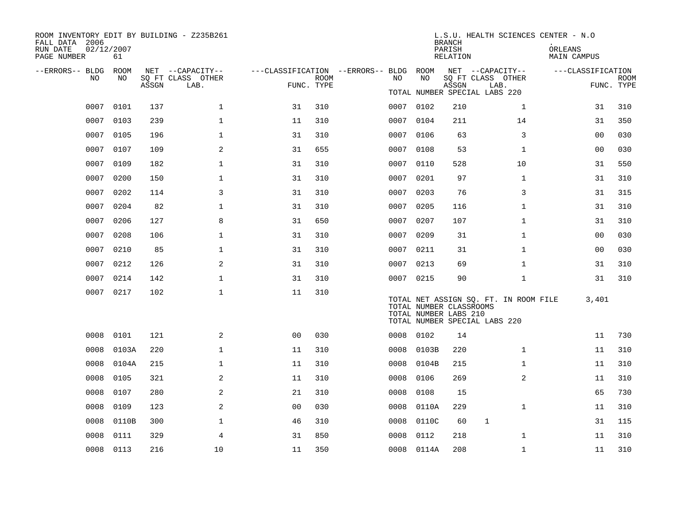| ROOM INVENTORY EDIT BY BUILDING - Z235B261<br>FALL DATA 2006<br>RUN DATE<br>PAGE NUMBER | 02/12/2007<br>61 |       |                           |                |             |                                        |            | <b>BRANCH</b><br>PARISH<br>RELATION              | L.S.U. HEALTH SCIENCES CENTER - N.O                                    | ORLEANS<br>MAIN CAMPUS |                           |
|-----------------------------------------------------------------------------------------|------------------|-------|---------------------------|----------------|-------------|----------------------------------------|------------|--------------------------------------------------|------------------------------------------------------------------------|------------------------|---------------------------|
| --ERRORS-- BLDG ROOM                                                                    |                  |       | NET --CAPACITY--          |                |             | ---CLASSIFICATION --ERRORS-- BLDG ROOM |            |                                                  | NET --CAPACITY--                                                       | ---CLASSIFICATION      |                           |
| NO                                                                                      | NO               | ASSGN | SQ FT CLASS OTHER<br>LAB. | FUNC. TYPE     | <b>ROOM</b> | NO                                     | NO         | ASSGN                                            | SQ FT CLASS OTHER<br>LAB.<br>TOTAL NUMBER SPECIAL LABS 220             |                        | <b>ROOM</b><br>FUNC. TYPE |
| 0007                                                                                    | 0101             | 137   | $\mathbf 1$               | 31             | 310         |                                        | 0007 0102  | 210                                              | $\mathbf{1}$                                                           | 31                     | 310                       |
| 0007                                                                                    | 0103             | 239   | $\mathbf 1$               | 11             | 310         |                                        | 0007 0104  | 211                                              | 14                                                                     | 31                     | 350                       |
| 0007                                                                                    | 0105             | 196   | $\mathbf 1$               | 31             | 310         |                                        | 0007 0106  | 63                                               | 3                                                                      | 00                     | 030                       |
| 0007                                                                                    | 0107             | 109   | 2                         | 31             | 655         |                                        | 0007 0108  | 53                                               | $\mathbf{1}$                                                           | 00                     | 030                       |
| 0007                                                                                    | 0109             | 182   | $\mathbf 1$               | 31             | 310         | 0007                                   | 0110       | 528                                              | 10                                                                     | 31                     | 550                       |
| 0007                                                                                    | 0200             | 150   | $\mathbf{1}$              | 31             | 310         | 0007                                   | 0201       | 97                                               | $\mathbf{1}$                                                           | 31                     | 310                       |
| 0007                                                                                    | 0202             | 114   | 3                         | 31             | 310         |                                        | 0007 0203  | 76                                               | 3                                                                      | 31                     | 315                       |
| 0007                                                                                    | 0204             | 82    | $\mathbf 1$               | 31             | 310         |                                        | 0007 0205  | 116                                              | $\mathbf{1}$                                                           | 31                     | 310                       |
| 0007                                                                                    | 0206             | 127   | 8                         | 31             | 650         | 0007                                   | 0207       | 107                                              | $\mathbf{1}$                                                           | 31                     | 310                       |
| 0007                                                                                    | 0208             | 106   | $\mathbf{1}$              | 31             | 310         | 0007                                   | 0209       | 31                                               | $\mathbf{1}$                                                           | 00                     | 030                       |
| 0007                                                                                    | 0210             | 85    | $\mathbf 1$               | 31             | 310         |                                        | 0007 0211  | 31                                               | $\mathbf{1}$                                                           | 00                     | 030                       |
| 0007                                                                                    | 0212             | 126   | 2                         | 31             | 310         |                                        | 0007 0213  | 69                                               | $\mathbf{1}$                                                           | 31                     | 310                       |
| 0007                                                                                    | 0214             | 142   | $\mathbf 1$               | 31             | 310         |                                        | 0007 0215  | 90                                               | $\mathbf{1}$                                                           | 31                     | 310                       |
|                                                                                         | 0007 0217        | 102   | $\mathbf 1$               | 11             | 310         |                                        |            | TOTAL NUMBER CLASSROOMS<br>TOTAL NUMBER LABS 210 | TOTAL NET ASSIGN SQ. FT. IN ROOM FILE<br>TOTAL NUMBER SPECIAL LABS 220 | 3,401                  |                           |
| 0008                                                                                    | 0101             | 121   | 2                         | 0 <sub>0</sub> | 030         | 0008                                   | 0102       | 14                                               |                                                                        | 11                     | 730                       |
| 0008                                                                                    | 0103A            | 220   | $\mathbf 1$               | 11             | 310         | 0008                                   | 0103B      | 220                                              | $\mathbf{1}$                                                           | 11                     | 310                       |
| 0008                                                                                    | 0104A            | 215   | $\mathbf 1$               | 11             | 310         | 0008                                   | 0104B      | 215                                              | $\mathbf{1}$                                                           | 11                     | 310                       |
| 0008                                                                                    | 0105             | 321   | 2                         | 11             | 310         | 0008                                   | 0106       | 269                                              | 2                                                                      | 11                     | 310                       |
| 0008                                                                                    | 0107             | 280   | 2                         | 21             | 310         | 0008                                   | 0108       | 15                                               |                                                                        | 65                     | 730                       |
| 0008                                                                                    | 0109             | 123   | 2                         | 0 <sub>0</sub> | 030         | 0008                                   | 0110A      | 229                                              | $\mathbf{1}$                                                           | 11                     | 310                       |
| 0008                                                                                    | 0110B            | 300   | $\mathbf 1$               | 46             | 310         | 0008                                   | 0110C      | 60                                               | $\mathbf{1}$                                                           | 31                     | 115                       |
| 0008                                                                                    | 0111             | 329   | 4                         | 31             | 850         | 0008                                   | 0112       | 218                                              | $\mathbf{1}$                                                           | 11                     | 310                       |
|                                                                                         | 0008 0113        | 216   | 10                        | 11             | 350         |                                        | 0008 0114A | 208                                              | $\mathbf{1}$                                                           | 11                     | 310                       |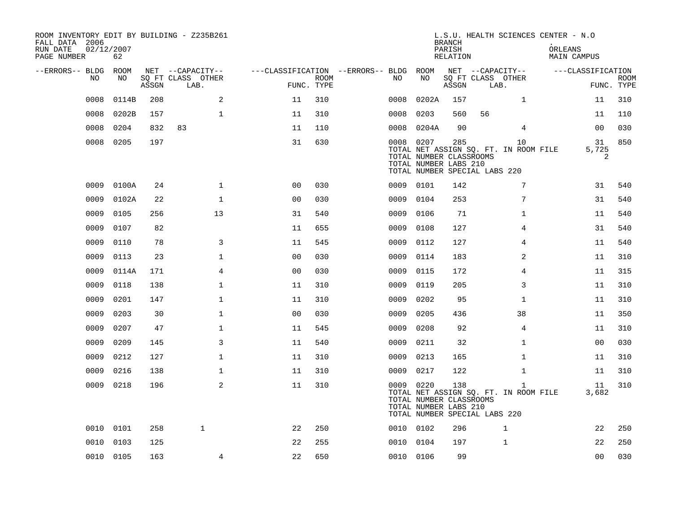| ROOM INVENTORY EDIT BY BUILDING - Z235B261<br>FALL DATA 2006<br>RUN DATE<br>PAGE NUMBER | 02/12/2007<br>62 |       |                                               |                                        |                    |           |                                                                                   | <b>BRANCH</b><br>PARISH<br>RELATION |    | L.S.U. HEALTH SCIENCES CENTER - N.O                   | ORLEANS | MAIN CAMPUS       |                           |
|-----------------------------------------------------------------------------------------|------------------|-------|-----------------------------------------------|----------------------------------------|--------------------|-----------|-----------------------------------------------------------------------------------|-------------------------------------|----|-------------------------------------------------------|---------|-------------------|---------------------------|
| --ERRORS-- BLDG ROOM<br>NO                                                              | NO               | ASSGN | NET --CAPACITY--<br>SQ FT CLASS OTHER<br>LAB. | ---CLASSIFICATION --ERRORS-- BLDG ROOM | ROOM<br>FUNC. TYPE | NO        | NO                                                                                | ASSGN                               |    | NET --CAPACITY--<br>SQ FT CLASS OTHER<br>LAB.         |         | ---CLASSIFICATION | <b>ROOM</b><br>FUNC. TYPE |
| 0008                                                                                    | 0114B            | 208   | 2                                             | 11                                     | 310                | 0008      | 0202A                                                                             | 157                                 |    | $\mathbf{1}$                                          |         | 11                | 310                       |
| 0008                                                                                    | 0202B            | 157   | $\mathbf{1}$                                  | 11                                     | 310                | 0008      | 0203                                                                              | 560                                 | 56 |                                                       |         | 11                | 110                       |
| 0008                                                                                    | 0204             | 832   | 83                                            | 11                                     | 110                |           | 0008 0204A                                                                        | 90                                  |    | $\overline{4}$                                        |         | 0 <sub>0</sub>    | 030                       |
|                                                                                         | 0008 0205        | 197   |                                               | 31                                     | 630                | 0008 0207 | TOTAL NUMBER CLASSROOMS<br>TOTAL NUMBER LABS 210<br>TOTAL NUMBER SPECIAL LABS 220 | 285                                 |    | 10<br>TOTAL NET ASSIGN SQ. FT. IN ROOM FILE           |         | 31<br>5,725<br>2  | 850                       |
| 0009                                                                                    | 0100A            | 24    | $\mathbf 1$                                   | 0 <sub>0</sub>                         | 030                | 0009 0101 |                                                                                   | 142                                 |    | 7                                                     |         | 31                | 540                       |
| 0009                                                                                    | 0102A            | 22    | $\mathbf 1$                                   | 0 <sub>0</sub>                         | 030                | 0009      | 0104                                                                              | 253                                 |    | 7                                                     |         | 31                | 540                       |
| 0009                                                                                    | 0105             | 256   | 13                                            | 31                                     | 540                | 0009      | 0106                                                                              | 71                                  |    | $\mathbf{1}$                                          |         | 11                | 540                       |
| 0009                                                                                    | 0107             | 82    |                                               | 11                                     | 655                | 0009      | 0108                                                                              | 127                                 |    | 4                                                     |         | 31                | 540                       |
| 0009                                                                                    | 0110             | 78    | 3                                             | 11                                     | 545                | 0009      | 0112                                                                              | 127                                 |    | 4                                                     |         | 11                | 540                       |
| 0009                                                                                    | 0113             | 23    | $\mathbf{1}$                                  | 0 <sub>0</sub>                         | 030                | 0009      | 0114                                                                              | 183                                 |    | 2                                                     |         | 11                | 310                       |
| 0009                                                                                    | 0114A            | 171   | $\overline{4}$                                | 00                                     | 030                | 0009      | 0115                                                                              | 172                                 |    | $\overline{4}$                                        |         | 11                | 315                       |
| 0009                                                                                    | 0118             | 138   | $\mathbf{1}$                                  | 11                                     | 310                | 0009      | 0119                                                                              | 205                                 |    | 3                                                     |         | 11                | 310                       |
| 0009                                                                                    | 0201             | 147   | $\mathbf 1$                                   | 11                                     | 310                | 0009      | 0202                                                                              | 95                                  |    | $\mathbf{1}$                                          |         | 11                | 310                       |
| 0009                                                                                    | 0203             | 30    | $\mathbf 1$                                   | 0 <sub>0</sub>                         | 030                | 0009      | 0205                                                                              | 436                                 |    | 38                                                    |         | 11                | 350                       |
| 0009                                                                                    | 0207             | 47    | $\mathbf 1$                                   | 11                                     | 545                | 0009      | 0208                                                                              | 92                                  |    | 4                                                     |         | 11                | 310                       |
| 0009                                                                                    | 0209             | 145   | 3                                             | 11                                     | 540                | 0009      | 0211                                                                              | 32                                  |    | $\mathbf{1}$                                          |         | 00                | 030                       |
| 0009                                                                                    | 0212             | 127   | $\mathbf{1}$                                  | 11                                     | 310                | 0009      | 0213                                                                              | 165                                 |    | $\mathbf{1}$                                          |         | 11                | 310                       |
| 0009                                                                                    | 0216             | 138   | $\mathbf 1$                                   | 11                                     | 310                | 0009 0217 |                                                                                   | 122                                 |    | $\mathbf{1}$                                          |         | 11                | 310                       |
|                                                                                         | 0009 0218        | 196   | 2                                             | 11                                     | 310                | 0009 0220 | TOTAL NUMBER CLASSROOMS<br>TOTAL NUMBER LABS 210<br>TOTAL NUMBER SPECIAL LABS 220 | 138                                 |    | $\mathbf{1}$<br>TOTAL NET ASSIGN SQ. FT. IN ROOM FILE |         | 11<br>3,682       | 310                       |
|                                                                                         | 0010 0101        | 258   | $\mathbf{1}$                                  | 22                                     | 250                | 0010 0102 |                                                                                   | 296                                 |    | 1                                                     |         | 22                | 250                       |
| 0010                                                                                    | 0103             | 125   |                                               | 22                                     | 255                | 0010      | 0104                                                                              | 197                                 |    | 1                                                     |         | 22                | 250                       |
|                                                                                         | 0010 0105        | 163   | 4                                             | 22                                     | 650                | 0010 0106 |                                                                                   | 99                                  |    |                                                       |         | 0 <sub>0</sub>    | 030                       |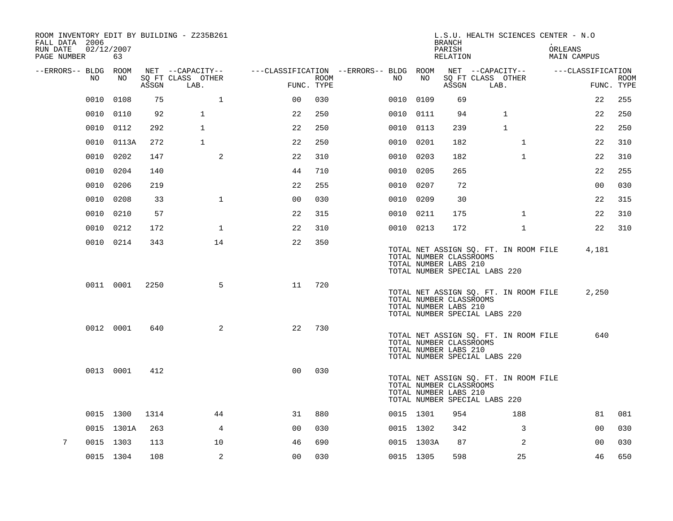| ROOM INVENTORY EDIT BY BUILDING - Z235B261<br>FALL DATA 2006<br>RUN DATE<br>PAGE NUMBER | 02/12/2007<br>63 |       |                           |                                                                              |      |           |            | <b>BRANCH</b><br>PARISH<br>RELATION                                               |                                       | L.S.U. HEALTH SCIENCES CENTER - N.O<br>ORLEANS<br>MAIN CAMPUS |                |             |
|-----------------------------------------------------------------------------------------|------------------|-------|---------------------------|------------------------------------------------------------------------------|------|-----------|------------|-----------------------------------------------------------------------------------|---------------------------------------|---------------------------------------------------------------|----------------|-------------|
| --ERRORS-- BLDG ROOM                                                                    |                  |       | NET --CAPACITY--          | ---CLASSIFICATION --ERRORS-- BLDG ROOM NET --CAPACITY--    ---CLASSIFICATION |      |           |            |                                                                                   |                                       |                                                               |                |             |
| NO                                                                                      | NO               | ASSGN | SQ FT CLASS OTHER<br>LAB. | FUNC. TYPE                                                                   | ROOM | NO        | NO         | ASSGN                                                                             | SQ FT CLASS OTHER<br>LAB.             |                                                               | FUNC. TYPE     | <b>ROOM</b> |
| 0010                                                                                    | 0108             | 75    | $\mathbf{1}$              | 0 <sup>0</sup>                                                               | 030  | 0010 0109 |            | 69                                                                                |                                       |                                                               | 22             | 255         |
|                                                                                         | 0010 0110        | 92    | $\mathbf{1}$              | 22                                                                           | 250  |           | 0010 0111  | 94                                                                                | $\mathbf{1}$                          |                                                               | 22             | 250         |
|                                                                                         | 0010 0112        | 292   | $\mathbf{1}$              | 22                                                                           | 250  | 0010 0113 |            | 239                                                                               | $\mathbf{1}$                          |                                                               | 22             | 250         |
|                                                                                         | 0010 0113A       | 272   | $\mathbf{1}$              | 22                                                                           | 250  | 0010 0201 |            | 182                                                                               | $\mathbf{1}$                          |                                                               | 22             | 310         |
|                                                                                         | 0010 0202        | 147   | 2                         | 22                                                                           | 310  | 0010 0203 |            | 182                                                                               | $\mathbf{1}$                          |                                                               | 22             | 310         |
|                                                                                         | 0010 0204        | 140   |                           | 44                                                                           | 710  | 0010 0205 |            | 265                                                                               |                                       |                                                               | 22             | 255         |
|                                                                                         | 0010 0206        | 219   |                           | 22                                                                           | 255  |           | 0010 0207  | 72                                                                                |                                       |                                                               | 0 <sub>0</sub> | 030         |
|                                                                                         | 0010 0208        | 33    | $\mathbf{1}$              | 0 <sub>0</sub>                                                               | 030  | 0010 0209 |            | 30                                                                                |                                       |                                                               | 22             | 315         |
|                                                                                         | 0010 0210        | 57    |                           | 22                                                                           | 315  | 0010 0211 |            | 175                                                                               | $\mathbf{1}$                          |                                                               | 22             | 310         |
|                                                                                         | 0010 0212        | 172   | $\mathbf{1}$              | 22                                                                           | 310  | 0010 0213 |            | 172                                                                               | $\mathbf{1}$                          |                                                               | 22             | 310         |
|                                                                                         | 0010 0214        | 343   | 14                        | 22                                                                           | 350  |           |            | TOTAL NUMBER CLASSROOMS<br>TOTAL NUMBER LABS 210<br>TOTAL NUMBER SPECIAL LABS 220 |                                       | TOTAL NET ASSIGN SQ. FT. IN ROOM FILE                         | 4,181          |             |
|                                                                                         | 0011 0001        | 2250  | 5                         | 11                                                                           | 720  |           |            | TOTAL NUMBER CLASSROOMS<br>TOTAL NUMBER LABS 210<br>TOTAL NUMBER SPECIAL LABS 220 | TOTAL NET ASSIGN SQ. FT. IN ROOM FILE |                                                               | 2,250          |             |
|                                                                                         | 0012 0001        | 640   | 2                         | 22                                                                           | 730  |           |            | TOTAL NUMBER CLASSROOMS<br>TOTAL NUMBER LABS 210<br>TOTAL NUMBER SPECIAL LABS 220 | TOTAL NET ASSIGN SQ. FT. IN ROOM FILE |                                                               | 640            |             |
|                                                                                         | 0013 0001        | 412   |                           | 0 <sub>0</sub>                                                               | 030  |           |            | TOTAL NUMBER CLASSROOMS<br>TOTAL NUMBER LABS 210<br>TOTAL NUMBER SPECIAL LABS 220 | TOTAL NET ASSIGN SQ. FT. IN ROOM FILE |                                                               |                |             |
|                                                                                         | 0015 1300        | 1314  | 44                        | 31                                                                           | 880  |           | 0015 1301  | 954                                                                               | 188                                   |                                                               | 81             | 081         |
|                                                                                         | 0015 1301A       | 263   | 4                         | 0 <sub>0</sub>                                                               | 030  |           | 0015 1302  | 342                                                                               | 3                                     |                                                               | 0 <sub>0</sub> | 030         |
| 7                                                                                       | 0015 1303        | 113   | 10                        | 46                                                                           | 690  |           | 0015 1303A | 87                                                                                | 2                                     |                                                               | 0 <sub>0</sub> | 030         |
|                                                                                         | 0015 1304        | 108   | $\sqrt{2}$                | 0 <sub>0</sub>                                                               | 030  | 0015 1305 |            | 598                                                                               | 25                                    |                                                               | 46             | 650         |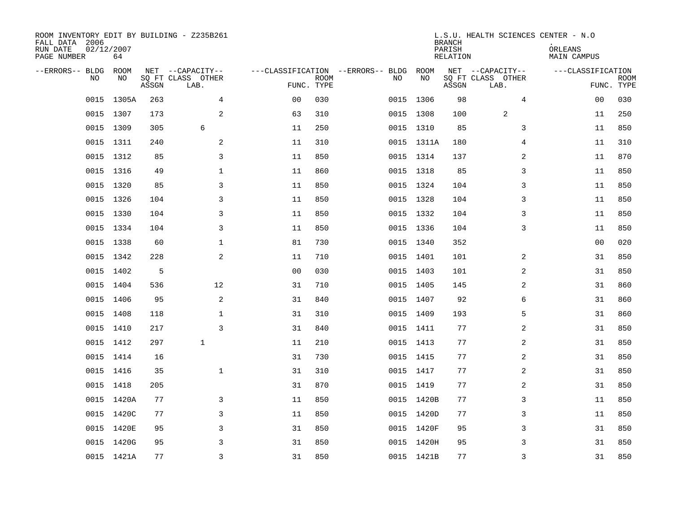| ROOM INVENTORY EDIT BY BUILDING - Z235B261<br>FALL DATA 2006<br>RUN DATE<br>PAGE NUMBER | 02/12/2007<br>64 |       |                                               |                |                           |                                         |            | <b>BRANCH</b><br>PARISH<br><b>RELATION</b> | L.S.U. HEALTH SCIENCES CENTER - N.O           | ORLEANS<br>MAIN CAMPUS |                           |
|-----------------------------------------------------------------------------------------|------------------|-------|-----------------------------------------------|----------------|---------------------------|-----------------------------------------|------------|--------------------------------------------|-----------------------------------------------|------------------------|---------------------------|
| --ERRORS-- BLDG<br>NO                                                                   | ROOM<br>NO       | ASSGN | NET --CAPACITY--<br>SQ FT CLASS OTHER<br>LAB. |                | <b>ROOM</b><br>FUNC. TYPE | ---CLASSIFICATION --ERRORS-- BLDG<br>NO | ROOM<br>NO | ASSGN                                      | NET --CAPACITY--<br>SQ FT CLASS OTHER<br>LAB. | ---CLASSIFICATION      | <b>ROOM</b><br>FUNC. TYPE |
| 0015                                                                                    | 1305A            | 263   | $\overline{4}$                                | 00             | 030                       | 0015                                    | 1306       | 98                                         | $\overline{4}$                                | 00                     | 030                       |
|                                                                                         | 0015 1307        | 173   | $\sqrt{2}$                                    | 63             | 310                       |                                         | 0015 1308  | 100                                        | $\overline{a}$                                | 11                     | 250                       |
| 0015                                                                                    | 1309             | 305   | 6                                             | 11             | 250                       |                                         | 0015 1310  | 85                                         | 3                                             | 11                     | 850                       |
|                                                                                         | 0015 1311        | 240   | 2                                             | 11             | 310                       |                                         | 0015 1311A | 180                                        | 4                                             | 11                     | 310                       |
| 0015                                                                                    | 1312             | 85    | 3                                             | 11             | 850                       |                                         | 0015 1314  | 137                                        | 2                                             | 11                     | 870                       |
|                                                                                         | 0015 1316        | 49    | $\mathbf 1$                                   | 11             | 860                       |                                         | 0015 1318  | 85                                         | 3                                             | 11                     | 850                       |
| 0015                                                                                    | 1320             | 85    | 3                                             | 11             | 850                       |                                         | 0015 1324  | 104                                        | 3                                             | 11                     | 850                       |
|                                                                                         | 0015 1326        | 104   | 3                                             | 11             | 850                       |                                         | 0015 1328  | 104                                        | 3                                             | 11                     | 850                       |
|                                                                                         | 0015 1330        | 104   | 3                                             | 11             | 850                       |                                         | 0015 1332  | 104                                        | 3                                             | 11                     | 850                       |
|                                                                                         | 0015 1334        | 104   | 3                                             | 11             | 850                       |                                         | 0015 1336  | 104                                        | 3                                             | 11                     | 850                       |
|                                                                                         | 0015 1338        | 60    | $\mathbf 1$                                   | 81             | 730                       |                                         | 0015 1340  | 352                                        |                                               | 0 <sub>0</sub>         | 020                       |
|                                                                                         | 0015 1342        | 228   | 2                                             | 11             | 710                       |                                         | 0015 1401  | 101                                        | 2                                             | 31                     | 850                       |
| 0015                                                                                    | 1402             | 5     |                                               | 0 <sub>0</sub> | 030                       |                                         | 0015 1403  | 101                                        | 2                                             | 31                     | 850                       |
|                                                                                         | 0015 1404        | 536   | 12                                            | 31             | 710                       |                                         | 0015 1405  | 145                                        | 2                                             | 31                     | 860                       |
|                                                                                         | 0015 1406        | 95    | 2                                             | 31             | 840                       |                                         | 0015 1407  | 92                                         | 6                                             | 31                     | 860                       |
|                                                                                         | 0015 1408        | 118   | $\mathbf{1}$                                  | 31             | 310                       |                                         | 0015 1409  | 193                                        | 5                                             | 31                     | 860                       |
|                                                                                         | 0015 1410        | 217   | $\overline{3}$                                | 31             | 840                       |                                         | 0015 1411  | 77                                         | 2                                             | 31                     | 850                       |
|                                                                                         | 0015 1412        | 297   | $\mathbf{1}$                                  | 11             | 210                       |                                         | 0015 1413  | 77                                         | 2                                             | 31                     | 850                       |
|                                                                                         | 0015 1414        | 16    |                                               | 31             | 730                       |                                         | 0015 1415  | 77                                         | 2                                             | 31                     | 850                       |
|                                                                                         | 0015 1416        | 35    | $\mathbf 1$                                   | 31             | 310                       |                                         | 0015 1417  | 77                                         | 2                                             | 31                     | 850                       |
|                                                                                         | 0015 1418        | 205   |                                               | 31             | 870                       |                                         | 0015 1419  | 77                                         | 2                                             | 31                     | 850                       |
|                                                                                         | 0015 1420A       | 77    | 3                                             | 11             | 850                       |                                         | 0015 1420B | 77                                         | 3                                             | 11                     | 850                       |
|                                                                                         | 0015 1420C       | 77    | 3                                             | 11             | 850                       |                                         | 0015 1420D | 77                                         | 3                                             | 11                     | 850                       |
|                                                                                         | 0015 1420E       | 95    | 3                                             | 31             | 850                       |                                         | 0015 1420F | 95                                         | 3                                             | 31                     | 850                       |
|                                                                                         | 0015 1420G       | 95    | 3                                             | 31             | 850                       |                                         | 0015 1420H | 95                                         | 3                                             | 31                     | 850                       |
|                                                                                         | 0015 1421A       | 77    | $\overline{3}$                                | 31             | 850                       |                                         | 0015 1421B | 77                                         | 3                                             | 31                     | 850                       |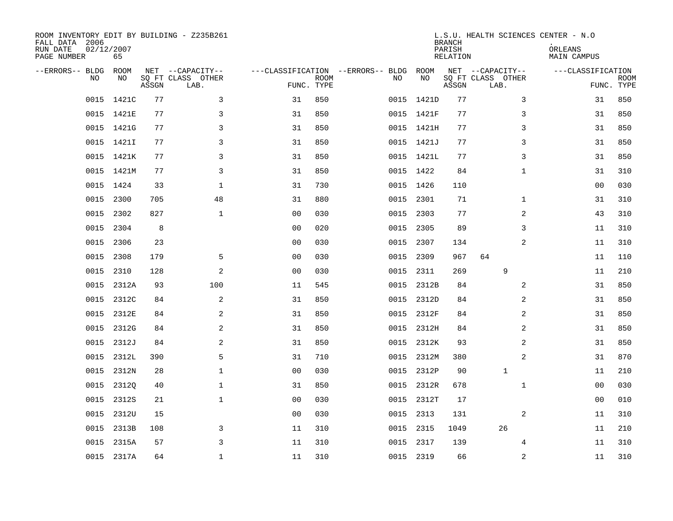| ROOM INVENTORY EDIT BY BUILDING - Z235B261<br>FALL DATA 2006<br>RUN DATE<br>PAGE NUMBER | 02/12/2007<br>65 |       |                                               |                                   |                           |           |            | <b>BRANCH</b><br>PARISH<br><b>RELATION</b> | L.S.U. HEALTH SCIENCES CENTER - N.O           | ORLEANS<br>MAIN CAMPUS |                           |
|-----------------------------------------------------------------------------------------|------------------|-------|-----------------------------------------------|-----------------------------------|---------------------------|-----------|------------|--------------------------------------------|-----------------------------------------------|------------------------|---------------------------|
| --ERRORS-- BLDG<br>NO.                                                                  | ROOM<br>NO       | ASSGN | NET --CAPACITY--<br>SQ FT CLASS OTHER<br>LAB. | ---CLASSIFICATION --ERRORS-- BLDG | <b>ROOM</b><br>FUNC. TYPE | NO        | ROOM<br>NO | ASSGN                                      | NET --CAPACITY--<br>SQ FT CLASS OTHER<br>LAB. | ---CLASSIFICATION      | <b>ROOM</b><br>FUNC. TYPE |
| 0015                                                                                    | 1421C            | 77    | 3                                             | 31                                | 850                       | 0015      | 1421D      | 77                                         | 3                                             | 31                     | 850                       |
|                                                                                         | 0015 1421E       | 77    | 3                                             | 31                                | 850                       |           | 0015 1421F | 77                                         | 3                                             | 31                     | 850                       |
|                                                                                         | 0015 1421G       | 77    | 3                                             | 31                                | 850                       |           | 0015 1421H | 77                                         | 3                                             | 31                     | 850                       |
|                                                                                         | 0015 1421I       | 77    | 3                                             | 31                                | 850                       |           | 0015 1421J | 77                                         | 3                                             | 31                     | 850                       |
| 0015                                                                                    | 1421K            | 77    | 3                                             | 31                                | 850                       |           | 0015 1421L | 77                                         | 3                                             | 31                     | 850                       |
|                                                                                         | 0015 1421M       | 77    | 3                                             | 31                                | 850                       | 0015 1422 |            | 84                                         | $\mathbf{1}$                                  | 31                     | 310                       |
| 0015                                                                                    | 1424             | 33    | $\mathbf{1}$                                  | 31                                | 730                       | 0015 1426 |            | 110                                        |                                               | 0 <sub>0</sub>         | 030                       |
| 0015                                                                                    | 2300             | 705   | 48                                            | 31                                | 880                       | 0015 2301 |            | 71                                         | $\mathbf{1}$                                  | 31                     | 310                       |
| 0015                                                                                    | 2302             | 827   | $\mathbf{1}$                                  | 0 <sub>0</sub>                    | 030                       | 0015      | 2303       | 77                                         | 2                                             | 43                     | 310                       |
| 0015                                                                                    | 2304             | 8     |                                               | 0 <sub>0</sub>                    | 020                       | 0015 2305 |            | 89                                         | 3                                             | 11                     | 310                       |
| 0015                                                                                    | 2306             | 23    |                                               | 0 <sub>0</sub>                    | 030                       | 0015      | 2307       | 134                                        | 2                                             | 11                     | 310                       |
| 0015                                                                                    | 2308             | 179   | 5                                             | 0 <sub>0</sub>                    | 030                       | 0015      | 2309       | 967                                        | 64                                            | 11                     | 110                       |
| 0015                                                                                    | 2310             | 128   | 2                                             | 0 <sub>0</sub>                    | 030                       | 0015      | 2311       | 269                                        | 9                                             | 11                     | 210                       |
| 0015                                                                                    | 2312A            | 93    | 100                                           | 11                                | 545                       | 0015      | 2312B      | 84                                         | 2                                             | 31                     | 850                       |
| 0015                                                                                    | 2312C            | 84    | 2                                             | 31                                | 850                       | 0015      | 2312D      | 84                                         | 2                                             | 31                     | 850                       |
| 0015                                                                                    | 2312E            | 84    | 2                                             | 31                                | 850                       | 0015      | 2312F      | 84                                         | 2                                             | 31                     | 850                       |
| 0015                                                                                    | 2312G            | 84    | 2                                             | 31                                | 850                       |           | 0015 2312H | 84                                         | 2                                             | 31                     | 850                       |
| 0015                                                                                    | 2312J            | 84    | $\mathbf{2}$                                  | 31                                | 850                       | 0015      | 2312K      | 93                                         | 2                                             | 31                     | 850                       |
| 0015                                                                                    | 2312L            | 390   | 5                                             | 31                                | 710                       | 0015      | 2312M      | 380                                        | 2                                             | 31                     | 870                       |
| 0015                                                                                    | 2312N            | 28    | 1                                             | 0 <sub>0</sub>                    | 030                       | 0015      | 2312P      | 90                                         | $\mathbf 1$                                   | 11                     | 210                       |
| 0015                                                                                    | 2312Q            | 40    | $\mathbf 1$                                   | 31                                | 850                       |           | 0015 2312R | 678                                        | $\mathbf{1}$                                  | 00                     | 030                       |
| 0015                                                                                    | 2312S            | 21    | $\mathbf 1$                                   | 00                                | 030                       | 0015      | 2312T      | 17                                         |                                               | 00                     | 010                       |
| 0015                                                                                    | 2312U            | 15    |                                               | 0 <sub>0</sub>                    | 030                       | 0015 2313 |            | 131                                        | 2                                             | 11                     | 310                       |
| 0015                                                                                    | 2313B            | 108   | 3                                             | 11                                | 310                       | 0015      | 2315       | 1049                                       | 26                                            | 11                     | 210                       |
| 0015                                                                                    | 2315A            | 57    | 3                                             | 11                                | 310                       | 0015      | 2317       | 139                                        | 4                                             | 11                     | 310                       |
|                                                                                         | 0015 2317A       | 64    | $\mathbf{1}$                                  | 11                                | 310                       | 0015 2319 |            | 66                                         | 2                                             | 11                     | 310                       |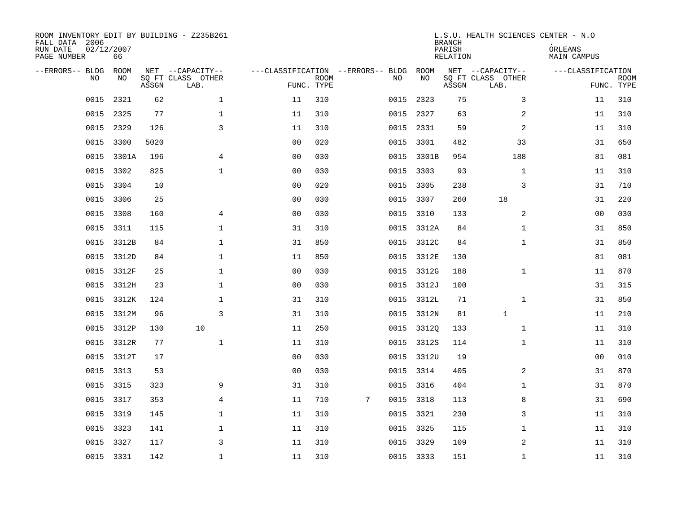| ROOM INVENTORY EDIT BY BUILDING - Z235B261<br>FALL DATA 2006<br>RUN DATE<br>PAGE NUMBER | 02/12/2007<br>66 |       |                                               |                                   |                           |   |           |            | <b>BRANCH</b><br>PARISH<br><b>RELATION</b> | L.S.U. HEALTH SCIENCES CENTER - N.O           | ORLEANS<br><b>MAIN CAMPUS</b> |                           |
|-----------------------------------------------------------------------------------------|------------------|-------|-----------------------------------------------|-----------------------------------|---------------------------|---|-----------|------------|--------------------------------------------|-----------------------------------------------|-------------------------------|---------------------------|
| --ERRORS-- BLDG<br>NO.                                                                  | ROOM<br>NO       | ASSGN | NET --CAPACITY--<br>SQ FT CLASS OTHER<br>LAB. | ---CLASSIFICATION --ERRORS-- BLDG | <b>ROOM</b><br>FUNC. TYPE |   | NO        | ROOM<br>NO | ASSGN                                      | NET --CAPACITY--<br>SQ FT CLASS OTHER<br>LAB. | ---CLASSIFICATION             | <b>ROOM</b><br>FUNC. TYPE |
| 0015                                                                                    | 2321             | 62    | $\mathbf 1$                                   | 11                                | 310                       |   | 0015      | 2323       | 75                                         | 3                                             | 11                            | 310                       |
| 0015                                                                                    | 2325             | 77    | 1                                             | 11                                | 310                       |   | 0015 2327 |            | 63                                         | 2                                             | 11                            | 310                       |
| 0015                                                                                    | 2329             | 126   | 3                                             | 11                                | 310                       |   | 0015      | 2331       | 59                                         | 2                                             | 11                            | 310                       |
| 0015                                                                                    | 3300             | 5020  |                                               | 0 <sub>0</sub>                    | 020                       |   | 0015      | 3301       | 482                                        | 33                                            | 31                            | 650                       |
| 0015                                                                                    | 3301A            | 196   | $\overline{4}$                                | 0 <sub>0</sub>                    | 030                       |   | 0015      | 3301B      | 954                                        | 188                                           | 81                            | 081                       |
| 0015                                                                                    | 3302             | 825   | $\mathbf{1}$                                  | 0 <sub>0</sub>                    | 030                       |   |           | 0015 3303  | 93                                         | $\mathbf{1}$                                  | 11                            | 310                       |
| 0015                                                                                    | 3304             | 10    |                                               | 0 <sub>0</sub>                    | 020                       |   | 0015      | 3305       | 238                                        | 3                                             | 31                            | 710                       |
| 0015                                                                                    | 3306             | 25    |                                               | 0 <sub>0</sub>                    | 030                       |   |           | 0015 3307  | 260                                        | 18                                            | 31                            | 220                       |
| 0015                                                                                    | 3308             | 160   | 4                                             | 0 <sub>0</sub>                    | 030                       |   | 0015      | 3310       | 133                                        | 2                                             | 0 <sub>0</sub>                | 030                       |
| 0015                                                                                    | 3311             | 115   | $\mathbf 1$                                   | 31                                | 310                       |   |           | 0015 3312A | 84                                         | $\mathbf{1}$                                  | 31                            | 850                       |
| 0015                                                                                    | 3312B            | 84    | $\mathbf 1$                                   | 31                                | 850                       |   |           | 0015 3312C | 84                                         | $\mathbf{1}$                                  | 31                            | 850                       |
| 0015                                                                                    | 3312D            | 84    | $\mathbf{1}$                                  | 11                                | 850                       |   |           | 0015 3312E | 130                                        |                                               | 81                            | 081                       |
| 0015                                                                                    | 3312F            | 25    | $\mathbf 1$                                   | 0 <sub>0</sub>                    | 030                       |   | 0015      | 3312G      | 188                                        | $\mathbf{1}$                                  | 11                            | 870                       |
| 0015                                                                                    | 3312H            | 23    | $\mathbf 1$                                   | 0 <sub>0</sub>                    | 030                       |   | 0015      | 3312J      | 100                                        |                                               | 31                            | 315                       |
| 0015                                                                                    | 3312K            | 124   | 1                                             | 31                                | 310                       |   |           | 0015 3312L | 71                                         | $\mathbf{1}$                                  | 31                            | 850                       |
| 0015                                                                                    | 3312M            | 96    | 3                                             | 31                                | 310                       |   |           | 0015 3312N | 81                                         | 1                                             | 11                            | 210                       |
| 0015                                                                                    | 3312P            | 130   | 10                                            | 11                                | 250                       |   |           | 0015 33120 | 133                                        | $\mathbf{1}$                                  | 11                            | 310                       |
| 0015                                                                                    | 3312R            | 77    | $\mathbf 1$                                   | 11                                | 310                       |   |           | 0015 3312S | 114                                        | $\mathbf{1}$                                  | 11                            | 310                       |
|                                                                                         | 0015 3312T       | 17    |                                               | 0 <sub>0</sub>                    | 030                       |   |           | 0015 3312U | 19                                         |                                               | 0 <sub>0</sub>                | 010                       |
| 0015                                                                                    | 3313             | 53    |                                               | 0 <sub>0</sub>                    | 030                       |   |           | 0015 3314  | 405                                        | 2                                             | 31                            | 870                       |
|                                                                                         | 0015 3315        | 323   | 9                                             | 31                                | 310                       |   | 0015 3316 |            | 404                                        | $\mathbf{1}$                                  | 31                            | 870                       |
| 0015                                                                                    | 3317             | 353   | $\overline{4}$                                | 11                                | 710                       | 7 | 0015 3318 |            | 113                                        | 8                                             | 31                            | 690                       |
|                                                                                         | 0015 3319        | 145   | 1                                             | 11                                | 310                       |   | 0015 3321 |            | 230                                        | 3                                             | 11                            | 310                       |
| 0015                                                                                    | 3323             | 141   | $\mathbf 1$                                   | 11                                | 310                       |   | 0015 3325 |            | 115                                        | $\mathbf{1}$                                  | 11                            | 310                       |
| 0015                                                                                    | 3327             | 117   | 3                                             | 11                                | 310                       |   |           | 0015 3329  | 109                                        | 2                                             | 11                            | 310                       |
|                                                                                         | 0015 3331        | 142   | $\mathbf{1}$                                  | 11                                | 310                       |   | 0015 3333 |            | 151                                        | $\mathbf{1}$                                  | 11                            | 310                       |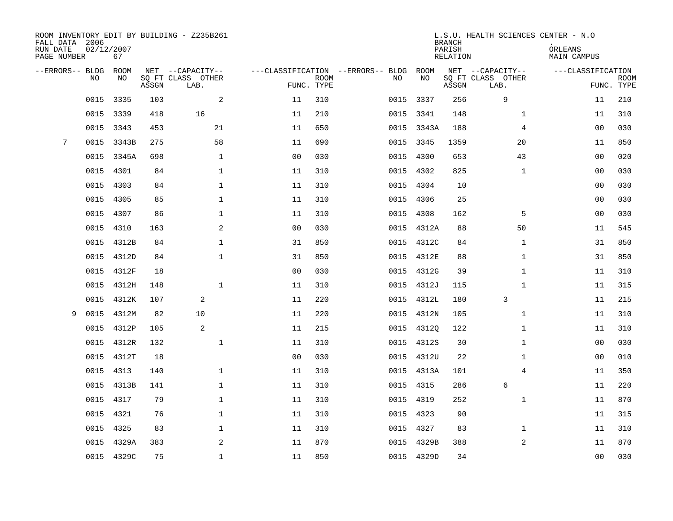| FALL DATA 2006<br>RUN DATE<br>PAGE NUMBER |      | 02/12/2007<br>67 |       | ROOM INVENTORY EDIT BY BUILDING - Z235B261    |                |                           |                                         |            | <b>BRANCH</b><br>PARISH<br><b>RELATION</b> | L.S.U. HEALTH SCIENCES CENTER - N.O           | ORLEANS<br>MAIN CAMPUS |                           |
|-------------------------------------------|------|------------------|-------|-----------------------------------------------|----------------|---------------------------|-----------------------------------------|------------|--------------------------------------------|-----------------------------------------------|------------------------|---------------------------|
| --ERRORS-- BLDG                           | NO   | ROOM<br>NO       | ASSGN | NET --CAPACITY--<br>SQ FT CLASS OTHER<br>LAB. |                | <b>ROOM</b><br>FUNC. TYPE | ---CLASSIFICATION --ERRORS-- BLDG<br>NO | ROOM<br>NO | ASSGN                                      | NET --CAPACITY--<br>SQ FT CLASS OTHER<br>LAB. | ---CLASSIFICATION      | <b>ROOM</b><br>FUNC. TYPE |
|                                           | 0015 | 3335             | 103   | 2                                             | 11             | 310                       | 0015                                    | 3337       | 256                                        | 9                                             | 11                     | 210                       |
|                                           | 0015 | 3339             | 418   | 16                                            | 11             | 210                       |                                         | 0015 3341  | 148                                        | $\mathbf{1}$                                  | 11                     | 310                       |
|                                           | 0015 | 3343             | 453   | 21                                            | 11             | 650                       |                                         | 0015 3343A | 188                                        | 4                                             | 00                     | 030                       |
| 7                                         | 0015 | 3343B            | 275   | 58                                            | 11             | 690                       |                                         | 0015 3345  | 1359                                       | 20                                            | 11                     | 850                       |
|                                           | 0015 | 3345A            | 698   | $\mathbf{1}$                                  | 0 <sub>0</sub> | 030                       | 0015                                    | 4300       | 653                                        | 43                                            | 0 <sub>0</sub>         | 020                       |
|                                           | 0015 | 4301             | 84    | $\mathbf{1}$                                  | 11             | 310                       |                                         | 0015 4302  | 825                                        | $\mathbf{1}$                                  | 0 <sub>0</sub>         | 030                       |
|                                           | 0015 | 4303             | 84    | $\mathbf{1}$                                  | 11             | 310                       | 0015                                    | 4304       | 10                                         |                                               | 00                     | 030                       |
|                                           | 0015 | 4305             | 85    | $\mathbf 1$                                   | 11             | 310                       |                                         | 0015 4306  | 25                                         |                                               | 0 <sub>0</sub>         | 030                       |
|                                           | 0015 | 4307             | 86    | $\mathbf 1$                                   | 11             | 310                       | 0015                                    | 4308       | 162                                        | 5                                             | 00                     | 030                       |
|                                           | 0015 | 4310             | 163   | 2                                             | 0 <sub>0</sub> | 030                       |                                         | 0015 4312A | 88                                         | 50                                            | 11                     | 545                       |
|                                           | 0015 | 4312B            | 84    | $\mathbf 1$                                   | 31             | 850                       |                                         | 0015 4312C | 84                                         | $\mathbf{1}$                                  | 31                     | 850                       |
|                                           | 0015 | 4312D            | 84    | $\mathbf{1}$                                  | 31             | 850                       |                                         | 0015 4312E | 88                                         | $\mathbf{1}$                                  | 31                     | 850                       |
|                                           | 0015 | 4312F            | 18    |                                               | 0 <sub>0</sub> | 030                       | 0015                                    | 4312G      | 39                                         | $\mathbf{1}$                                  | 11                     | 310                       |
|                                           | 0015 | 4312H            | 148   | 1                                             | 11             | 310                       | 0015                                    | 4312J      | 115                                        | $\mathbf{1}$                                  | 11                     | 315                       |
|                                           | 0015 | 4312K            | 107   | 2                                             | 11             | 220                       | 0015                                    | 4312L      | 180                                        | 3                                             | 11                     | 215                       |
| 9                                         | 0015 | 4312M            | 82    | 10                                            | 11             | 220                       | 0015                                    | 4312N      | 105                                        | $\mathbf{1}$                                  | 11                     | 310                       |
|                                           | 0015 | 4312P            | 105   | 2                                             | 11             | 215                       | 0015                                    | 43120      | 122                                        | $\mathbf{1}$                                  | 11                     | 310                       |
|                                           | 0015 | 4312R            | 132   | $\mathbf 1$                                   | 11             | 310                       | 0015                                    | 4312S      | 30                                         | $\mathbf{1}$                                  | 0 <sub>0</sub>         | 030                       |
|                                           | 0015 | 4312T            | 18    |                                               | 0 <sub>0</sub> | 030                       |                                         | 0015 4312U | 22                                         | $\mathbf{1}$                                  | 0 <sub>0</sub>         | 010                       |
|                                           | 0015 | 4313             | 140   | $\mathbf 1$                                   | 11             | 310                       |                                         | 0015 4313A | 101                                        | 4                                             | 11                     | 350                       |
|                                           | 0015 | 4313B            | 141   | $\mathbf 1$                                   | 11             | 310                       |                                         | 0015 4315  | 286                                        | 6                                             | 11                     | 220                       |
|                                           | 0015 | 4317             | 79    | $\mathbf 1$                                   | 11             | 310                       | 0015                                    | 4319       | 252                                        | $\mathbf{1}$                                  | 11                     | 870                       |
|                                           | 0015 | 4321             | 76    | $\mathbf 1$                                   | 11             | 310                       |                                         | 0015 4323  | 90                                         |                                               | 11                     | 315                       |
|                                           | 0015 | 4325             | 83    | $\mathbf 1$                                   | 11             | 310                       |                                         | 0015 4327  | 83                                         | $\mathbf{1}$                                  | 11                     | 310                       |
|                                           | 0015 | 4329A            | 383   | 2                                             | 11             | 870                       |                                         | 0015 4329B | 388                                        | $\overline{a}$                                | 11                     | 870                       |
|                                           |      | 0015 4329C       | 75    | $\mathbf{1}$                                  | 11             | 850                       |                                         | 0015 4329D | 34                                         |                                               | 0 <sub>0</sub>         | 030                       |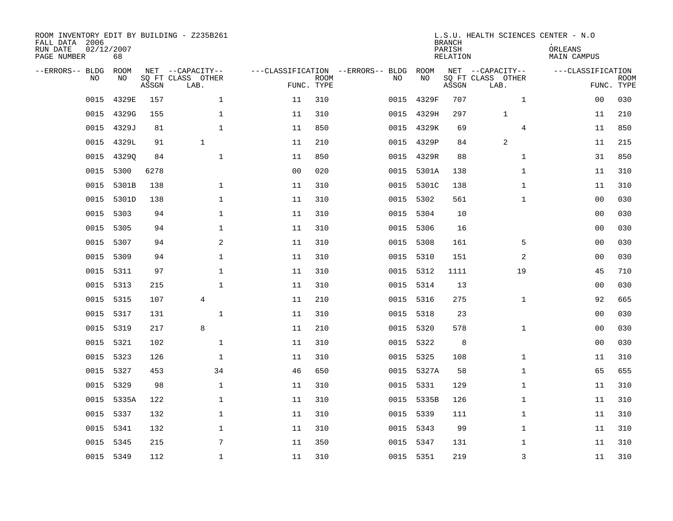| ROOM INVENTORY EDIT BY BUILDING - Z235B261<br>FALL DATA 2006<br>RUN DATE<br>PAGE NUMBER | 02/12/2007<br>68 |       |                                               |                |                           |                                         |            | <b>BRANCH</b><br>PARISH<br><b>RELATION</b> | L.S.U. HEALTH SCIENCES CENTER - N.O           | ORLEANS<br><b>MAIN CAMPUS</b> |                           |
|-----------------------------------------------------------------------------------------|------------------|-------|-----------------------------------------------|----------------|---------------------------|-----------------------------------------|------------|--------------------------------------------|-----------------------------------------------|-------------------------------|---------------------------|
| --ERRORS-- BLDG<br>NO.                                                                  | ROOM<br>NO       | ASSGN | NET --CAPACITY--<br>SQ FT CLASS OTHER<br>LAB. |                | <b>ROOM</b><br>FUNC. TYPE | ---CLASSIFICATION --ERRORS-- BLDG<br>NO | ROOM<br>NO | ASSGN                                      | NET --CAPACITY--<br>SQ FT CLASS OTHER<br>LAB. | ---CLASSIFICATION             | <b>ROOM</b><br>FUNC. TYPE |
| 0015                                                                                    | 4329E            | 157   | $\mathbf 1$                                   | 11             | 310                       | 0015                                    | 4329F      | 707                                        | $\mathbf{1}$                                  | 0 <sub>0</sub>                | 030                       |
| 0015                                                                                    | 4329G            | 155   | $\mathbf{1}$                                  | 11             | 310                       | 0015                                    | 4329H      | 297                                        | $\mathbf{1}$                                  | 11                            | 210                       |
| 0015                                                                                    | 4329J            | 81    | $\mathbf{1}$                                  | 11             | 850                       | 0015                                    | 4329K      | 69                                         | 4                                             | 11                            | 850                       |
| 0015                                                                                    | 4329L            | 91    | $\mathbf{1}$                                  | 11             | 210                       |                                         | 0015 4329P | 84                                         | 2                                             | 11                            | 215                       |
| 0015                                                                                    | 4329Q            | 84    | $\mathbf{1}$                                  | 11             | 850                       | 0015                                    | 4329R      | 88                                         | $\mathbf{1}$                                  | 31                            | 850                       |
| 0015                                                                                    | 5300             | 6278  |                                               | 0 <sub>0</sub> | 020                       |                                         | 0015 5301A | 138                                        | $\mathbf{1}$                                  | 11                            | 310                       |
| 0015                                                                                    | 5301B            | 138   | $\mathbf{1}$                                  | 11             | 310                       | 0015                                    | 5301C      | 138                                        | $\mathbf{1}$                                  | 11                            | 310                       |
| 0015                                                                                    | 5301D            | 138   | $\mathbf 1$                                   | 11             | 310                       |                                         | 0015 5302  | 561                                        | $\mathbf{1}$                                  | 00                            | 030                       |
| 0015                                                                                    | 5303             | 94    | $\mathbf 1$                                   | 11             | 310                       | 0015                                    | 5304       | 10                                         |                                               | 00                            | 030                       |
| 0015                                                                                    | 5305             | 94    | $\mathbf 1$                                   | 11             | 310                       | 0015                                    | 5306       | 16                                         |                                               | 0 <sub>0</sub>                | 030                       |
| 0015                                                                                    | 5307             | 94    | 2                                             | 11             | 310                       | 0015                                    | 5308       | 161                                        | 5                                             | 0 <sub>0</sub>                | 030                       |
| 0015                                                                                    | 5309             | 94    | $\mathbf 1$                                   | 11             | 310                       |                                         | 0015 5310  | 151                                        | 2                                             | 00                            | 030                       |
| 0015                                                                                    | 5311             | 97    | $\mathbf{1}$                                  | 11             | 310                       | 0015                                    | 5312       | 1111                                       | 19                                            | 45                            | 710                       |
| 0015                                                                                    | 5313             | 215   | $\mathbf{1}$                                  | 11             | 310                       |                                         | 0015 5314  | 13                                         |                                               | 0 <sub>0</sub>                | 030                       |
| 0015                                                                                    | 5315             | 107   | $\overline{4}$                                | 11             | 210                       |                                         | 0015 5316  | 275                                        | $\mathbf{1}$                                  | 92                            | 665                       |
| 0015                                                                                    | 5317             | 131   | $\mathbf 1$                                   | 11             | 310                       |                                         | 0015 5318  | 23                                         |                                               | 00                            | 030                       |
|                                                                                         | 0015 5319        | 217   | 8                                             | 11             | 210                       |                                         | 0015 5320  | 578                                        | $\mathbf{1}$                                  | 00                            | 030                       |
| 0015                                                                                    | 5321             | 102   | $\mathbf{1}$                                  | 11             | 310                       |                                         | 0015 5322  | 8                                          |                                               | 0 <sub>0</sub>                | 030                       |
|                                                                                         | 0015 5323        | 126   | $\mathbf 1$                                   | 11             | 310                       |                                         | 0015 5325  | 108                                        | $\mathbf{1}$                                  | 11                            | 310                       |
| 0015                                                                                    | 5327             | 453   | 34                                            | 46             | 650                       |                                         | 0015 5327A | 58                                         | $\mathbf{1}$                                  | 65                            | 655                       |
| 0015                                                                                    | 5329             | 98    | $\mathbf{1}$                                  | 11             | 310                       |                                         | 0015 5331  | 129                                        | $\mathbf{1}$                                  | 11                            | 310                       |
| 0015                                                                                    | 5335A            | 122   | $\mathbf 1$                                   | 11             | 310                       | 0015                                    | 5335B      | 126                                        | $\mathbf{1}$                                  | 11                            | 310                       |
|                                                                                         | 0015 5337        | 132   | 1                                             | 11             | 310                       |                                         | 0015 5339  | 111                                        | $\mathbf{1}$                                  | 11                            | 310                       |
| 0015                                                                                    | 5341             | 132   | 1                                             | 11             | 310                       | 0015                                    | 5343       | 99                                         | $\mathbf{1}$                                  | 11                            | 310                       |
| 0015                                                                                    | 5345             | 215   | 7                                             | 11             | 350                       |                                         | 0015 5347  | 131                                        | $\mathbf{1}$                                  | 11                            | 310                       |
|                                                                                         | 0015 5349        | 112   | $\mathbf{1}$                                  | 11             | 310                       |                                         | 0015 5351  | 219                                        | 3                                             | 11                            | 310                       |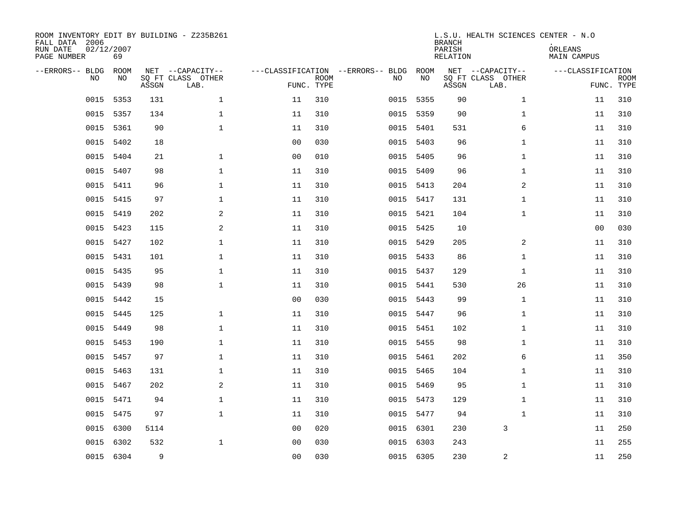| FALL DATA 2006<br>RUN DATE<br>PAGE NUMBER | 02/12/2007 | 69          |       | ROOM INVENTORY EDIT BY BUILDING - Z235B261    |                                   |                           |      |            | <b>BRANCH</b><br>PARISH<br>RELATION | L.S.U. HEALTH SCIENCES CENTER - N.O           | ORLEANS<br>MAIN CAMPUS |                           |
|-------------------------------------------|------------|-------------|-------|-----------------------------------------------|-----------------------------------|---------------------------|------|------------|-------------------------------------|-----------------------------------------------|------------------------|---------------------------|
| --ERRORS-- BLDG                           | NO.        | ROOM<br>NO. | ASSGN | NET --CAPACITY--<br>SQ FT CLASS OTHER<br>LAB. | ---CLASSIFICATION --ERRORS-- BLDG | <b>ROOM</b><br>FUNC. TYPE | NO   | ROOM<br>NO | ASSGN                               | NET --CAPACITY--<br>SQ FT CLASS OTHER<br>LAB. | ---CLASSIFICATION      | <b>ROOM</b><br>FUNC. TYPE |
|                                           | 0015       | 5353        | 131   | $\mathbf{1}$                                  | 11                                | 310                       | 0015 | 5355       | 90                                  | $\mathbf{1}$                                  | 11                     | 310                       |
|                                           | 0015       | 5357        | 134   | $\mathbf{1}$                                  | 11                                | 310                       |      | 0015 5359  | 90                                  | $\mathbf{1}$                                  | 11                     | 310                       |
|                                           | 0015       | 5361        | 90    | $\mathbf{1}$                                  | 11                                | 310                       |      | 0015 5401  | 531                                 | 6                                             | 11                     | 310                       |
|                                           | 0015       | 5402        | 18    |                                               | 0 <sub>0</sub>                    | 030                       |      | 0015 5403  | 96                                  | $\mathbf{1}$                                  | 11                     | 310                       |
|                                           | 0015       | 5404        | 21    | $\mathbf 1$                                   | 0 <sub>0</sub>                    | 010                       | 0015 | 5405       | 96                                  | $\mathbf{1}$                                  | 11                     | 310                       |
|                                           | 0015       | 5407        | 98    | $\mathbf 1$                                   | 11                                | 310                       |      | 0015 5409  | 96                                  | $\mathbf{1}$                                  | 11                     | 310                       |
|                                           | 0015       | 5411        | 96    | $\mathbf 1$                                   | 11                                | 310                       |      | 0015 5413  | 204                                 | 2                                             | 11                     | 310                       |
|                                           | 0015       | 5415        | 97    | $\mathbf 1$                                   | 11                                | 310                       |      | 0015 5417  | 131                                 | $\mathbf{1}$                                  | 11                     | 310                       |
|                                           | 0015       | 5419        | 202   | 2                                             | 11                                | 310                       | 0015 | 5421       | 104                                 | $\mathbf{1}$                                  | 11                     | 310                       |
|                                           | 0015       | 5423        | 115   | 2                                             | 11                                | 310                       |      | 0015 5425  | 10                                  |                                               | 00                     | 030                       |
|                                           | 0015       | 5427        | 102   | $\mathbf 1$                                   | 11                                | 310                       | 0015 | 5429       | 205                                 | 2                                             | 11                     | 310                       |
|                                           | 0015       | 5431        | 101   | $\mathbf{1}$                                  | 11                                | 310                       |      | 0015 5433  | 86                                  | $\mathbf{1}$                                  | 11                     | 310                       |
|                                           | 0015       | 5435        | 95    | $\mathbf 1$                                   | 11                                | 310                       | 0015 | 5437       | 129                                 | $\mathbf{1}$                                  | 11                     | 310                       |
|                                           | 0015       | 5439        | 98    | $\mathbf{1}$                                  | 11                                | 310                       |      | 0015 5441  | 530                                 | 26                                            | 11                     | 310                       |
|                                           | 0015       | 5442        | 15    |                                               | 0 <sub>0</sub>                    | 030                       |      | 0015 5443  | 99                                  | $\mathbf{1}$                                  | 11                     | 310                       |
|                                           | 0015       | 5445        | 125   | $\mathbf 1$                                   | 11                                | 310                       |      | 0015 5447  | 96                                  | $\mathbf{1}$                                  | 11                     | 310                       |
|                                           | 0015       | 5449        | 98    | $\mathbf 1$                                   | 11                                | 310                       |      | 0015 5451  | 102                                 | $\mathbf{1}$                                  | 11                     | 310                       |
|                                           | 0015       | 5453        | 190   | $\mathbf 1$                                   | 11                                | 310                       |      | 0015 5455  | 98                                  | $\mathbf{1}$                                  | 11                     | 310                       |
|                                           | 0015 5457  |             | 97    | 1                                             | 11                                | 310                       |      | 0015 5461  | 202                                 | 6                                             | 11                     | 350                       |
|                                           | 0015       | 5463        | 131   | $\mathbf 1$                                   | 11                                | 310                       |      | 0015 5465  | 104                                 | $\mathbf{1}$                                  | 11                     | 310                       |
|                                           | 0015 5467  |             | 202   | 2                                             | 11                                | 310                       |      | 0015 5469  | 95                                  | $\mathbf{1}$                                  | 11                     | 310                       |
|                                           | 0015       | 5471        | 94    | $\mathbf 1$                                   | 11                                | 310                       |      | 0015 5473  | 129                                 | $\mathbf{1}$                                  | 11                     | 310                       |
|                                           | 0015 5475  |             | 97    | $\mathbf{1}$                                  | 11                                | 310                       |      | 0015 5477  | 94                                  | $\mathbf{1}$                                  | 11                     | 310                       |
|                                           | 0015       | 6300        | 5114  |                                               | 0 <sub>0</sub>                    | 020                       |      | 0015 6301  | 230                                 | 3                                             | 11                     | 250                       |
|                                           | 0015       | 6302        | 532   | $\mathbf 1$                                   | 0 <sub>0</sub>                    | 030                       |      | 0015 6303  | 243                                 |                                               | 11                     | 255                       |
|                                           | 0015 6304  |             | 9     |                                               | 0 <sub>0</sub>                    | 030                       |      | 0015 6305  | 230                                 | $\overline{a}$                                | 11                     | 250                       |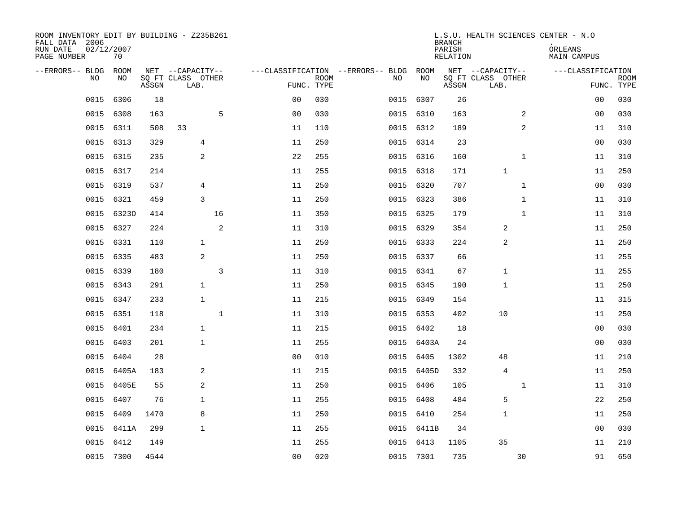| ROOM INVENTORY EDIT BY BUILDING - Z235B261<br>FALL DATA 2006<br>RUN DATE<br>PAGE NUMBER | 02/12/2007<br>70 |       |                                               |                |                           |                                              |            | <b>BRANCH</b><br>PARISH<br><b>RELATION</b> | L.S.U. HEALTH SCIENCES CENTER - N.O           | ORLEANS<br><b>MAIN CAMPUS</b> |                           |
|-----------------------------------------------------------------------------------------|------------------|-------|-----------------------------------------------|----------------|---------------------------|----------------------------------------------|------------|--------------------------------------------|-----------------------------------------------|-------------------------------|---------------------------|
| --ERRORS-- BLDG ROOM<br>NO                                                              | NO               | ASSGN | NET --CAPACITY--<br>SQ FT CLASS OTHER<br>LAB. |                | <b>ROOM</b><br>FUNC. TYPE | ---CLASSIFICATION --ERRORS-- BLDG ROOM<br>NO | NO         | ASSGN                                      | NET --CAPACITY--<br>SQ FT CLASS OTHER<br>LAB. | ---CLASSIFICATION             | <b>ROOM</b><br>FUNC. TYPE |
| 0015                                                                                    | 6306             | 18    |                                               | 0 <sub>0</sub> | 030                       | 0015                                         | 6307       | 26                                         |                                               | 00                            | 030                       |
| 0015                                                                                    | 6308             | 163   | 5                                             | 0 <sub>0</sub> | 030                       |                                              | 0015 6310  | 163                                        | 2                                             | 00                            | 030                       |
| 0015                                                                                    | 6311             | 508   | 33                                            | 11             | 110                       |                                              | 0015 6312  | 189                                        | 2                                             | 11                            | 310                       |
| 0015                                                                                    | 6313             | 329   | 4                                             | 11             | 250                       |                                              | 0015 6314  | 23                                         |                                               | 0 <sub>0</sub>                | 030                       |
| 0015                                                                                    | 6315             | 235   | 2                                             | 22             | 255                       |                                              | 0015 6316  | 160                                        | $\mathbf{1}$                                  | 11                            | 310                       |
| 0015                                                                                    | 6317             | 214   |                                               | 11             | 255                       |                                              | 0015 6318  | 171                                        | $\mathbf{1}$                                  | 11                            | 250                       |
| 0015                                                                                    | 6319             | 537   | 4                                             | 11             | 250                       |                                              | 0015 6320  | 707                                        | $\mathbf{1}$                                  | 00                            | 030                       |
| 0015                                                                                    | 6321             | 459   | 3                                             | 11             | 250                       |                                              | 0015 6323  | 386                                        | $\mathbf{1}$                                  | 11                            | 310                       |
| 0015                                                                                    | 63230            | 414   | 16                                            | 11             | 350                       |                                              | 0015 6325  | 179                                        | $\mathbf{1}$                                  | 11                            | 310                       |
|                                                                                         | 0015 6327        | 224   | 2                                             | 11             | 310                       |                                              | 0015 6329  | 354                                        | 2                                             | 11                            | 250                       |
| 0015                                                                                    | 6331             | 110   | $\mathbf{1}$                                  | 11             | 250                       |                                              | 0015 6333  | 224                                        | 2                                             | 11                            | 250                       |
| 0015                                                                                    | 6335             | 483   | 2                                             | 11             | 250                       |                                              | 0015 6337  | 66                                         |                                               | 11                            | 255                       |
| 0015                                                                                    | 6339             | 180   | 3                                             | 11             | 310                       | 0015                                         | 6341       | 67                                         | 1                                             | 11                            | 255                       |
| 0015                                                                                    | 6343             | 291   | $\mathbf{1}$                                  | 11             | 250                       |                                              | 0015 6345  | 190                                        | 1                                             | 11                            | 250                       |
| 0015                                                                                    | 6347             | 233   | $\mathbf{1}$                                  | 11             | 215                       | 0015                                         | 6349       | 154                                        |                                               | 11                            | 315                       |
| 0015                                                                                    | 6351             | 118   | $\mathbf{1}$                                  | 11             | 310                       |                                              | 0015 6353  | 402                                        | 10                                            | 11                            | 250                       |
| 0015                                                                                    | 6401             | 234   | $\mathbf{1}$                                  | 11             | 215                       | 0015                                         | 6402       | 18                                         |                                               | 0 <sub>0</sub>                | 030                       |
| 0015                                                                                    | 6403             | 201   | $\mathbf{1}$                                  | 11             | 255                       |                                              | 0015 6403A | 24                                         |                                               | 0 <sub>0</sub>                | 030                       |
| 0015                                                                                    | 6404             | 28    |                                               | 0 <sub>0</sub> | 010                       |                                              | 0015 6405  | 1302                                       | 48                                            | 11                            | 210                       |
| 0015                                                                                    | 6405A            | 183   | 2                                             | 11             | 215                       |                                              | 0015 6405D | 332                                        | 4                                             | 11                            | 250                       |
| 0015                                                                                    | 6405E            | 55    | 2                                             | 11             | 250                       |                                              | 0015 6406  | 105                                        | $\mathbf{1}$                                  | 11                            | 310                       |
| 0015                                                                                    | 6407             | 76    | $\mathbf{1}$                                  | 11             | 255                       |                                              | 0015 6408  | 484                                        | 5                                             | 22                            | 250                       |
| 0015                                                                                    | 6409             | 1470  | 8                                             | 11             | 250                       |                                              | 0015 6410  | 254                                        | 1                                             | 11                            | 250                       |
| 0015                                                                                    | 6411A            | 299   | $\mathbf{1}$                                  | 11             | 255                       |                                              | 0015 6411B | 34                                         |                                               | 00                            | 030                       |
| 0015                                                                                    | 6412             | 149   |                                               | 11             | 255                       |                                              | 0015 6413  | 1105                                       | 35                                            | 11                            | 210                       |
|                                                                                         | 0015 7300        | 4544  |                                               | 0 <sub>0</sub> | 020                       |                                              | 0015 7301  | 735                                        | 30                                            | 91                            | 650                       |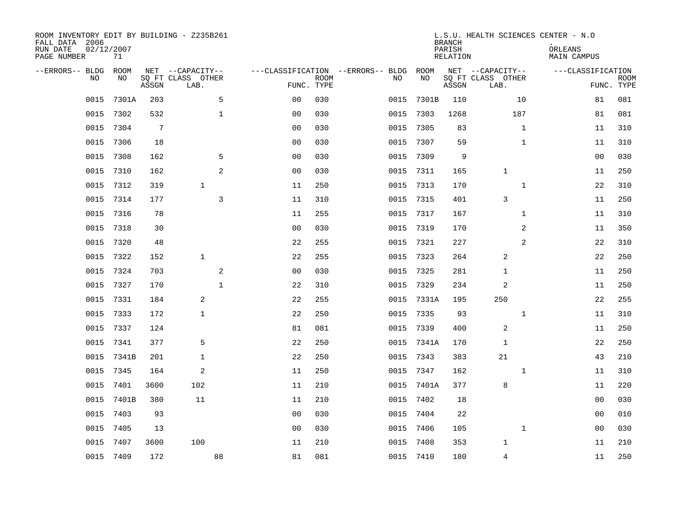| ROOM INVENTORY EDIT BY BUILDING - Z235B261<br>FALL DATA 2006<br>RUN DATE<br>PAGE NUMBER | 02/12/2007<br>71 |                 |                                               |              |                                                 |             |           |            | <b>BRANCH</b><br>PARISH<br><b>RELATION</b> | L.S.U. HEALTH SCIENCES CENTER - N.O           | ORLEANS<br><b>MAIN CAMPUS</b> |                           |
|-----------------------------------------------------------------------------------------|------------------|-----------------|-----------------------------------------------|--------------|-------------------------------------------------|-------------|-----------|------------|--------------------------------------------|-----------------------------------------------|-------------------------------|---------------------------|
| --ERRORS-- BLDG<br>NO                                                                   | ROOM<br>NO       | ASSGN           | NET --CAPACITY--<br>SQ FT CLASS OTHER<br>LAB. |              | ---CLASSIFICATION --ERRORS-- BLDG<br>FUNC. TYPE | <b>ROOM</b> | NO        | ROOM<br>NO | ASSGN                                      | NET --CAPACITY--<br>SQ FT CLASS OTHER<br>LAB. | ---CLASSIFICATION             | <b>ROOM</b><br>FUNC. TYPE |
| 0015                                                                                    | 7301A            | 203             |                                               | 5            | 0 <sub>0</sub>                                  | 030         | 0015      | 7301B      | 110                                        | 10                                            | 81                            | 081                       |
| 0015                                                                                    | 7302             | 532             |                                               | $\mathbf 1$  | 0 <sub>0</sub>                                  | 030         | 0015      | 7303       | 1268                                       | 187                                           | 81                            | 081                       |
| 0015                                                                                    | 7304             | $7\phantom{.0}$ |                                               |              | 0 <sub>0</sub>                                  | 030         | 0015      | 7305       | 83                                         | $\mathbf{1}$                                  | 11                            | 310                       |
| 0015                                                                                    | 7306             | 18              |                                               |              | 0 <sub>0</sub>                                  | 030         | 0015      | 7307       | 59                                         | $\mathbf{1}$                                  | 11                            | 310                       |
| 0015                                                                                    | 7308             | 162             |                                               | 5            | 0 <sub>0</sub>                                  | 030         | 0015      | 7309       | 9                                          |                                               | 0 <sub>0</sub>                | 030                       |
| 0015                                                                                    | 7310             | 162             |                                               | 2            | 0 <sub>0</sub>                                  | 030         | 0015      | 7311       | 165                                        | $\mathbf{1}$                                  | 11                            | 250                       |
| 0015                                                                                    | 7312             | 319             | $\mathbf{1}$                                  |              | 11                                              | 250         | 0015      | 7313       | 170                                        | $\mathbf{1}$                                  | 22                            | 310                       |
| 0015                                                                                    | 7314             | 177             |                                               | 3            | 11                                              | 310         | 0015      | 7315       | 401                                        | 3                                             | 11                            | 250                       |
| 0015                                                                                    | 7316             | 78              |                                               |              | 11                                              | 255         | 0015      | 7317       | 167                                        | $\mathbf{1}$                                  | 11                            | 310                       |
| 0015                                                                                    | 7318             | 30              |                                               |              | 0 <sub>0</sub>                                  | 030         |           | 0015 7319  | 170                                        | 2                                             | 11                            | 350                       |
| 0015                                                                                    | 7320             | 48              |                                               |              | 22                                              | 255         | 0015      | 7321       | 227                                        | 2                                             | 22                            | 310                       |
| 0015                                                                                    | 7322             | 152             | $\mathbf{1}$                                  |              | 22                                              | 255         | 0015      | 7323       | 264                                        | 2                                             | 22                            | 250                       |
| 0015                                                                                    | 7324             | 703             |                                               | $\mathbf{2}$ | 0 <sub>0</sub>                                  | 030         | 0015      | 7325       | 281                                        | 1                                             | 11                            | 250                       |
| 0015                                                                                    | 7327             | 170             |                                               | $\mathbf{1}$ | 22                                              | 310         | 0015      | 7329       | 234                                        | 2                                             | 11                            | 250                       |
| 0015                                                                                    | 7331             | 184             | 2                                             |              | 22                                              | 255         | 0015      | 7331A      | 195                                        | 250                                           | 22                            | 255                       |
| 0015                                                                                    | 7333             | 172             | $\mathbf{1}$                                  |              | 22                                              | 250         | 0015      | 7335       | 93                                         | $\mathbf{1}$                                  | 11                            | 310                       |
| 0015                                                                                    | 7337             | 124             |                                               |              | 81                                              | 081         | 0015      | 7339       | 400                                        | 2                                             | 11                            | 250                       |
| 0015                                                                                    | 7341             | 377             | 5                                             |              | 22                                              | 250         | 0015      | 7341A      | 170                                        | $\mathbf{1}$                                  | 22                            | 250                       |
| 0015                                                                                    | 7341B            | 201             | $\mathbf{1}$                                  |              | 22                                              | 250         | 0015 7343 |            | 383                                        | 21                                            | 43                            | 210                       |
| 0015                                                                                    | 7345             | 164             | $\overline{\mathbf{c}}$                       |              | 11                                              | 250         | 0015      | 7347       | 162                                        | $\mathbf{1}$                                  | 11                            | 310                       |
| 0015                                                                                    | 7401             | 3600            | 102                                           |              | 11                                              | 210         |           | 0015 7401A | 377                                        | 8                                             | 11                            | 220                       |
| 0015                                                                                    | 7401B            | 380             | 11                                            |              | 11                                              | 210         | 0015      | 7402       | 18                                         |                                               | 00                            | 030                       |
| 0015                                                                                    | 7403             | 93              |                                               |              | 0 <sub>0</sub>                                  | 030         | 0015      | 7404       | 22                                         |                                               | 0 <sub>0</sub>                | 010                       |
| 0015                                                                                    | 7405             | 13              |                                               |              | 0 <sub>0</sub>                                  | 030         | 0015      | 7406       | 105                                        | $\mathbf{1}$                                  | 00                            | 030                       |
| 0015                                                                                    | 7407             | 3600            | 100                                           |              | 11                                              | 210         | 0015      | 7408       | 353                                        | 1                                             | 11                            | 210                       |
| 0015                                                                                    | 7409             | 172             |                                               | 88           | 81                                              | 081         | 0015 7410 |            | 180                                        | 4                                             | 11                            | 250                       |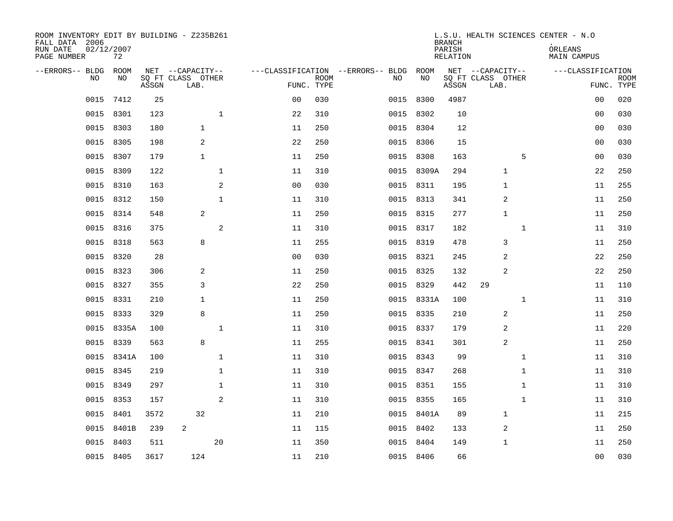| ROOM INVENTORY EDIT BY BUILDING - Z235B261<br>FALL DATA 2006<br>RUN DATE<br>PAGE NUMBER | 02/12/2007<br>72 |       |                                               |                |             |                                         |            | <b>BRANCH</b><br>PARISH<br><b>RELATION</b> | L.S.U. HEALTH SCIENCES CENTER - N.O           | ORLEANS<br><b>MAIN CAMPUS</b> |                           |
|-----------------------------------------------------------------------------------------|------------------|-------|-----------------------------------------------|----------------|-------------|-----------------------------------------|------------|--------------------------------------------|-----------------------------------------------|-------------------------------|---------------------------|
| --ERRORS-- BLDG<br>NO                                                                   | ROOM<br>NO       | ASSGN | NET --CAPACITY--<br>SQ FT CLASS OTHER<br>LAB. | FUNC. TYPE     | <b>ROOM</b> | ---CLASSIFICATION --ERRORS-- BLDG<br>NO | ROOM<br>NO | ASSGN                                      | NET --CAPACITY--<br>SQ FT CLASS OTHER<br>LAB. | ---CLASSIFICATION             | <b>ROOM</b><br>FUNC. TYPE |
| 0015                                                                                    | 7412             | 25    |                                               | 0 <sub>0</sub> | 030         | 0015                                    | 8300       | 4987                                       |                                               | 0 <sub>0</sub>                | 020                       |
| 0015                                                                                    | 8301             | 123   | $\mathbf 1$                                   | 22             | 310         |                                         | 0015 8302  | 10                                         |                                               | 00                            | 030                       |
| 0015                                                                                    | 8303             | 180   | $\mathbf{1}$                                  | 11             | 250         |                                         | 0015 8304  | 12                                         |                                               | 00                            | 030                       |
| 0015                                                                                    | 8305             | 198   | 2                                             | 22             | 250         |                                         | 0015 8306  | 15                                         |                                               | 00                            | 030                       |
| 0015                                                                                    | 8307             | 179   | $\mathbf{1}$                                  | 11             | 250         |                                         | 0015 8308  | 163                                        | 5                                             | 0 <sub>0</sub>                | 030                       |
| 0015                                                                                    | 8309             | 122   | $\mathbf 1$                                   | 11             | 310         |                                         | 0015 8309A | 294                                        | 1                                             | 22                            | 250                       |
| 0015                                                                                    | 8310             | 163   | 2                                             | 0 <sub>0</sub> | 030         |                                         | 0015 8311  | 195                                        | $\mathbf{1}$                                  | 11                            | 255                       |
|                                                                                         | 0015 8312        | 150   | $\mathbf{1}$                                  | 11             | 310         |                                         | 0015 8313  | 341                                        | 2                                             | 11                            | 250                       |
| 0015                                                                                    | 8314             | 548   | 2                                             | 11             | 250         |                                         | 0015 8315  | 277                                        | $\mathbf{1}$                                  | 11                            | 250                       |
|                                                                                         | 0015 8316        | 375   | 2                                             | 11             | 310         |                                         | 0015 8317  | 182                                        | $\mathbf{1}$                                  | 11                            | 310                       |
| 0015                                                                                    | 8318             | 563   | 8                                             | 11             | 255         |                                         | 0015 8319  | 478                                        | 3                                             | 11                            | 250                       |
|                                                                                         | 0015 8320        | 28    |                                               | 0 <sub>0</sub> | 030         |                                         | 0015 8321  | 245                                        | 2                                             | 22                            | 250                       |
| 0015                                                                                    | 8323             | 306   | 2                                             | 11             | 250         |                                         | 0015 8325  | 132                                        | 2                                             | 22                            | 250                       |
|                                                                                         | 0015 8327        | 355   | 3                                             | 22             | 250         |                                         | 0015 8329  | 442                                        | 29                                            | 11                            | 110                       |
| 0015                                                                                    | 8331             | 210   | $\mathbf{1}$                                  | 11             | 250         |                                         | 0015 8331A | 100                                        | $\mathbf{1}$                                  | 11                            | 310                       |
|                                                                                         | 0015 8333        | 329   | 8                                             | 11             | 250         |                                         | 0015 8335  | 210                                        | 2                                             | 11                            | 250                       |
| 0015                                                                                    | 8335A            | 100   | $\mathbf{1}$                                  | 11             | 310         |                                         | 0015 8337  | 179                                        | 2                                             | 11                            | 220                       |
| 0015                                                                                    | 8339             | 563   | 8                                             | 11             | 255         |                                         | 0015 8341  | 301                                        | 2                                             | 11                            | 250                       |
|                                                                                         | 0015 8341A       | 100   | $\mathbf 1$                                   | 11             | 310         |                                         | 0015 8343  | 99                                         | $\mathbf{1}$                                  | 11                            | 310                       |
| 0015                                                                                    | 8345             | 219   | $\mathbf 1$                                   | 11             | 310         |                                         | 0015 8347  | 268                                        | $\mathbf{1}$                                  | 11                            | 310                       |
|                                                                                         | 0015 8349        | 297   | $\mathbf{1}$                                  | 11             | 310         |                                         | 0015 8351  | 155                                        | $\mathbf{1}$                                  | 11                            | 310                       |
| 0015                                                                                    | 8353             | 157   | 2                                             | 11             | 310         |                                         | 0015 8355  | 165                                        | $\mathbf{1}$                                  | 11                            | 310                       |
|                                                                                         | 0015 8401        | 3572  | 32                                            | 11             | 210         |                                         | 0015 8401A | 89                                         | $\mathbf{1}$                                  | 11                            | 215                       |
| 0015                                                                                    | 8401B            | 239   | 2                                             | 11             | 115         |                                         | 0015 8402  | 133                                        | 2                                             | 11                            | 250                       |
| 0015                                                                                    | 8403             | 511   | 20                                            | 11             | 350         |                                         | 0015 8404  | 149                                        | $1\,$                                         | 11                            | 250                       |
|                                                                                         | 0015 8405        | 3617  | 124                                           | 11             | 210         |                                         | 0015 8406  | 66                                         |                                               | 00                            | 030                       |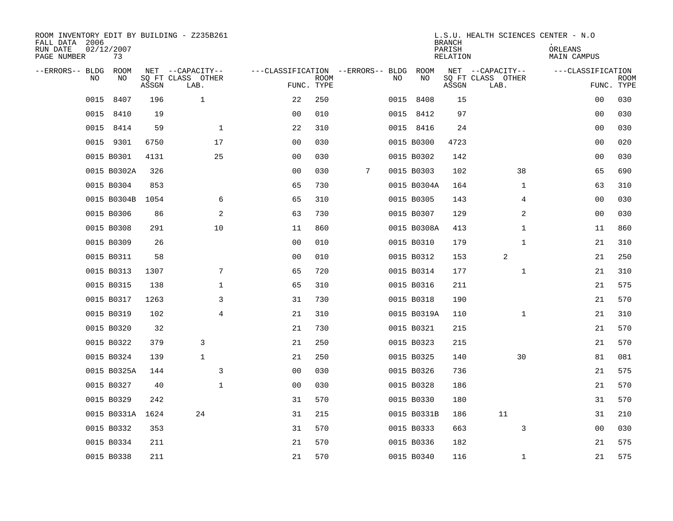| ROOM INVENTORY EDIT BY BUILDING - Z235B261<br>FALL DATA 2006<br>RUN DATE<br>PAGE NUMBER | 02/12/2007<br>73 |       |                                               |                                                 |             |   |    |             | <b>BRANCH</b><br>PARISH<br><b>RELATION</b> | L.S.U. HEALTH SCIENCES CENTER - N.O           | ORLEANS<br><b>MAIN CAMPUS</b> |                           |
|-----------------------------------------------------------------------------------------|------------------|-------|-----------------------------------------------|-------------------------------------------------|-------------|---|----|-------------|--------------------------------------------|-----------------------------------------------|-------------------------------|---------------------------|
| --ERRORS-- BLDG<br>NO                                                                   | ROOM<br>NO       | ASSGN | NET --CAPACITY--<br>SQ FT CLASS OTHER<br>LAB. | ---CLASSIFICATION --ERRORS-- BLDG<br>FUNC. TYPE | <b>ROOM</b> |   | NO | ROOM<br>NO  | ASSGN                                      | NET --CAPACITY--<br>SQ FT CLASS OTHER<br>LAB. | ---CLASSIFICATION             | <b>ROOM</b><br>FUNC. TYPE |
| 0015                                                                                    | 8407             | 196   | $\mathbf{1}$                                  | 22                                              | 250         |   |    | 0015 8408   | 15                                         |                                               | 00                            | 030                       |
| 0015                                                                                    | 8410             | 19    |                                               | 0 <sub>0</sub>                                  | 010         |   |    | 0015 8412   | 97                                         |                                               | 00                            | 030                       |
|                                                                                         | 0015 8414        | 59    | $\mathbf 1$                                   | 22                                              | 310         |   |    | 0015 8416   | 24                                         |                                               | 00                            | 030                       |
|                                                                                         | 0015 9301        | 6750  | 17                                            | 00                                              | 030         |   |    | 0015 B0300  | 4723                                       |                                               | 00                            | 020                       |
|                                                                                         | 0015 B0301       | 4131  | 25                                            | 00                                              | 030         |   |    | 0015 B0302  | 142                                        |                                               | 0 <sub>0</sub>                | 030                       |
|                                                                                         | 0015 B0302A      | 326   |                                               | 0 <sub>0</sub>                                  | 030         | 7 |    | 0015 B0303  | 102                                        | 38                                            | 65                            | 690                       |
|                                                                                         | 0015 B0304       | 853   |                                               | 65                                              | 730         |   |    | 0015 B0304A | 164                                        | $\mathbf{1}$                                  | 63                            | 310                       |
|                                                                                         | 0015 B0304B      | 1054  | 6                                             | 65                                              | 310         |   |    | 0015 B0305  | 143                                        | 4                                             | 00                            | 030                       |
|                                                                                         | 0015 B0306       | 86    | 2                                             | 63                                              | 730         |   |    | 0015 B0307  | 129                                        | 2                                             | 0 <sub>0</sub>                | 030                       |
|                                                                                         | 0015 B0308       | 291   | 10                                            | 11                                              | 860         |   |    | 0015 B0308A | 413                                        | $\mathbf{1}$                                  | 11                            | 860                       |
|                                                                                         | 0015 B0309       | 26    |                                               | 0 <sub>0</sub>                                  | 010         |   |    | 0015 B0310  | 179                                        | $\mathbf{1}$                                  | 21                            | 310                       |
|                                                                                         | 0015 B0311       | 58    |                                               | 0 <sub>0</sub>                                  | 010         |   |    | 0015 B0312  | 153                                        | 2                                             | 21                            | 250                       |
|                                                                                         | 0015 B0313       | 1307  | 7                                             | 65                                              | 720         |   |    | 0015 B0314  | 177                                        | $\mathbf{1}$                                  | 21                            | 310                       |
|                                                                                         | 0015 B0315       | 138   | $\mathbf 1$                                   | 65                                              | 310         |   |    | 0015 B0316  | 211                                        |                                               | 21                            | 575                       |
|                                                                                         | 0015 B0317       | 1263  | 3                                             | 31                                              | 730         |   |    | 0015 B0318  | 190                                        |                                               | 21                            | 570                       |
|                                                                                         | 0015 B0319       | 102   | $\overline{4}$                                | 21                                              | 310         |   |    | 0015 B0319A | 110                                        | $\mathbf{1}$                                  | 21                            | 310                       |
|                                                                                         | 0015 B0320       | 32    |                                               | 21                                              | 730         |   |    | 0015 B0321  | 215                                        |                                               | 21                            | 570                       |
|                                                                                         | 0015 B0322       | 379   | 3                                             | 21                                              | 250         |   |    | 0015 B0323  | 215                                        |                                               | 21                            | 570                       |
|                                                                                         | 0015 B0324       | 139   | $\mathbf{1}$                                  | 21                                              | 250         |   |    | 0015 B0325  | 140                                        | 30                                            | 81                            | 081                       |
|                                                                                         | 0015 B0325A      | 144   | 3                                             | 0 <sub>0</sub>                                  | 030         |   |    | 0015 B0326  | 736                                        |                                               | 21                            | 575                       |
|                                                                                         | 0015 B0327       | 40    | $\mathbf 1$                                   | 0 <sub>0</sub>                                  | 030         |   |    | 0015 B0328  | 186                                        |                                               | 21                            | 570                       |
|                                                                                         | 0015 B0329       | 242   |                                               | 31                                              | 570         |   |    | 0015 B0330  | 180                                        |                                               | 31                            | 570                       |
|                                                                                         | 0015 B0331A 1624 |       | 24                                            | 31                                              | 215         |   |    | 0015 B0331B | 186                                        | 11                                            | 31                            | 210                       |
|                                                                                         | 0015 B0332       | 353   |                                               | 31                                              | 570         |   |    | 0015 B0333  | 663                                        | 3                                             | 0 <sub>0</sub>                | 030                       |
|                                                                                         | 0015 B0334       | 211   |                                               | 21                                              | 570         |   |    | 0015 B0336  | 182                                        |                                               | 21                            | 575                       |
|                                                                                         | 0015 B0338       | 211   |                                               | 21                                              | 570         |   |    | 0015 B0340  | 116                                        | $\mathbf{1}$                                  | 21                            | 575                       |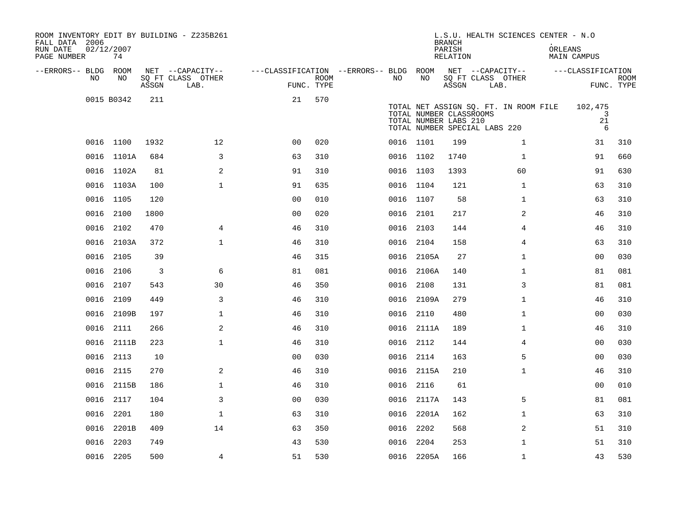| ROOM INVENTORY EDIT BY BUILDING - Z235B261<br>FALL DATA 2006<br>RUN DATE<br>PAGE NUMBER | 02/12/2007<br>74 |       |                                               |                                                      |      |           |            | <b>BRANCH</b><br>PARISH<br>RELATION                                               | L.S.U. HEALTH SCIENCES CENTER - N.O           | ORLEANS | MAIN CAMPUS             |                           |
|-----------------------------------------------------------------------------------------|------------------|-------|-----------------------------------------------|------------------------------------------------------|------|-----------|------------|-----------------------------------------------------------------------------------|-----------------------------------------------|---------|-------------------------|---------------------------|
| --ERRORS-- BLDG ROOM<br>NO.                                                             | NO               | ASSGN | NET --CAPACITY--<br>SQ FT CLASS OTHER<br>LAB. | ---CLASSIFICATION --ERRORS-- BLDG ROOM<br>FUNC. TYPE | ROOM | NO.       | NO         | ASSGN                                                                             | NET --CAPACITY--<br>SQ FT CLASS OTHER<br>LAB. |         | ---CLASSIFICATION       | <b>ROOM</b><br>FUNC. TYPE |
|                                                                                         | 0015 B0342       | 211   |                                               | 21                                                   | 570  |           |            | TOTAL NUMBER CLASSROOMS<br>TOTAL NUMBER LABS 210<br>TOTAL NUMBER SPECIAL LABS 220 | TOTAL NET ASSIGN SQ. FT. IN ROOM FILE         |         | 102,475<br>3<br>21<br>6 |                           |
|                                                                                         | 0016 1100        | 1932  | 12                                            | 0 <sub>0</sub>                                       | 020  | 0016 1101 |            | 199                                                                               | $\mathbf{1}$                                  |         | 31                      | 310                       |
|                                                                                         | 0016 1101A       | 684   | 3                                             | 63                                                   | 310  | 0016 1102 |            | 1740                                                                              | $\mathbf{1}$                                  |         | 91                      | 660                       |
|                                                                                         | 0016 1102A       | 81    | $\overline{a}$                                | 91                                                   | 310  | 0016 1103 |            | 1393                                                                              | 60                                            |         | 91                      | 630                       |
|                                                                                         | 0016 1103A       | 100   | $\mathbf{1}$                                  | 91                                                   | 635  | 0016 1104 |            | 121                                                                               | $\mathbf{1}$                                  |         | 63                      | 310                       |
|                                                                                         | 0016 1105        | 120   |                                               | 0 <sub>0</sub>                                       | 010  | 0016 1107 |            | 58                                                                                | $\mathbf{1}$                                  |         | 63                      | 310                       |
|                                                                                         | 0016 2100        | 1800  |                                               | 00                                                   | 020  | 0016 2101 |            | 217                                                                               | 2                                             |         | 46                      | 310                       |
|                                                                                         | 0016 2102        | 470   | $\overline{4}$                                | 46                                                   | 310  | 0016 2103 |            | 144                                                                               | $\overline{4}$                                |         | 46                      | 310                       |
|                                                                                         | 0016 2103A       | 372   | $\mathbf 1$                                   | 46                                                   | 310  | 0016 2104 |            | 158                                                                               | 4                                             |         | 63                      | 310                       |
|                                                                                         | 0016 2105        | 39    |                                               | 46                                                   | 315  |           | 0016 2105A | 27                                                                                | $\mathbf{1}$                                  |         | 00                      | 030                       |
| 0016                                                                                    | 2106             | 3     | 6                                             | 81                                                   | 081  |           | 0016 2106A | 140                                                                               | $\mathbf{1}$                                  |         | 81                      | 081                       |
|                                                                                         | 0016 2107        | 543   | 30                                            | 46                                                   | 350  | 0016 2108 |            | 131                                                                               | 3                                             |         | 81                      | 081                       |
|                                                                                         | 0016 2109        | 449   | 3                                             | 46                                                   | 310  |           | 0016 2109A | 279                                                                               | $\mathbf{1}$                                  |         | 46                      | 310                       |
|                                                                                         | 0016 2109B       | 197   | $\mathbf{1}$                                  | 46                                                   | 310  | 0016 2110 |            | 480                                                                               | $\mathbf{1}$                                  |         | 0 <sub>0</sub>          | 030                       |
|                                                                                         | 0016 2111        | 266   | 2                                             | 46                                                   | 310  |           | 0016 2111A | 189                                                                               | $\mathbf{1}$                                  |         | 46                      | 310                       |
| 0016                                                                                    | 2111B            | 223   | $\mathbf 1$                                   | 46                                                   | 310  | 0016 2112 |            | 144                                                                               | 4                                             |         | 00                      | 030                       |
|                                                                                         | 0016 2113        | 10    |                                               | 0 <sub>0</sub>                                       | 030  | 0016 2114 |            | 163                                                                               | 5                                             |         | 00                      | 030                       |
| 0016                                                                                    | 2115             | 270   | 2                                             | 46                                                   | 310  |           | 0016 2115A | 210                                                                               | $\mathbf{1}$                                  |         | 46                      | 310                       |
|                                                                                         | 0016 2115B       | 186   | $\mathbf 1$                                   | 46                                                   | 310  | 0016 2116 |            | 61                                                                                |                                               |         | 00                      | 010                       |
| 0016                                                                                    | 2117             | 104   | 3                                             | 00                                                   | 030  |           | 0016 2117A | 143                                                                               | 5                                             |         | 81                      | 081                       |
|                                                                                         | 0016 2201        | 180   | $\mathbf{1}$                                  | 63                                                   | 310  |           | 0016 2201A | 162                                                                               | $\mathbf{1}$                                  |         | 63                      | 310                       |
|                                                                                         | 0016 2201B       | 409   | 14                                            | 63                                                   | 350  | 0016      | 2202       | 568                                                                               | 2                                             |         | 51                      | 310                       |
|                                                                                         | 0016 2203        | 749   |                                               | 43                                                   | 530  | 0016 2204 |            | 253                                                                               | $\mathbf{1}$                                  |         | 51                      | 310                       |
|                                                                                         | 0016 2205        | 500   | $\overline{4}$                                | 51                                                   | 530  |           | 0016 2205A | 166                                                                               | $\mathbf{1}$                                  |         | 43                      | 530                       |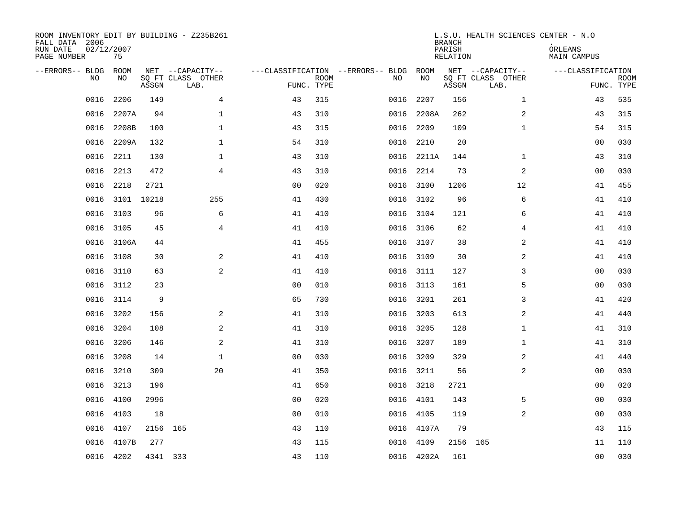| ROOM INVENTORY EDIT BY BUILDING - Z235B261<br>FALL DATA 2006<br>RUN DATE<br>PAGE NUMBER | 02/12/2007<br>75 |          |                                               |                                                      |             |           |            | <b>BRANCH</b><br>PARISH<br><b>RELATION</b> | L.S.U. HEALTH SCIENCES CENTER - N.O           | ORLEANS<br><b>MAIN CAMPUS</b> |                           |
|-----------------------------------------------------------------------------------------|------------------|----------|-----------------------------------------------|------------------------------------------------------|-------------|-----------|------------|--------------------------------------------|-----------------------------------------------|-------------------------------|---------------------------|
| --ERRORS-- BLDG<br>NO                                                                   | ROOM<br>NO       | ASSGN    | NET --CAPACITY--<br>SQ FT CLASS OTHER<br>LAB. | ---CLASSIFICATION --ERRORS-- BLDG ROOM<br>FUNC. TYPE | <b>ROOM</b> | NO        | NO         | ASSGN                                      | NET --CAPACITY--<br>SQ FT CLASS OTHER<br>LAB. | ---CLASSIFICATION             | <b>ROOM</b><br>FUNC. TYPE |
| 0016                                                                                    | 2206             | 149      | 4                                             | 43                                                   | 315         | 0016      | 2207       | 156                                        | $\mathbf{1}$                                  | 43                            | 535                       |
| 0016                                                                                    | 2207A            | 94       | 1                                             | 43                                                   | 310         |           | 0016 2208A | 262                                        | 2                                             | 43                            | 315                       |
| 0016                                                                                    | 2208B            | 100      | 1                                             | 43                                                   | 315         | 0016      | 2209       | 109                                        | $\mathbf{1}$                                  | 54                            | 315                       |
| 0016                                                                                    | 2209A            | 132      | $\mathbf 1$                                   | 54                                                   | 310         |           | 0016 2210  | 20                                         |                                               | 00                            | 030                       |
| 0016                                                                                    | 2211             | 130      | $\mathbf{1}$                                  | 43                                                   | 310         |           | 0016 2211A | 144                                        | $\mathbf{1}$                                  | 43                            | 310                       |
| 0016                                                                                    | 2213             | 472      | $\overline{4}$                                | 43                                                   | 310         |           | 0016 2214  | 73                                         | 2                                             | 0 <sub>0</sub>                | 030                       |
| 0016                                                                                    | 2218             | 2721     |                                               | 0 <sub>0</sub>                                       | 020         | 0016 3100 |            | 1206                                       | 12                                            | 41                            | 455                       |
| 0016                                                                                    | 3101 10218       |          | 255                                           | 41                                                   | 430         |           | 0016 3102  | 96                                         | 6                                             | 41                            | 410                       |
| 0016                                                                                    | 3103             | 96       | 6                                             | 41                                                   | 410         | 0016      | 3104       | 121                                        | 6                                             | 41                            | 410                       |
| 0016                                                                                    | 3105             | 45       | $\overline{4}$                                | 41                                                   | 410         |           | 0016 3106  | 62                                         | 4                                             | 41                            | 410                       |
| 0016                                                                                    | 3106A            | 44       |                                               | 41                                                   | 455         | 0016      | 3107       | 38                                         | 2                                             | 41                            | 410                       |
| 0016                                                                                    | 3108             | 30       | 2                                             | 41                                                   | 410         |           | 0016 3109  | 30                                         | $\overline{2}$                                | 41                            | 410                       |
| 0016                                                                                    | 3110             | 63       | $\overline{a}$                                | 41                                                   | 410         | 0016      | 3111       | 127                                        | 3                                             | 00                            | 030                       |
| 0016                                                                                    | 3112             | 23       |                                               | 0 <sub>0</sub>                                       | 010         | 0016 3113 |            | 161                                        | 5                                             | 00                            | 030                       |
| 0016                                                                                    | 3114             | 9        |                                               | 65                                                   | 730         | 0016 3201 |            | 261                                        | 3                                             | 41                            | 420                       |
| 0016                                                                                    | 3202             | 156      | 2                                             | 41                                                   | 310         |           | 0016 3203  | 613                                        | 2                                             | 41                            | 440                       |
| 0016                                                                                    | 3204             | 108      | 2                                             | 41                                                   | 310         |           | 0016 3205  | 128                                        | $\mathbf{1}$                                  | 41                            | 310                       |
| 0016                                                                                    | 3206             | 146      | 2                                             | 41                                                   | 310         |           | 0016 3207  | 189                                        | $\mathbf{1}$                                  | 41                            | 310                       |
|                                                                                         | 0016 3208        | 14       | $\mathbf{1}$                                  | 0 <sub>0</sub>                                       | 030         | 0016 3209 |            | 329                                        | 2                                             | 41                            | 440                       |
| 0016                                                                                    | 3210             | 309      | 20                                            | 41                                                   | 350         | 0016 3211 |            | 56                                         | $\overline{a}$                                | 00                            | 030                       |
| 0016                                                                                    | 3213             | 196      |                                               | 41                                                   | 650         | 0016 3218 |            | 2721                                       |                                               | 00                            | 020                       |
| 0016                                                                                    | 4100             | 2996     |                                               | 0 <sub>0</sub>                                       | 020         |           | 0016 4101  | 143                                        | 5                                             | 00                            | 030                       |
| 0016                                                                                    | 4103             | 18       |                                               | 0 <sub>0</sub>                                       | 010         | 0016 4105 |            | 119                                        | $\overline{2}$                                | 00                            | 030                       |
| 0016                                                                                    | 4107             | 2156 165 |                                               | 43                                                   | 110         |           | 0016 4107A | 79                                         |                                               | 43                            | 115                       |
| 0016                                                                                    | 4107B            | 277      |                                               | 43                                                   | 115         |           | 0016 4109  | 2156 165                                   |                                               | 11                            | 110                       |
|                                                                                         | 0016 4202        | 4341 333 |                                               | 43                                                   | 110         |           | 0016 4202A | 161                                        |                                               | 0 <sub>0</sub>                | 030                       |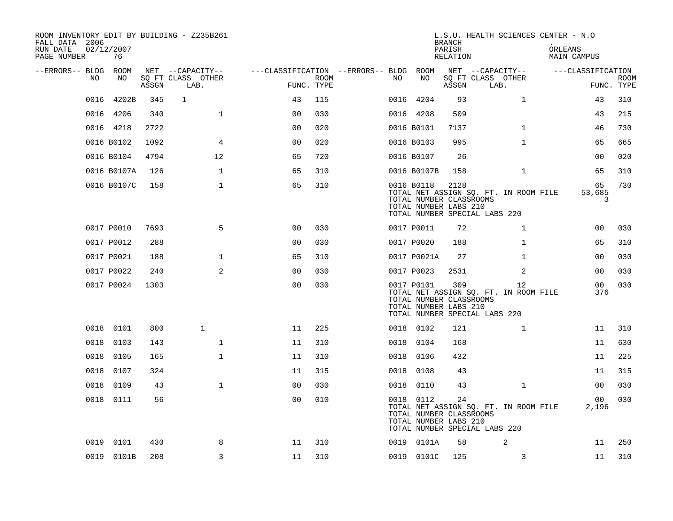| ROOM INVENTORY EDIT BY BUILDING - Z235B261<br>FALL DATA 2006<br>RUN DATE<br>PAGE NUMBER | 02/12/2007<br>76 |       |                           |                |             |                                        |    |                                                                                                 | <b>BRANCH</b><br>PARISH<br>RELATION |                           | L.S.U. HEALTH SCIENCES CENTER - N.O         | ORLEANS | MAIN CAMPUS            |                           |
|-----------------------------------------------------------------------------------------|------------------|-------|---------------------------|----------------|-------------|----------------------------------------|----|-------------------------------------------------------------------------------------------------|-------------------------------------|---------------------------|---------------------------------------------|---------|------------------------|---------------------------|
| --ERRORS-- BLDG ROOM                                                                    |                  |       | NET --CAPACITY--          |                |             | ---CLASSIFICATION --ERRORS-- BLDG ROOM |    |                                                                                                 |                                     | NET --CAPACITY--          |                                             |         | ---CLASSIFICATION      |                           |
| NO                                                                                      | NO               | ASSGN | SQ FT CLASS OTHER<br>LAB. | FUNC. TYPE     | <b>ROOM</b> |                                        | NO | NO                                                                                              | ASSGN                               | SQ FT CLASS OTHER<br>LAB. |                                             |         |                        | <b>ROOM</b><br>FUNC. TYPE |
| 0016                                                                                    | 4202B            | 345   | $\mathbf{1}$              | 43             | 115         |                                        |    | 0016 4204                                                                                       | 93                                  |                           | $\mathbf{1}$                                |         | 43                     | 310                       |
|                                                                                         | 0016 4206        | 340   | $\mathbf{1}$              | 0 <sub>0</sub> | 030         |                                        |    | 0016 4208                                                                                       | 509                                 |                           |                                             |         | 43                     | 215                       |
|                                                                                         | 0016 4218        | 2722  |                           | 0 <sub>0</sub> | 020         |                                        |    | 0016 B0101                                                                                      | 7137                                |                           | $\mathbf{1}$                                |         | 46                     | 730                       |
|                                                                                         | 0016 B0102       | 1092  | 4                         | 00             | 020         |                                        |    | 0016 B0103                                                                                      | 995                                 |                           | $\mathbf{1}$                                |         | 65                     | 665                       |
|                                                                                         | 0016 B0104       | 4794  | 12                        | 65             | 720         |                                        |    | 0016 B0107                                                                                      | 26                                  |                           |                                             |         | 0 <sub>0</sub>         | 020                       |
|                                                                                         | 0016 B0107A      | 126   | $\mathbf{1}$              | 65             | 310         |                                        |    | 0016 B0107B                                                                                     | 158                                 |                           | $\mathbf{1}$                                |         | 65                     | 310                       |
|                                                                                         | 0016 B0107C      | 158   | $\mathbf 1$               | 65             | 310         |                                        |    | 0016 B0118<br>TOTAL NUMBER CLASSROOMS<br>TOTAL NUMBER LABS 210<br>TOTAL NUMBER SPECIAL LABS 220 | 2128                                |                           | TOTAL NET ASSIGN SQ. FT. IN ROOM FILE       |         | 65<br>53,685<br>3      | 730                       |
|                                                                                         | 0017 P0010       | 7693  | 5                         | 0 <sup>0</sup> | 030         |                                        |    | 0017 P0011                                                                                      | 72                                  |                           | $\mathbf{1}$                                |         | 0 <sub>0</sub>         | 030                       |
|                                                                                         | 0017 P0012       | 288   |                           | 0 <sub>0</sub> | 030         |                                        |    | 0017 P0020                                                                                      | 188                                 |                           | $\mathbf{1}$                                |         | 65                     | 310                       |
|                                                                                         | 0017 P0021       | 188   | $\mathbf 1$               | 65             | 310         |                                        |    | 0017 P0021A                                                                                     | 27                                  |                           | $\mathbf{1}$                                |         | 00                     | 030                       |
|                                                                                         | 0017 P0022       | 240   | 2                         | 0 <sub>0</sub> | 030         |                                        |    | 0017 P0023                                                                                      | 2531                                |                           | 2                                           |         | 0 <sub>0</sub>         | 030                       |
|                                                                                         | 0017 P0024       | 1303  |                           | 0 <sub>0</sub> | 030         |                                        |    | 0017 P0101<br>TOTAL NUMBER CLASSROOMS<br>TOTAL NUMBER LABS 210<br>TOTAL NUMBER SPECIAL LABS 220 | 309                                 |                           | 12<br>TOTAL NET ASSIGN SQ. FT. IN ROOM FILE |         | 00 <sub>0</sub><br>376 | 030                       |
|                                                                                         | 0018 0101        | 800   | $\mathbf{1}$              | 11             | 225         |                                        |    | 0018 0102                                                                                       | 121                                 |                           | $\mathbf{1}$                                |         | 11                     | 310                       |
| 0018                                                                                    | 0103             | 143   | $\mathbf 1$               | 11             | 310         |                                        |    | 0018 0104                                                                                       | 168                                 |                           |                                             |         | 11                     | 630                       |
| 0018                                                                                    | 0105             | 165   | $\mathbf 1$               | 11             | 310         |                                        |    | 0018 0106                                                                                       | 432                                 |                           |                                             |         | 11                     | 225                       |
| 0018                                                                                    | 0107             | 324   |                           | 11             | 315         |                                        |    | 0018 0108                                                                                       | 43                                  |                           |                                             |         | 11                     | 315                       |
| 0018                                                                                    | 0109             | 43    | $\mathbf{1}$              | 0 <sub>0</sub> | 030         |                                        |    | 0018 0110                                                                                       | 43                                  |                           | $\mathbf{1}$                                |         | 00                     | 030                       |
|                                                                                         | 0018 0111        | 56    |                           | 0 <sub>0</sub> | 010         |                                        |    | 0018 0112<br>TOTAL NUMBER CLASSROOMS<br>TOTAL NUMBER LABS 210<br>TOTAL NUMBER SPECIAL LABS 220  | 24                                  |                           | TOTAL NET ASSIGN SQ. FT. IN ROOM FILE       |         | 00<br>2,196            | 030                       |
| 0019                                                                                    | 0101             | 430   | 8                         | 11             | 310         |                                        |    | 0019 0101A                                                                                      | 58                                  |                           | 2                                           |         | 11                     | 250                       |
|                                                                                         | 0019 0101B       | 208   | 3                         | 11             | 310         |                                        |    | 0019 0101C                                                                                      | 125                                 |                           | 3                                           |         | 11                     | 310                       |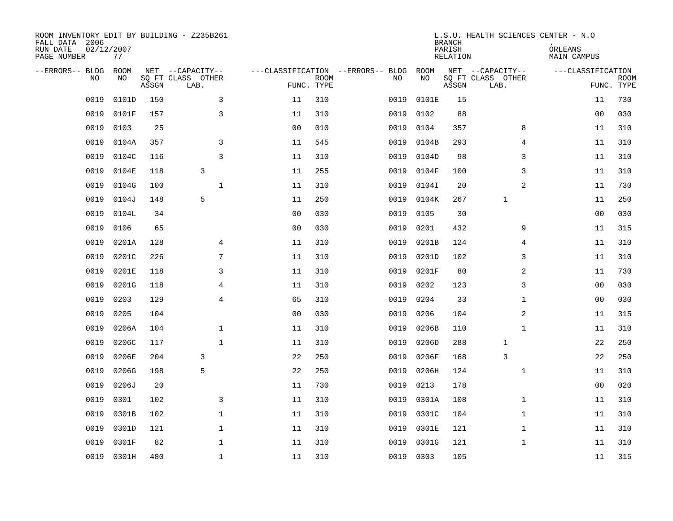| ROOM INVENTORY EDIT BY BUILDING - Z235B261<br>FALL DATA 2006<br>RUN DATE<br>PAGE NUMBER | 02/12/2007<br>77  |       |                                               |                |                           |                                         |            | <b>BRANCH</b><br>PARISH<br><b>RELATION</b> | L.S.U. HEALTH SCIENCES CENTER - N.O           | ORLEANS<br>MAIN CAMPUS |                           |
|-----------------------------------------------------------------------------------------|-------------------|-------|-----------------------------------------------|----------------|---------------------------|-----------------------------------------|------------|--------------------------------------------|-----------------------------------------------|------------------------|---------------------------|
| --ERRORS-- BLDG<br>NO                                                                   | <b>ROOM</b><br>NO | ASSGN | NET --CAPACITY--<br>SQ FT CLASS OTHER<br>LAB. |                | <b>ROOM</b><br>FUNC. TYPE | ---CLASSIFICATION --ERRORS-- BLDG<br>NO | ROOM<br>NO | ASSGN                                      | NET --CAPACITY--<br>SQ FT CLASS OTHER<br>LAB. | ---CLASSIFICATION      | <b>ROOM</b><br>FUNC. TYPE |
| 0019                                                                                    | 0101D             | 150   | 3                                             | 11             | 310                       | 0019                                    | 0101E      | 15                                         |                                               | 11                     | 730                       |
| 0019                                                                                    | 0101F             | 157   | $\mathsf{3}$                                  | 11             | 310                       | 0019                                    | 0102       | 88                                         |                                               | 0 <sub>0</sub>         | 030                       |
| 0019                                                                                    | 0103              | 25    |                                               | 0 <sub>0</sub> | 010                       | 0019                                    | 0104       | 357                                        | 8                                             | 11                     | 310                       |
| 0019                                                                                    | 0104A             | 357   | 3                                             | 11             | 545                       | 0019                                    | 0104B      | 293                                        | 4                                             | 11                     | 310                       |
| 0019                                                                                    | 0104C             | 116   | 3                                             | 11             | 310                       | 0019                                    | 0104D      | 98                                         | 3                                             | 11                     | 310                       |
| 0019                                                                                    | 0104E             | 118   | 3                                             | 11             | 255                       | 0019                                    | 0104F      | 100                                        | 3                                             | 11                     | 310                       |
| 0019                                                                                    | 0104G             | 100   | $\mathbf{1}$                                  | 11             | 310                       | 0019                                    | 0104I      | 20                                         | 2                                             | 11                     | 730                       |
| 0019                                                                                    | 0104J             | 148   | 5                                             | 11             | 250                       | 0019                                    | 0104K      | 267                                        | $\mathbf{1}$                                  | 11                     | 250                       |
| 0019                                                                                    | 0104L             | 34    |                                               | 0 <sub>0</sub> | 030                       | 0019                                    | 0105       | 30                                         |                                               | 0 <sub>0</sub>         | 030                       |
| 0019                                                                                    | 0106              | 65    |                                               | 0 <sub>0</sub> | 030                       | 0019                                    | 0201       | 432                                        | 9                                             | 11                     | 315                       |
| 0019                                                                                    | 0201A             | 128   | 4                                             | 11             | 310                       | 0019                                    | 0201B      | 124                                        | 4                                             | 11                     | 310                       |
| 0019                                                                                    | 0201C             | 226   | 7                                             | 11             | 310                       | 0019                                    | 0201D      | 102                                        | 3                                             | 11                     | 310                       |
| 0019                                                                                    | 0201E             | 118   | 3                                             | 11             | 310                       | 0019                                    | 0201F      | 80                                         | 2                                             | 11                     | 730                       |
| 0019                                                                                    | 0201G             | 118   | 4                                             | 11             | 310                       | 0019                                    | 0202       | 123                                        | 3                                             | 00                     | 030                       |
| 0019                                                                                    | 0203              | 129   | $\overline{4}$                                | 65             | 310                       | 0019                                    | 0204       | 33                                         | $\mathbf{1}$                                  | 00                     | 030                       |
| 0019                                                                                    | 0205              | 104   |                                               | 0 <sub>0</sub> | 030                       | 0019                                    | 0206       | 104                                        | $\overline{a}$                                | 11                     | 315                       |
| 0019                                                                                    | 0206A             | 104   | $\mathbf{1}$                                  | 11             | 310                       | 0019                                    | 0206B      | 110                                        | $\mathbf{1}$                                  | 11                     | 310                       |
| 0019                                                                                    | 0206C             | 117   | $\mathbf{1}$                                  | 11             | 310                       | 0019                                    | 0206D      | 288                                        | 1                                             | 22                     | 250                       |
| 0019                                                                                    | 0206E             | 204   | 3                                             | 22             | 250                       | 0019                                    | 0206F      | 168                                        | 3                                             | 22                     | 250                       |
| 0019                                                                                    | 0206G             | 198   | 5                                             | 22             | 250                       | 0019                                    | 0206H      | 124                                        | $\mathbf{1}$                                  | 11                     | 310                       |
| 0019                                                                                    | 0206J             | 20    |                                               | 11             | 730                       | 0019                                    | 0213       | 178                                        |                                               | 00                     | 020                       |
| 0019                                                                                    | 0301              | 102   | 3                                             | 11             | 310                       | 0019                                    | 0301A      | 108                                        | $\mathbf{1}$                                  | 11                     | 310                       |
| 0019                                                                                    | 0301B             | 102   | $\mathbf 1$                                   | 11             | 310                       | 0019                                    | 0301C      | 104                                        | $\mathbf{1}$                                  | 11                     | 310                       |
| 0019                                                                                    | 0301D             | 121   | $\mathbf 1$                                   | 11             | 310                       | 0019                                    | 0301E      | 121                                        | $\mathbf{1}$                                  | 11                     | 310                       |
| 0019                                                                                    | 0301F             | 82    | $\mathbf 1$                                   | 11             | 310                       | 0019                                    | 0301G      | 121                                        | $\mathbf{1}$                                  | 11                     | 310                       |
| 0019                                                                                    | 0301H             | 480   | $\mathbf{1}$                                  | 11             | 310                       | 0019                                    | 0303       | 105                                        |                                               | 11                     | 315                       |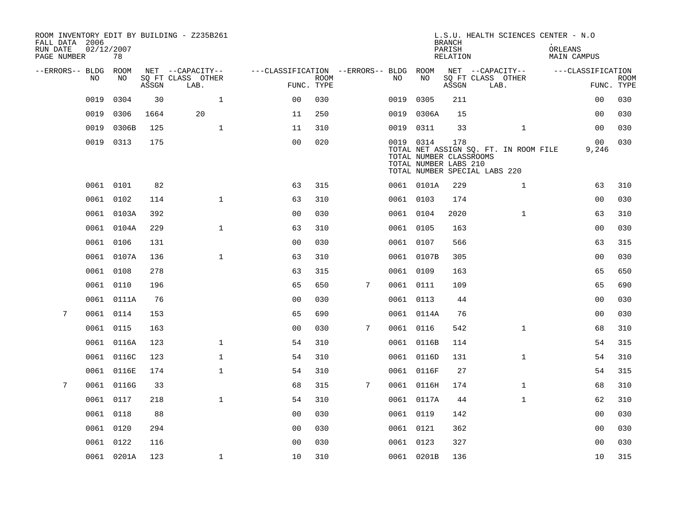| FALL DATA 2006<br>RUN DATE<br>PAGE NUMBER | 02/12/2007 | 78         |       | ROOM INVENTORY EDIT BY BUILDING - Z235B261 |                                        |                           |   |           |            | <b>BRANCH</b><br>PARISH<br>RELATION                     | L.S.U. HEALTH SCIENCES CENTER - N.O                                    | ORLEANS<br>MAIN CAMPUS |                           |
|-------------------------------------------|------------|------------|-------|--------------------------------------------|----------------------------------------|---------------------------|---|-----------|------------|---------------------------------------------------------|------------------------------------------------------------------------|------------------------|---------------------------|
| --ERRORS-- BLDG                           |            | ROOM       |       | NET --CAPACITY--                           | ---CLASSIFICATION --ERRORS-- BLDG ROOM |                           |   |           |            |                                                         | NET --CAPACITY--                                                       | ---CLASSIFICATION      |                           |
|                                           | NO         | NO         | ASSGN | SQ FT CLASS OTHER<br>LAB.                  |                                        | <b>ROOM</b><br>FUNC. TYPE |   | NO        | NO         | ASSGN                                                   | SQ FT CLASS OTHER<br>LAB.                                              |                        | <b>ROOM</b><br>FUNC. TYPE |
|                                           | 0019       | 0304       | 30    | $\mathbf 1$                                | 0 <sub>0</sub>                         | 030                       |   | 0019      | 0305       | 211                                                     |                                                                        | 00                     | 030                       |
|                                           | 0019       | 0306       | 1664  | 20                                         | 11                                     | 250                       |   | 0019      | 0306A      | 15                                                      |                                                                        | 00                     | 030                       |
|                                           | 0019       | 0306B      | 125   | $\mathbf{1}$                               | 11                                     | 310                       |   |           | 0019 0311  | 33                                                      | $\mathbf{1}$                                                           | 0 <sub>0</sub>         | 030                       |
|                                           | 0019 0313  |            | 175   |                                            | 0 <sub>0</sub>                         | 020                       |   | 0019 0314 |            | 178<br>TOTAL NUMBER CLASSROOMS<br>TOTAL NUMBER LABS 210 | TOTAL NET ASSIGN SQ. FT. IN ROOM FILE<br>TOTAL NUMBER SPECIAL LABS 220 | 00<br>9,246            | 030                       |
|                                           | 0061 0101  |            | 82    |                                            | 63                                     | 315                       |   |           | 0061 0101A | 229                                                     | $\mathbf{1}$                                                           | 63                     | 310                       |
|                                           | 0061 0102  |            | 114   | $\mathbf 1$                                | 63                                     | 310                       |   | 0061 0103 |            | 174                                                     |                                                                        | 0 <sub>0</sub>         | 030                       |
|                                           |            | 0061 0103A | 392   |                                            | 00                                     | 030                       |   | 0061 0104 |            | 2020                                                    | $\mathbf{1}$                                                           | 63                     | 310                       |
|                                           |            | 0061 0104A | 229   | $\mathbf 1$                                | 63                                     | 310                       |   | 0061 0105 |            | 163                                                     |                                                                        | 00                     | 030                       |
|                                           | 0061 0106  |            | 131   |                                            | 0 <sub>0</sub>                         | 030                       |   | 0061 0107 |            | 566                                                     |                                                                        | 63                     | 315                       |
|                                           |            | 0061 0107A | 136   | $\mathbf 1$                                | 63                                     | 310                       |   |           | 0061 0107B | 305                                                     |                                                                        | 0 <sub>0</sub>         | 030                       |
|                                           | 0061 0108  |            | 278   |                                            | 63                                     | 315                       |   | 0061 0109 |            | 163                                                     |                                                                        | 65                     | 650                       |
|                                           | 0061 0110  |            | 196   |                                            | 65                                     | 650                       | 7 | 0061 0111 |            | 109                                                     |                                                                        | 65                     | 690                       |
|                                           |            | 0061 0111A | 76    |                                            | 0 <sub>0</sub>                         | 030                       |   | 0061 0113 |            | 44                                                      |                                                                        | 00                     | 030                       |
| 7                                         | 0061 0114  |            | 153   |                                            | 65                                     | 690                       |   |           | 0061 0114A | 76                                                      |                                                                        | 0 <sub>0</sub>         | 030                       |
|                                           | 0061 0115  |            | 163   |                                            | 0 <sub>0</sub>                         | 030                       | 7 | 0061 0116 |            | 542                                                     | $\mathbf{1}$                                                           | 68                     | 310                       |
|                                           |            | 0061 0116A | 123   | $\mathbf 1$                                | 54                                     | 310                       |   |           | 0061 0116B | 114                                                     |                                                                        | 54                     | 315                       |
|                                           |            | 0061 0116C | 123   | $\mathbf 1$                                | 54                                     | 310                       |   |           | 0061 0116D | 131                                                     | $\mathbf{1}$                                                           | 54                     | 310                       |
|                                           |            | 0061 0116E | 174   | $\mathbf 1$                                | 54                                     | 310                       |   |           | 0061 0116F | 27                                                      |                                                                        | 54                     | 315                       |
| 7                                         |            | 0061 0116G | 33    |                                            | 68                                     | 315                       | 7 |           | 0061 0116H | 174                                                     | $\mathbf{1}$                                                           | 68                     | 310                       |
|                                           | 0061 0117  |            | 218   | $\mathbf{1}$                               | 54                                     | 310                       |   |           | 0061 0117A | 44                                                      | $\mathbf{1}$                                                           | 62                     | 310                       |
|                                           | 0061 0118  |            | 88    |                                            | 0 <sub>0</sub>                         | 030                       |   | 0061 0119 |            | 142                                                     |                                                                        | 00                     | 030                       |
|                                           | 0061 0120  |            | 294   |                                            | 00                                     | 030                       |   | 0061 0121 |            | 362                                                     |                                                                        | 00                     | 030                       |
|                                           | 0061 0122  |            | 116   |                                            | 0 <sub>0</sub>                         | 030                       |   | 0061 0123 |            | 327                                                     |                                                                        | 0 <sub>0</sub>         | 030                       |
|                                           |            | 0061 0201A | 123   | $\mathbf 1$                                | 10                                     | 310                       |   |           | 0061 0201B | 136                                                     |                                                                        | 10                     | 315                       |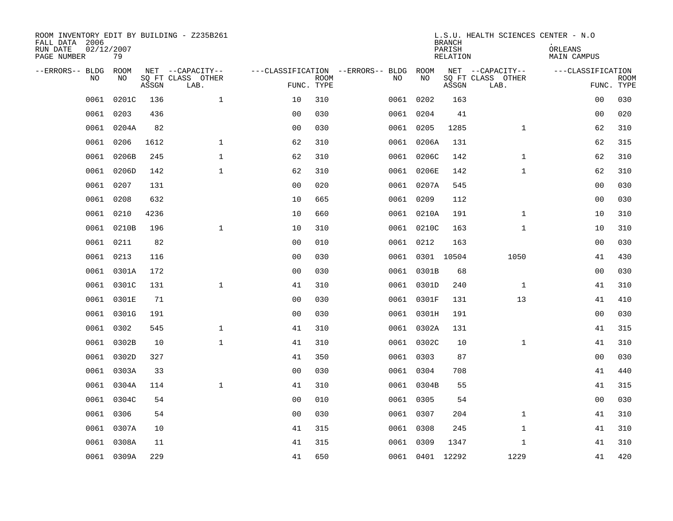| ROOM INVENTORY EDIT BY BUILDING - Z235B261<br>FALL DATA 2006<br>RUN DATE<br>PAGE NUMBER | 02/12/2007<br>79 |       |                                               |                |             |                                              |                 | <b>BRANCH</b><br>PARISH<br><b>RELATION</b> | L.S.U. HEALTH SCIENCES CENTER - N.O           | ORLEANS<br><b>MAIN CAMPUS</b> |                           |
|-----------------------------------------------------------------------------------------|------------------|-------|-----------------------------------------------|----------------|-------------|----------------------------------------------|-----------------|--------------------------------------------|-----------------------------------------------|-------------------------------|---------------------------|
| --ERRORS-- BLDG ROOM<br>NO                                                              | NO               | ASSGN | NET --CAPACITY--<br>SQ FT CLASS OTHER<br>LAB. | FUNC. TYPE     | <b>ROOM</b> | ---CLASSIFICATION --ERRORS-- BLDG ROOM<br>NO | NO              | ASSGN                                      | NET --CAPACITY--<br>SQ FT CLASS OTHER<br>LAB. | ---CLASSIFICATION             | <b>ROOM</b><br>FUNC. TYPE |
| 0061                                                                                    | 0201C            | 136   | $\mathbf 1$                                   | 10             | 310         |                                              | 0061 0202       | 163                                        |                                               | 0 <sub>0</sub>                | 030                       |
| 0061                                                                                    | 0203             | 436   |                                               | 0 <sub>0</sub> | 030         |                                              | 0061 0204       | 41                                         |                                               | 00                            | 020                       |
|                                                                                         | 0061 0204A       | 82    |                                               | 00             | 030         |                                              | 0061 0205       | 1285                                       | $\mathbf{1}$                                  | 62                            | 310                       |
| 0061                                                                                    | 0206             | 1612  | $\mathbf 1$                                   | 62             | 310         |                                              | 0061 0206A      | 131                                        |                                               | 62                            | 315                       |
| 0061                                                                                    | 0206B            | 245   | $\mathbf{1}$                                  | 62             | 310         |                                              | 0061 0206C      | 142                                        | $\mathbf{1}$                                  | 62                            | 310                       |
| 0061                                                                                    | 0206D            | 142   | $\mathbf 1$                                   | 62             | 310         |                                              | 0061 0206E      | 142                                        | $\mathbf{1}$                                  | 62                            | 310                       |
| 0061                                                                                    | 0207             | 131   |                                               | 0 <sub>0</sub> | 020         |                                              | 0061 0207A      | 545                                        |                                               | 0 <sub>0</sub>                | 030                       |
|                                                                                         | 0061 0208        | 632   |                                               | 10             | 665         |                                              | 0061 0209       | 112                                        |                                               | 0 <sub>0</sub>                | 030                       |
| 0061                                                                                    | 0210             | 4236  |                                               | 10             | 660         |                                              | 0061 0210A      | 191                                        | $\mathbf{1}$                                  | 10                            | 310                       |
|                                                                                         | 0061 0210B       | 196   | $\mathbf{1}$                                  | 10             | 310         |                                              | 0061 0210C      | 163                                        | $\mathbf{1}$                                  | 10                            | 310                       |
|                                                                                         | 0061 0211        | 82    |                                               | 0 <sub>0</sub> | 010         |                                              | 0061 0212       | 163                                        |                                               | 0 <sub>0</sub>                | 030                       |
|                                                                                         | 0061 0213        | 116   |                                               | 0 <sub>0</sub> | 030         |                                              | 0061 0301 10504 |                                            | 1050                                          | 41                            | 430                       |
| 0061                                                                                    | 0301A            | 172   |                                               | 0 <sub>0</sub> | 030         |                                              | 0061 0301B      | 68                                         |                                               | 00                            | 030                       |
| 0061                                                                                    | 0301C            | 131   | $\mathbf{1}$                                  | 41             | 310         |                                              | 0061 0301D      | 240                                        | $\mathbf{1}$                                  | 41                            | 310                       |
| 0061                                                                                    | 0301E            | 71    |                                               | 0 <sub>0</sub> | 030         |                                              | 0061 0301F      | 131                                        | 13                                            | 41                            | 410                       |
|                                                                                         | 0061 0301G       | 191   |                                               | 00             | 030         |                                              | 0061 0301H      | 191                                        |                                               | 00                            | 030                       |
| 0061                                                                                    | 0302             | 545   | $\mathbf 1$                                   | 41             | 310         |                                              | 0061 0302A      | 131                                        |                                               | 41                            | 315                       |
| 0061                                                                                    | 0302B            | 10    | $\mathbf{1}$                                  | 41             | 310         |                                              | 0061 0302C      | 10                                         | $\mathbf{1}$                                  | 41                            | 310                       |
|                                                                                         | 0061 0302D       | 327   |                                               | 41             | 350         |                                              | 0061 0303       | 87                                         |                                               | 00                            | 030                       |
|                                                                                         | 0061 0303A       | 33    |                                               | 0 <sub>0</sub> | 030         |                                              | 0061 0304       | 708                                        |                                               | 41                            | 440                       |
|                                                                                         | 0061 0304A       | 114   | $\mathbf{1}$                                  | 41             | 310         |                                              | 0061 0304B      | 55                                         |                                               | 41                            | 315                       |
| 0061                                                                                    | 0304C            | 54    |                                               | 0 <sub>0</sub> | 010         |                                              | 0061 0305       | 54                                         |                                               | 0 <sub>0</sub>                | 030                       |
|                                                                                         | 0061 0306        | 54    |                                               | 0 <sub>0</sub> | 030         |                                              | 0061 0307       | 204                                        | $\mathbf{1}$                                  | 41                            | 310                       |
|                                                                                         | 0061 0307A       | 10    |                                               | 41             | 315         |                                              | 0061 0308       | 245                                        | $\mathbf{1}$                                  | 41                            | 310                       |
|                                                                                         | 0061 0308A       | 11    |                                               | 41             | 315         |                                              | 0061 0309       | 1347                                       | $\mathbf{1}$                                  | 41                            | 310                       |
|                                                                                         | 0061 0309A       | 229   |                                               | 41             | 650         |                                              | 0061 0401 12292 |                                            | 1229                                          | 41                            | 420                       |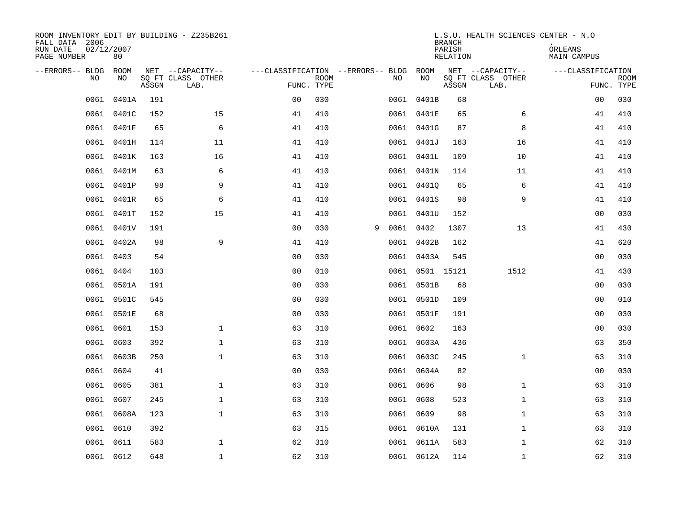| ROOM INVENTORY EDIT BY BUILDING - Z235B261<br>FALL DATA 2006<br>RUN DATE<br>PAGE NUMBER | 02/12/2007<br>80 |       |                                               |                                                      |             |   |      |                 | <b>BRANCH</b><br>PARISH<br><b>RELATION</b> | L.S.U. HEALTH SCIENCES CENTER - N.O           | ORLEANS<br><b>MAIN CAMPUS</b> |                           |
|-----------------------------------------------------------------------------------------|------------------|-------|-----------------------------------------------|------------------------------------------------------|-------------|---|------|-----------------|--------------------------------------------|-----------------------------------------------|-------------------------------|---------------------------|
| --ERRORS-- BLDG ROOM<br>NO                                                              | NO               | ASSGN | NET --CAPACITY--<br>SQ FT CLASS OTHER<br>LAB. | ---CLASSIFICATION --ERRORS-- BLDG ROOM<br>FUNC. TYPE | <b>ROOM</b> |   | NO   | NO              | ASSGN                                      | NET --CAPACITY--<br>SQ FT CLASS OTHER<br>LAB. | ---CLASSIFICATION             | <b>ROOM</b><br>FUNC. TYPE |
| 0061                                                                                    | 0401A            | 191   |                                               | 0 <sub>0</sub>                                       | 030         |   |      | 0061 0401B      | 68                                         |                                               | 00                            | 030                       |
| 0061                                                                                    | 0401C            | 152   | 15                                            | 41                                                   | 410         |   |      | 0061 0401E      | 65                                         | 6                                             | 41                            | 410                       |
|                                                                                         | 0061 0401F       | 65    | 6                                             | 41                                                   | 410         |   |      | 0061 0401G      | 87                                         | 8                                             | 41                            | 410                       |
| 0061                                                                                    | 0401H            | 114   | 11                                            | 41                                                   | 410         |   |      | 0061 0401J      | 163                                        | 16                                            | 41                            | 410                       |
| 0061                                                                                    | 0401K            | 163   | 16                                            | 41                                                   | 410         |   |      | 0061 0401L      | 109                                        | 10                                            | 41                            | 410                       |
| 0061                                                                                    | 0401M            | 63    | 6                                             | 41                                                   | 410         |   |      | 0061 0401N      | 114                                        | 11                                            | 41                            | 410                       |
| 0061                                                                                    | 0401P            | 98    | 9                                             | 41                                                   | 410         |   |      | 0061 0401Q      | 65                                         | 6                                             | 41                            | 410                       |
|                                                                                         | 0061 0401R       | 65    | 6                                             | 41                                                   | 410         |   |      | 0061 0401S      | 98                                         | 9                                             | 41                            | 410                       |
| 0061                                                                                    | 0401T            | 152   | 15                                            | 41                                                   | 410         |   |      | 0061 0401U      | 152                                        |                                               | 00                            | 030                       |
|                                                                                         | 0061 0401V       | 191   |                                               | 0 <sub>0</sub>                                       | 030         | 9 |      | 0061 0402       | 1307                                       | 13                                            | 41                            | 430                       |
|                                                                                         | 0061 0402A       | 98    | 9                                             | 41                                                   | 410         |   |      | 0061 0402B      | 162                                        |                                               | 41                            | 620                       |
|                                                                                         | 0061 0403        | 54    |                                               | 0 <sub>0</sub>                                       | 030         |   |      | 0061 0403A      | 545                                        |                                               | 0 <sub>0</sub>                | 030                       |
| 0061                                                                                    | 0404             | 103   |                                               | 0 <sub>0</sub>                                       | 010         |   |      | 0061 0501 15121 |                                            | 1512                                          | 41                            | 430                       |
| 0061                                                                                    | 0501A            | 191   |                                               | 0 <sub>0</sub>                                       | 030         |   |      | 0061 0501B      | 68                                         |                                               | 00                            | 030                       |
| 0061                                                                                    | 0501C            | 545   |                                               | 0 <sub>0</sub>                                       | 030         |   |      | 0061 0501D      | 109                                        |                                               | 00                            | 010                       |
| 0061                                                                                    | 0501E            | 68    |                                               | 0 <sub>0</sub>                                       | 030         |   |      | 0061 0501F      | 191                                        |                                               | 00                            | 030                       |
| 0061                                                                                    | 0601             | 153   | $\mathbf{1}$                                  | 63                                                   | 310         |   | 0061 | 0602            | 163                                        |                                               | 00                            | 030                       |
| 0061                                                                                    | 0603             | 392   | $\mathbf{1}$                                  | 63                                                   | 310         |   |      | 0061 0603A      | 436                                        |                                               | 63                            | 350                       |
| 0061                                                                                    | 0603B            | 250   | $\mathbf{1}$                                  | 63                                                   | 310         |   |      | 0061 0603C      | 245                                        | $\mathbf{1}$                                  | 63                            | 310                       |
| 0061                                                                                    | 0604             | 41    |                                               | 0 <sub>0</sub>                                       | 030         |   |      | 0061 0604A      | 82                                         |                                               | 00                            | 030                       |
| 0061                                                                                    | 0605             | 381   | $\mathbf 1$                                   | 63                                                   | 310         |   |      | 0061 0606       | 98                                         | $\mathbf{1}$                                  | 63                            | 310                       |
| 0061                                                                                    | 0607             | 245   | $\mathbf 1$                                   | 63                                                   | 310         |   |      | 0061 0608       | 523                                        | $\mathbf{1}$                                  | 63                            | 310                       |
|                                                                                         | 0061 0608A       | 123   | $\mathbf 1$                                   | 63                                                   | 310         |   |      | 0061 0609       | 98                                         | $\mathbf{1}$                                  | 63                            | 310                       |
|                                                                                         | 0061 0610        | 392   |                                               | 63                                                   | 315         |   |      | 0061 0610A      | 131                                        | $\mathbf{1}$                                  | 63                            | 310                       |
| 0061                                                                                    | 0611             | 583   | $\mathbf 1$                                   | 62                                                   | 310         |   |      | 0061 0611A      | 583                                        | $\mathbf{1}$                                  | 62                            | 310                       |
|                                                                                         | 0061 0612        | 648   | $\mathbf{1}$                                  | 62                                                   | 310         |   |      | 0061 0612A      | 114                                        | $\mathbf{1}$                                  | 62                            | 310                       |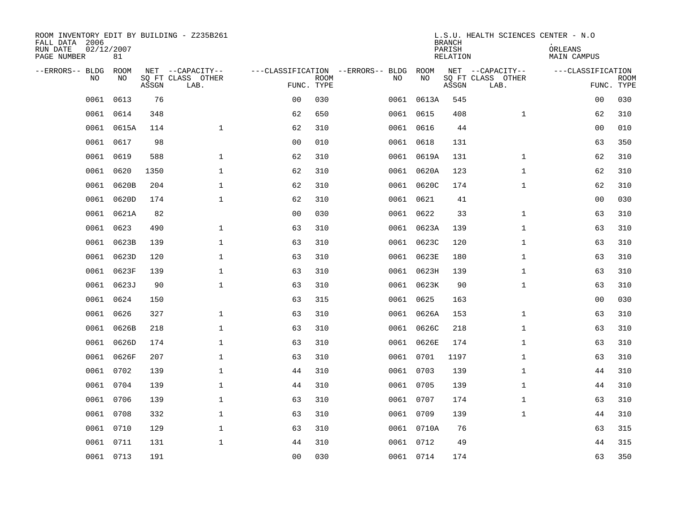| ROOM INVENTORY EDIT BY BUILDING - Z235B261<br>FALL DATA 2006<br>RUN DATE<br>PAGE NUMBER | 02/12/2007<br>81 |       |                                               |                |             |                                          |            | <b>BRANCH</b><br>PARISH<br>RELATION | L.S.U. HEALTH SCIENCES CENTER - N.O           | ORLEANS<br>MAIN CAMPUS |                           |
|-----------------------------------------------------------------------------------------|------------------|-------|-----------------------------------------------|----------------|-------------|------------------------------------------|------------|-------------------------------------|-----------------------------------------------|------------------------|---------------------------|
| --ERRORS-- BLDG<br>N <sub>O</sub>                                                       | ROOM<br>NO.      | ASSGN | NET --CAPACITY--<br>SO FT CLASS OTHER<br>LAB. | FUNC. TYPE     | <b>ROOM</b> | ---CLASSIFICATION --ERRORS-- BLDG<br>NO. | ROOM<br>NO | ASSGN                               | NET --CAPACITY--<br>SQ FT CLASS OTHER<br>LAB. | ---CLASSIFICATION      | <b>ROOM</b><br>FUNC. TYPE |
| 0061                                                                                    | 0613             | 76    |                                               | 0 <sub>0</sub> | 030         |                                          | 0061 0613A | 545                                 |                                               | 00                     | 030                       |
| 0061                                                                                    | 0614             | 348   |                                               | 62             | 650         |                                          | 0061 0615  | 408                                 | $\mathbf{1}$                                  | 62                     | 310                       |
|                                                                                         | 0061 0615A       | 114   | $\mathbf{1}$                                  | 62             | 310         |                                          | 0061 0616  | 44                                  |                                               | 0 <sub>0</sub>         | 010                       |
| 0061                                                                                    | 0617             | 98    |                                               | 0 <sub>0</sub> | 010         |                                          | 0061 0618  | 131                                 |                                               | 63                     | 350                       |
| 0061                                                                                    | 0619             | 588   | $\mathbf 1$                                   | 62             | 310         |                                          | 0061 0619A | 131                                 | $\mathbf{1}$                                  | 62                     | 310                       |
| 0061                                                                                    | 0620             | 1350  | $\mathbf 1$                                   | 62             | 310         |                                          | 0061 0620A | 123                                 | $\mathbf{1}$                                  | 62                     | 310                       |
| 0061                                                                                    | 0620B            | 204   | $\mathbf 1$                                   | 62             | 310         |                                          | 0061 0620C | 174                                 | $\mathbf{1}$                                  | 62                     | 310                       |
| 0061                                                                                    | 0620D            | 174   | $\mathbf{1}$                                  | 62             | 310         |                                          | 0061 0621  | 41                                  |                                               | 0 <sub>0</sub>         | 030                       |
| 0061                                                                                    | 0621A            | 82    |                                               | 0 <sub>0</sub> | 030         |                                          | 0061 0622  | 33                                  | $\mathbf{1}$                                  | 63                     | 310                       |
| 0061                                                                                    | 0623             | 490   | $\mathbf 1$                                   | 63             | 310         |                                          | 0061 0623A | 139                                 | $\mathbf{1}$                                  | 63                     | 310                       |
| 0061                                                                                    | 0623B            | 139   | $\mathbf 1$                                   | 63             | 310         |                                          | 0061 0623C | 120                                 | $\mathbf{1}$                                  | 63                     | 310                       |
|                                                                                         | 0061 0623D       | 120   | $\mathbf 1$                                   | 63             | 310         |                                          | 0061 0623E | 180                                 | $\mathbf{1}$                                  | 63                     | 310                       |
| 0061                                                                                    | 0623F            | 139   | $\mathbf{1}$                                  | 63             | 310         |                                          | 0061 0623H | 139                                 | $\mathbf{1}$                                  | 63                     | 310                       |
| 0061                                                                                    | 0623J            | 90    | $\mathbf{1}$                                  | 63             | 310         |                                          | 0061 0623K | 90                                  | $\mathbf{1}$                                  | 63                     | 310                       |
| 0061                                                                                    | 0624             | 150   |                                               | 63             | 315         | 0061                                     | 0625       | 163                                 |                                               | 00                     | 030                       |
| 0061                                                                                    | 0626             | 327   | $\mathbf 1$                                   | 63             | 310         |                                          | 0061 0626A | 153                                 | $\mathbf{1}$                                  | 63                     | 310                       |
| 0061                                                                                    | 0626B            | 218   | $\mathbf 1$                                   | 63             | 310         | 0061                                     | 0626C      | 218                                 | $\mathbf{1}$                                  | 63                     | 310                       |
| 0061                                                                                    | 0626D            | 174   | $\mathbf{1}$                                  | 63             | 310         |                                          | 0061 0626E | 174                                 | $\mathbf{1}$                                  | 63                     | 310                       |
| 0061                                                                                    | 0626F            | 207   | $\mathbf{1}$                                  | 63             | 310         |                                          | 0061 0701  | 1197                                | $\mathbf{1}$                                  | 63                     | 310                       |
| 0061                                                                                    | 0702             | 139   | $\mathbf{1}$                                  | 44             | 310         |                                          | 0061 0703  | 139                                 | $\mathbf{1}$                                  | 44                     | 310                       |
| 0061                                                                                    | 0704             | 139   | $\mathbf 1$                                   | 44             | 310         |                                          | 0061 0705  | 139                                 | $\mathbf{1}$                                  | 44                     | 310                       |
| 0061                                                                                    | 0706             | 139   | $\mathbf 1$                                   | 63             | 310         |                                          | 0061 0707  | 174                                 | $\mathbf{1}$                                  | 63                     | 310                       |
|                                                                                         | 0061 0708        | 332   | $\mathbf 1$                                   | 63             | 310         |                                          | 0061 0709  | 139                                 | $\mathbf{1}$                                  | 44                     | 310                       |
|                                                                                         | 0061 0710        | 129   | $\mathbf 1$                                   | 63             | 310         |                                          | 0061 0710A | 76                                  |                                               | 63                     | 315                       |
|                                                                                         | 0061 0711        | 131   | $\mathbf{1}$                                  | 44             | 310         |                                          | 0061 0712  | 49                                  |                                               | 44                     | 315                       |
|                                                                                         | 0061 0713        | 191   |                                               | 0 <sub>0</sub> | 030         |                                          | 0061 0714  | 174                                 |                                               | 63                     | 350                       |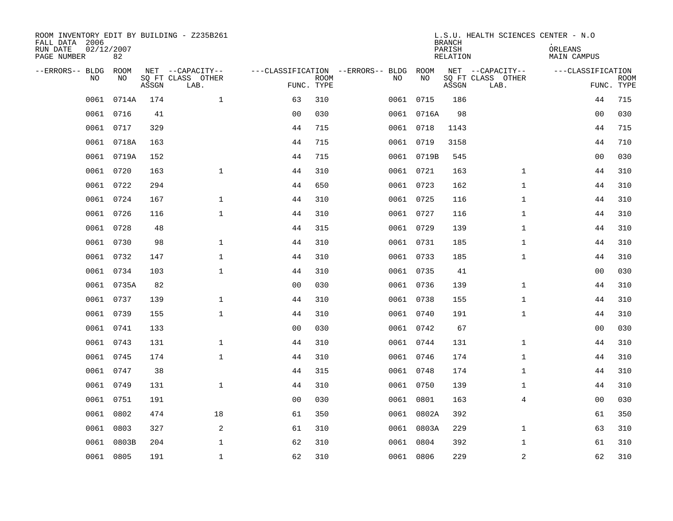| ROOM INVENTORY EDIT BY BUILDING - Z235B261<br>FALL DATA 2006<br>RUN DATE<br>PAGE NUMBER | 02/12/2007<br>82 |       |                           |                |             |                                   |            | <b>BRANCH</b><br>PARISH<br>RELATION | L.S.U. HEALTH SCIENCES CENTER - N.O | ORLEANS<br>MAIN CAMPUS |                           |
|-----------------------------------------------------------------------------------------|------------------|-------|---------------------------|----------------|-------------|-----------------------------------|------------|-------------------------------------|-------------------------------------|------------------------|---------------------------|
| --ERRORS-- BLDG                                                                         | <b>ROOM</b>      |       | NET --CAPACITY--          |                |             | ---CLASSIFICATION --ERRORS-- BLDG | ROOM       |                                     | NET --CAPACITY--                    | ---CLASSIFICATION      |                           |
| N <sub>O</sub>                                                                          | NO.              | ASSGN | SO FT CLASS OTHER<br>LAB. | FUNC. TYPE     | <b>ROOM</b> | NO.                               | NO         | ASSGN                               | SQ FT CLASS OTHER<br>LAB.           |                        | <b>ROOM</b><br>FUNC. TYPE |
| 0061                                                                                    | 0714A            | 174   | $\mathbf{1}$              | 63             | 310         |                                   | 0061 0715  | 186                                 |                                     | 44                     | 715                       |
|                                                                                         | 0061 0716        | 41    |                           | 0 <sub>0</sub> | 030         |                                   | 0061 0716A | 98                                  |                                     | 0 <sub>0</sub>         | 030                       |
|                                                                                         | 0061 0717        | 329   |                           | 44             | 715         |                                   | 0061 0718  | 1143                                |                                     | 44                     | 715                       |
| 0061                                                                                    | 0718A            | 163   |                           | 44             | 715         |                                   | 0061 0719  | 3158                                |                                     | 44                     | 710                       |
| 0061                                                                                    | 0719A            | 152   |                           | 44             | 715         |                                   | 0061 0719B | 545                                 |                                     | 00                     | 030                       |
| 0061                                                                                    | 0720             | 163   | $\mathbf{1}$              | 44             | 310         |                                   | 0061 0721  | 163                                 | $\mathbf{1}$                        | 44                     | 310                       |
| 0061                                                                                    | 0722             | 294   |                           | 44             | 650         |                                   | 0061 0723  | 162                                 | $\mathbf{1}$                        | 44                     | 310                       |
|                                                                                         | 0061 0724        | 167   | $\mathbf{1}$              | 44             | 310         |                                   | 0061 0725  | 116                                 | $\mathbf{1}$                        | 44                     | 310                       |
| 0061                                                                                    | 0726             | 116   | $\mathbf{1}$              | 44             | 310         |                                   | 0061 0727  | 116                                 | $\mathbf{1}$                        | 44                     | 310                       |
|                                                                                         | 0061 0728        | 48    |                           | 44             | 315         |                                   | 0061 0729  | 139                                 | $\mathbf{1}$                        | 44                     | 310                       |
|                                                                                         | 0061 0730        | 98    | $\mathbf{1}$              | 44             | 310         |                                   | 0061 0731  | 185                                 | $\mathbf{1}$                        | 44                     | 310                       |
|                                                                                         | 0061 0732        | 147   | $\mathbf{1}$              | 44             | 310         |                                   | 0061 0733  | 185                                 | $\mathbf{1}$                        | 44                     | 310                       |
| 0061                                                                                    | 0734             | 103   | $\mathbf{1}$              | 44             | 310         |                                   | 0061 0735  | 41                                  |                                     | 0 <sub>0</sub>         | 030                       |
|                                                                                         | 0061 0735A       | 82    |                           | 0 <sub>0</sub> | 030         |                                   | 0061 0736  | 139                                 | $\mathbf{1}$                        | 44                     | 310                       |
| 0061                                                                                    | 0737             | 139   | $\mathbf{1}$              | 44             | 310         |                                   | 0061 0738  | 155                                 | $\mathbf{1}$                        | 44                     | 310                       |
|                                                                                         | 0061 0739        | 155   | $\mathbf 1$               | 44             | 310         |                                   | 0061 0740  | 191                                 | $\mathbf{1}$                        | 44                     | 310                       |
| 0061                                                                                    | 0741             | 133   |                           | 0 <sub>0</sub> | 030         |                                   | 0061 0742  | 67                                  |                                     | 00                     | 030                       |
| 0061                                                                                    | 0743             | 131   | $\mathbf{1}$              | 44             | 310         |                                   | 0061 0744  | 131                                 | $\mathbf{1}$                        | 44                     | 310                       |
| 0061                                                                                    | 0745             | 174   | $\mathbf{1}$              | 44             | 310         |                                   | 0061 0746  | 174                                 | $\mathbf{1}$                        | 44                     | 310                       |
|                                                                                         | 0061 0747        | 38    |                           | 44             | 315         |                                   | 0061 0748  | 174                                 | $\mathbf{1}$                        | 44                     | 310                       |
| 0061                                                                                    | 0749             | 131   | $\mathbf 1$               | 44             | 310         |                                   | 0061 0750  | 139                                 | $\mathbf{1}$                        | 44                     | 310                       |
| 0061                                                                                    | 0751             | 191   |                           | 0 <sub>0</sub> | 030         |                                   | 0061 0801  | 163                                 | $\overline{4}$                      | 00                     | 030                       |
| 0061                                                                                    | 0802             | 474   | 18                        | 61             | 350         |                                   | 0061 0802A | 392                                 |                                     | 61                     | 350                       |
| 0061                                                                                    | 0803             | 327   | 2                         | 61             | 310         |                                   | 0061 0803A | 229                                 | $\mathbf{1}$                        | 63                     | 310                       |
| 0061                                                                                    | 0803B            | 204   | $\mathbf 1$               | 62             | 310         | 0061                              | 0804       | 392                                 | $\mathbf{1}$                        | 61                     | 310                       |
|                                                                                         | 0061 0805        | 191   | $\mathbf{1}$              | 62             | 310         |                                   | 0061 0806  | 229                                 | $\mathbf 2$                         | 62                     | 310                       |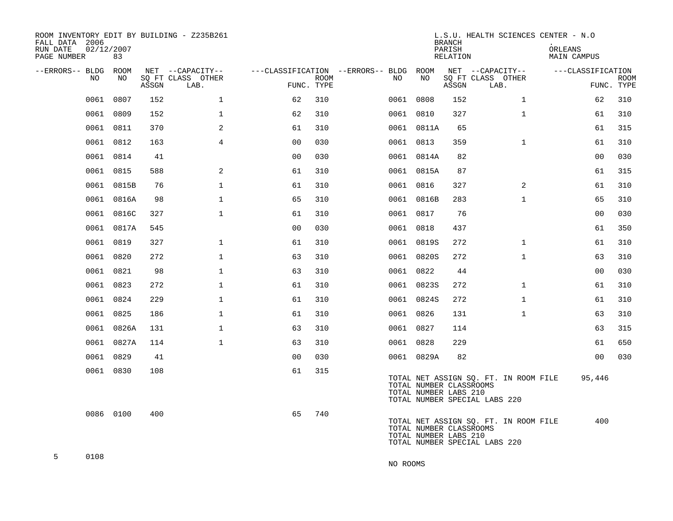| ROOM INVENTORY EDIT BY BUILDING - Z235B261<br>FALL DATA 2006<br>RUN DATE<br>PAGE NUMBER | 02/12/2007<br>83 |       |                                               |                |                           |                                              |                                                  | <b>BRANCH</b><br>PARISH<br>RELATION | L.S.U. HEALTH SCIENCES CENTER - N.O                                    | ORLEANS<br>MAIN CAMPUS |                           |
|-----------------------------------------------------------------------------------------|------------------|-------|-----------------------------------------------|----------------|---------------------------|----------------------------------------------|--------------------------------------------------|-------------------------------------|------------------------------------------------------------------------|------------------------|---------------------------|
| --ERRORS-- BLDG<br>NO.                                                                  | ROOM<br>NO       | ASSGN | NET --CAPACITY--<br>SO FT CLASS OTHER<br>LAB. |                | <b>ROOM</b><br>FUNC. TYPE | ---CLASSIFICATION --ERRORS-- BLDG ROOM<br>NO | NO                                               | ASSGN                               | NET --CAPACITY--<br>SQ FT CLASS OTHER<br>LAB.                          | ---CLASSIFICATION      | <b>ROOM</b><br>FUNC. TYPE |
| 0061                                                                                    | 0807             | 152   | $\mathbf{1}$                                  | 62             | 310                       | 0061 0808                                    |                                                  | 152                                 | $\mathbf{1}$                                                           | 62                     | 310                       |
|                                                                                         | 0061 0809        | 152   | $\mathbf{1}$                                  | 62             | 310                       | 0061 0810                                    |                                                  | 327                                 | $\mathbf{1}$                                                           | 61                     | 310                       |
|                                                                                         | 0061 0811        | 370   | 2                                             | 61             | 310                       |                                              | 0061 0811A                                       | 65                                  |                                                                        | 61                     | 315                       |
|                                                                                         | 0061 0812        | 163   | $\overline{4}$                                | 0 <sub>0</sub> | 030                       | 0061 0813                                    |                                                  | 359                                 | $\mathbf{1}$                                                           | 61                     | 310                       |
|                                                                                         | 0061 0814        | 41    |                                               | 0 <sub>0</sub> | 030                       |                                              | 0061 0814A                                       | 82                                  |                                                                        | 00                     | 030                       |
|                                                                                         | 0061 0815        | 588   | 2                                             | 61             | 310                       |                                              | 0061 0815A                                       | 87                                  |                                                                        | 61                     | 315                       |
|                                                                                         | 0061 0815B       | 76    | $\mathbf 1$                                   | 61             | 310                       | 0061 0816                                    |                                                  | 327                                 | 2                                                                      | 61                     | 310                       |
|                                                                                         | 0061 0816A       | 98    | $\mathbf{1}$                                  | 65             | 310                       |                                              | 0061 0816B                                       | 283                                 | $\mathbf{1}$                                                           | 65                     | 310                       |
|                                                                                         | 0061 0816C       | 327   | $\mathbf 1$                                   | 61             | 310                       | 0061 0817                                    |                                                  | 76                                  |                                                                        | 00                     | 030                       |
|                                                                                         | 0061 0817A       | 545   |                                               | 0 <sub>0</sub> | 030                       | 0061 0818                                    |                                                  | 437                                 |                                                                        | 61                     | 350                       |
|                                                                                         | 0061 0819        | 327   | $\mathbf 1$                                   | 61             | 310                       |                                              | 0061 0819S                                       | 272                                 | $\mathbf{1}$                                                           | 61                     | 310                       |
|                                                                                         | 0061 0820        | 272   | $\mathbf{1}$                                  | 63             | 310                       |                                              | 0061 0820S                                       | 272                                 | $\mathbf{1}$                                                           | 63                     | 310                       |
|                                                                                         | 0061 0821        | 98    | $\mathbf 1$                                   | 63             | 310                       | 0061 0822                                    |                                                  | 44                                  |                                                                        | 0 <sub>0</sub>         | 030                       |
|                                                                                         | 0061 0823        | 272   | $\mathbf 1$                                   | 61             | 310                       |                                              | 0061 0823S                                       | 272                                 | $\mathbf{1}$                                                           | 61                     | 310                       |
|                                                                                         | 0061 0824        | 229   | $\mathbf{1}$                                  | 61             | 310                       |                                              | 0061 0824S                                       | 272                                 | $\mathbf{1}$                                                           | 61                     | 310                       |
|                                                                                         | 0061 0825        | 186   | $\mathbf 1$                                   | 61             | 310                       | 0061 0826                                    |                                                  | 131                                 | $\mathbf{1}$                                                           | 63                     | 310                       |
|                                                                                         | 0061 0826A       | 131   | $\mathbf{1}$                                  | 63             | 310                       | 0061 0827                                    |                                                  | 114                                 |                                                                        | 63                     | 315                       |
|                                                                                         | 0061 0827A       | 114   | $\mathbf 1$                                   | 63             | 310                       | 0061 0828                                    |                                                  | 229                                 |                                                                        | 61                     | 650                       |
|                                                                                         | 0061 0829        | 41    |                                               | 0 <sub>0</sub> | 030                       |                                              | 0061 0829A                                       | 82                                  |                                                                        | 0 <sub>0</sub>         | 030                       |
|                                                                                         | 0061 0830        | 108   |                                               | 61             | 315                       |                                              | TOTAL NUMBER CLASSROOMS<br>TOTAL NUMBER LABS 210 |                                     | TOTAL NET ASSIGN SQ. FT. IN ROOM FILE<br>TOTAL NUMBER SPECIAL LABS 220 | 95,446                 |                           |
|                                                                                         | 0086 0100        | 400   |                                               | 65             | 740                       |                                              | TOTAL NUMBER CLASSROOMS<br>TOTAL NUMBER LABS 210 |                                     | TOTAL NET ASSIGN SQ. FT. IN ROOM FILE<br>TOTAL NUMBER SPECIAL LABS 220 | 400                    |                           |
| 5<br>0108                                                                               |                  |       |                                               |                |                           | NO ROOMS                                     |                                                  |                                     |                                                                        |                        |                           |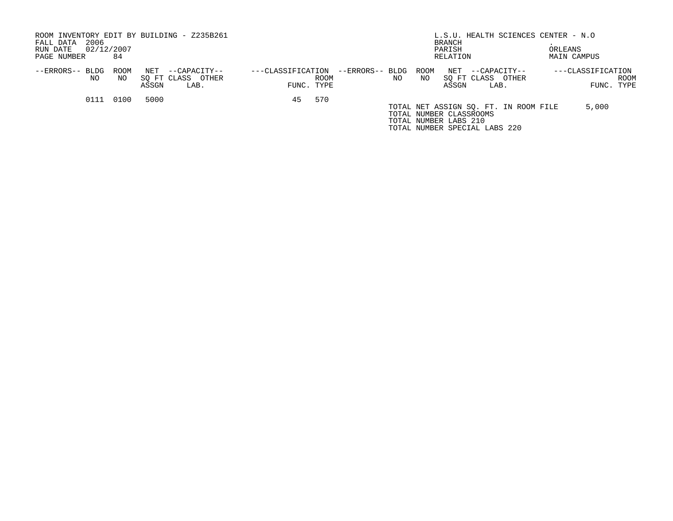| 2006<br>FALL DATA      |             | ROOM INVENTORY EDIT BY BUILDING - Z235B261                |                                 |      |                       |            | L.S.U. HEALTH SCIENCES CENTER - N.O<br>BRANCH                                             |                                           |
|------------------------|-------------|-----------------------------------------------------------|---------------------------------|------|-----------------------|------------|-------------------------------------------------------------------------------------------|-------------------------------------------|
| 02/12/2007<br>RUN DATE |             |                                                           |                                 |      |                       |            | PARISH                                                                                    | ORLEANS                                   |
| PAGE NUMBER            | 84          |                                                           |                                 |      |                       |            | RELATION                                                                                  | MAIN CAMPUS                               |
| --ERRORS-- BLDG<br>NO. | ROOM<br>NO. | NET<br>--CAPACITY--<br>SO FT CLASS OTHER<br>ASSGN<br>LAB. | ---CLASSIFICATION<br>FUNC. TYPE | ROOM | --ERRORS-- BLDG<br>NO | ROOM<br>NO | NET<br>--CAPACITY--<br>SO FT CLASS OTHER<br>ASSGN<br>LAB.                                 | $---CLASSIFIGATION$<br>ROOM<br>FUNC. TYPE |
| 0111                   | 0100        | 5000                                                      | 45                              | 570  |                       |            | TOTAL NET ASSIGN SO. FT. IN ROOM FILE<br>TOTAL NUMBER CLASSROOMS<br>TOTAL NUMBER LABS 210 | 5,000                                     |
|                        |             |                                                           |                                 |      |                       |            | TOTAL NUMBER SPECIAL LABS 220                                                             |                                           |